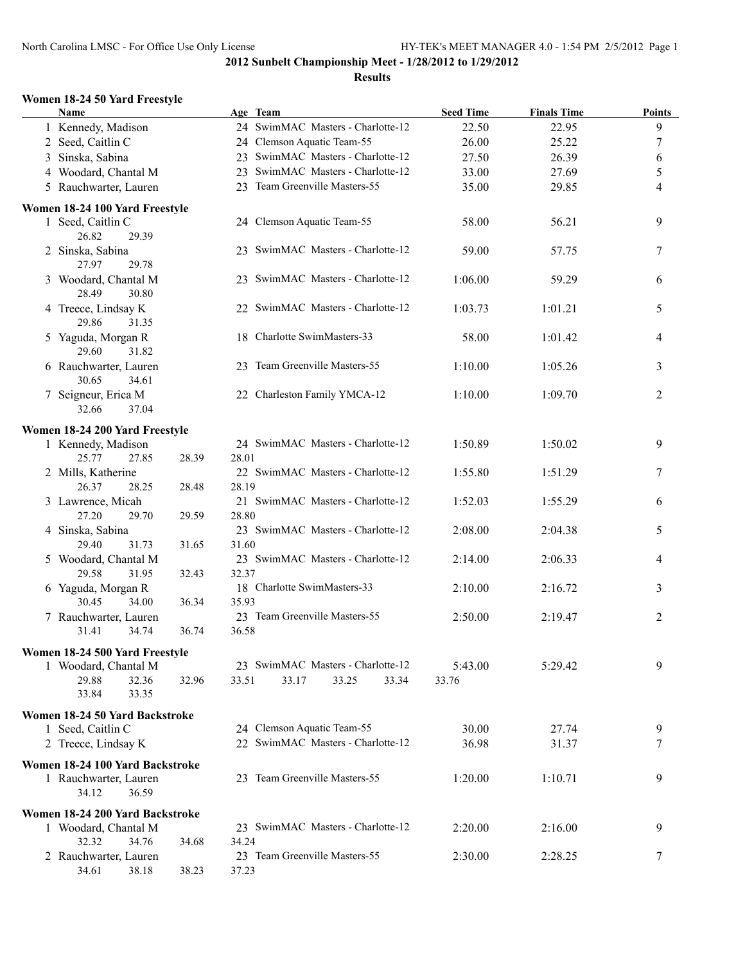#### **Results**

#### **Women 18-24 50 Yard Freestyle**

| Name                            |       |       | Age Team                          | <b>Seed Time</b> | <b>Finals Time</b> | <b>Points</b> |
|---------------------------------|-------|-------|-----------------------------------|------------------|--------------------|---------------|
| 1 Kennedy, Madison              |       |       | 24 SwimMAC Masters - Charlotte-12 | 22.50            | 22.95              | 9             |
| 2 Seed, Caitlin C               |       |       | 24 Clemson Aquatic Team-55        | 26.00            | 25.22              | 7             |
| 3 Sinska, Sabina                |       |       | 23 SwimMAC Masters - Charlotte-12 | 27.50            | 26.39              | 6             |
| 4 Woodard, Chantal M            |       |       | 23 SwimMAC Masters - Charlotte-12 | 33.00            | 27.69              | 5             |
| 5 Rauchwarter, Lauren           |       |       | 23 Team Greenville Masters-55     | 35.00            | 29.85              | 4             |
|                                 |       |       |                                   |                  |                    |               |
| Women 18-24 100 Yard Freestyle  |       |       |                                   |                  |                    |               |
| 1 Seed, Caitlin C               |       |       | 24 Clemson Aquatic Team-55        | 58.00            | 56.21              | 9             |
| 26.82<br>29.39                  |       |       |                                   |                  |                    |               |
| 2 Sinska, Sabina                |       |       | 23 SwimMAC Masters - Charlotte-12 | 59.00            | 57.75              | 7             |
| 27.97<br>29.78                  |       |       |                                   |                  |                    |               |
| 3 Woodard, Chantal M            |       |       | 23 SwimMAC Masters - Charlotte-12 | 1:06.00          | 59.29              | 6             |
| 28.49<br>30.80                  |       |       |                                   |                  |                    |               |
| 4 Treece, Lindsay K             |       |       | 22 SwimMAC Masters - Charlotte-12 | 1:03.73          | 1:01.21            | 5             |
| 29.86<br>31.35                  |       |       |                                   |                  |                    |               |
| 5 Yaguda, Morgan R              |       |       | 18 Charlotte SwimMasters-33       | 58.00            | 1:01.42            | 4             |
| 29.60<br>31.82                  |       |       |                                   |                  |                    |               |
| 6 Rauchwarter, Lauren           |       |       | 23 Team Greenville Masters-55     | 1:10.00          | 1:05.26            | 3             |
| 30.65<br>34.61                  |       |       |                                   |                  |                    |               |
| 7 Seigneur, Erica M             |       |       | 22 Charleston Family YMCA-12      | 1:10.00          | 1:09.70            | 2             |
| 32.66<br>37.04                  |       |       |                                   |                  |                    |               |
| Women 18-24 200 Yard Freestyle  |       |       |                                   |                  |                    |               |
| 1 Kennedy, Madison              |       |       | 24 SwimMAC Masters - Charlotte-12 | 1:50.89          | 1:50.02            | 9             |
| 25.77<br>27.85                  | 28.39 | 28.01 |                                   |                  |                    |               |
| 2 Mills, Katherine              |       |       | 22 SwimMAC Masters - Charlotte-12 | 1:55.80          | 1:51.29            | 7             |
| 26.37<br>28.25                  | 28.48 | 28.19 |                                   |                  |                    |               |
| 3 Lawrence, Micah               |       |       | 21 SwimMAC Masters - Charlotte-12 | 1:52.03          | 1:55.29            | 6             |
| 27.20<br>29.70                  | 29.59 | 28.80 |                                   |                  |                    |               |
| 4 Sinska, Sabina                |       |       | 23 SwimMAC Masters - Charlotte-12 | 2:08.00          | 2:04.38            | 5             |
| 29.40<br>31.73                  | 31.65 | 31.60 |                                   |                  |                    |               |
| 5 Woodard, Chantal M            |       |       | 23 SwimMAC Masters - Charlotte-12 | 2:14.00          | 2:06.33            | 4             |
| 29.58<br>31.95                  | 32.43 | 32.37 |                                   |                  |                    |               |
| 6 Yaguda, Morgan R              |       |       | 18 Charlotte SwimMasters-33       | 2:10.00          | 2:16.72            | 3             |
| 30.45<br>34.00                  | 36.34 | 35.93 |                                   |                  |                    |               |
| 7 Rauchwarter, Lauren           |       |       | 23 Team Greenville Masters-55     | 2:50.00          | 2:19.47            | 2             |
| 31.41<br>34.74                  | 36.74 | 36.58 |                                   |                  |                    |               |
| Women 18-24 500 Yard Freestyle  |       |       |                                   |                  |                    |               |
| 1 Woodard, Chantal M            |       |       | 23 SwimMAC Masters - Charlotte-12 | 5:43.00          | 5:29.42            | 9             |
| 29.88<br>32.36                  | 32.96 | 33.51 | 33.17<br>33.25<br>33.34           | 33.76            |                    |               |
| 33.84<br>33.35                  |       |       |                                   |                  |                    |               |
|                                 |       |       |                                   |                  |                    |               |
| Women 18-24 50 Yard Backstroke  |       |       |                                   |                  |                    |               |
| 1 Seed, Caitlin C               |       |       | 24 Clemson Aquatic Team-55        | 30.00            | 27.74              | 9             |
| 2 Treece, Lindsay K             |       |       | 22 SwimMAC Masters - Charlotte-12 | 36.98            | 31.37              | 7             |
| Women 18-24 100 Yard Backstroke |       |       |                                   |                  |                    |               |
| 1 Rauchwarter, Lauren           |       |       | 23 Team Greenville Masters-55     | 1:20.00          | 1:10.71            | 9             |
| 34.12<br>36.59                  |       |       |                                   |                  |                    |               |
| Women 18-24 200 Yard Backstroke |       |       |                                   |                  |                    |               |
| 1 Woodard, Chantal M            |       |       | 23 SwimMAC Masters - Charlotte-12 | 2:20.00          | 2:16.00            | 9             |
| 32.32<br>34.76                  | 34.68 | 34.24 |                                   |                  |                    |               |
| 2 Rauchwarter, Lauren           |       |       | 23 Team Greenville Masters-55     | 2:30.00          | 2:28.25            | 7             |
| 34.61<br>38.18                  | 38.23 | 37.23 |                                   |                  |                    |               |
|                                 |       |       |                                   |                  |                    |               |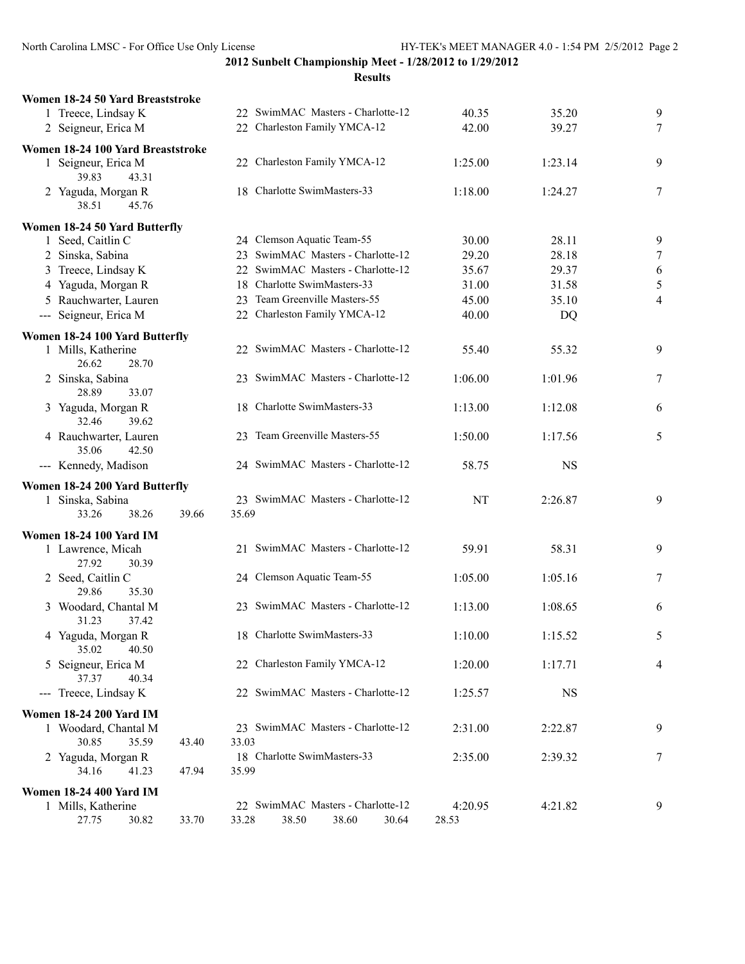**2012 Sunbelt Championship Meet - 1/28/2012 to 1/29/2012 Results**

| Women 18-24 50 Yard Breaststroke                                              |                                            |           |           |                |
|-------------------------------------------------------------------------------|--------------------------------------------|-----------|-----------|----------------|
| 1 Treece, Lindsay K                                                           | 22 SwimMAC Masters - Charlotte-12          | 40.35     | 35.20     | 9              |
| 2 Seigneur, Erica M                                                           | 22 Charleston Family YMCA-12               | 42.00     | 39.27     | 7              |
| Women 18-24 100 Yard Breaststroke                                             |                                            |           |           |                |
| 1 Seigneur, Erica M<br>39.83<br>43.31                                         | 22 Charleston Family YMCA-12               | 1:25.00   | 1:23.14   | 9              |
| 2 Yaguda, Morgan R<br>38.51<br>45.76                                          | 18 Charlotte SwimMasters-33                | 1:18.00   | 1:24.27   | 7              |
|                                                                               |                                            |           |           |                |
| Women 18-24 50 Yard Butterfly                                                 |                                            |           |           |                |
| 1 Seed, Caitlin C                                                             | 24 Clemson Aquatic Team-55                 | 30.00     | 28.11     | 9              |
| 2 Sinska, Sabina                                                              | 23 SwimMAC Masters - Charlotte-12          | 29.20     | 28.18     | $\tau$         |
| 3 Treece, Lindsay K                                                           | 22 SwimMAC Masters - Charlotte-12          | 35.67     | 29.37     | 6              |
| 4 Yaguda, Morgan R                                                            | 18 Charlotte SwimMasters-33                | 31.00     | 31.58     | 5              |
| 5 Rauchwarter, Lauren                                                         | 23 Team Greenville Masters-55              | 45.00     | 35.10     | $\overline{4}$ |
| --- Seigneur, Erica M                                                         | 22 Charleston Family YMCA-12               | 40.00     | DQ        |                |
| Women 18-24 100 Yard Butterfly<br>1 Mills, Katherine                          | 22 SwimMAC Masters - Charlotte-12          | 55.40     | 55.32     | 9              |
| 26.62<br>28.70<br>2 Sinska, Sabina<br>28.89<br>33.07                          | 23 SwimMAC Masters - Charlotte-12          | 1:06.00   | 1:01.96   | 7              |
| 3 Yaguda, Morgan R<br>32.46<br>39.62                                          | 18 Charlotte SwimMasters-33                | 1:13.00   | 1:12.08   | 6              |
| 4 Rauchwarter, Lauren<br>35.06<br>42.50                                       | 23 Team Greenville Masters-55              | 1:50.00   | 1:17.56   | 5              |
| --- Kennedy, Madison                                                          | 24 SwimMAC Masters - Charlotte-12          | 58.75     | <b>NS</b> |                |
| Women 18-24 200 Yard Butterfly<br>1 Sinska, Sabina<br>33.26<br>38.26<br>39.66 | 23 SwimMAC Masters - Charlotte-12<br>35.69 | <b>NT</b> | 2:26.87   | 9              |
| <b>Women 18-24 100 Yard IM</b>                                                |                                            |           |           |                |
| 1 Lawrence, Micah<br>27.92<br>30.39                                           | 21 SwimMAC Masters - Charlotte-12          | 59.91     | 58.31     | 9              |
| 2 Seed, Caitlin C<br>29.86<br>35.30                                           | 24 Clemson Aquatic Team-55                 | 1:05.00   | 1:05.16   | 7              |
| 3 Woodard, Chantal M<br>31.23<br>37.42                                        | 23 SwimMAC Masters - Charlotte-12          | 1:13.00   | 1:08.65   | 6              |
| 4 Yaguda, Morgan R<br>35.02<br>40.50                                          | 18 Charlotte SwimMasters-33                | 1:10.00   | 1:15.52   | 5              |
| 5 Seigneur, Erica M<br>37.37<br>40.34                                         | 22 Charleston Family YMCA-12               | 1:20.00   | 1:17.71   | 4              |
| --- Treece, Lindsay K                                                         | 22 SwimMAC Masters - Charlotte-12          | 1:25.57   | <b>NS</b> |                |
| <b>Women 18-24 200 Yard IM</b>                                                |                                            |           |           |                |
| 1 Woodard, Chantal M<br>35.59<br>30.85<br>43.40                               | 23 SwimMAC Masters - Charlotte-12<br>33.03 | 2:31.00   | 2:22.87   | 9              |
| 2 Yaguda, Morgan R<br>34.16<br>41.23<br>47.94                                 | 18 Charlotte SwimMasters-33<br>35.99       | 2:35.00   | 2:39.32   | 7              |
| <b>Women 18-24 400 Yard IM</b>                                                |                                            |           |           |                |
| 1 Mills, Katherine                                                            | 22 SwimMAC Masters - Charlotte-12          | 4:20.95   | 4:21.82   | 9              |
| 27.75<br>30.82<br>33.70                                                       | 38.60<br>33.28<br>38.50<br>30.64           | 28.53     |           |                |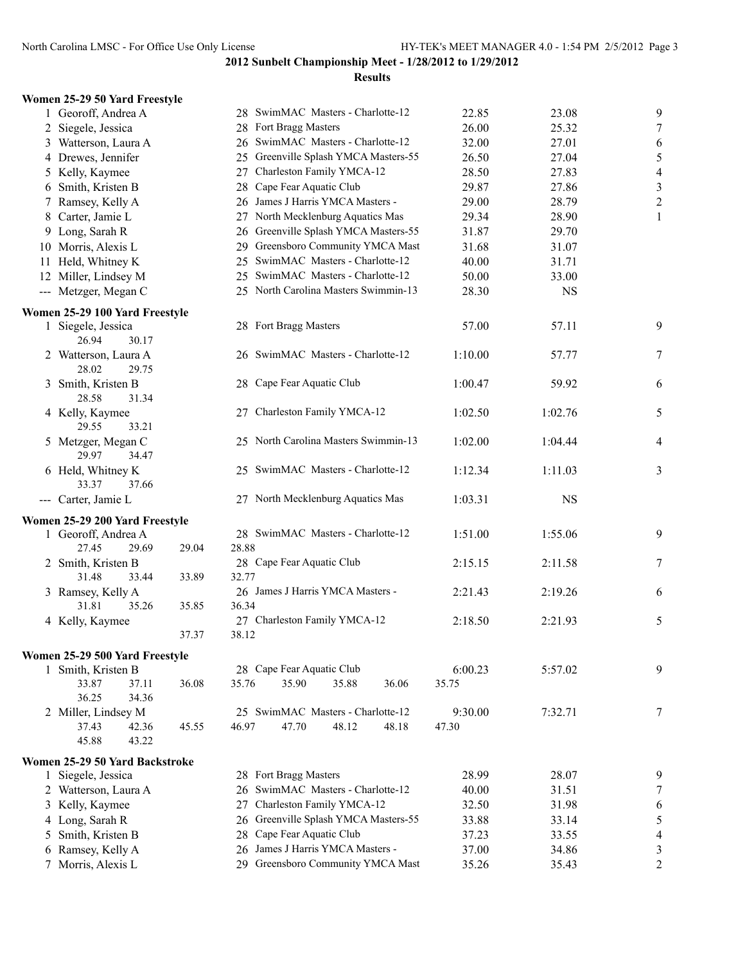| Women 25-29 50 Yard Freestyle          |       |                                         |         |           |                  |
|----------------------------------------|-------|-----------------------------------------|---------|-----------|------------------|
| 1 Georoff, Andrea A                    |       | 28 SwimMAC Masters - Charlotte-12       | 22.85   | 23.08     | 9                |
| 2 Siegele, Jessica                     |       | 28 Fort Bragg Masters                   | 26.00   | 25.32     | $\boldsymbol{7}$ |
| 3 Watterson, Laura A                   |       | 26 SwimMAC Masters - Charlotte-12       | 32.00   | 27.01     | 6                |
| 4 Drewes, Jennifer                     |       | 25 Greenville Splash YMCA Masters-55    | 26.50   | 27.04     | $\sqrt{5}$       |
| 5 Kelly, Kaymee                        |       | Charleston Family YMCA-12<br>27         | 28.50   | 27.83     | $\overline{4}$   |
| 6 Smith, Kristen B                     |       | Cape Fear Aquatic Club<br>28            | 29.87   | 27.86     | $\sqrt{3}$       |
| 7 Ramsey, Kelly A                      |       | James J Harris YMCA Masters -<br>26     | 29.00   | 28.79     | $\sqrt{2}$       |
| 8 Carter, Jamie L                      |       | 27 North Mecklenburg Aquatics Mas       | 29.34   | 28.90     | 1                |
| 9 Long, Sarah R                        |       | Greenville Splash YMCA Masters-55<br>26 | 31.87   | 29.70     |                  |
| 10 Morris, Alexis L                    |       | 29 Greensboro Community YMCA Mast       | 31.68   | 31.07     |                  |
| 11 Held, Whitney K                     |       | SwimMAC Masters - Charlotte-12<br>25    | 40.00   | 31.71     |                  |
| 12 Miller, Lindsey M                   |       | 25 SwimMAC Masters - Charlotte-12       | 50.00   | 33.00     |                  |
| --- Metzger, Megan C                   |       | 25 North Carolina Masters Swimmin-13    | 28.30   | <b>NS</b> |                  |
| Women 25-29 100 Yard Freestyle         |       |                                         |         |           |                  |
| 1 Siegele, Jessica<br>26.94<br>30.17   |       | 28 Fort Bragg Masters                   | 57.00   | 57.11     | 9                |
| 2 Watterson, Laura A<br>28.02<br>29.75 |       | 26 SwimMAC Masters - Charlotte-12       | 1:10.00 | 57.77     | $\boldsymbol{7}$ |
| 3 Smith, Kristen B<br>28.58<br>31.34   |       | 28 Cape Fear Aquatic Club               | 1:00.47 | 59.92     | 6                |
| 4 Kelly, Kaymee<br>29.55<br>33.21      |       | 27 Charleston Family YMCA-12            | 1:02.50 | 1:02.76   | 5                |
| 5 Metzger, Megan C<br>29.97<br>34.47   |       | 25 North Carolina Masters Swimmin-13    | 1:02.00 | 1:04.44   | 4                |
| 6 Held, Whitney K<br>33.37<br>37.66    |       | 25 SwimMAC Masters - Charlotte-12       | 1:12.34 | 1:11.03   | 3                |
| --- Carter, Jamie L                    |       | 27 North Mecklenburg Aquatics Mas       | 1:03.31 | NS        |                  |
| Women 25-29 200 Yard Freestyle         |       |                                         |         |           |                  |
| 1 Georoff, Andrea A                    |       | 28 SwimMAC Masters - Charlotte-12       | 1:51.00 | 1:55.06   | 9                |
| 27.45<br>29.69                         | 29.04 | 28.88                                   |         |           |                  |
| 2 Smith, Kristen B                     |       | 28 Cape Fear Aquatic Club               | 2:15.15 | 2:11.58   | $\boldsymbol{7}$ |
| 31.48<br>33.44                         | 33.89 | 32.77                                   |         |           |                  |
| 3 Ramsey, Kelly A                      |       | 26 James J Harris YMCA Masters -        | 2:21.43 | 2:19.26   | 6                |
| 31.81<br>35.26                         | 35.85 | 36.34<br>27 Charleston Family YMCA-12   |         |           |                  |
| 4 Kelly, Kaymee                        | 37.37 | 38.12                                   | 2:18.50 | 2:21.93   | 5                |
|                                        |       |                                         |         |           |                  |
| Women 25-29 500 Yard Freestyle         |       |                                         |         |           |                  |
| 1 Smith, Kristen B                     |       | 28 Cape Fear Aquatic Club               | 6:00.23 | 5:57.02   | 9                |
| 33.87<br>37.11                         | 36.08 | 35.90<br>35.76<br>35.88<br>36.06        | 35.75   |           |                  |
| 36.25<br>34.36                         |       | 25 SwimMAC Masters - Charlotte-12       |         |           |                  |
| 2 Miller, Lindsey M<br>37.43<br>42.36  |       | 47.70<br>48.12                          | 9:30.00 | 7:32.71   | $\boldsymbol{7}$ |
| 45.88<br>43.22                         | 45.55 | 46.97<br>48.18                          | 47.30   |           |                  |
|                                        |       |                                         |         |           |                  |
| Women 25-29 50 Yard Backstroke         |       | 28 Fort Bragg Masters                   |         |           |                  |
| 1 Siegele, Jessica                     |       | 26 SwimMAC Masters - Charlotte-12       | 28.99   | 28.07     | 9                |
| 2 Watterson, Laura A                   |       | Charleston Family YMCA-12               | 40.00   | 31.51     | $\overline{7}$   |
| 3 Kelly, Kaymee                        |       | 27<br>Greenville Splash YMCA Masters-55 | 32.50   | 31.98     | 6                |
| 4 Long, Sarah R                        |       | 26<br>Cape Fear Aquatic Club            | 33.88   | 33.14     | $\sqrt{5}$       |
| 5 Smith, Kristen B                     |       | 28<br>26 James J Harris YMCA Masters -  | 37.23   | 33.55     | $\overline{4}$   |
| 6 Ramsey, Kelly A                      |       |                                         | 37.00   | 34.86     | $\mathfrak{Z}$   |
| 7 Morris, Alexis L                     |       | 29 Greensboro Community YMCA Mast       | 35.26   | 35.43     | $\overline{2}$   |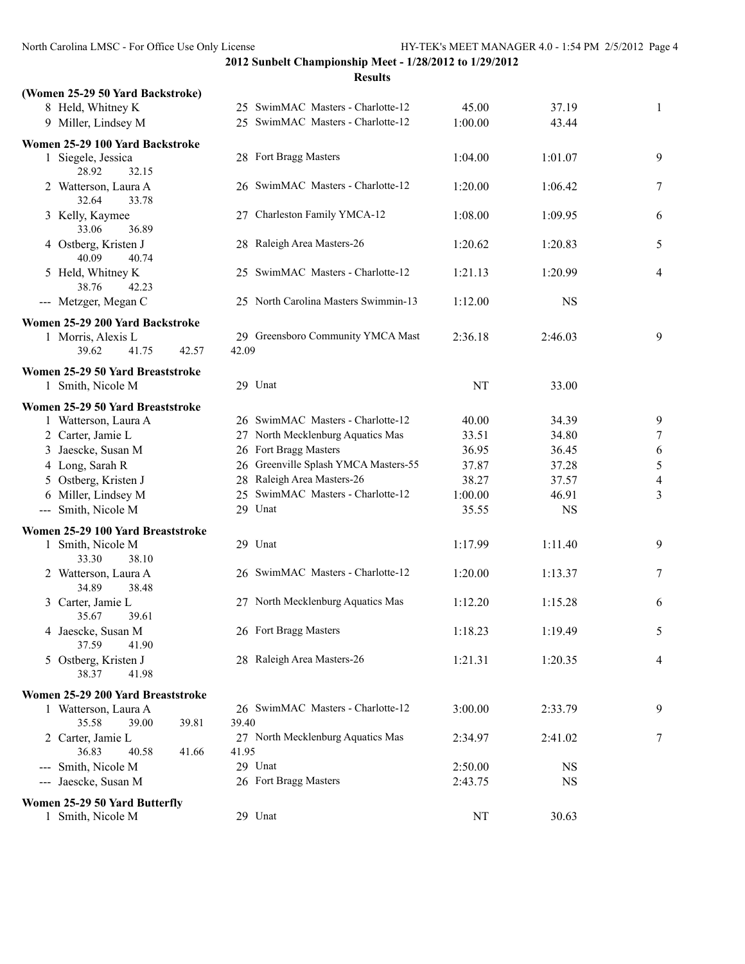| (Women 25-29 50 Yard Backstroke)             |                                            |         |           |                |
|----------------------------------------------|--------------------------------------------|---------|-----------|----------------|
| 8 Held, Whitney K                            | 25 SwimMAC Masters - Charlotte-12          | 45.00   | 37.19     | 1              |
| 9 Miller, Lindsey M                          | 25 SwimMAC Masters - Charlotte-12          | 1:00.00 | 43.44     |                |
| Women 25-29 100 Yard Backstroke              |                                            |         |           |                |
| 1 Siegele, Jessica<br>28.92<br>32.15         | 28 Fort Bragg Masters                      | 1:04.00 | 1:01.07   | 9              |
| 2 Watterson, Laura A<br>32.64<br>33.78       | 26 SwimMAC Masters - Charlotte-12          | 1:20.00 | 1:06.42   | 7              |
| 3 Kelly, Kaymee<br>33.06<br>36.89            | 27 Charleston Family YMCA-12               | 1:08.00 | 1:09.95   | 6              |
| 4 Ostberg, Kristen J<br>40.09<br>40.74       | 28 Raleigh Area Masters-26                 | 1:20.62 | 1:20.83   | 5              |
| 5 Held, Whitney K<br>38.76<br>42.23          | 25 SwimMAC Masters - Charlotte-12          | 1:21.13 | 1:20.99   | 4              |
| --- Metzger, Megan C                         | 25 North Carolina Masters Swimmin-13       | 1:12.00 | <b>NS</b> |                |
| Women 25-29 200 Yard Backstroke              |                                            |         |           |                |
| 1 Morris, Alexis L                           | 29 Greensboro Community YMCA Mast          | 2:36.18 | 2:46.03   | 9              |
| 39.62<br>41.75<br>42.57                      | 42.09                                      |         |           |                |
| Women 25-29 50 Yard Breaststroke             |                                            |         |           |                |
| 1 Smith, Nicole M                            | 29 Unat                                    | NT      | 33.00     |                |
| Women 25-29 50 Yard Breaststroke             |                                            |         |           |                |
| 1 Watterson, Laura A                         | 26 SwimMAC Masters - Charlotte-12          | 40.00   | 34.39     | 9              |
| 2 Carter, Jamie L                            | 27 North Mecklenburg Aquatics Mas          | 33.51   | 34.80     | 7              |
| 3 Jaescke, Susan M                           | 26 Fort Bragg Masters                      | 36.95   | 36.45     | 6              |
| 4 Long, Sarah R                              | 26 Greenville Splash YMCA Masters-55       | 37.87   | 37.28     | 5              |
| 5 Ostberg, Kristen J                         | 28 Raleigh Area Masters-26                 | 38.27   | 37.57     | $\overline{4}$ |
| 6 Miller, Lindsey M                          | 25 SwimMAC Masters - Charlotte-12          | 1:00.00 | 46.91     | 3              |
| --- Smith, Nicole M                          | 29 Unat                                    | 35.55   | <b>NS</b> |                |
| Women 25-29 100 Yard Breaststroke            |                                            |         |           |                |
| 1 Smith, Nicole M<br>38.10<br>33.30          | 29 Unat                                    | 1:17.99 | 1:11.40   | 9              |
| 2 Watterson, Laura A<br>34.89<br>38.48       | 26 SwimMAC Masters - Charlotte-12          | 1:20.00 | 1:13.37   | 7              |
| 3 Carter, Jamie L<br>35.67<br>39.61          | 27 North Mecklenburg Aquatics Mas          | 1:12.20 | 1:15.28   | 6              |
| 4 Jaescke, Susan M<br>37.59<br>41.90         | 26 Fort Bragg Masters                      | 1:18.23 | 1:19.49   |                |
| 5 Ostberg, Kristen J<br>38.37<br>41.98       | 28 Raleigh Area Masters-26                 | 1:21.31 | 1:20.35   | 4              |
| Women 25-29 200 Yard Breaststroke            |                                            |         |           |                |
| 1 Watterson, Laura A                         | 26 SwimMAC Masters - Charlotte-12          | 3:00.00 | 2:33.79   | 9              |
| 35.58<br>39.81<br>39.00                      | 39.40                                      |         |           |                |
| 2 Carter, Jamie L<br>36.83<br>40.58<br>41.66 | 27 North Mecklenburg Aquatics Mas<br>41.95 | 2:34.97 | 2:41.02   | 7              |
| --- Smith, Nicole M                          | 29 Unat                                    | 2:50.00 | <b>NS</b> |                |
| --- Jaescke, Susan M                         | 26 Fort Bragg Masters                      | 2:43.75 | <b>NS</b> |                |
| Women 25-29 50 Yard Butterfly                |                                            |         |           |                |
| 1 Smith, Nicole M                            | 29 Unat                                    | NT      | 30.63     |                |
|                                              |                                            |         |           |                |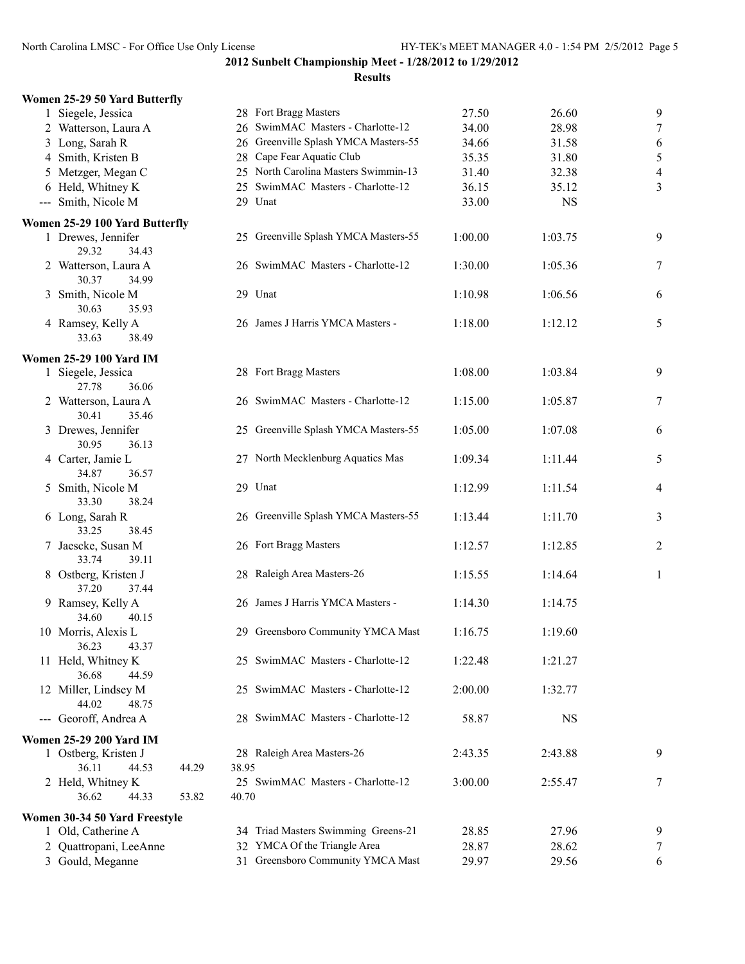| Women 25-29 50 Yard Butterfly                |                                            |         |           |                |
|----------------------------------------------|--------------------------------------------|---------|-----------|----------------|
| 1 Siegele, Jessica                           | 28 Fort Bragg Masters                      | 27.50   | 26.60     | 9              |
| 2 Watterson, Laura A                         | 26 SwimMAC Masters - Charlotte-12          | 34.00   | 28.98     | $\tau$         |
| 3 Long, Sarah R                              | 26 Greenville Splash YMCA Masters-55       | 34.66   | 31.58     | 6              |
| 4 Smith, Kristen B                           | 28 Cape Fear Aquatic Club                  | 35.35   | 31.80     | 5              |
| 5 Metzger, Megan C                           | 25 North Carolina Masters Swimmin-13       | 31.40   | 32.38     | $\overline{4}$ |
| 6 Held, Whitney K                            | SwimMAC Masters - Charlotte-12<br>25       | 36.15   | 35.12     | 3              |
| --- Smith, Nicole M                          | 29 Unat                                    | 33.00   | <b>NS</b> |                |
| Women 25-29 100 Yard Butterfly               |                                            |         |           |                |
| 1 Drewes, Jennifer<br>29.32<br>34.43         | 25 Greenville Splash YMCA Masters-55       | 1:00.00 | 1:03.75   | 9              |
| 2 Watterson, Laura A<br>30.37<br>34.99       | 26 SwimMAC Masters - Charlotte-12          | 1:30.00 | 1:05.36   | 7              |
| 3 Smith, Nicole M<br>30.63<br>35.93          | 29 Unat                                    | 1:10.98 | 1:06.56   | 6              |
| 4 Ramsey, Kelly A<br>33.63<br>38.49          | 26 James J Harris YMCA Masters -           | 1:18.00 | 1:12.12   | 5              |
| <b>Women 25-29 100 Yard IM</b>               |                                            |         |           |                |
| 1 Siegele, Jessica<br>27.78<br>36.06         | 28 Fort Bragg Masters                      | 1:08.00 | 1:03.84   | 9              |
| 2 Watterson, Laura A<br>30.41<br>35.46       | 26 SwimMAC Masters - Charlotte-12          | 1:15.00 | 1:05.87   | 7              |
| 3 Drewes, Jennifer<br>30.95<br>36.13         | 25 Greenville Splash YMCA Masters-55       | 1:05.00 | 1:07.08   | 6              |
| 4 Carter, Jamie L<br>34.87<br>36.57          | 27 North Mecklenburg Aquatics Mas          | 1:09.34 | 1:11.44   | 5              |
| 5 Smith, Nicole M<br>33.30<br>38.24          | 29 Unat                                    | 1:12.99 | 1:11.54   | $\overline{4}$ |
| 6 Long, Sarah R<br>33.25<br>38.45            | 26 Greenville Splash YMCA Masters-55       | 1:13.44 | 1:11.70   | 3              |
| 7 Jaescke, Susan M<br>33.74<br>39.11         | 26 Fort Bragg Masters                      | 1:12.57 | 1:12.85   | 2              |
| 8 Ostberg, Kristen J<br>37.20<br>37.44       | 28 Raleigh Area Masters-26                 | 1:15.55 | 1:14.64   | $\mathbf{1}$   |
| 9 Ramsey, Kelly A<br>34.60<br>40.15          | 26 James J Harris YMCA Masters -           | 1:14.30 | 1:14.75   |                |
| 10 Morris, Alexis L<br>36.23<br>43.37        | 29 Greensboro Community YMCA Mast          | 1:16.75 | 1:19.60   |                |
| 11 Held, Whitney K<br>36.68<br>44.59         | 25 SwimMAC Masters - Charlotte-12          | 1:22.48 | 1:21.27   |                |
| 12 Miller, Lindsey M<br>44.02<br>48.75       | 25 SwimMAC Masters - Charlotte-12          | 2:00.00 | 1:32.77   |                |
| --- Georoff, Andrea A                        | 28 SwimMAC Masters - Charlotte-12          | 58.87   | NS        |                |
| <b>Women 25-29 200 Yard IM</b>               |                                            |         |           |                |
| 1 Ostberg, Kristen J                         | 28 Raleigh Area Masters-26                 | 2:43.35 | 2:43.88   | 9              |
| 36.11<br>44.53<br>44.29                      | 38.95                                      |         |           |                |
| 2 Held, Whitney K<br>36.62<br>53.82<br>44.33 | 25 SwimMAC Masters - Charlotte-12<br>40.70 | 3:00.00 | 2:55.47   | 7              |
| Women 30-34 50 Yard Freestyle                |                                            |         |           |                |
| 1 Old, Catherine A                           | 34 Triad Masters Swimming Greens-21        | 28.85   | 27.96     | 9              |
| 2 Quattropani, LeeAnne                       | 32 YMCA Of the Triangle Area               | 28.87   | 28.62     | 7              |
| 3 Gould, Meganne                             | 31 Greensboro Community YMCA Mast          | 29.97   | 29.56     | 6              |
|                                              |                                            |         |           |                |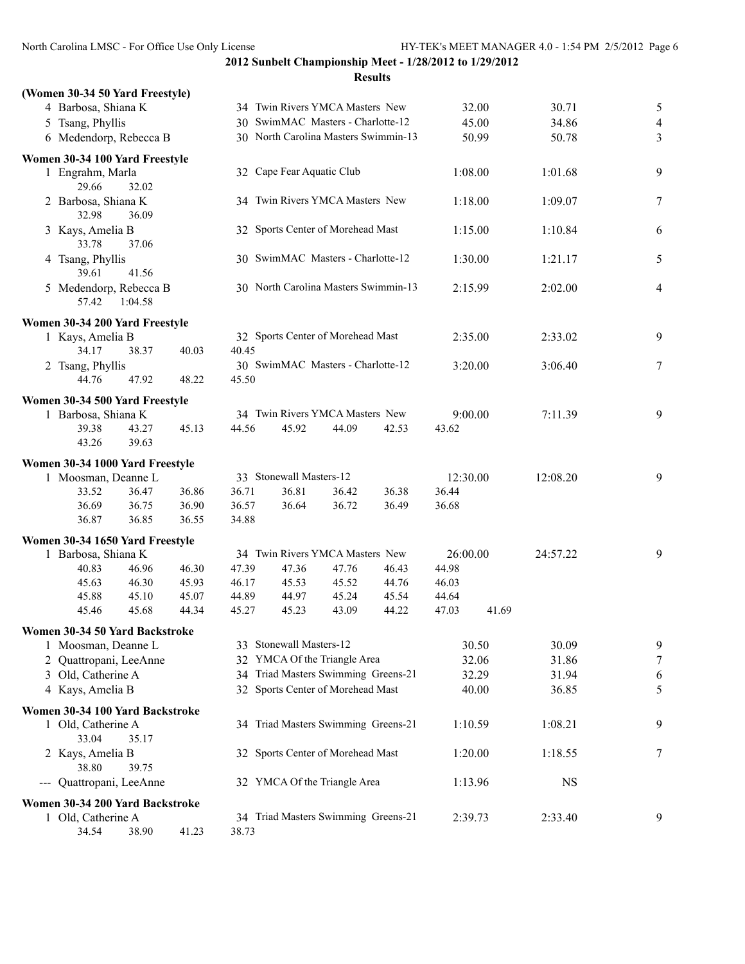## **2012 Sunbelt Championship Meet - 1/28/2012 to 1/29/2012 Results**

| (Women 30-34 50 Yard Freestyle)       |       |                                      |                                 |                                      |       |          |       |           |                |
|---------------------------------------|-------|--------------------------------------|---------------------------------|--------------------------------------|-------|----------|-------|-----------|----------------|
| 4 Barbosa, Shiana K                   |       |                                      |                                 | 34 Twin Rivers YMCA Masters New      |       |          | 32.00 | 30.71     | $\mathfrak{S}$ |
| 5 Tsang, Phyllis                      |       |                                      |                                 | 30 SwimMAC Masters - Charlotte-12    |       |          | 45.00 | 34.86     | $\overline{4}$ |
| 6 Medendorp, Rebecca B                |       | 30 North Carolina Masters Swimmin-13 |                                 |                                      |       |          | 50.99 | 50.78     | 3              |
| Women 30-34 100 Yard Freestyle        |       |                                      |                                 |                                      |       |          |       |           |                |
| 1 Engrahm, Marla<br>29.66<br>32.02    |       |                                      | 32 Cape Fear Aquatic Club       |                                      |       | 1:08.00  |       | 1:01.68   | 9              |
| 2 Barbosa, Shiana K<br>36.09<br>32.98 |       |                                      | 34 Twin Rivers YMCA Masters New |                                      |       | 1:18.00  |       | 1:09.07   | 7              |
| 3 Kays, Amelia B<br>33.78<br>37.06    |       |                                      |                                 | 32 Sports Center of Morehead Mast    |       | 1:15.00  |       | 1:10.84   | 6              |
| 4 Tsang, Phyllis<br>39.61<br>41.56    |       |                                      |                                 | 30 SwimMAC Masters - Charlotte-12    |       | 1:30.00  |       | 1:21.17   | 5              |
| 5 Medendorp, Rebecca B                |       |                                      |                                 | 30 North Carolina Masters Swimmin-13 |       | 2:15.99  |       | 2:02.00   | 4              |
| 57.42<br>1:04.58                      |       |                                      |                                 |                                      |       |          |       |           |                |
| Women 30-34 200 Yard Freestyle        |       |                                      |                                 | 32 Sports Center of Morehead Mast    |       | 2:35.00  |       | 2:33.02   | 9              |
| 1 Kays, Amelia B<br>38.37<br>34.17    | 40.03 | 40.45                                |                                 |                                      |       |          |       |           |                |
| 2 Tsang, Phyllis                      |       |                                      |                                 | 30 SwimMAC Masters - Charlotte-12    |       | 3:20.00  |       | 3:06.40   | 7              |
| 44.76<br>47.92                        | 48.22 | 45.50                                |                                 |                                      |       |          |       |           |                |
| Women 30-34 500 Yard Freestyle        |       |                                      |                                 |                                      |       |          |       |           |                |
| 1 Barbosa, Shiana K                   |       |                                      |                                 | 34 Twin Rivers YMCA Masters New      |       | 9:00.00  |       | 7:11.39   | 9              |
| 39.38<br>43.27                        | 45.13 | 44.56                                | 45.92                           | 44.09                                | 42.53 | 43.62    |       |           |                |
| 43.26<br>39.63                        |       |                                      |                                 |                                      |       |          |       |           |                |
| Women 30-34 1000 Yard Freestyle       |       |                                      |                                 |                                      |       |          |       |           |                |
| 1 Moosman, Deanne L                   |       |                                      | 33 Stonewall Masters-12         |                                      |       | 12:30.00 |       | 12:08.20  | 9              |
| 33.52<br>36.47                        | 36.86 | 36.71                                | 36.81                           | 36.42                                | 36.38 | 36.44    |       |           |                |
| 36.75<br>36.69                        | 36.90 | 36.57                                | 36.64                           | 36.72                                | 36.49 | 36.68    |       |           |                |
| 36.87<br>36.85                        | 36.55 | 34.88                                |                                 |                                      |       |          |       |           |                |
| Women 30-34 1650 Yard Freestyle       |       |                                      |                                 |                                      |       |          |       |           |                |
| 1 Barbosa, Shiana K                   |       |                                      |                                 | 34 Twin Rivers YMCA Masters New      |       | 26:00.00 |       | 24:57.22  | 9              |
| 40.83<br>46.96                        | 46.30 | 47.39                                | 47.36                           | 47.76                                | 46.43 | 44.98    |       |           |                |
| 46.30<br>45.63                        | 45.93 | 46.17                                | 45.53                           | 45.52                                | 44.76 | 46.03    |       |           |                |
| 45.88<br>45.10                        | 45.07 | 44.89                                | 44.97                           | 45.24                                | 45.54 | 44.64    |       |           |                |
| 45.68<br>45.46                        | 44.34 | 45.27                                | 45.23                           | 43.09                                | 44.22 | 47.03    | 41.69 |           |                |
| Women 30-34 50 Yard Backstroke        |       |                                      |                                 |                                      |       |          |       |           |                |
| 1 Moosman, Deanne L                   |       |                                      | 33 Stonewall Masters-12         |                                      |       |          | 30.50 | 30.09     | 9              |
| 2 Quattropani, LeeAnne                |       |                                      |                                 | 32 YMCA Of the Triangle Area         |       |          | 32.06 | 31.86     | 7              |
| 3 Old, Catherine A                    |       |                                      |                                 | 34 Triad Masters Swimming Greens-21  |       |          | 32.29 | 31.94     | 6              |
| 4 Kays, Amelia B                      |       |                                      |                                 | 32 Sports Center of Morehead Mast    |       |          | 40.00 | 36.85     | 5              |
|                                       |       |                                      |                                 |                                      |       |          |       |           |                |
| Women 30-34 100 Yard Backstroke       |       |                                      |                                 | 34 Triad Masters Swimming Greens-21  |       | 1:10.59  |       | 1:08.21   | 9              |
| 1 Old, Catherine A<br>33.04<br>35.17  |       |                                      |                                 |                                      |       |          |       |           |                |
| 2 Kays, Amelia B<br>38.80<br>39.75    |       |                                      |                                 | 32 Sports Center of Morehead Mast    |       | 1:20.00  |       | 1:18.55   | 7              |
| Quattropani, LeeAnne<br>---           |       |                                      |                                 | 32 YMCA Of the Triangle Area         |       | 1:13.96  |       | <b>NS</b> |                |
| Women 30-34 200 Yard Backstroke       |       |                                      |                                 |                                      |       |          |       |           |                |
| 1 Old, Catherine A                    |       |                                      |                                 | 34 Triad Masters Swimming Greens-21  |       | 2:39.73  |       | 2:33.40   | 9              |
| 34.54<br>38.90                        | 41.23 | 38.73                                |                                 |                                      |       |          |       |           |                |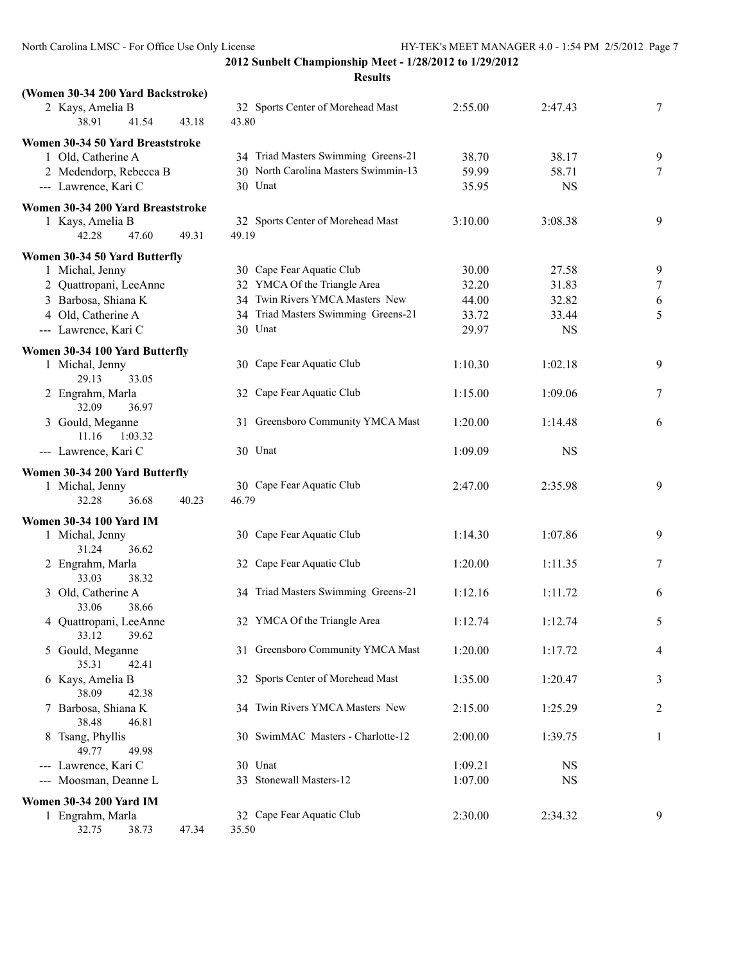| (Women 30-34 200 Yard Backstroke)           |                                            |         |           |   |
|---------------------------------------------|--------------------------------------------|---------|-----------|---|
| 2 Kays, Amelia B<br>38.91<br>41.54<br>43.18 | 32 Sports Center of Morehead Mast<br>43.80 | 2:55.00 | 2:47.43   | 7 |
| Women 30-34 50 Yard Breaststroke            |                                            |         |           |   |
| 1 Old, Catherine A                          | 34 Triad Masters Swimming Greens-21        | 38.70   | 38.17     | 9 |
| 2 Medendorp, Rebecca B                      | 30 North Carolina Masters Swimmin-13       | 59.99   | 58.71     | 7 |
| --- Lawrence, Kari C                        | 30 Unat                                    | 35.95   | <b>NS</b> |   |
| Women 30-34 200 Yard Breaststroke           |                                            |         |           |   |
| 1 Kays, Amelia B                            | 32 Sports Center of Morehead Mast          | 3:10.00 | 3:08.38   | 9 |
| 42.28<br>47.60<br>49.31                     | 49.19                                      |         |           |   |
| Women 30-34 50 Yard Butterfly               |                                            |         |           |   |
| 1 Michal, Jenny                             | 30 Cape Fear Aquatic Club                  | 30.00   | 27.58     | 9 |
| 2 Quattropani, LeeAnne                      | 32 YMCA Of the Triangle Area               | 32.20   | 31.83     | 7 |
| 3 Barbosa, Shiana K                         | 34 Twin Rivers YMCA Masters New            | 44.00   | 32.82     | 6 |
| 4 Old, Catherine A                          | 34 Triad Masters Swimming Greens-21        | 33.72   | 33.44     | 5 |
| --- Lawrence, Kari C                        | 30 Unat                                    | 29.97   | <b>NS</b> |   |
| Women 30-34 100 Yard Butterfly              |                                            |         |           |   |
| 1 Michal, Jenny                             | 30 Cape Fear Aquatic Club                  | 1:10.30 | 1:02.18   | 9 |
| 29.13<br>33.05                              |                                            |         |           |   |
| 2 Engrahm, Marla                            | 32 Cape Fear Aquatic Club                  | 1:15.00 | 1:09.06   | 7 |
| 32.09<br>36.97                              |                                            |         |           |   |
| 3 Gould, Meganne                            | 31 Greensboro Community YMCA Mast          | 1:20.00 | 1:14.48   | 6 |
| 1:03.32<br>11.16                            |                                            |         |           |   |
| --- Lawrence, Kari C                        | 30 Unat                                    | 1:09.09 | <b>NS</b> |   |
| Women 30-34 200 Yard Butterfly              |                                            |         |           |   |
| 1 Michal, Jenny                             | 30 Cape Fear Aquatic Club                  | 2:47.00 | 2:35.98   | 9 |
| 32.28<br>40.23<br>36.68                     | 46.79                                      |         |           |   |
| <b>Women 30-34 100 Yard IM</b>              |                                            |         |           |   |
| 1 Michal, Jenny                             | 30 Cape Fear Aquatic Club                  | 1:14.30 | 1:07.86   | 9 |
| 31.24<br>36.62                              |                                            |         |           |   |
| 2 Engrahm, Marla                            | 32 Cape Fear Aquatic Club                  | 1:20.00 | 1:11.35   | 7 |
| 33.03<br>38.32                              |                                            |         |           |   |
| 3 Old, Catherine A                          | 34 Triad Masters Swimming Greens-21        | 1:12.16 | 1:11.72   | 6 |
| 33.06<br>38.66                              |                                            |         |           |   |
| 4 Quattropani, LeeAnne                      | 32 YMCA Of the Triangle Area               | 1:12.74 | 1:12.74   | 5 |
| 33.12<br>39.62                              |                                            |         |           |   |
| 5 Gould, Meganne                            | 31 Greensboro Community YMCA Mast          | 1:20.00 | 1:17.72   | 4 |
| 35.31<br>42.41                              |                                            |         |           |   |
| 6 Kays, Amelia B                            | 32 Sports Center of Morehead Mast          | 1:35.00 | 1:20.47   | 3 |
| 38.09<br>42.38                              |                                            |         |           |   |
| 7 Barbosa, Shiana K                         | 34 Twin Rivers YMCA Masters New            | 2:15.00 | 1:25.29   | 2 |
| 38.48<br>46.81                              |                                            |         |           |   |
| 8 Tsang, Phyllis<br>49.77<br>49.98          | 30 SwimMAC Masters - Charlotte-12          | 2:00.00 | 1:39.75   | 1 |
| --- Lawrence, Kari C                        | 30 Unat                                    | 1:09.21 | <b>NS</b> |   |
| Moosman, Deanne L<br>$\sim$ $\sim$          | 33 Stonewall Masters-12                    | 1:07.00 | <b>NS</b> |   |
|                                             |                                            |         |           |   |
| <b>Women 30-34 200 Yard IM</b>              |                                            |         |           |   |
| 1 Engrahm, Marla                            | 32 Cape Fear Aquatic Club                  | 2:30.00 | 2:34.32   | 9 |
| 32.75<br>47.34<br>38.73                     | 35.50                                      |         |           |   |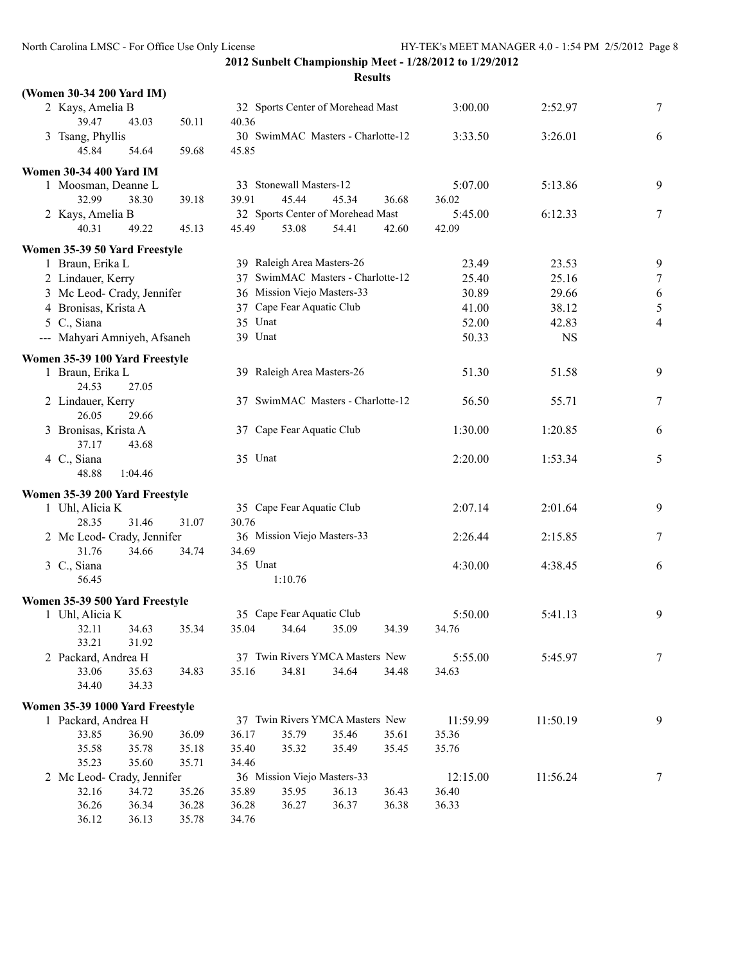| (Women 30-34 200 Yard IM)                         |                |                                   |       |          |           |                  |
|---------------------------------------------------|----------------|-----------------------------------|-------|----------|-----------|------------------|
| 2 Kays, Amelia B                                  |                | 32 Sports Center of Morehead Mast |       | 3:00.00  | 2:52.97   | 7                |
| 39.47<br>43.03                                    | 50.11<br>40.36 |                                   |       |          |           |                  |
| 3 Tsang, Phyllis                                  |                | 30 SwimMAC Masters - Charlotte-12 |       | 3:33.50  | 3:26.01   | 6                |
| 45.84<br>54.64                                    | 59.68<br>45.85 |                                   |       |          |           |                  |
| <b>Women 30-34 400 Yard IM</b>                    |                |                                   |       |          |           |                  |
| 1 Moosman, Deanne L                               |                | 33 Stonewall Masters-12           |       | 5:07.00  | 5:13.86   | 9                |
| 32.99<br>38.30                                    | 39.91<br>39.18 | 45.44<br>45.34                    | 36.68 | 36.02    |           |                  |
| 2 Kays, Amelia B                                  |                | 32 Sports Center of Morehead Mast |       | 5:45.00  | 6:12.33   | 7                |
| 40.31<br>49.22                                    | 45.49<br>45.13 | 53.08<br>54.41                    | 42.60 | 42.09    |           |                  |
|                                                   |                |                                   |       |          |           |                  |
| Women 35-39 50 Yard Freestyle<br>1 Braun, Erika L |                | 39 Raleigh Area Masters-26        |       | 23.49    | 23.53     | 9                |
| 2 Lindauer, Kerry                                 |                | 37 SwimMAC Masters - Charlotte-12 |       | 25.40    | 25.16     | $\boldsymbol{7}$ |
| 3 Mc Leod- Crady, Jennifer                        |                | 36 Mission Viejo Masters-33       |       | 30.89    | 29.66     |                  |
|                                                   |                | 37 Cape Fear Aquatic Club         |       | 41.00    | 38.12     | 6<br>5           |
| 4 Bronisas, Krista A                              |                |                                   |       |          |           |                  |
| 5 C., Siana                                       | 35 Unat        |                                   |       | 52.00    | 42.83     | 4                |
| --- Mahyari Amniyeh, Afsaneh                      | 39 Unat        |                                   |       | 50.33    | <b>NS</b> |                  |
| Women 35-39 100 Yard Freestyle                    |                |                                   |       |          |           |                  |
| 1 Braun, Erika L<br>24.53<br>27.05                |                | 39 Raleigh Area Masters-26        |       | 51.30    | 51.58     | 9                |
| 2 Lindauer, Kerry<br>26.05<br>29.66               |                | 37 SwimMAC Masters - Charlotte-12 |       | 56.50    | 55.71     | 7                |
| 3 Bronisas, Krista A                              |                | 37 Cape Fear Aquatic Club         |       | 1:30.00  | 1:20.85   | 6                |
| 37.17<br>43.68                                    |                |                                   |       |          |           |                  |
| 4 C., Siana                                       | 35 Unat        |                                   |       | 2:20.00  | 1:53.34   | 5                |
| 48.88<br>1:04.46                                  |                |                                   |       |          |           |                  |
| Women 35-39 200 Yard Freestyle                    |                |                                   |       |          |           |                  |
| 1 Uhl, Alicia K                                   |                | 35 Cape Fear Aquatic Club         |       | 2:07.14  | 2:01.64   | 9                |
| 28.35<br>31.46                                    | 31.07<br>30.76 |                                   |       |          |           |                  |
| 2 Mc Leod- Crady, Jennifer                        |                | 36 Mission Viejo Masters-33       |       | 2:26.44  | 2:15.85   | 7                |
| 31.76<br>34.66                                    | 34.74<br>34.69 |                                   |       |          |           |                  |
| 3 C., Siana                                       | 35 Unat        |                                   |       | 4:30.00  | 4:38.45   | 6                |
| 56.45                                             |                | 1:10.76                           |       |          |           |                  |
|                                                   |                |                                   |       |          |           |                  |
| Women 35-39 500 Yard Freestyle<br>1 Uhl, Alicia K |                | 35 Cape Fear Aquatic Club         |       | 5:50.00  | 5:41.13   | 9                |
| 32.11<br>34.63                                    | 35.04<br>35.34 | 34.64<br>35.09                    | 34.39 | 34.76    |           |                  |
| 33.21<br>31.92                                    |                |                                   |       |          |           |                  |
| 2 Packard, Andrea H                               |                | 37 Twin Rivers YMCA Masters New   |       | 5:55.00  | 5:45.97   | 7                |
| 33.06<br>35.63                                    | 35.16<br>34.83 | 34.81<br>34.64                    | 34.48 | 34.63    |           |                  |
| 34.40<br>34.33                                    |                |                                   |       |          |           |                  |
|                                                   |                |                                   |       |          |           |                  |
| Women 35-39 1000 Yard Freestyle                   |                |                                   |       |          |           |                  |
| 1 Packard, Andrea H<br>33.85                      |                | 37 Twin Rivers YMCA Masters New   |       | 11:59.99 | 11:50.19  | 9                |
| 36.90                                             | 36.09<br>36.17 | 35.79<br>35.46                    | 35.61 | 35.36    |           |                  |
| 35.58<br>35.78                                    | 35.18<br>35.40 | 35.32<br>35.49                    | 35.45 | 35.76    |           |                  |
| 35.23<br>35.60<br>2 Mc Leod- Crady, Jennifer      | 35.71<br>34.46 | 36 Mission Viejo Masters-33       |       | 12:15.00 | 11:56.24  | 7                |
| 32.16<br>34.72                                    | 35.26<br>35.89 | 35.95<br>36.13                    | 36.43 | 36.40    |           |                  |
| 36.26<br>36.34                                    | 36.28<br>36.28 | 36.27<br>36.37                    | 36.38 | 36.33    |           |                  |
| 36.12<br>36.13                                    | 35.78<br>34.76 |                                   |       |          |           |                  |
|                                                   |                |                                   |       |          |           |                  |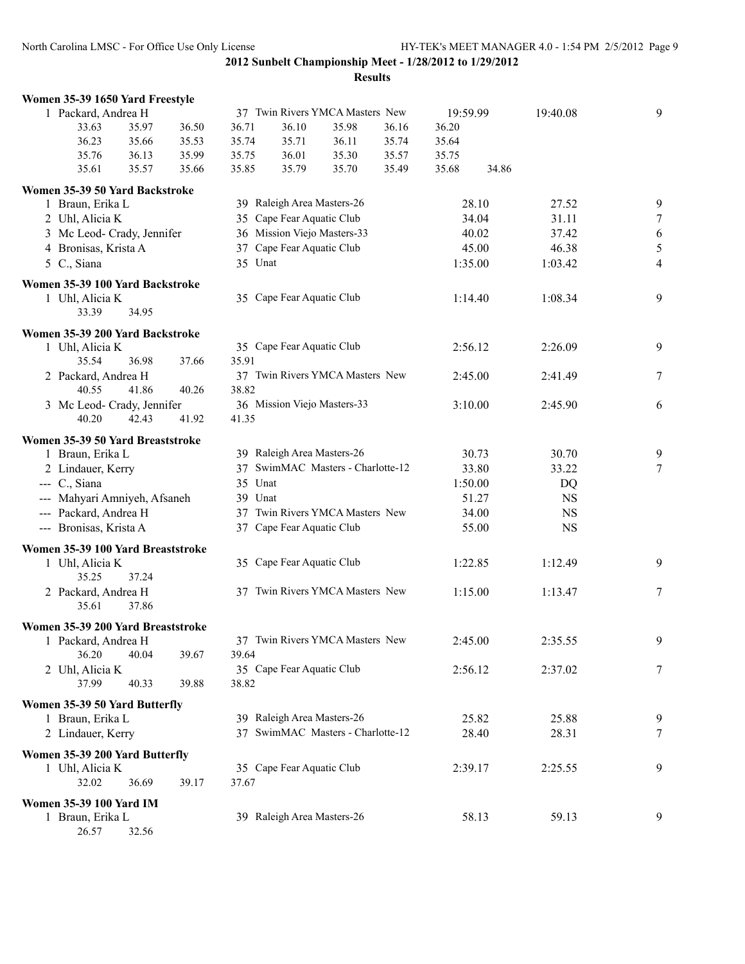**2012 Sunbelt Championship Meet - 1/28/2012 to 1/29/2012 Results**

| Women 35-39 1650 Yard Freestyle                    |       |         |                             |                                   |       |          |       |           |                |
|----------------------------------------------------|-------|---------|-----------------------------|-----------------------------------|-------|----------|-------|-----------|----------------|
| 1 Packard, Andrea H                                |       |         |                             | 37 Twin Rivers YMCA Masters New   |       | 19:59.99 |       | 19:40.08  | 9              |
| 33.63<br>35.97                                     | 36.50 | 36.71   | 36.10                       | 35.98                             | 36.16 | 36.20    |       |           |                |
| 36.23<br>35.66                                     | 35.53 | 35.74   | 35.71                       | 36.11                             | 35.74 | 35.64    |       |           |                |
| 35.76<br>36.13                                     | 35.99 | 35.75   | 36.01                       | 35.30                             | 35.57 | 35.75    |       |           |                |
| 35.57<br>35.61                                     | 35.66 | 35.85   | 35.79                       | 35.70                             | 35.49 | 35.68    | 34.86 |           |                |
| Women 35-39 50 Yard Backstroke                     |       |         |                             |                                   |       |          |       |           |                |
| 1 Braun, Erika L                                   |       |         | 39 Raleigh Area Masters-26  |                                   |       |          | 28.10 | 27.52     | 9              |
| 2 Uhl, Alicia K                                    |       |         | 35 Cape Fear Aquatic Club   |                                   |       |          | 34.04 | 31.11     | $\overline{7}$ |
| 3 Mc Leod- Crady, Jennifer                         |       |         | 36 Mission Viejo Masters-33 |                                   |       |          | 40.02 | 37.42     | $\sqrt{6}$     |
| 4 Bronisas, Krista A                               |       |         | 37 Cape Fear Aquatic Club   |                                   |       |          | 45.00 | 46.38     | 5              |
| 5 C., Siana                                        |       | 35 Unat |                             |                                   |       | 1:35.00  |       | 1:03.42   | $\overline{4}$ |
| Women 35-39 100 Yard Backstroke                    |       |         |                             |                                   |       |          |       |           |                |
| 1 Uhl, Alicia K                                    |       |         | 35 Cape Fear Aquatic Club   |                                   |       | 1:14.40  |       | 1:08.34   | 9              |
| 33.39<br>34.95                                     |       |         |                             |                                   |       |          |       |           |                |
|                                                    |       |         |                             |                                   |       |          |       |           |                |
| Women 35-39 200 Yard Backstroke<br>1 Uhl, Alicia K |       |         | 35 Cape Fear Aquatic Club   |                                   |       | 2:56.12  |       | 2:26.09   | 9              |
| 35.54<br>36.98                                     | 37.66 | 35.91   |                             |                                   |       |          |       |           |                |
| 2 Packard, Andrea H                                |       |         |                             | 37 Twin Rivers YMCA Masters New   |       | 2:45.00  |       | 2:41.49   | 7              |
| 40.55<br>41.86                                     | 40.26 | 38.82   |                             |                                   |       |          |       |           |                |
| 3 Mc Leod- Crady, Jennifer                         |       |         | 36 Mission Viejo Masters-33 |                                   |       | 3:10.00  |       | 2:45.90   | 6              |
| 40.20<br>42.43                                     | 41.92 | 41.35   |                             |                                   |       |          |       |           |                |
|                                                    |       |         |                             |                                   |       |          |       |           |                |
| Women 35-39 50 Yard Breaststroke                   |       |         |                             |                                   |       |          |       |           |                |
| 1 Braun, Erika L                                   |       |         | 39 Raleigh Area Masters-26  |                                   |       |          | 30.73 | 30.70     | 9              |
| 2 Lindauer, Kerry                                  |       |         |                             | 37 SwimMAC Masters - Charlotte-12 |       |          | 33.80 | 33.22     | $\tau$         |
| $-$ C., Siana                                      |       | 35 Unat |                             |                                   |       | 1:50.00  |       | DQ        |                |
| --- Mahyari Amniyeh, Afsaneh                       |       | 39 Unat |                             |                                   |       |          | 51.27 | <b>NS</b> |                |
| --- Packard, Andrea H                              |       |         |                             | 37 Twin Rivers YMCA Masters New   |       |          | 34.00 | <b>NS</b> |                |
| --- Bronisas, Krista A                             |       |         | 37 Cape Fear Aquatic Club   |                                   |       |          | 55.00 | <b>NS</b> |                |
| Women 35-39 100 Yard Breaststroke                  |       |         |                             |                                   |       |          |       |           |                |
| 1 Uhl, Alicia K                                    |       |         | 35 Cape Fear Aquatic Club   |                                   |       | 1:22.85  |       | 1:12.49   | 9              |
| 35.25<br>37.24                                     |       |         |                             |                                   |       |          |       |           |                |
| 2 Packard, Andrea H                                |       |         |                             | 37 Twin Rivers YMCA Masters New   |       | 1:15.00  |       | 1:13.47   | 7              |
| 35.61<br>37.86                                     |       |         |                             |                                   |       |          |       |           |                |
| Women 35-39 200 Yard Breaststroke                  |       |         |                             |                                   |       |          |       |           |                |
| 1 Packard, Andrea H                                |       |         |                             | 37 Twin Rivers YMCA Masters New   |       | 2:45.00  |       | 2:35.55   | 9              |
| 36.20<br>40.04                                     | 39.67 | 39.64   |                             |                                   |       |          |       |           |                |
| 2 Uhl, Alicia K                                    |       |         | 35 Cape Fear Aquatic Club   |                                   |       | 2:56.12  |       | 2:37.02   | $\tau$         |
| 37.99<br>40.33                                     | 39.88 | 38.82   |                             |                                   |       |          |       |           |                |
| Women 35-39 50 Yard Butterfly                      |       |         |                             |                                   |       |          |       |           |                |
| 1 Braun, Erika L                                   |       |         | 39 Raleigh Area Masters-26  |                                   |       |          | 25.82 | 25.88     | 9              |
| 2 Lindauer, Kerry                                  |       |         |                             | 37 SwimMAC Masters - Charlotte-12 |       |          | 28.40 | 28.31     | $\tau$         |
|                                                    |       |         |                             |                                   |       |          |       |           |                |
| Women 35-39 200 Yard Butterfly                     |       |         |                             |                                   |       |          |       |           |                |
| 1 Uhl, Alicia K                                    |       |         | 35 Cape Fear Aquatic Club   |                                   |       | 2:39.17  |       | 2:25.55   | 9              |
| 32.02<br>36.69                                     | 39.17 | 37.67   |                             |                                   |       |          |       |           |                |
| <b>Women 35-39 100 Yard IM</b>                     |       |         |                             |                                   |       |          |       |           |                |
| 1 Braun, Erika L                                   |       |         | 39 Raleigh Area Masters-26  |                                   |       |          | 58.13 | 59.13     | 9              |
| 26.57<br>32.56                                     |       |         |                             |                                   |       |          |       |           |                |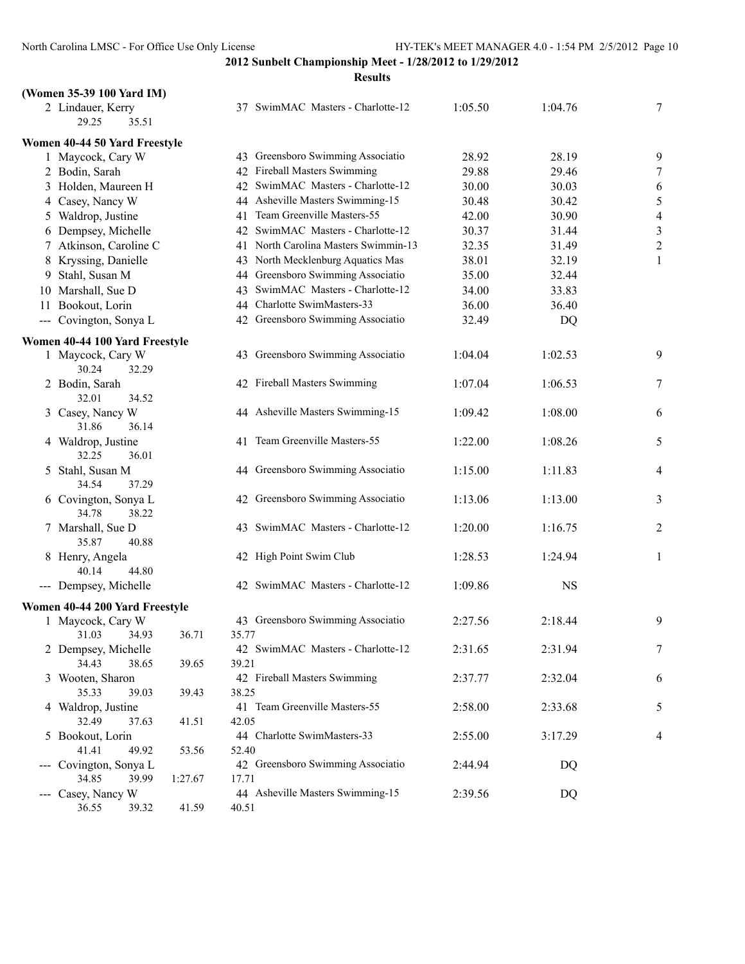| (Women 35-39 100 Yard IM)                                                                                                                                                                                                                                                                                                                                                                                                                                                                        |         |       |                                      |         |           |                          |
|--------------------------------------------------------------------------------------------------------------------------------------------------------------------------------------------------------------------------------------------------------------------------------------------------------------------------------------------------------------------------------------------------------------------------------------------------------------------------------------------------|---------|-------|--------------------------------------|---------|-----------|--------------------------|
| 2 Lindauer, Kerry<br>29.25<br>35.51                                                                                                                                                                                                                                                                                                                                                                                                                                                              |         |       | 37 SwimMAC Masters - Charlotte-12    | 1:05.50 | 1:04.76   | 7                        |
| Women 40-44 50 Yard Freestyle                                                                                                                                                                                                                                                                                                                                                                                                                                                                    |         |       |                                      |         |           |                          |
| 1 Maycock, Cary W                                                                                                                                                                                                                                                                                                                                                                                                                                                                                |         |       | 43 Greensboro Swimming Associatio    | 28.92   | 28.19     | 9                        |
| 2 Bodin, Sarah                                                                                                                                                                                                                                                                                                                                                                                                                                                                                   |         |       | 42 Fireball Masters Swimming         | 29.88   | 29.46     | 7                        |
| 3 Holden, Maureen H                                                                                                                                                                                                                                                                                                                                                                                                                                                                              |         |       | 42 SwimMAC Masters - Charlotte-12    | 30.00   | 30.03     | 6                        |
| 4 Casey, Nancy W                                                                                                                                                                                                                                                                                                                                                                                                                                                                                 |         | 44    | Asheville Masters Swimming-15        | 30.48   | 30.42     | 5                        |
| 5 Waldrop, Justine                                                                                                                                                                                                                                                                                                                                                                                                                                                                               |         | 41    | Team Greenville Masters-55           | 42.00   | 30.90     | $\overline{\mathcal{A}}$ |
| 6 Dempsey, Michelle                                                                                                                                                                                                                                                                                                                                                                                                                                                                              |         |       | 42 SwimMAC Masters - Charlotte-12    | 30.37   | 31.44     | $\overline{\mathbf{3}}$  |
| 7 Atkinson, Caroline C                                                                                                                                                                                                                                                                                                                                                                                                                                                                           |         |       | 41 North Carolina Masters Swimmin-13 | 32.35   | 31.49     | $\overline{\mathbf{c}}$  |
| 8 Kryssing, Danielle                                                                                                                                                                                                                                                                                                                                                                                                                                                                             |         |       | 43 North Mecklenburg Aquatics Mas    | 38.01   | 32.19     | 1                        |
| 9 Stahl, Susan M                                                                                                                                                                                                                                                                                                                                                                                                                                                                                 |         |       | 44 Greensboro Swimming Associatio    | 35.00   | 32.44     |                          |
| 10 Marshall, Sue D                                                                                                                                                                                                                                                                                                                                                                                                                                                                               |         |       | 43 SwimMAC Masters - Charlotte-12    | 34.00   | 33.83     |                          |
| 11 Bookout, Lorin                                                                                                                                                                                                                                                                                                                                                                                                                                                                                |         |       | 44 Charlotte SwimMasters-33          | 36.00   | 36.40     |                          |
| Covington, Sonya L<br>$\frac{1}{2} \left( \frac{1}{2} \right) \left( \frac{1}{2} \right) \left( \frac{1}{2} \right) \left( \frac{1}{2} \right) \left( \frac{1}{2} \right) \left( \frac{1}{2} \right) \left( \frac{1}{2} \right) \left( \frac{1}{2} \right) \left( \frac{1}{2} \right) \left( \frac{1}{2} \right) \left( \frac{1}{2} \right) \left( \frac{1}{2} \right) \left( \frac{1}{2} \right) \left( \frac{1}{2} \right) \left( \frac{1}{2} \right) \left( \frac{1}{2} \right) \left( \frac$ |         |       | 42 Greensboro Swimming Associatio    | 32.49   | DQ        |                          |
|                                                                                                                                                                                                                                                                                                                                                                                                                                                                                                  |         |       |                                      |         |           |                          |
| Women 40-44 100 Yard Freestyle<br>1 Maycock, Cary W                                                                                                                                                                                                                                                                                                                                                                                                                                              |         |       | 43 Greensboro Swimming Associatio    | 1:04.04 | 1:02.53   | 9                        |
| 30.24<br>32.29                                                                                                                                                                                                                                                                                                                                                                                                                                                                                   |         |       |                                      |         |           |                          |
| 2 Bodin, Sarah                                                                                                                                                                                                                                                                                                                                                                                                                                                                                   |         |       | 42 Fireball Masters Swimming         | 1:07.04 | 1:06.53   | $\overline{7}$           |
| 32.01<br>34.52                                                                                                                                                                                                                                                                                                                                                                                                                                                                                   |         |       |                                      |         |           |                          |
| 3 Casey, Nancy W                                                                                                                                                                                                                                                                                                                                                                                                                                                                                 |         |       | 44 Asheville Masters Swimming-15     | 1:09.42 | 1:08.00   | 6                        |
| 31.86<br>36.14                                                                                                                                                                                                                                                                                                                                                                                                                                                                                   |         |       |                                      |         |           |                          |
| 4 Waldrop, Justine                                                                                                                                                                                                                                                                                                                                                                                                                                                                               |         |       | 41 Team Greenville Masters-55        | 1:22.00 | 1:08.26   | 5                        |
| 32.25<br>36.01                                                                                                                                                                                                                                                                                                                                                                                                                                                                                   |         |       |                                      |         |           |                          |
| 5 Stahl, Susan M                                                                                                                                                                                                                                                                                                                                                                                                                                                                                 |         |       | 44 Greensboro Swimming Associatio    | 1:15.00 | 1:11.83   | $\overline{4}$           |
| 34.54<br>37.29                                                                                                                                                                                                                                                                                                                                                                                                                                                                                   |         |       |                                      |         |           |                          |
| 6 Covington, Sonya L                                                                                                                                                                                                                                                                                                                                                                                                                                                                             |         |       | 42 Greensboro Swimming Associatio    | 1:13.06 | 1:13.00   | 3                        |
| 34.78<br>38.22                                                                                                                                                                                                                                                                                                                                                                                                                                                                                   |         |       |                                      |         |           |                          |
| 7 Marshall, Sue D                                                                                                                                                                                                                                                                                                                                                                                                                                                                                |         |       | 43 SwimMAC Masters - Charlotte-12    | 1:20.00 | 1:16.75   | $\overline{c}$           |
| 35.87<br>40.88                                                                                                                                                                                                                                                                                                                                                                                                                                                                                   |         |       |                                      |         |           |                          |
| 8 Henry, Angela                                                                                                                                                                                                                                                                                                                                                                                                                                                                                  |         |       | 42 High Point Swim Club              | 1:28.53 | 1:24.94   | $\mathbf{1}$             |
| 44.80<br>40.14                                                                                                                                                                                                                                                                                                                                                                                                                                                                                   |         |       |                                      |         |           |                          |
| --- Dempsey, Michelle                                                                                                                                                                                                                                                                                                                                                                                                                                                                            |         |       | 42 SwimMAC Masters - Charlotte-12    | 1:09.86 | <b>NS</b> |                          |
| Women 40-44 200 Yard Freestyle                                                                                                                                                                                                                                                                                                                                                                                                                                                                   |         |       |                                      |         |           |                          |
| 1 Maycock, Cary W                                                                                                                                                                                                                                                                                                                                                                                                                                                                                |         |       | 43 Greensboro Swimming Associatio    | 2:27.56 | 2:18.44   | 9                        |
| 34.93<br>31.03                                                                                                                                                                                                                                                                                                                                                                                                                                                                                   | 36.71   | 35.77 |                                      |         |           |                          |
| 2 Dempsey, Michelle                                                                                                                                                                                                                                                                                                                                                                                                                                                                              |         |       | 42 SwimMAC Masters - Charlotte-12    | 2:31.65 | 2:31.94   | $\overline{7}$           |
| 34.43<br>38.65                                                                                                                                                                                                                                                                                                                                                                                                                                                                                   | 39.65   | 39.21 |                                      |         |           |                          |
| 3 Wooten, Sharon                                                                                                                                                                                                                                                                                                                                                                                                                                                                                 |         |       | 42 Fireball Masters Swimming         | 2:37.77 | 2:32.04   | 6                        |
| 35.33<br>39.03                                                                                                                                                                                                                                                                                                                                                                                                                                                                                   | 39.43   | 38.25 |                                      |         |           |                          |
| 4 Waldrop, Justine                                                                                                                                                                                                                                                                                                                                                                                                                                                                               |         |       | 41 Team Greenville Masters-55        | 2:58.00 | 2:33.68   | 5                        |
| 32.49<br>37.63                                                                                                                                                                                                                                                                                                                                                                                                                                                                                   | 41.51   | 42.05 |                                      |         |           |                          |
| 5 Bookout, Lorin                                                                                                                                                                                                                                                                                                                                                                                                                                                                                 |         |       | 44 Charlotte SwimMasters-33          | 2:55.00 | 3:17.29   | $\overline{4}$           |
| 41.41<br>49.92                                                                                                                                                                                                                                                                                                                                                                                                                                                                                   | 53.56   | 52.40 |                                      |         |           |                          |
| --- Covington, Sonya L                                                                                                                                                                                                                                                                                                                                                                                                                                                                           |         |       | 42 Greensboro Swimming Associatio    | 2:44.94 | DQ        |                          |
| 34.85<br>39.99                                                                                                                                                                                                                                                                                                                                                                                                                                                                                   | 1:27.67 | 17.71 |                                      |         |           |                          |
| Casey, Nancy W<br>$\sim$ $\sim$ $\sim$                                                                                                                                                                                                                                                                                                                                                                                                                                                           |         |       | 44 Asheville Masters Swimming-15     | 2:39.56 | DQ        |                          |
| 36.55<br>39.32                                                                                                                                                                                                                                                                                                                                                                                                                                                                                   | 41.59   | 40.51 |                                      |         |           |                          |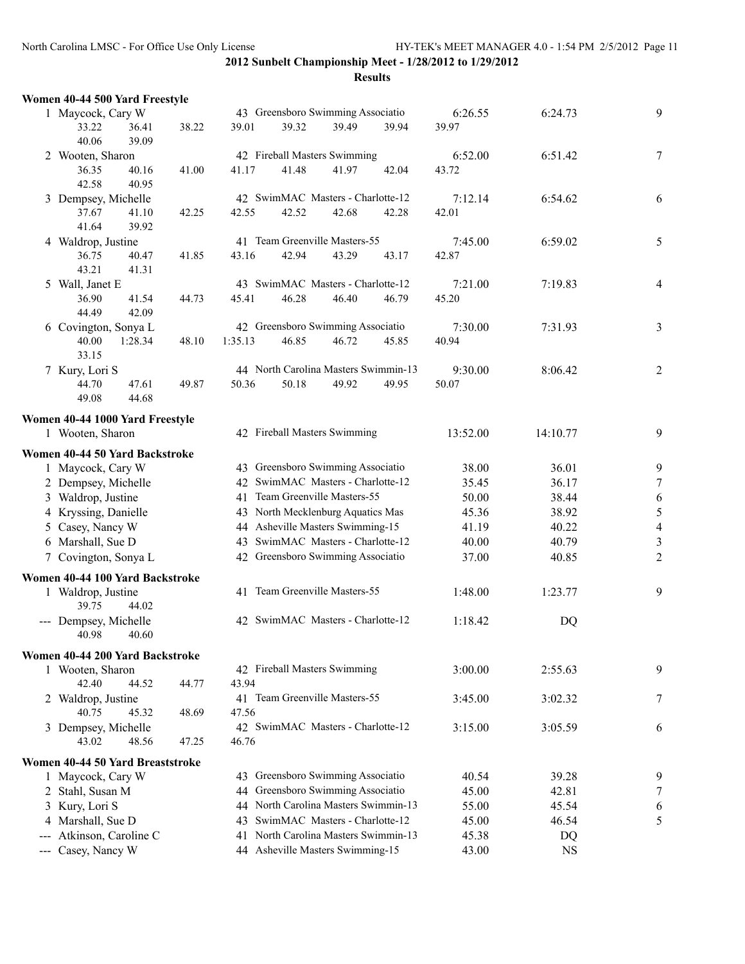|   | Women 40-44 500 Yard Freestyle          |       |         |                                      |       |       |          |           |                  |
|---|-----------------------------------------|-------|---------|--------------------------------------|-------|-------|----------|-----------|------------------|
|   | 1 Maycock, Cary W                       |       |         | 43 Greensboro Swimming Associatio    |       |       | 6:26.55  | 6:24.73   | 9                |
|   | 33.22<br>36.41<br>40.06<br>39.09        | 38.22 | 39.01   | 39.32                                | 39.49 | 39.94 | 39.97    |           |                  |
|   | 2 Wooten, Sharon                        |       |         | 42 Fireball Masters Swimming         |       |       | 6:52.00  | 6:51.42   | $\tau$           |
|   | 36.35<br>40.16<br>42.58<br>40.95        | 41.00 | 41.17   | 41.48                                | 41.97 | 42.04 | 43.72    |           |                  |
|   | 3 Dempsey, Michelle                     |       |         | 42 SwimMAC Masters - Charlotte-12    |       |       | 7:12.14  | 6:54.62   | 6                |
|   | 37.67<br>41.10<br>41.64<br>39.92        | 42.25 | 42.55   | 42.52                                | 42.68 | 42.28 | 42.01    |           |                  |
|   | 4 Waldrop, Justine                      |       |         | 41 Team Greenville Masters-55        |       |       | 7:45.00  | 6:59.02   | 5                |
|   | 36.75<br>40.47<br>43.21<br>41.31        | 41.85 | 43.16   | 42.94                                | 43.29 | 43.17 | 42.87    |           |                  |
|   | 5 Wall, Janet E                         |       |         | 43 SwimMAC Masters - Charlotte-12    |       |       | 7:21.00  | 7:19.83   | $\overline{4}$   |
|   | 36.90<br>41.54<br>44.49<br>42.09        | 44.73 | 45.41   | 46.28                                | 46.40 | 46.79 | 45.20    |           |                  |
|   | 6 Covington, Sonya L                    |       |         | 42 Greensboro Swimming Associatio    |       |       | 7:30.00  | 7:31.93   | 3                |
|   | 1:28.34<br>40.00<br>33.15               | 48.10 | 1:35.13 | 46.85                                | 46.72 | 45.85 | 40.94    |           |                  |
|   | 7 Kury, Lori S                          |       |         | 44 North Carolina Masters Swimmin-13 |       |       | 9:30.00  | 8:06.42   | $\overline{2}$   |
|   | 47.61<br>44.70<br>44.68<br>49.08        | 49.87 | 50.36   | 50.18                                | 49.92 | 49.95 | 50.07    |           |                  |
|   | Women 40-44 1000 Yard Freestyle         |       |         |                                      |       |       |          |           |                  |
|   | 1 Wooten, Sharon                        |       |         | 42 Fireball Masters Swimming         |       |       | 13:52.00 | 14:10.77  | 9                |
|   | Women 40-44 50 Yard Backstroke          |       |         |                                      |       |       |          |           |                  |
|   | 1 Maycock, Cary W                       |       |         | 43 Greensboro Swimming Associatio    |       |       | 38.00    | 36.01     | 9                |
|   | 2 Dempsey, Michelle                     |       |         | 42 SwimMAC Masters - Charlotte-12    |       |       | 35.45    | 36.17     | $\tau$           |
|   | 3 Waldrop, Justine                      |       |         | 41 Team Greenville Masters-55        |       |       | 50.00    | 38.44     | $\boldsymbol{6}$ |
|   | 4 Kryssing, Danielle                    |       |         | 43 North Mecklenburg Aquatics Mas    |       |       | 45.36    | 38.92     | $\frac{5}{4}$    |
|   | 5 Casey, Nancy W                        |       |         | 44 Asheville Masters Swimming-15     |       |       | 41.19    | 40.22     |                  |
|   | 6 Marshall, Sue D                       |       |         | 43 SwimMAC Masters - Charlotte-12    |       |       | 40.00    | 40.79     | $\sqrt{3}$       |
|   | 7 Covington, Sonya L                    |       |         | 42 Greensboro Swimming Associatio    |       |       | 37.00    | 40.85     | $\sqrt{2}$       |
|   | Women 40-44 100 Yard Backstroke         |       |         |                                      |       |       |          |           |                  |
|   | 1 Waldrop, Justine<br>39.75<br>44.02    |       |         | 41 Team Greenville Masters-55        |       |       | 1:48.00  | 1:23.77   | 9                |
|   | --- Dempsey, Michelle<br>40.98<br>40.60 |       |         | 42 SwimMAC Masters - Charlotte-12    |       |       | 1:18.42  | DQ        |                  |
|   | Women 40-44 200 Yard Backstroke         |       |         |                                      |       |       |          |           |                  |
|   | 1 Wooten, Sharon<br>42.40<br>44.52      | 44.77 | 43.94   | 42 Fireball Masters Swimming         |       |       | 3:00.00  | 2:55.63   | 9                |
|   | 2 Waldrop, Justine<br>40.75<br>45.32    | 48.69 | 47.56   | 41 Team Greenville Masters-55        |       |       | 3:45.00  | 3:02.32   | 7                |
|   | 3 Dempsey, Michelle                     |       |         | 42 SwimMAC Masters - Charlotte-12    |       |       | 3:15.00  | 3:05.59   | 6                |
|   | 43.02<br>48.56                          | 47.25 | 46.76   |                                      |       |       |          |           |                  |
|   | Women 40-44 50 Yard Breaststroke        |       |         |                                      |       |       |          |           |                  |
|   | 1 Maycock, Cary W                       |       |         | 43 Greensboro Swimming Associatio    |       |       | 40.54    | 39.28     | 9                |
|   | 2 Stahl, Susan M                        |       |         | 44 Greensboro Swimming Associatio    |       |       | 45.00    | 42.81     | 7                |
| 3 | Kury, Lori S                            |       |         | 44 North Carolina Masters Swimmin-13 |       |       | 55.00    | 45.54     | 6                |
|   | 4 Marshall, Sue D                       |       | 43      | SwimMAC Masters - Charlotte-12       |       |       | 45.00    | 46.54     | 5                |
|   | --- Atkinson, Caroline C                |       | 41      | North Carolina Masters Swimmin-13    |       |       | 45.38    | DQ        |                  |
|   | --- Casey, Nancy W                      |       |         | 44 Asheville Masters Swimming-15     |       |       | 43.00    | <b>NS</b> |                  |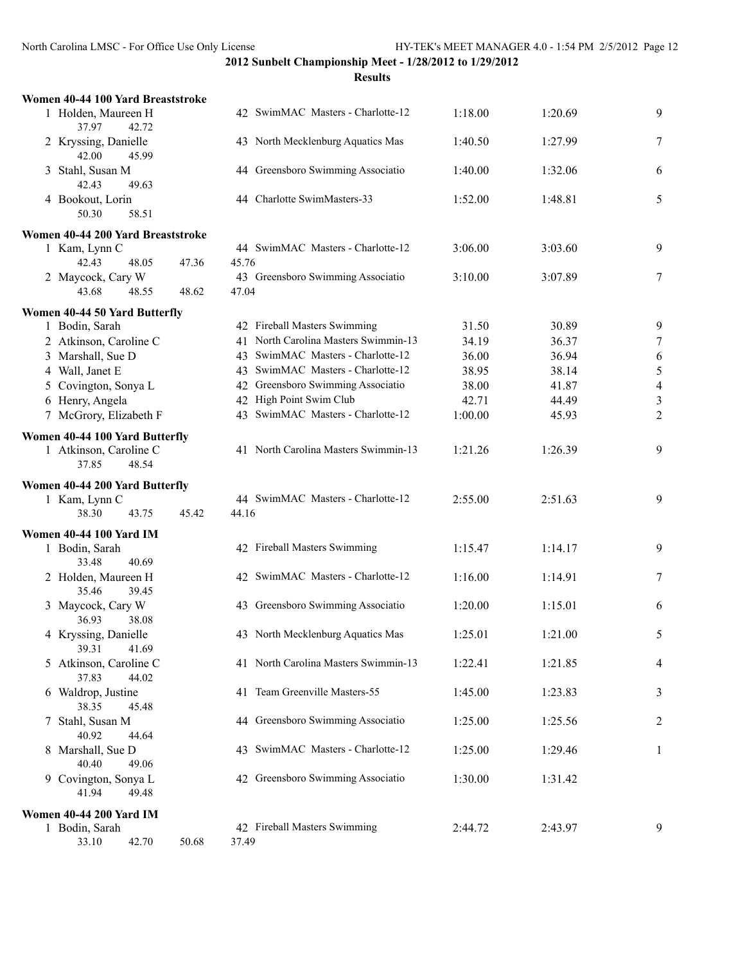**Results**

| Women 40-44 100 Yard Breaststroke                          |       |       |                                      |         |                |                |
|------------------------------------------------------------|-------|-------|--------------------------------------|---------|----------------|----------------|
| 1 Holden, Maureen H<br>37.97<br>42.72                      |       |       | 42 SwimMAC Masters - Charlotte-12    | 1:18.00 | 1:20.69        | 9              |
| 2 Kryssing, Danielle<br>42.00<br>45.99                     |       |       | 43 North Mecklenburg Aquatics Mas    | 1:40.50 | 1:27.99        | 7              |
| 3 Stahl, Susan M<br>42.43<br>49.63                         |       |       | 44 Greensboro Swimming Associatio    | 1:40.00 | 1:32.06        | 6              |
| 4 Bookout, Lorin<br>58.51<br>50.30                         |       |       | 44 Charlotte SwimMasters-33          | 1:52.00 | 1:48.81        | 5              |
| Women 40-44 200 Yard Breaststroke                          |       |       |                                      |         |                |                |
| 1 Kam, Lynn C<br>42.43<br>48.05                            | 47.36 | 45.76 | 44 SwimMAC Masters - Charlotte-12    | 3:06.00 | 3:03.60        | 9              |
| 2 Maycock, Cary W<br>43.68<br>48.55                        | 48.62 | 47.04 | 43 Greensboro Swimming Associatio    | 3:10.00 | 3:07.89        | 7              |
|                                                            |       |       |                                      |         |                |                |
| Women 40-44 50 Yard Butterfly<br>1 Bodin, Sarah            |       |       | 42 Fireball Masters Swimming         | 31.50   | 30.89          | 9              |
| 2 Atkinson, Caroline C                                     |       |       | 41 North Carolina Masters Swimmin-13 | 34.19   | 36.37          | $\tau$         |
| 3 Marshall, Sue D                                          |       |       | 43 SwimMAC Masters - Charlotte-12    | 36.00   | 36.94          | 6              |
| 4 Wall, Janet E                                            |       |       | 43 SwimMAC Masters - Charlotte-12    | 38.95   | 38.14          | $\sqrt{5}$     |
| 5 Covington, Sonya L                                       |       |       | 42 Greensboro Swimming Associatio    | 38.00   | 41.87          | $\overline{4}$ |
|                                                            |       |       | 42 High Point Swim Club              | 42.71   |                |                |
| 6 Henry, Angela                                            |       |       | 43 SwimMAC Masters - Charlotte-12    |         | 44.49<br>45.93 | $\mathfrak{Z}$ |
| 7 McGrory, Elizabeth F                                     |       |       |                                      | 1:00.00 |                | $\overline{2}$ |
| Women 40-44 100 Yard Butterfly                             |       |       |                                      |         |                |                |
| 1 Atkinson, Caroline C<br>37.85<br>48.54                   |       |       | 41 North Carolina Masters Swimmin-13 | 1:21.26 | 1:26.39        | 9              |
|                                                            |       |       |                                      |         |                |                |
|                                                            |       |       |                                      |         |                |                |
| Women 40-44 200 Yard Butterfly<br>1 Kam, Lynn C            |       |       | 44 SwimMAC Masters - Charlotte-12    | 2:55.00 | 2:51.63        | 9              |
| 38.30<br>43.75                                             | 45.42 | 44.16 |                                      |         |                |                |
|                                                            |       |       |                                      |         |                |                |
| <b>Women 40-44 100 Yard IM</b>                             |       |       |                                      |         |                |                |
| 1 Bodin, Sarah                                             |       |       | 42 Fireball Masters Swimming         | 1:15.47 | 1:14.17        | 9              |
| 33.48<br>40.69<br>2 Holden, Maureen H                      |       |       | 42 SwimMAC Masters - Charlotte-12    | 1:16.00 | 1:14.91        | 7              |
| 35.46<br>39.45<br>3 Maycock, Cary W                        |       |       | 43 Greensboro Swimming Associatio    | 1:20.00 | 1:15.01        | 6              |
| 36.93<br>38.08<br>4 Kryssing, Danielle                     |       |       | 43 North Mecklenburg Aquatics Mas    | 1:25.01 | 1:21.00        | 5              |
| 39.31<br>41.69<br>5 Atkinson, Caroline C<br>37.83<br>44.02 |       |       | 41 North Carolina Masters Swimmin-13 | 1:22.41 | 1:21.85        | 4              |
| 6 Waldrop, Justine<br>38.35<br>45.48                       |       |       | 41 Team Greenville Masters-55        | 1:45.00 | 1:23.83        | 3              |
| Stahl, Susan M<br>7<br>40.92<br>44.64                      |       |       | 44 Greensboro Swimming Associatio    | 1:25.00 | 1:25.56        | 2              |
| 8 Marshall, Sue D<br>40.40<br>49.06                        |       |       | 43 SwimMAC Masters - Charlotte-12    | 1:25.00 | 1:29.46        | 1              |
| 9 Covington, Sonya L<br>41.94<br>49.48                     |       |       | 42 Greensboro Swimming Associatio    | 1:30.00 | 1:31.42        |                |
|                                                            |       |       |                                      |         |                |                |
| <b>Women 40-44 200 Yard IM</b><br>1 Bodin, Sarah           |       |       | 42 Fireball Masters Swimming         | 2:44.72 | 2:43.97        | 9              |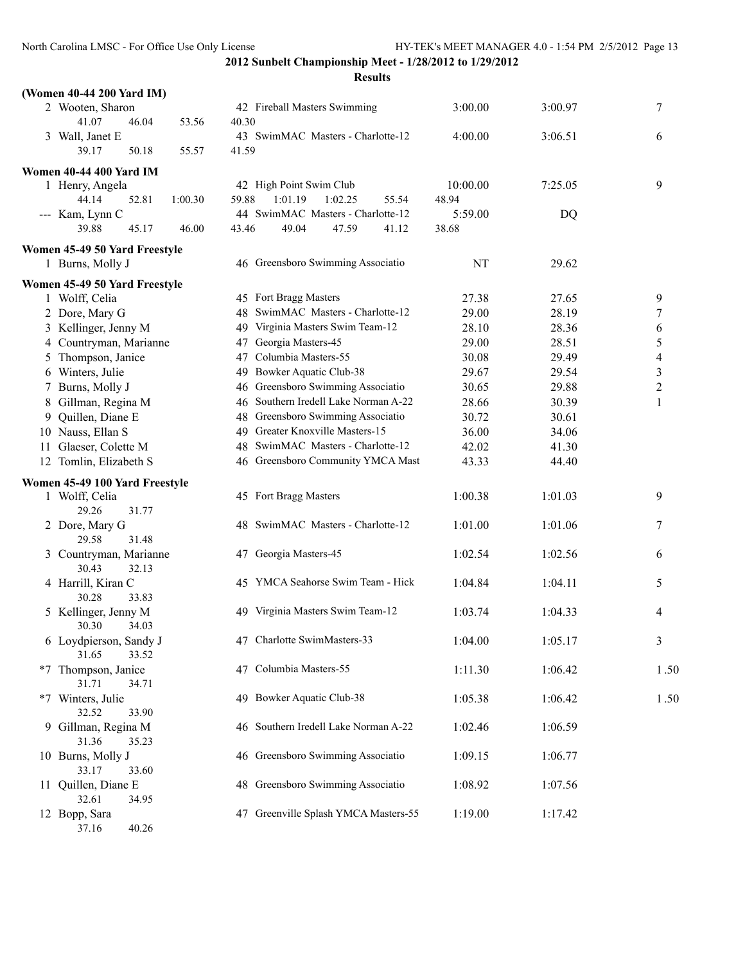| (Women 40-44 200 Yard IM)                    |       |                                                              |                   |         |                |
|----------------------------------------------|-------|--------------------------------------------------------------|-------------------|---------|----------------|
| 2 Wooten, Sharon<br>41.07<br>46.04<br>53.56  | 40.30 | 42 Fireball Masters Swimming                                 | 3:00.00           | 3:00.97 | 7              |
| 3 Wall, Janet E<br>39.17<br>50.18<br>55.57   | 41.59 | 43 SwimMAC Masters - Charlotte-12                            | 4:00.00           | 3:06.51 | 6              |
| <b>Women 40-44 400 Yard IM</b>               |       |                                                              |                   |         |                |
| 1 Henry, Angela<br>44.14<br>52.81<br>1:00.30 | 59.88 | 42 High Point Swim Club<br>1:01.19<br>1:02.25<br>55.54       | 10:00.00<br>48.94 | 7:25.05 | 9              |
| --- Kam, Lynn C<br>39.88<br>45.17<br>46.00   | 43.46 | 44 SwimMAC Masters - Charlotte-12<br>49.04<br>47.59<br>41.12 | 5:59.00<br>38.68  | DQ      |                |
| Women 45-49 50 Yard Freestyle                |       |                                                              |                   |         |                |
| 1 Burns, Molly J                             |       | 46 Greensboro Swimming Associatio                            | <b>NT</b>         | 29.62   |                |
| Women 45-49 50 Yard Freestyle                |       |                                                              |                   |         |                |
| 1 Wolff, Celia                               |       | 45 Fort Bragg Masters                                        | 27.38             | 27.65   | 9              |
| 2 Dore, Mary G                               | 48    | SwimMAC Masters - Charlotte-12                               | 29.00             | 28.19   | 7              |
| 3 Kellinger, Jenny M                         | 49    | Virginia Masters Swim Team-12                                | 28.10             | 28.36   | 6              |
| 4 Countryman, Marianne                       | 47    | Georgia Masters-45                                           | 29.00             | 28.51   | 5              |
| 5 Thompson, Janice                           | 47    | Columbia Masters-55                                          | 30.08             | 29.49   | $\overline{4}$ |
| 6 Winters, Julie                             | 49.   | Bowker Aquatic Club-38                                       | 29.67             | 29.54   | 3              |
| 7 Burns, Molly J                             | 46    | Greensboro Swimming Associatio                               | 30.65             | 29.88   | $\sqrt{2}$     |
| 8 Gillman, Regina M                          | 46    | Southern Iredell Lake Norman A-22                            | 28.66             | 30.39   | 1              |
| 9 Quillen, Diane E                           | 48    | Greensboro Swimming Associatio                               | 30.72             | 30.61   |                |
| 10 Nauss, Ellan S                            |       | 49 Greater Knoxville Masters-15                              | 36.00             | 34.06   |                |
| 11 Glaeser, Colette M                        |       | 48 SwimMAC Masters - Charlotte-12                            | 42.02             | 41.30   |                |
| 12 Tomlin, Elizabeth S                       |       | 46 Greensboro Community YMCA Mast                            | 43.33             | 44.40   |                |
| Women 45-49 100 Yard Freestyle               |       |                                                              |                   |         |                |
| 1 Wolff, Celia<br>31.77<br>29.26             |       | 45 Fort Bragg Masters                                        | 1:00.38           | 1:01.03 | 9              |
| 2 Dore, Mary G<br>29.58<br>31.48             |       | 48 SwimMAC Masters - Charlotte-12                            | 1:01.00           | 1:01.06 | 7              |
| 3 Countryman, Marianne<br>30.43<br>32.13     |       | 47 Georgia Masters-45                                        | 1:02.54           | 1:02.56 | 6              |
| 4 Harrill, Kiran C<br>30.28<br>33.83         |       | 45 YMCA Seahorse Swim Team - Hick                            | 1:04.84           | 1:04.11 | 5              |
| 5 Kellinger, Jenny M<br>30.30<br>34.03       |       | 49 Virginia Masters Swim Team-12                             | 1:03.74           | 1:04.33 | 4              |
| 6 Loydpierson, Sandy J<br>31.65<br>33.52     |       | 47 Charlotte SwimMasters-33                                  | 1:04.00           | 1:05.17 | 3              |
| *7 Thompson, Janice<br>31.71<br>34.71        |       | 47 Columbia Masters-55                                       | 1:11.30           | 1:06.42 | 1.50           |
| *7 Winters, Julie<br>32.52<br>33.90          |       | 49 Bowker Aquatic Club-38                                    | 1:05.38           | 1:06.42 | 1.50           |
| 9 Gillman, Regina M<br>31.36<br>35.23        | 46    | Southern Iredell Lake Norman A-22                            | 1:02.46           | 1:06.59 |                |
| 10 Burns, Molly J<br>33.17<br>33.60          |       | 46 Greensboro Swimming Associatio                            | 1:09.15           | 1:06.77 |                |
| 11 Quillen, Diane E<br>32.61<br>34.95        | 48.   | Greensboro Swimming Associatio                               | 1:08.92           | 1:07.56 |                |
| 12 Bopp, Sara<br>37.16<br>40.26              | 47    | Greenville Splash YMCA Masters-55                            | 1:19.00           | 1:17.42 |                |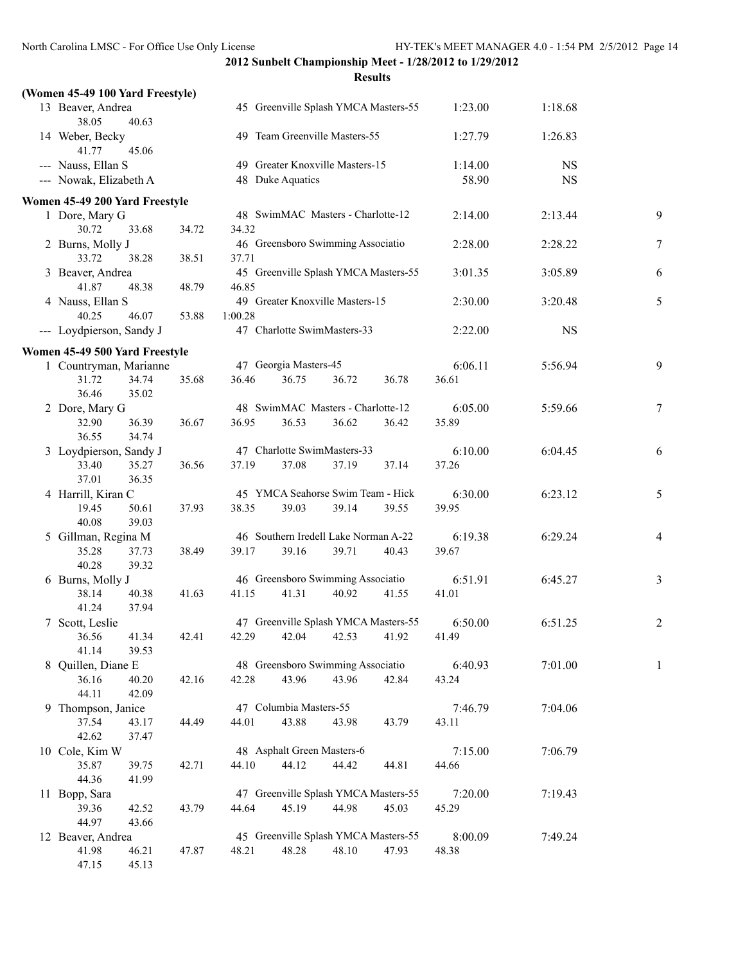| (Women 45-49 100 Yard Freestyle)      |       |         |                            |                                               |       |                  |           |                |
|---------------------------------------|-------|---------|----------------------------|-----------------------------------------------|-------|------------------|-----------|----------------|
| 13 Beaver, Andrea<br>38.05<br>40.63   |       |         |                            | 45 Greenville Splash YMCA Masters-55          |       | 1:23.00          | 1:18.68   |                |
| 14 Weber, Becky<br>41.77<br>45.06     |       |         |                            | 49 Team Greenville Masters-55                 |       | 1:27.79          | 1:26.83   |                |
| --- Nauss, Ellan S                    |       |         |                            | 49 Greater Knoxville Masters-15               |       | 1:14.00          | <b>NS</b> |                |
| --- Nowak, Elizabeth A                |       |         | 48 Duke Aquatics           |                                               |       | 58.90            | <b>NS</b> |                |
| Women 45-49 200 Yard Freestyle        |       |         |                            |                                               |       |                  |           |                |
| 1 Dore, Mary G                        |       |         |                            | 48 SwimMAC Masters - Charlotte-12             |       | 2:14.00          | 2:13.44   | 9              |
| 30.72<br>33.68                        | 34.72 | 34.32   |                            |                                               |       |                  |           |                |
| 2 Burns, Molly J                      |       |         |                            | 46 Greensboro Swimming Associatio             |       | 2:28.00          | 2:28.22   | 7              |
| 33.72<br>38.28                        | 38.51 | 37.71   |                            |                                               |       |                  |           |                |
| 3 Beaver, Andrea                      |       |         |                            | 45 Greenville Splash YMCA Masters-55          |       | 3:01.35          | 3:05.89   | 6              |
| 41.87<br>48.38                        | 48.79 | 46.85   |                            |                                               |       |                  |           |                |
| 4 Nauss, Ellan S                      |       |         |                            | 49 Greater Knoxville Masters-15               |       | 2:30.00          | 3:20.48   | 5              |
| 40.25<br>46.07                        | 53.88 | 1:00.28 |                            | 47 Charlotte SwimMasters-33                   |       |                  | <b>NS</b> |                |
| --- Loydpierson, Sandy J              |       |         |                            |                                               |       | 2:22.00          |           |                |
| Women 45-49 500 Yard Freestyle        |       |         |                            |                                               |       |                  |           |                |
| 1 Countryman, Marianne                |       |         | 47 Georgia Masters-45      |                                               |       | 6:06.11          | 5:56.94   | 9              |
| 31.72<br>34.74<br>36.46<br>35.02      | 35.68 | 36.46   | 36.75                      | 36.72                                         | 36.78 | 36.61            |           |                |
| 2 Dore, Mary G                        |       |         |                            | 48 SwimMAC Masters - Charlotte-12             |       | 6:05.00          | 5:59.66   | $\tau$         |
| 32.90<br>36.39                        | 36.67 | 36.95   | 36.53                      | 36.62                                         | 36.42 | 35.89            |           |                |
| 34.74<br>36.55                        |       |         |                            |                                               |       |                  |           |                |
| 3 Loydpierson, Sandy J                |       |         |                            | 47 Charlotte SwimMasters-33                   |       | 6:10.00          | 6:04.45   | 6              |
| 33.40<br>35.27                        | 36.56 | 37.19   | 37.08                      | 37.19                                         | 37.14 | 37.26            |           |                |
| 37.01<br>36.35                        |       |         |                            |                                               |       |                  |           |                |
| 4 Harrill, Kiran C                    |       |         |                            | 45 YMCA Seahorse Swim Team - Hick             |       | 6:30.00          | 6:23.12   | 5              |
| 19.45<br>50.61                        | 37.93 | 38.35   | 39.03                      | 39.14                                         | 39.55 | 39.95            |           |                |
| 40.08<br>39.03                        |       |         |                            | 46 Southern Iredell Lake Norman A-22          |       |                  |           |                |
| 5 Gillman, Regina M<br>35.28<br>37.73 | 38.49 | 39.17   | 39.16                      | 39.71                                         | 40.43 | 6:19.38<br>39.67 | 6:29.24   | 4              |
| 40.28<br>39.32                        |       |         |                            |                                               |       |                  |           |                |
| 6 Burns, Molly J                      |       |         |                            | 46 Greensboro Swimming Associatio             |       | 6:51.91          | 6:45.27   | 3              |
| 38.14<br>40.38                        | 41.63 | 41.15   | 41.31                      | 40.92                                         | 41.55 | 41.01            |           |                |
| 41.24<br>37.94                        |       |         |                            |                                               |       |                  |           |                |
| 7 Scott, Leslie                       |       |         |                            | 47 Greenville Splash YMCA Masters-55          |       | 6:50.00          | 6:51.25   | $\overline{c}$ |
| 41.34<br>36.56                        | 42.41 |         |                            | 42.29 42.04 42.53 41.92                       |       | 41.49            |           |                |
| 41.14<br>39.53                        |       |         |                            |                                               |       |                  |           |                |
| 8 Quillen, Diane E                    |       |         |                            | 48 Greensboro Swimming Associatio             |       | 6:40.93          | 7:01.00   | 1              |
| 36.16<br>40.20<br>44.11<br>42.09      | 42.16 | 42.28   | 43.96                      | 43.96                                         | 42.84 | 43.24            |           |                |
| 9 Thompson, Janice                    |       |         | 47 Columbia Masters-55     |                                               |       | 7:46.79          | 7:04.06   |                |
| 37.54<br>43.17                        | 44.49 | 44.01   | 43.88                      | 43.98                                         | 43.79 | 43.11            |           |                |
| 42.62<br>37.47                        |       |         |                            |                                               |       |                  |           |                |
| 10 Cole, Kim W                        |       |         | 48 Asphalt Green Masters-6 |                                               |       | 7:15.00          | 7:06.79   |                |
| 35.87<br>39.75                        | 42.71 | 44.10   | 44.12                      | 44.42                                         | 44.81 | 44.66            |           |                |
| 44.36<br>41.99                        |       |         |                            |                                               |       |                  |           |                |
| 11 Bopp, Sara                         |       |         |                            | 47 Greenville Splash YMCA Masters-55          |       | 7:20.00          | 7:19.43   |                |
| 39.36<br>42.52                        | 43.79 | 44.64   | 45.19                      | 44.98                                         | 45.03 | 45.29            |           |                |
| 44.97<br>43.66                        |       |         |                            |                                               |       |                  |           |                |
| 12 Beaver, Andrea<br>41.98<br>46.21   | 47.87 | 48.21   | 48.28                      | 45 Greenville Splash YMCA Masters-55<br>48.10 | 47.93 | 8:00.09<br>48.38 | 7:49.24   |                |
| 47.15<br>45.13                        |       |         |                            |                                               |       |                  |           |                |
|                                       |       |         |                            |                                               |       |                  |           |                |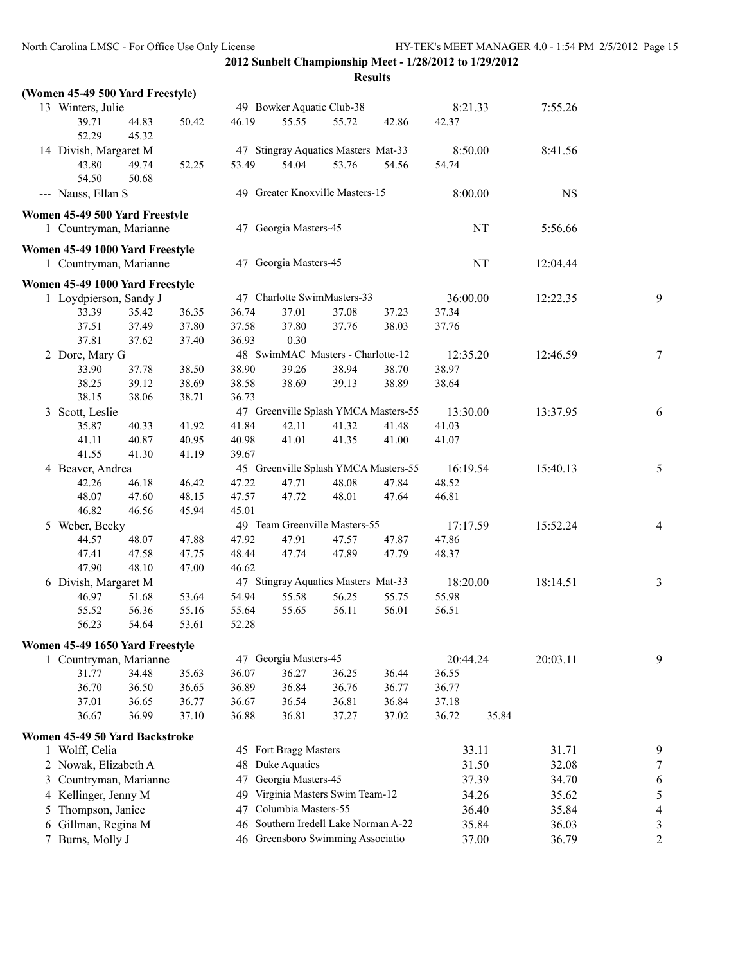|                   | (Women 45-49 500 Yard Freestyle) |                |       |       |                           |                                      |       |          |           |           |                |
|-------------------|----------------------------------|----------------|-------|-------|---------------------------|--------------------------------------|-------|----------|-----------|-----------|----------------|
| 13 Winters, Julie |                                  |                |       |       | 49 Bowker Aquatic Club-38 |                                      |       | 8:21.33  |           | 7:55.26   |                |
|                   | 39.71<br>52.29                   | 44.83<br>45.32 | 50.42 | 46.19 | 55.55                     | 55.72                                | 42.86 | 42.37    |           |           |                |
|                   | 14 Divish, Margaret M            |                |       |       |                           | 47 Stingray Aquatics Masters Mat-33  |       | 8:50.00  |           | 8:41.56   |                |
|                   | 43.80<br>54.50                   | 49.74<br>50.68 | 52.25 | 53.49 | 54.04                     | 53.76                                | 54.56 | 54.74    |           |           |                |
|                   | --- Nauss, Ellan S               |                |       |       |                           | 49 Greater Knoxville Masters-15      |       | 8:00.00  |           | <b>NS</b> |                |
|                   | Women 45-49 500 Yard Freestyle   |                |       |       |                           |                                      |       |          |           |           |                |
|                   | 1 Countryman, Marianne           |                |       |       | 47 Georgia Masters-45     |                                      |       |          | NT        | 5:56.66   |                |
|                   | Women 45-49 1000 Yard Freestyle  |                |       |       |                           |                                      |       |          |           |           |                |
|                   | 1 Countryman, Marianne           |                |       |       | 47 Georgia Masters-45     |                                      |       |          | $\rm{NT}$ | 12:04.44  |                |
|                   | Women 45-49 1000 Yard Freestyle  |                |       |       |                           |                                      |       |          |           |           |                |
|                   | 1 Loydpierson, Sandy J           |                |       |       |                           | 47 Charlotte SwimMasters-33          |       | 36:00.00 |           | 12:22.35  | 9              |
|                   | 33.39                            | 35.42          | 36.35 | 36.74 | 37.01                     | 37.08                                | 37.23 | 37.34    |           |           |                |
|                   | 37.51                            | 37.49          | 37.80 | 37.58 | 37.80                     | 37.76                                | 38.03 | 37.76    |           |           |                |
|                   | 37.81                            | 37.62          | 37.40 | 36.93 | 0.30                      |                                      |       |          |           |           |                |
|                   | 2 Dore, Mary G                   |                |       |       |                           | 48 SwimMAC Masters - Charlotte-12    |       | 12:35.20 |           | 12:46.59  | 7              |
|                   | 33.90                            | 37.78          | 38.50 | 38.90 | 39.26                     | 38.94                                | 38.70 | 38.97    |           |           |                |
|                   | 38.25                            | 39.12          | 38.69 | 38.58 | 38.69                     | 39.13                                | 38.89 | 38.64    |           |           |                |
|                   | 38.15                            | 38.06          | 38.71 | 36.73 |                           |                                      |       |          |           |           |                |
|                   | 3 Scott, Leslie                  |                |       |       |                           | 47 Greenville Splash YMCA Masters-55 |       | 13:30.00 |           | 13:37.95  | 6              |
|                   | 35.87                            | 40.33          | 41.92 | 41.84 | 42.11                     | 41.32                                | 41.48 | 41.03    |           |           |                |
|                   | 41.11                            | 40.87          | 40.95 | 40.98 | 41.01                     | 41.35                                | 41.00 | 41.07    |           |           |                |
|                   | 41.55                            | 41.30          | 41.19 | 39.67 |                           |                                      |       |          |           |           |                |
|                   | 4 Beaver, Andrea                 |                |       |       |                           | 45 Greenville Splash YMCA Masters-55 |       | 16:19.54 |           | 15:40.13  | 5              |
|                   | 42.26                            | 46.18          | 46.42 | 47.22 | 47.71                     | 48.08                                | 47.84 | 48.52    |           |           |                |
|                   | 48.07                            | 47.60          | 48.15 | 47.57 | 47.72                     | 48.01                                | 47.64 | 46.81    |           |           |                |
|                   | 46.82                            | 46.56          | 45.94 | 45.01 |                           |                                      |       |          |           |           |                |
|                   | 5 Weber, Becky                   |                |       |       |                           | 49 Team Greenville Masters-55        |       | 17:17.59 |           | 15:52.24  | 4              |
|                   | 44.57                            | 48.07          | 47.88 | 47.92 | 47.91                     | 47.57                                | 47.87 | 47.86    |           |           |                |
|                   | 47.41                            | 47.58          | 47.75 | 48.44 | 47.74                     | 47.89                                | 47.79 | 48.37    |           |           |                |
|                   | 47.90                            | 48.10          | 47.00 | 46.62 |                           |                                      |       |          |           |           |                |
|                   | 6 Divish, Margaret M             |                |       |       |                           | 47 Stingray Aquatics Masters Mat-33  |       | 18:20.00 |           | 18:14.51  | 3              |
|                   | 46.97                            | 51.68          | 53.64 | 54.94 | 55.58                     | 56.25                                | 55.75 | 55.98    |           |           |                |
|                   | 55.52                            | 56.36          | 55.16 | 55.64 | 55.65                     | 56.11                                | 56.01 | 56.51    |           |           |                |
|                   | 56.23                            | 54.64          | 53.61 | 52.28 |                           |                                      |       |          |           |           |                |
|                   | Women 45-49 1650 Yard Freestyle  |                |       |       |                           |                                      |       |          |           |           |                |
|                   | 1 Countryman, Marianne           |                |       |       | 47 Georgia Masters-45     |                                      |       | 20:44.24 |           | 20:03.11  | 9              |
|                   | 31.77                            | 34.48          | 35.63 | 36.07 | 36.27                     | 36.25                                | 36.44 | 36.55    |           |           |                |
|                   | 36.70                            | 36.50          | 36.65 | 36.89 | 36.84                     | 36.76                                | 36.77 | 36.77    |           |           |                |
|                   | 37.01                            | 36.65          | 36.77 | 36.67 | 36.54                     | 36.81                                | 36.84 | 37.18    |           |           |                |
|                   | 36.67                            | 36.99          | 37.10 | 36.88 | 36.81                     | 37.27                                | 37.02 | 36.72    | 35.84     |           |                |
|                   | Women 45-49 50 Yard Backstroke   |                |       |       |                           |                                      |       |          |           |           |                |
|                   | 1 Wolff, Celia                   |                |       |       | 45 Fort Bragg Masters     |                                      |       |          | 33.11     | 31.71     | 9              |
|                   | 2 Nowak, Elizabeth A             |                |       | 48    | Duke Aquatics             |                                      |       |          | 31.50     | 32.08     | 7              |
|                   | 3 Countryman, Marianne           |                |       | 47    | Georgia Masters-45        |                                      |       |          | 37.39     | 34.70     | 6              |
|                   | 4 Kellinger, Jenny M             |                |       | 49    |                           | Virginia Masters Swim Team-12        |       |          | 34.26     | 35.62     | 5              |
|                   | 5 Thompson, Janice               |                |       | 47    | Columbia Masters-55       |                                      |       |          | 36.40     | 35.84     | 4              |
|                   | 6 Gillman, Regina M              |                |       | 46    |                           | Southern Iredell Lake Norman A-22    |       |          | 35.84     | 36.03     |                |
|                   |                                  |                |       |       |                           |                                      |       |          |           |           | $\mathfrak{Z}$ |
|                   | 7 Burns, Molly J                 |                |       |       |                           | 46 Greensboro Swimming Associatio    |       |          | 37.00     | 36.79     | $\overline{2}$ |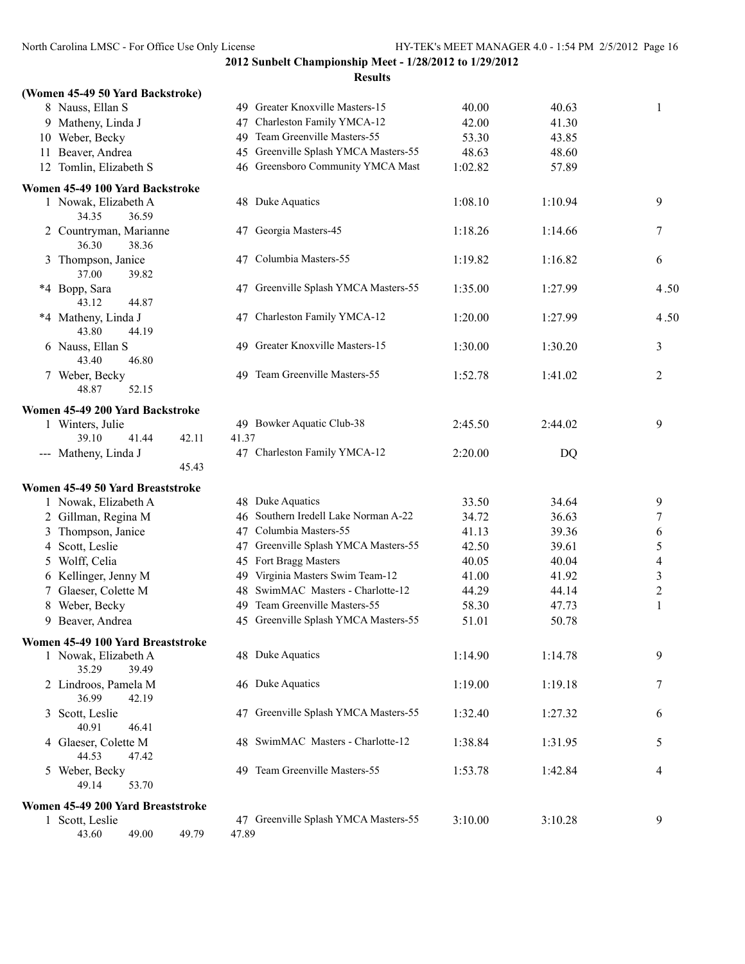| (Women 45-49 50 Yard Backstroke)            |                                               |         |                         |
|---------------------------------------------|-----------------------------------------------|---------|-------------------------|
| 8 Nauss, Ellan S                            | 49 Greater Knoxville Masters-15               | 40.00   | 40.63<br>1              |
| 9 Matheny, Linda J                          | Charleston Family YMCA-12<br>47               | 42.00   | 41.30                   |
| 10 Weber, Becky                             | 49 Team Greenville Masters-55                 | 53.30   | 43.85                   |
| 11 Beaver, Andrea                           | 45 Greenville Splash YMCA Masters-55          | 48.63   | 48.60                   |
| 12 Tomlin, Elizabeth S                      | 46 Greensboro Community YMCA Mast             | 1:02.82 | 57.89                   |
| Women 45-49 100 Yard Backstroke             |                                               |         |                         |
| 1 Nowak, Elizabeth A<br>34.35<br>36.59      | 48 Duke Aquatics                              | 1:08.10 | 1:10.94<br>9            |
| 2 Countryman, Marianne<br>36.30<br>38.36    | 47 Georgia Masters-45                         | 1:18.26 | 1:14.66<br>7            |
| 3 Thompson, Janice<br>37.00<br>39.82        | 47 Columbia Masters-55                        | 1:19.82 | 1:16.82<br>6            |
| *4 Bopp, Sara<br>43.12<br>44.87             | 47 Greenville Splash YMCA Masters-55          | 1:35.00 | 4.50<br>1:27.99         |
| *4 Matheny, Linda J<br>43.80<br>44.19       | 47 Charleston Family YMCA-12                  | 1:20.00 | 4.50<br>1:27.99         |
| 6 Nauss, Ellan S<br>43.40<br>46.80          | 49 Greater Knoxville Masters-15               | 1:30.00 | 3<br>1:30.20            |
| 7 Weber, Becky<br>48.87<br>52.15            | 49 Team Greenville Masters-55                 | 1:52.78 | 2<br>1:41.02            |
| Women 45-49 200 Yard Backstroke             |                                               |         |                         |
| 1 Winters, Julie<br>39.10<br>42.11<br>41.44 | 49 Bowker Aquatic Club-38<br>41.37            | 2:45.50 | 9<br>2:44.02            |
| --- Matheny, Linda J<br>45.43               | 47 Charleston Family YMCA-12                  | 2:20.00 | DQ                      |
| Women 45-49 50 Yard Breaststroke            |                                               |         |                         |
| 1 Nowak, Elizabeth A                        | 48 Duke Aquatics                              | 33.50   | 34.64<br>9              |
| 2 Gillman, Regina M                         | 46 Southern Iredell Lake Norman A-22          | 34.72   | 36.63<br>7              |
| 3 Thompson, Janice                          | 47 Columbia Masters-55                        | 41.13   | 39.36<br>6              |
| 4 Scott, Leslie                             | 47 Greenville Splash YMCA Masters-55          | 42.50   | 39.61<br>5              |
| 5 Wolff, Celia                              | 45 Fort Bragg Masters                         | 40.05   | 40.04<br>4              |
| 6 Kellinger, Jenny M                        | 49 Virginia Masters Swim Team-12              | 41.00   | 41.92<br>3              |
| 7 Glaeser, Colette M                        | 48 SwimMAC Masters - Charlotte-12             | 44.29   | $\overline{c}$<br>44.14 |
| 8 Weber, Becky                              | Team Greenville Masters-55<br>49.             | 58.30   | 1<br>47.73              |
| 9 Beaver, Andrea                            | 45 Greenville Splash YMCA Masters-55          | 51.01   | 50.78                   |
| Women 45-49 100 Yard Breaststroke           |                                               |         |                         |
| 1 Nowak, Elizabeth A<br>35.29<br>39.49      | 48 Duke Aquatics                              | 1:14.90 | 9<br>1:14.78            |
| 2 Lindroos, Pamela M<br>36.99<br>42.19      | 46 Duke Aquatics                              | 1:19.00 | 1:19.18<br>7            |
| 3 Scott, Leslie<br>40.91<br>46.41           | 47 Greenville Splash YMCA Masters-55          | 1:32.40 | 1:27.32<br>6            |
| 4 Glaeser, Colette M<br>44.53<br>47.42      | 48 SwimMAC Masters - Charlotte-12             | 1:38.84 | 5<br>1:31.95            |
| 5 Weber, Becky<br>49.14<br>53.70            | 49 Team Greenville Masters-55                 | 1:53.78 | 4<br>1:42.84            |
| Women 45-49 200 Yard Breaststroke           |                                               |         |                         |
| 1 Scott, Leslie<br>43.60<br>49.00<br>49.79  | 47 Greenville Splash YMCA Masters-55<br>47.89 | 3:10.00 | 9<br>3:10.28            |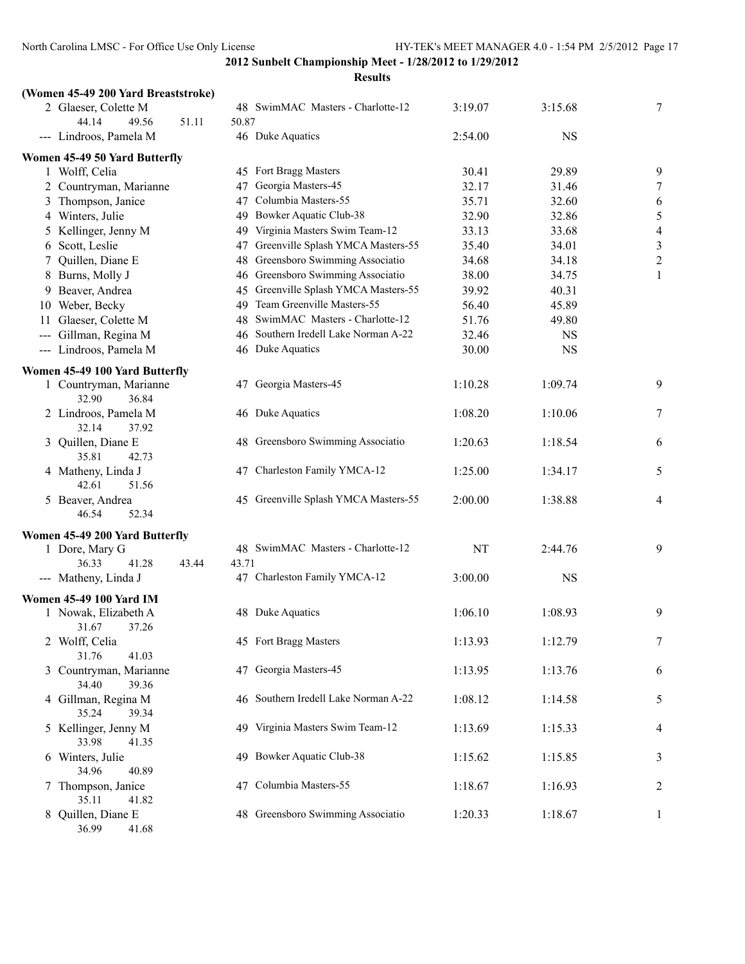| (Women 45-49 200 Yard Breaststroke)                    |                                         |         |           |                |
|--------------------------------------------------------|-----------------------------------------|---------|-----------|----------------|
| 2 Glaeser, Colette M                                   | 48 SwimMAC Masters - Charlotte-12       | 3:19.07 | 3:15.68   | 7              |
| 44.14<br>49.56<br>51.11                                | 50.87                                   |         |           |                |
| --- Lindroos, Pamela M                                 | 46 Duke Aquatics                        | 2:54.00 | <b>NS</b> |                |
| Women 45-49 50 Yard Butterfly                          |                                         |         |           |                |
| 1 Wolff, Celia                                         | 45 Fort Bragg Masters                   | 30.41   | 29.89     | 9              |
| 2 Countryman, Marianne                                 | Georgia Masters-45<br>47                | 32.17   | 31.46     | 7              |
| 3 Thompson, Janice                                     | Columbia Masters-55<br>47               | 35.71   | 32.60     | 6              |
| 4 Winters, Julie                                       | 49 Bowker Aquatic Club-38               | 32.90   | 32.86     | 5              |
| 5 Kellinger, Jenny M                                   | 49 Virginia Masters Swim Team-12        | 33.13   | 33.68     | $\overline{4}$ |
| 6 Scott, Leslie                                        | 47 Greenville Splash YMCA Masters-55    | 35.40   | 34.01     | $\sqrt{3}$     |
| 7 Quillen, Diane E                                     | 48 Greensboro Swimming Associatio       | 34.68   | 34.18     | $\overline{c}$ |
| 8 Burns, Molly J                                       | 46 Greensboro Swimming Associatio       | 38.00   | 34.75     | $\mathbf{1}$   |
| 9 Beaver, Andrea                                       | 45 Greenville Splash YMCA Masters-55    | 39.92   | 40.31     |                |
| 10 Weber, Becky                                        | 49 Team Greenville Masters-55           | 56.40   | 45.89     |                |
| Glaeser, Colette M<br>11                               | 48 SwimMAC Masters - Charlotte-12       | 51.76   | 49.80     |                |
| --- Gillman, Regina M                                  | Southern Iredell Lake Norman A-22<br>46 | 32.46   | <b>NS</b> |                |
| --- Lindroos, Pamela M                                 | 46 Duke Aquatics                        | 30.00   | <b>NS</b> |                |
| Women 45-49 100 Yard Butterfly                         |                                         |         |           |                |
| 1 Countryman, Marianne<br>32.90<br>36.84               | 47 Georgia Masters-45                   | 1:10.28 | 1:09.74   | 9              |
| 2 Lindroos, Pamela M<br>32.14<br>37.92                 | 46 Duke Aquatics                        | 1:08.20 | 1:10.06   | 7              |
| 3 Quillen, Diane E<br>35.81<br>42.73                   | 48 Greensboro Swimming Associatio       | 1:20.63 | 1:18.54   | 6              |
| 4 Matheny, Linda J<br>42.61<br>51.56                   | 47 Charleston Family YMCA-12            | 1:25.00 | 1:34.17   | 5              |
| 5 Beaver, Andrea<br>46.54<br>52.34                     | 45 Greenville Splash YMCA Masters-55    | 2:00.00 | 1:38.88   | 4              |
|                                                        |                                         |         |           |                |
| Women 45-49 200 Yard Butterfly<br>1 Dore, Mary G       | 48 SwimMAC Masters - Charlotte-12       | NT      | 2:44.76   | 9              |
| 36.33<br>41.28<br>43.44                                | 43.71                                   |         |           |                |
| --- Matheny, Linda J                                   | 47 Charleston Family YMCA-12            | 3:00.00 | <b>NS</b> |                |
|                                                        |                                         |         |           |                |
| <b>Women 45-49 100 Yard IM</b>                         |                                         |         |           |                |
| 1 Nowak, Elizabeth A                                   | 48 Duke Aquatics                        | 1:06.10 | 1:08.93   | 9              |
| 37.26<br>31.67<br>2 Wolff, Celia                       | 45 Fort Bragg Masters                   | 1:13.93 | 1:12.79   | 7              |
| 31.76<br>41.03                                         |                                         |         |           |                |
| 3 Countryman, Marianne<br>34.40<br>39.36               | 47 Georgia Masters-45                   | 1:13.95 | 1:13.76   | 6              |
| 4 Gillman, Regina M<br>35.24<br>39.34                  | 46 Southern Iredell Lake Norman A-22    | 1:08.12 | 1:14.58   | 5              |
| 5 Kellinger, Jenny M<br>33.98<br>41.35                 | 49 Virginia Masters Swim Team-12        | 1:13.69 | 1:15.33   | 4              |
| 6 Winters, Julie                                       | 49 Bowker Aquatic Club-38               | 1:15.62 | 1:15.85   | 3              |
| 34.96<br>40.89<br>7 Thompson, Janice                   | 47 Columbia Masters-55                  | 1:18.67 | 1:16.93   | 2              |
| 35.11<br>41.82<br>8 Quillen, Diane E<br>36.99<br>41.68 | 48 Greensboro Swimming Associatio       | 1:20.33 | 1:18.67   | 1              |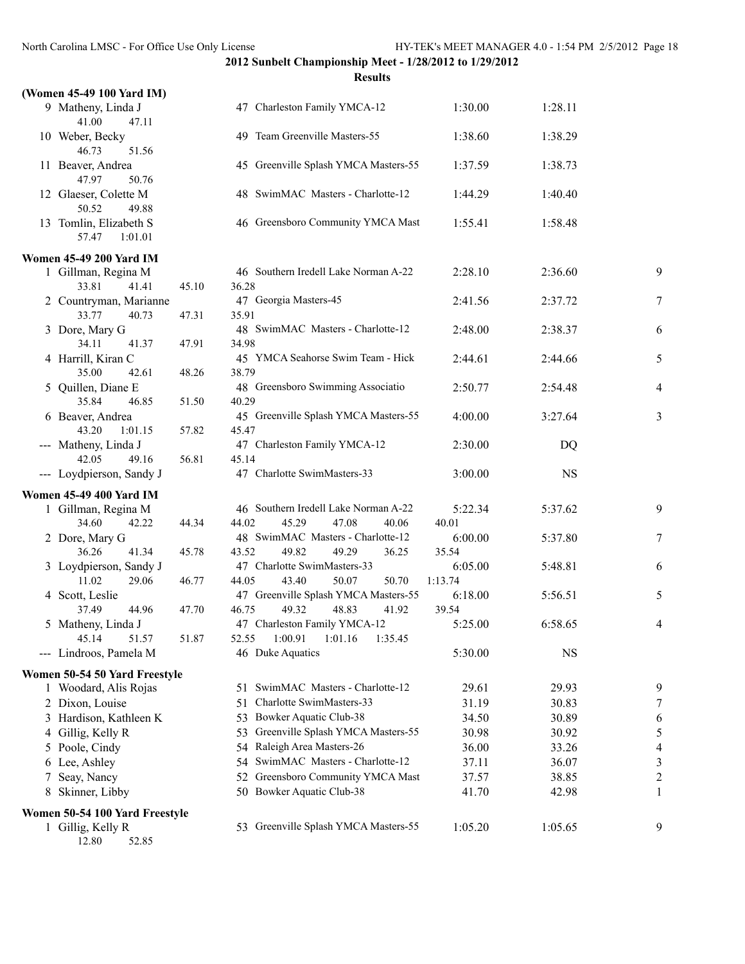|    | (Women 45-49 100 Yard IM)                  |       |                                               |         |           |                          |
|----|--------------------------------------------|-------|-----------------------------------------------|---------|-----------|--------------------------|
|    | 9 Matheny, Linda J<br>41.00<br>47.11       |       | 47 Charleston Family YMCA-12                  | 1:30.00 | 1:28.11   |                          |
|    | 10 Weber, Becky<br>46.73<br>51.56          |       | 49 Team Greenville Masters-55                 | 1:38.60 | 1:38.29   |                          |
|    | 11 Beaver, Andrea<br>47.97<br>50.76        |       | 45 Greenville Splash YMCA Masters-55          | 1:37.59 | 1:38.73   |                          |
|    | 12 Glaeser, Colette M<br>50.52<br>49.88    |       | 48 SwimMAC Masters - Charlotte-12             | 1:44.29 | 1:40.40   |                          |
|    | 13 Tomlin, Elizabeth S<br>57.47<br>1:01.01 |       | 46 Greensboro Community YMCA Mast             | 1:55.41 | 1:58.48   |                          |
|    | <b>Women 45-49 200 Yard IM</b>             |       |                                               |         |           |                          |
|    | 1 Gillman, Regina M                        |       | 46 Southern Iredell Lake Norman A-22          | 2:28.10 | 2:36.60   | 9                        |
|    | 33.81<br>41.41                             | 45.10 | 36.28                                         |         |           |                          |
|    | 2 Countryman, Marianne                     |       | 47 Georgia Masters-45                         | 2:41.56 | 2:37.72   | 7                        |
|    | 33.77<br>40.73                             | 47.31 | 35.91                                         |         |           |                          |
|    | 3 Dore, Mary G                             |       | 48 SwimMAC Masters - Charlotte-12             | 2:48.00 | 2:38.37   | 6                        |
|    | 34.11<br>41.37                             | 47.91 | 34.98                                         |         |           |                          |
|    | 4 Harrill, Kiran C<br>35.00<br>42.61       | 48.26 | 45 YMCA Seahorse Swim Team - Hick<br>38.79    | 2:44.61 | 2:44.66   | 5                        |
|    | 5 Quillen, Diane E<br>35.84<br>46.85       | 51.50 | 48 Greensboro Swimming Associatio<br>40.29    | 2:50.77 | 2:54.48   | $\overline{4}$           |
|    | 6 Beaver, Andrea<br>43.20<br>1:01.15       | 57.82 | 45 Greenville Splash YMCA Masters-55<br>45.47 | 4:00.00 | 3:27.64   | 3                        |
|    | --- Matheny, Linda J<br>42.05<br>49.16     | 56.81 | 47 Charleston Family YMCA-12<br>45.14         | 2:30.00 | DQ        |                          |
|    | --- Loydpierson, Sandy J                   |       | 47 Charlotte SwimMasters-33                   | 3:00.00 | <b>NS</b> |                          |
|    | <b>Women 45-49 400 Yard IM</b>             |       |                                               |         |           |                          |
|    | 1 Gillman, Regina M                        |       | 46 Southern Iredell Lake Norman A-22          | 5:22.34 | 5:37.62   | 9                        |
|    | 34.60<br>42.22                             | 44.34 | 44.02<br>45.29<br>47.08<br>40.06              | 40.01   |           |                          |
|    | 2 Dore, Mary G                             |       | 48 SwimMAC Masters - Charlotte-12             | 6:00.00 | 5:37.80   | 7                        |
|    | 36.26<br>41.34                             | 45.78 | 49.82<br>43.52<br>49.29<br>36.25              | 35.54   |           |                          |
|    | 3 Loydpierson, Sandy J                     |       | 47 Charlotte SwimMasters-33                   | 6:05.00 | 5:48.81   | 6                        |
|    | 11.02<br>29.06                             | 46.77 | 44.05<br>43.40<br>50.07<br>50.70              | 1:13.74 |           |                          |
|    | 4 Scott, Leslie                            |       | 47 Greenville Splash YMCA Masters-55          | 6:18.00 | 5:56.51   | 5                        |
|    | 37.49<br>44.96                             | 47.70 | 46.75<br>49.32<br>48.83<br>41.92              | 39.54   |           |                          |
|    | 5 Matheny, Linda J                         |       | 47 Charleston Family YMCA-12                  | 5:25.00 | 6:58.65   | 4                        |
|    | 45.14<br>51.57                             | 51.87 | 1:00.91<br>1:01.16<br>52.55<br>1:35.45        |         |           |                          |
|    | --- Lindroos, Pamela M                     |       | 46 Duke Aquatics                              | 5:30.00 | <b>NS</b> |                          |
|    | Women 50-54 50 Yard Freestyle              |       |                                               |         |           |                          |
|    | 1 Woodard, Alis Rojas                      |       | SwimMAC Masters - Charlotte-12<br>51.         | 29.61   | 29.93     | 9                        |
|    | 2 Dixon, Louise                            |       | Charlotte SwimMasters-33<br>51                | 31.19   | 30.83     | 7                        |
|    | 3 Hardison, Kathleen K                     |       | Bowker Aquatic Club-38<br>53                  | 34.50   | 30.89     | 6                        |
|    | 4 Gillig, Kelly R                          |       | Greenville Splash YMCA Masters-55<br>53       | 30.98   | 30.92     | 5                        |
|    | 5 Poole, Cindy                             |       | 54 Raleigh Area Masters-26                    | 36.00   | 33.26     | $\overline{\mathcal{A}}$ |
|    | 6 Lee, Ashley                              |       | 54 SwimMAC Masters - Charlotte-12             | 37.11   | 36.07     | $\mathfrak{Z}$           |
| 7. | Seay, Nancy                                |       | 52 Greensboro Community YMCA Mast             | 37.57   | 38.85     | $\overline{c}$           |
|    | 8 Skinner, Libby                           |       | 50 Bowker Aquatic Club-38                     | 41.70   | 42.98     | $\mathbf{1}$             |
|    | Women 50-54 100 Yard Freestyle             |       |                                               |         |           |                          |
|    | 1 Gillig, Kelly R<br>12.80<br>52.85        |       | 53 Greenville Splash YMCA Masters-55          | 1:05.20 | 1:05.65   | 9                        |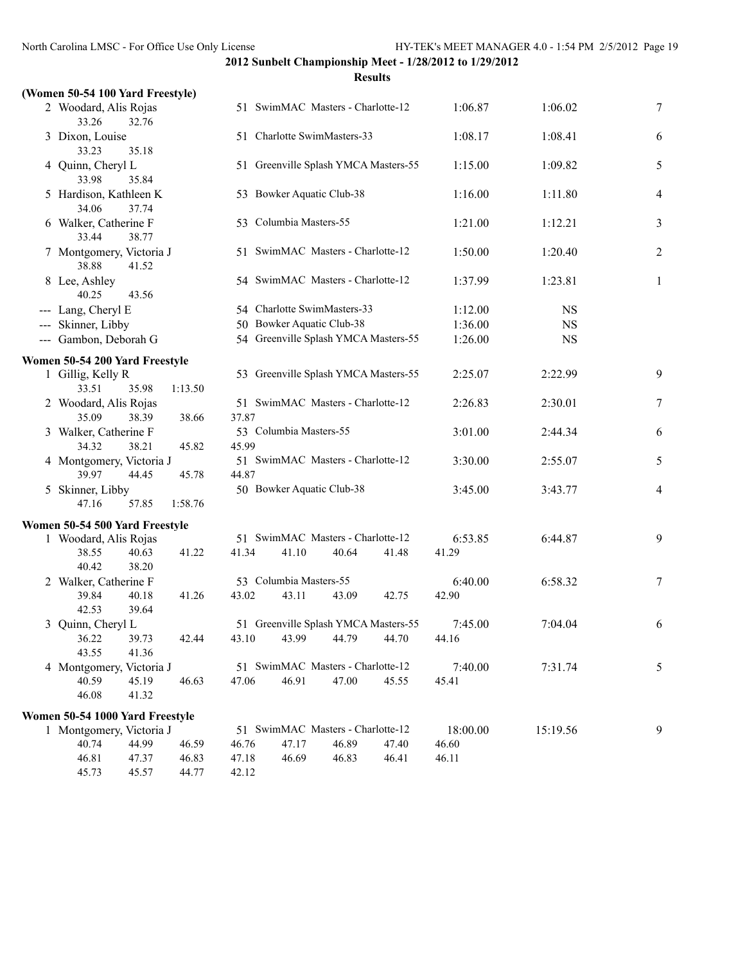| (Women 50-54 100 Yard Freestyle)  |                |         |       |                                      |       |       |          |           |                |
|-----------------------------------|----------------|---------|-------|--------------------------------------|-------|-------|----------|-----------|----------------|
| 2 Woodard, Alis Rojas<br>33.26    | 32.76          |         |       | 51 SwimMAC Masters - Charlotte-12    |       |       | 1:06.87  | 1:06.02   | 7              |
| 3 Dixon, Louise<br>33.23          | 35.18          |         |       | 51 Charlotte SwimMasters-33          |       |       | 1:08.17  | 1:08.41   | 6              |
| 4 Quinn, Cheryl L<br>33.98        | 35.84          |         |       | 51 Greenville Splash YMCA Masters-55 |       |       | 1:15.00  | 1:09.82   | 5              |
| 5 Hardison, Kathleen K<br>34.06   | 37.74          |         |       | 53 Bowker Aquatic Club-38            |       |       | 1:16.00  | 1:11.80   | 4              |
| 6 Walker, Catherine F<br>33.44    | 38.77          |         |       | 53 Columbia Masters-55               |       |       | 1:21.00  | 1:12.21   | 3              |
| 7 Montgomery, Victoria J<br>38.88 | 41.52          |         |       | 51 SwimMAC Masters - Charlotte-12    |       |       | 1:50.00  | 1:20.40   | $\overline{2}$ |
| 8 Lee, Ashley<br>40.25            | 43.56          |         |       | 54 SwimMAC Masters - Charlotte-12    |       |       | 1:37.99  | 1:23.81   | 1              |
| --- Lang, Cheryl E                |                |         |       | 54 Charlotte SwimMasters-33          |       |       | 1:12.00  | <b>NS</b> |                |
| --- Skinner, Libby                |                |         |       | 50 Bowker Aquatic Club-38            |       |       | 1:36.00  | <b>NS</b> |                |
| --- Gambon, Deborah G             |                |         |       | 54 Greenville Splash YMCA Masters-55 |       |       | 1:26.00  | <b>NS</b> |                |
| Women 50-54 200 Yard Freestyle    |                |         |       |                                      |       |       |          |           |                |
| 1 Gillig, Kelly R<br>33.51        | 35.98          | 1:13.50 |       | 53 Greenville Splash YMCA Masters-55 |       |       | 2:25.07  | 2:22.99   | 9              |
| 2 Woodard, Alis Rojas<br>35.09    | 38.39          | 38.66   | 37.87 | 51 SwimMAC Masters - Charlotte-12    |       |       | 2:26.83  | 2:30.01   | 7              |
| 3 Walker, Catherine F<br>34.32    | 38.21          | 45.82   | 45.99 | 53 Columbia Masters-55               |       |       | 3:01.00  | 2:44.34   | 6              |
| 4 Montgomery, Victoria J<br>39.97 | 44.45          | 45.78   | 44.87 | 51 SwimMAC Masters - Charlotte-12    |       |       | 3:30.00  | 2:55.07   | 5              |
| 5 Skinner, Libby<br>47.16         | 57.85          | 1:58.76 |       | 50 Bowker Aquatic Club-38            |       |       | 3:45.00  | 3:43.77   | $\overline{4}$ |
| Women 50-54 500 Yard Freestyle    |                |         |       |                                      |       |       |          |           |                |
| 1 Woodard, Alis Rojas             |                |         |       | 51 SwimMAC Masters - Charlotte-12    |       |       | 6:53.85  | 6:44.87   | 9              |
| 38.55<br>40.42                    | 40.63<br>38.20 | 41.22   | 41.34 | 41.10                                | 40.64 | 41.48 | 41.29    |           |                |
| 2 Walker, Catherine F             |                |         |       | 53 Columbia Masters-55               |       |       | 6:40.00  | 6:58.32   | 7              |
| 39.84<br>42.53                    | 40.18<br>39.64 | 41.26   | 43.02 | 43.11                                | 43.09 | 42.75 | 42.90    |           |                |
| 3 Quinn, Cheryl L                 |                |         |       | 51 Greenville Splash YMCA Masters-55 |       |       | 7:45.00  | 7:04.04   | 6              |
| 36.22                             | 39.73          | 42.44   | 43.10 | 43.99                                | 44.79 | 44.70 | 44.16    |           |                |
| 43.55                             | 41.36          |         |       |                                      |       |       |          |           |                |
| 4 Montgomery, Victoria J          |                |         |       | 51 SwimMAC Masters - Charlotte-12    |       |       | 7:40.00  | 7:31.74   | 5              |
| 40.59<br>46.08                    | 45.19<br>41.32 | 46.63   | 47.06 | 46.91                                | 47.00 | 45.55 | 45.41    |           |                |
| Women 50-54 1000 Yard Freestyle   |                |         |       |                                      |       |       |          |           |                |
| 1 Montgomery, Victoria J          |                |         |       | 51 SwimMAC Masters - Charlotte-12    |       |       | 18:00.00 | 15:19.56  | 9              |
| 40.74                             | 44.99          | 46.59   | 46.76 | 47.17                                | 46.89 | 47.40 | 46.60    |           |                |
| 46.81                             | 47.37          | 46.83   | 47.18 | 46.69                                | 46.83 | 46.41 | 46.11    |           |                |
| 45.73                             | 45.57          | 44.77   | 42.12 |                                      |       |       |          |           |                |
|                                   |                |         |       |                                      |       |       |          |           |                |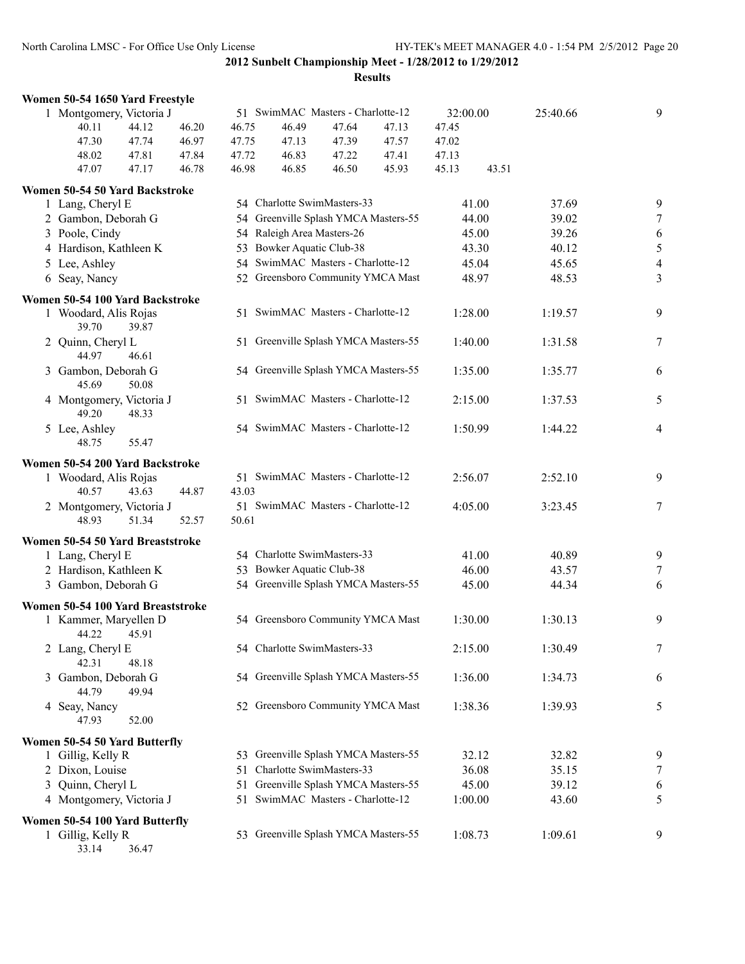**Results**

|                          | Women 50-54 1650 Yard Freestyle   |       |                                   |       |                                      |          |       |          |       |         |                         |
|--------------------------|-----------------------------------|-------|-----------------------------------|-------|--------------------------------------|----------|-------|----------|-------|---------|-------------------------|
| 1 Montgomery, Victoria J |                                   |       | 51 SwimMAC Masters - Charlotte-12 |       |                                      | 32:00.00 |       | 25:40.66 | 9     |         |                         |
|                          | 40.11                             | 44.12 | 46.20                             | 46.75 | 46.49                                | 47.64    | 47.13 | 47.45    |       |         |                         |
|                          | 47.30                             | 47.74 | 46.97                             | 47.75 | 47.13                                | 47.39    | 47.57 | 47.02    |       |         |                         |
|                          | 48.02                             | 47.81 | 47.84                             | 47.72 | 46.83                                | 47.22    | 47.41 | 47.13    |       |         |                         |
|                          | 47.07                             | 47.17 | 46.78                             | 46.98 | 46.85                                | 46.50    | 45.93 | 45.13    | 43.51 |         |                         |
|                          | Women 50-54 50 Yard Backstroke    |       |                                   |       |                                      |          |       |          |       |         |                         |
|                          | 1 Lang, Cheryl E                  |       |                                   |       | 54 Charlotte SwimMasters-33          |          |       | 41.00    |       | 37.69   | 9                       |
|                          | 2 Gambon, Deborah G               |       |                                   | 54    | Greenville Splash YMCA Masters-55    |          |       | 44.00    |       | 39.02   | $\tau$                  |
|                          | 3 Poole, Cindy                    |       |                                   |       | 54 Raleigh Area Masters-26           |          |       | 45.00    |       | 39.26   | 6                       |
|                          | 4 Hardison, Kathleen K            |       |                                   |       | 53 Bowker Aquatic Club-38            |          |       | 43.30    |       | 40.12   | 5                       |
|                          | 5 Lee, Ashley                     |       |                                   | 54    | SwimMAC Masters - Charlotte-12       |          |       | 45.04    |       | 45.65   | $\overline{\mathbf{4}}$ |
|                          | 6 Seay, Nancy                     |       |                                   |       | 52 Greensboro Community YMCA Mast    |          |       | 48.97    |       | 48.53   | $\overline{\mathbf{3}}$ |
|                          | Women 50-54 100 Yard Backstroke   |       |                                   |       |                                      |          |       |          |       |         |                         |
|                          | 1 Woodard, Alis Rojas             |       |                                   |       | 51 SwimMAC Masters - Charlotte-12    |          |       | 1:28.00  |       | 1:19.57 | 9                       |
|                          | 39.70                             | 39.87 |                                   |       |                                      |          |       |          |       |         |                         |
|                          | 2 Quinn, Cheryl L<br>44.97        | 46.61 |                                   |       | 51 Greenville Splash YMCA Masters-55 |          |       | 1:40.00  |       | 1:31.58 | 7                       |
|                          | 3 Gambon, Deborah G<br>45.69      | 50.08 |                                   |       | 54 Greenville Splash YMCA Masters-55 |          |       | 1:35.00  |       | 1:35.77 | 6                       |
|                          | 4 Montgomery, Victoria J<br>49.20 | 48.33 |                                   | 51    | SwimMAC Masters - Charlotte-12       |          |       | 2:15.00  |       | 1:37.53 | 5                       |
|                          | 5 Lee, Ashley<br>48.75            | 55.47 |                                   |       | 54 SwimMAC Masters - Charlotte-12    |          |       | 1:50.99  |       | 1:44.22 | 4                       |
|                          | Women 50-54 200 Yard Backstroke   |       |                                   |       |                                      |          |       |          |       |         |                         |
|                          | 1 Woodard, Alis Rojas             |       |                                   |       | 51 SwimMAC Masters - Charlotte-12    |          |       | 2:56.07  |       | 2:52.10 | 9                       |
|                          | 40.57                             | 43.63 | 44.87                             | 43.03 |                                      |          |       |          |       |         |                         |
|                          | 2 Montgomery, Victoria J          |       |                                   |       | 51 SwimMAC Masters - Charlotte-12    |          |       | 4:05.00  |       | 3:23.45 | 7                       |
|                          | 48.93                             | 51.34 | 52.57                             | 50.61 |                                      |          |       |          |       |         |                         |
|                          | Women 50-54 50 Yard Breaststroke  |       |                                   |       |                                      |          |       |          |       |         |                         |
|                          | 1 Lang, Cheryl E                  |       |                                   |       | 54 Charlotte SwimMasters-33          |          |       | 41.00    |       | 40.89   | 9                       |
|                          | 2 Hardison, Kathleen K            |       |                                   |       | 53 Bowker Aquatic Club-38            |          |       | 46.00    |       | 43.57   | 7                       |
|                          | 3 Gambon, Deborah G               |       |                                   |       | 54 Greenville Splash YMCA Masters-55 |          |       | 45.00    |       | 44.34   | 6                       |
|                          |                                   |       |                                   |       |                                      |          |       |          |       |         |                         |
|                          | Women 50-54 100 Yard Breaststroke |       |                                   |       |                                      |          |       |          |       |         |                         |
|                          | 1 Kammer, Maryellen D<br>44.22    | 45.91 |                                   |       | 54 Greensboro Community YMCA Mast    |          |       | 1:30.00  |       | 1:30.13 | 9                       |
|                          | 2 Lang, Cheryl E<br>42.31         | 48.18 |                                   |       | 54 Charlotte SwimMasters-33          |          |       | 2:15.00  |       | 1:30.49 | 7                       |
|                          | 3 Gambon, Deborah G<br>44.79      | 49.94 |                                   |       | 54 Greenville Splash YMCA Masters-55 |          |       | 1:36.00  |       | 1:34.73 | 6                       |
|                          | 4 Seay, Nancy<br>47.93            | 52.00 |                                   |       | 52 Greensboro Community YMCA Mast    |          |       | 1:38.36  |       | 1:39.93 | 5                       |
|                          |                                   |       |                                   |       |                                      |          |       |          |       |         |                         |
|                          | Women 50-54 50 Yard Butterfly     |       |                                   |       | 53 Greenville Splash YMCA Masters-55 |          |       |          |       |         |                         |
|                          | 1 Gillig, Kelly R                 |       |                                   |       |                                      |          |       | 32.12    |       | 32.82   | 9                       |
|                          | 2 Dixon, Louise                   |       |                                   | 51    | Charlotte SwimMasters-33             |          |       | 36.08    |       | 35.15   | 7                       |
|                          | 3 Quinn, Cheryl L                 |       |                                   | 51    | Greenville Splash YMCA Masters-55    |          |       | 45.00    |       | 39.12   | 6                       |
|                          | 4 Montgomery, Victoria J          |       |                                   | 51    | SwimMAC Masters - Charlotte-12       |          |       | 1:00.00  |       | 43.60   | 5                       |
|                          | Women 50-54 100 Yard Butterfly    |       |                                   |       |                                      |          |       |          |       |         |                         |
|                          | 1 Gillig, Kelly R                 |       |                                   |       | 53 Greenville Splash YMCA Masters-55 |          |       | 1:08.73  |       | 1:09.61 | 9                       |

33.14 36.47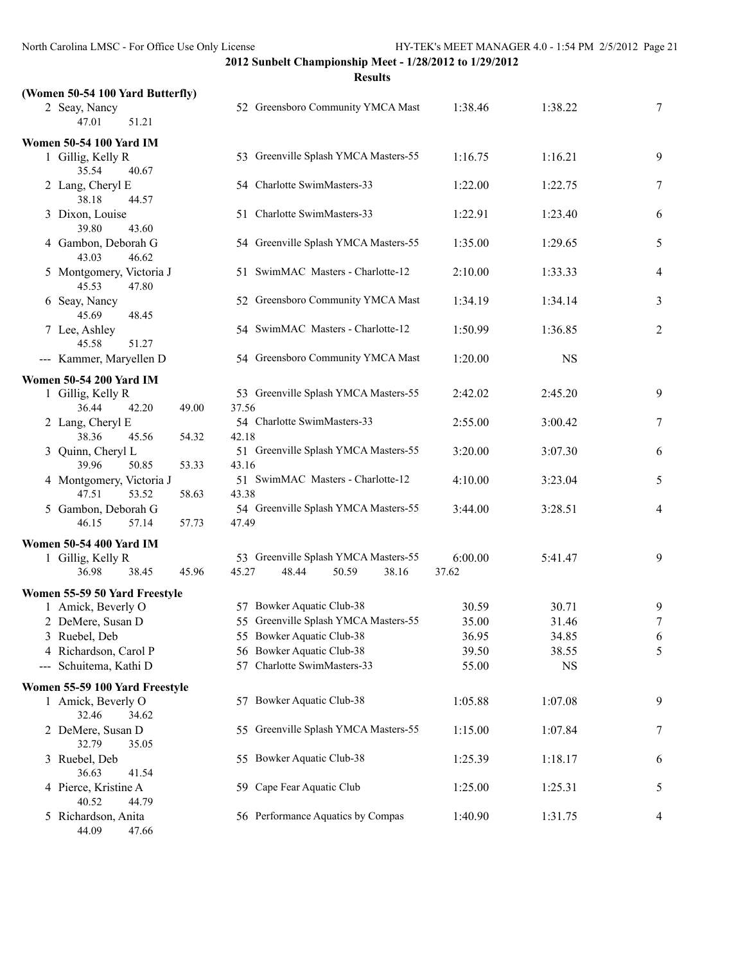|   |                                            |       | <b>Results</b>                                                           |                  |           |                          |
|---|--------------------------------------------|-------|--------------------------------------------------------------------------|------------------|-----------|--------------------------|
|   | (Women 50-54 100 Yard Butterfly)           |       |                                                                          |                  |           |                          |
|   | 2 Seay, Nancy<br>47.01<br>51.21            |       | 52 Greensboro Community YMCA Mast                                        | 1:38.46          | 1:38.22   | 7                        |
|   | <b>Women 50-54 100 Yard IM</b>             |       |                                                                          |                  |           |                          |
|   | 1 Gillig, Kelly R<br>35.54<br>40.67        |       | 53 Greenville Splash YMCA Masters-55                                     | 1:16.75          | 1:16.21   | 9                        |
|   | 2 Lang, Cheryl E<br>38.18<br>44.57         |       | 54 Charlotte SwimMasters-33                                              | 1:22.00          | 1:22.75   | 7                        |
|   | 3 Dixon, Louise<br>39.80<br>43.60          |       | 51 Charlotte SwimMasters-33                                              | 1:22.91          | 1:23.40   | 6                        |
|   | 4 Gambon, Deborah G<br>43.03<br>46.62      |       | 54 Greenville Splash YMCA Masters-55                                     | 1:35.00          | 1:29.65   | 5                        |
|   | 5 Montgomery, Victoria J<br>45.53<br>47.80 |       | 51 SwimMAC Masters - Charlotte-12                                        | 2:10.00          | 1:33.33   | $\overline{\mathcal{A}}$ |
|   | 6 Seay, Nancy<br>45.69<br>48.45            |       | 52 Greensboro Community YMCA Mast                                        | 1:34.19          | 1:34.14   | 3                        |
|   | 7 Lee, Ashley<br>45.58<br>51.27            |       | 54 SwimMAC Masters - Charlotte-12                                        | 1:50.99          | 1:36.85   | $\overline{c}$           |
|   | --- Kammer, Maryellen D                    |       | 54 Greensboro Community YMCA Mast                                        | 1:20.00          | <b>NS</b> |                          |
|   | <b>Women 50-54 200 Yard IM</b>             |       |                                                                          |                  |           |                          |
|   | 1 Gillig, Kelly R<br>36.44<br>42.20        | 49.00 | 53 Greenville Splash YMCA Masters-55<br>37.56                            | 2:42.02          | 2:45.20   | 9                        |
|   | 2 Lang, Cheryl E<br>38.36<br>45.56         | 54.32 | 54 Charlotte SwimMasters-33<br>42.18                                     | 2:55.00          | 3:00.42   | 7                        |
|   | 3 Quinn, Cheryl L<br>39.96<br>50.85        | 53.33 | 51 Greenville Splash YMCA Masters-55<br>43.16                            | 3:20.00          | 3:07.30   | 6                        |
|   | 4 Montgomery, Victoria J<br>47.51<br>53.52 | 58.63 | 51 SwimMAC Masters - Charlotte-12<br>43.38                               | 4:10.00          | 3:23.04   | 5                        |
|   | 5 Gambon, Deborah G<br>46.15<br>57.14      | 57.73 | 54 Greenville Splash YMCA Masters-55<br>47.49                            | 3:44.00          | 3:28.51   | $\overline{4}$           |
|   | <b>Women 50-54 400 Yard IM</b>             |       |                                                                          |                  |           |                          |
|   | 1 Gillig, Kelly R<br>36.98<br>38.45        | 45.96 | 53 Greenville Splash YMCA Masters-55<br>45.27<br>48.44<br>50.59<br>38.16 | 6:00.00<br>37.62 | 5:41.47   | 9                        |
|   | Women 55-59 50 Yard Freestyle              |       |                                                                          |                  |           |                          |
|   | 1 Amick, Beverly O                         |       | 57 Bowker Aquatic Club-38                                                | 30.59            | 30.71     | 9                        |
|   | 2 DeMere, Susan D                          |       | 55 Greenville Splash YMCA Masters-55                                     | 35.00            | 31.46     | 7                        |
| 3 | Ruebel, Deb                                |       | 55 Bowker Aquatic Club-38                                                | 36.95            | 34.85     | 6                        |
|   | 4 Richardson, Carol P                      |       | 56 Bowker Aquatic Club-38                                                | 39.50            | 38.55     | 5                        |
|   | --- Schuitema, Kathi D                     |       | 57 Charlotte SwimMasters-33                                              | 55.00            | <b>NS</b> |                          |
|   | Women 55-59 100 Yard Freestyle             |       |                                                                          |                  |           |                          |
|   | 1 Amick, Beverly O<br>32.46<br>34.62       |       | 57 Bowker Aquatic Club-38                                                | 1:05.88          | 1:07.08   | 9                        |
|   | 2 DeMere, Susan D<br>32.79<br>35.05        |       | 55 Greenville Splash YMCA Masters-55                                     | 1:15.00          | 1:07.84   | 7                        |
|   | 3 Ruebel, Deb<br>36.63<br>41.54            |       | 55 Bowker Aquatic Club-38                                                | 1:25.39          | 1:18.17   | 6                        |
|   | 4 Pierce, Kristine A<br>40.52<br>44.79     |       | 59 Cape Fear Aquatic Club                                                | 1:25.00          | 1:25.31   | 5                        |
|   | 5 Richardson, Anita<br>44.09<br>47.66      |       | 56 Performance Aquatics by Compas                                        | 1:40.90          | 1:31.75   | 4                        |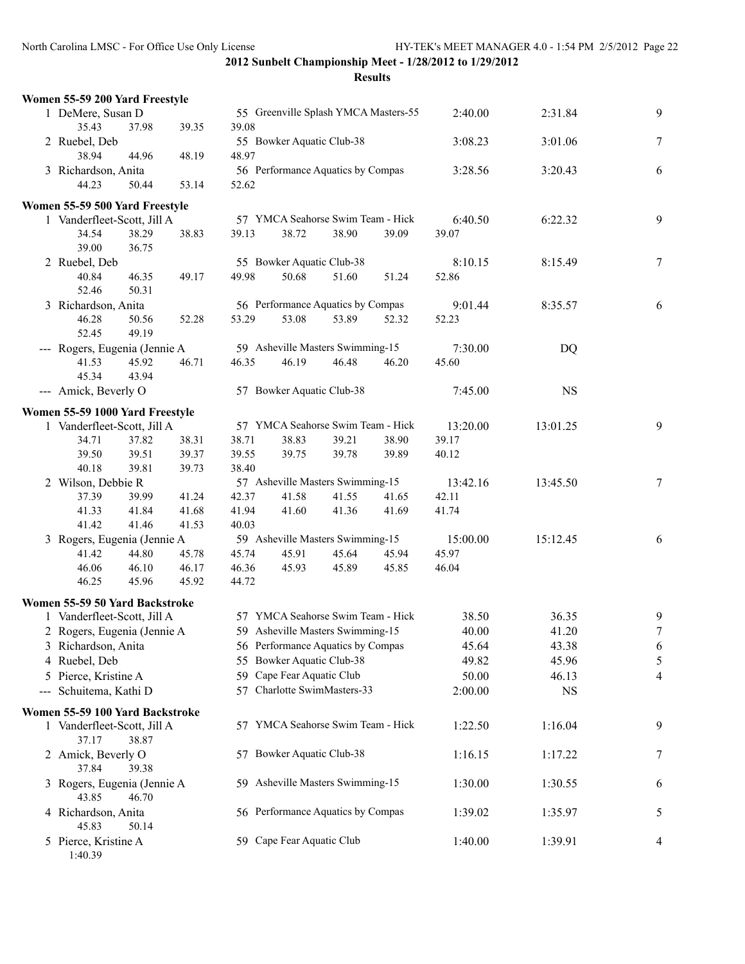| Women 55-59 200 Yard Freestyle  |       |       |       |                                      |       |       |          |           |                |
|---------------------------------|-------|-------|-------|--------------------------------------|-------|-------|----------|-----------|----------------|
| 1 DeMere, Susan D               |       |       |       | 55 Greenville Splash YMCA Masters-55 |       |       | 2:40.00  | 2:31.84   | 9              |
| 35.43                           | 37.98 | 39.35 | 39.08 |                                      |       |       |          |           |                |
| 2 Ruebel, Deb                   |       |       |       | 55 Bowker Aquatic Club-38            |       |       | 3:08.23  | 3:01.06   | $\overline{7}$ |
| 38.94                           | 44.96 | 48.19 | 48.97 |                                      |       |       |          |           |                |
| 3 Richardson, Anita             |       |       |       | 56 Performance Aquatics by Compas    |       |       | 3:28.56  | 3:20.43   | 6              |
| 44.23                           | 50.44 | 53.14 | 52.62 |                                      |       |       |          |           |                |
| Women 55-59 500 Yard Freestyle  |       |       |       |                                      |       |       |          |           |                |
| 1 Vanderfleet-Scott, Jill A     |       |       |       | 57 YMCA Seahorse Swim Team - Hick    |       |       | 6:40.50  | 6:22.32   | 9              |
| 34.54                           | 38.29 | 38.83 | 39.13 | 38.72                                | 38.90 | 39.09 | 39.07    |           |                |
| 39.00                           | 36.75 |       |       |                                      |       |       |          |           |                |
| 2 Ruebel, Deb                   |       |       |       | 55 Bowker Aquatic Club-38            |       |       | 8:10.15  | 8:15.49   | $\overline{7}$ |
| 40.84                           | 46.35 | 49.17 | 49.98 | 50.68                                | 51.60 | 51.24 | 52.86    |           |                |
| 52.46                           | 50.31 |       |       |                                      |       |       |          |           |                |
| 3 Richardson, Anita             |       |       |       | 56 Performance Aquatics by Compas    |       |       | 9:01.44  | 8:35.57   | 6              |
| 46.28                           | 50.56 | 52.28 | 53.29 | 53.08                                | 53.89 | 52.32 | 52.23    |           |                |
| 52.45                           | 49.19 |       |       |                                      |       |       |          |           |                |
| --- Rogers, Eugenia (Jennie A   |       |       |       | 59 Asheville Masters Swimming-15     |       |       | 7:30.00  | DQ        |                |
| 41.53                           | 45.92 | 46.71 | 46.35 | 46.19                                | 46.48 | 46.20 | 45.60    |           |                |
| 45.34                           | 43.94 |       |       |                                      |       |       |          |           |                |
| --- Amick, Beverly O            |       |       |       | 57 Bowker Aquatic Club-38            |       |       | 7:45.00  | <b>NS</b> |                |
|                                 |       |       |       |                                      |       |       |          |           |                |
| Women 55-59 1000 Yard Freestyle |       |       |       |                                      |       |       |          |           |                |
| 1 Vanderfleet-Scott, Jill A     |       |       |       | 57 YMCA Seahorse Swim Team - Hick    |       |       | 13:20.00 | 13:01.25  | 9              |
| 34.71                           | 37.82 | 38.31 | 38.71 | 38.83                                | 39.21 | 38.90 | 39.17    |           |                |
| 39.50                           | 39.51 | 39.37 | 39.55 | 39.75                                | 39.78 | 39.89 | 40.12    |           |                |
| 40.18                           | 39.81 | 39.73 | 38.40 |                                      |       |       |          |           |                |
| 2 Wilson, Debbie R              |       |       |       | 57 Asheville Masters Swimming-15     |       |       | 13:42.16 | 13:45.50  | $\tau$         |
| 37.39                           | 39.99 | 41.24 | 42.37 | 41.58                                | 41.55 | 41.65 | 42.11    |           |                |
| 41.33                           | 41.84 | 41.68 | 41.94 | 41.60                                | 41.36 | 41.69 | 41.74    |           |                |
| 41.42                           | 41.46 | 41.53 | 40.03 |                                      |       |       |          |           |                |
| 3 Rogers, Eugenia (Jennie A     |       |       |       | 59 Asheville Masters Swimming-15     |       |       | 15:00.00 | 15:12.45  | 6              |
| 41.42                           | 44.80 | 45.78 | 45.74 | 45.91                                | 45.64 | 45.94 | 45.97    |           |                |
| 46.06                           | 46.10 | 46.17 | 46.36 | 45.93                                | 45.89 | 45.85 | 46.04    |           |                |
| 46.25                           | 45.96 | 45.92 | 44.72 |                                      |       |       |          |           |                |
| Women 55-59 50 Yard Backstroke  |       |       |       |                                      |       |       |          |           |                |
| 1 Vanderfleet-Scott, Jill A     |       |       |       | 57 YMCA Seahorse Swim Team - Hick    |       |       | 38.50    | 36.35     | 9              |
| 2 Rogers, Eugenia (Jennie A     |       |       |       | 59 Asheville Masters Swimming-15     |       |       | 40.00    | 41.20     | $\overline{7}$ |
| 3 Richardson, Anita             |       |       |       | 56 Performance Aquatics by Compas    |       |       | 45.64    | 43.38     | 6              |
| 4 Ruebel, Deb                   |       |       |       | 55 Bowker Aquatic Club-38            |       |       | 49.82    | 45.96     | 5              |
| 5 Pierce, Kristine A            |       |       |       | 59 Cape Fear Aquatic Club            |       |       | 50.00    | 46.13     | 4              |
| --- Schuitema, Kathi D          |       |       |       | 57 Charlotte SwimMasters-33          |       |       | 2:00.00  | <b>NS</b> |                |
| Women 55-59 100 Yard Backstroke |       |       |       |                                      |       |       |          |           |                |
| 1 Vanderfleet-Scott, Jill A     |       |       |       | 57 YMCA Seahorse Swim Team - Hick    |       |       | 1:22.50  | 1:16.04   | 9              |
| 37.17                           | 38.87 |       |       |                                      |       |       |          |           |                |
| 2 Amick, Beverly O              |       |       |       | 57 Bowker Aquatic Club-38            |       |       | 1:16.15  | 1:17.22   | 7              |
| 37.84                           | 39.38 |       |       |                                      |       |       |          |           |                |
| 3 Rogers, Eugenia (Jennie A     |       |       |       | 59 Asheville Masters Swimming-15     |       |       | 1:30.00  | 1:30.55   | 6              |
| 43.85                           | 46.70 |       |       |                                      |       |       |          |           |                |
| 4 Richardson, Anita             |       |       |       | 56 Performance Aquatics by Compas    |       |       | 1:39.02  | 1:35.97   | 5              |
| 45.83                           | 50.14 |       |       |                                      |       |       |          |           |                |
| 5 Pierce, Kristine A            |       |       |       | 59 Cape Fear Aquatic Club            |       |       | 1:40.00  | 1:39.91   | 4              |
| 1:40.39                         |       |       |       |                                      |       |       |          |           |                |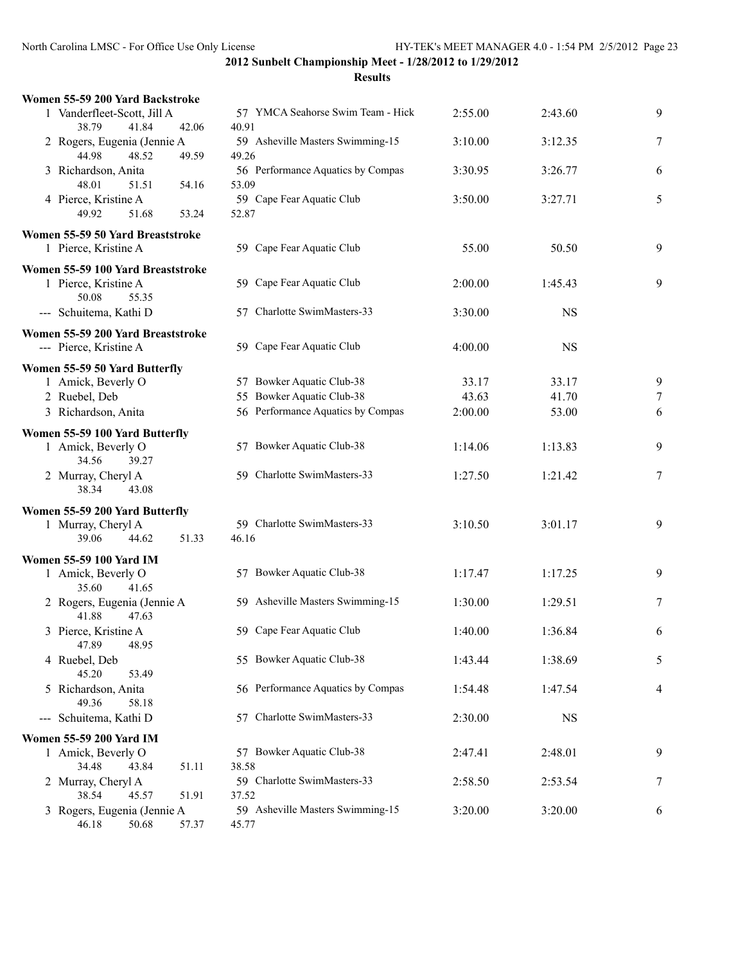| Women 55-59 200 Yard Backstroke                        |                                            |         |           |   |
|--------------------------------------------------------|--------------------------------------------|---------|-----------|---|
| 1 Vanderfleet-Scott, Jill A<br>41.84<br>38.79<br>42.06 | 57 YMCA Seahorse Swim Team - Hick<br>40.91 | 2:55.00 | 2:43.60   | 9 |
| 2 Rogers, Eugenia (Jennie A<br>44.98<br>48.52<br>49.59 | 59 Asheville Masters Swimming-15<br>49.26  | 3:10.00 | 3:12.35   | 7 |
| 3 Richardson, Anita<br>48.01<br>54.16<br>51.51         | 56 Performance Aquatics by Compas<br>53.09 | 3:30.95 | 3:26.77   | 6 |
| 4 Pierce, Kristine A<br>49.92<br>51.68<br>53.24        | 59 Cape Fear Aquatic Club<br>52.87         | 3:50.00 | 3:27.71   | 5 |
| Women 55-59 50 Yard Breaststroke                       |                                            |         |           |   |
| 1 Pierce, Kristine A                                   | 59 Cape Fear Aquatic Club                  | 55.00   | 50.50     | 9 |
| Women 55-59 100 Yard Breaststroke                      |                                            |         |           |   |
| 1 Pierce, Kristine A<br>50.08<br>55.35                 | 59 Cape Fear Aquatic Club                  | 2:00.00 | 1:45.43   | 9 |
| --- Schuitema, Kathi D                                 | 57 Charlotte SwimMasters-33                | 3:30.00 | <b>NS</b> |   |
| Women 55-59 200 Yard Breaststroke                      |                                            |         |           |   |
| --- Pierce, Kristine A                                 | 59 Cape Fear Aquatic Club                  | 4:00.00 | <b>NS</b> |   |
| Women 55-59 50 Yard Butterfly                          |                                            |         |           |   |
| 1 Amick, Beverly O                                     | 57 Bowker Aquatic Club-38                  | 33.17   | 33.17     | 9 |
| 2 Ruebel, Deb                                          | 55 Bowker Aquatic Club-38                  | 43.63   | 41.70     | 7 |
| 3 Richardson, Anita                                    | 56 Performance Aquatics by Compas          | 2:00.00 | 53.00     | 6 |
| Women 55-59 100 Yard Butterfly                         |                                            |         |           |   |
| 1 Amick, Beverly O                                     | 57 Bowker Aquatic Club-38                  | 1:14.06 | 1:13.83   | 9 |
| 34.56<br>39.27<br>2 Murray, Cheryl A<br>38.34<br>43.08 | 59 Charlotte SwimMasters-33                | 1:27.50 | 1:21.42   | 7 |
| Women 55-59 200 Yard Butterfly                         |                                            |         |           |   |
| 1 Murray, Cheryl A                                     | 59 Charlotte SwimMasters-33                | 3:10.50 | 3:01.17   | 9 |
| 39.06<br>44.62<br>51.33                                | 46.16                                      |         |           |   |
| Women 55-59 100 Yard IM                                |                                            |         |           |   |
| 1 Amick, Beverly O                                     | 57 Bowker Aquatic Club-38                  | 1:17.47 | 1:17.25   | 9 |
| 35.60<br>41.65                                         |                                            |         |           |   |
| 2 Rogers, Eugenia (Jennie A<br>41.88<br>47.63          | 59 Asheville Masters Swimming-15           | 1:30.00 | 1:29.51   | 7 |
| 3 Pierce, Kristine A<br>47.89<br>48.95                 | 59 Cape Fear Aquatic Club                  | 1:40.00 | 1:36.84   | 6 |
| 4 Ruebel, Deb                                          | 55 Bowker Aquatic Club-38                  | 1:43.44 | 1:38.69   | 5 |
| 45.20<br>53.49<br>5 Richardson, Anita                  | 56 Performance Aquatics by Compas          | 1:54.48 | 1:47.54   | 4 |
| 49.36<br>58.18                                         |                                            |         |           |   |
| --- Schuitema, Kathi D                                 | 57 Charlotte SwimMasters-33                | 2:30.00 | <b>NS</b> |   |
| <b>Women 55-59 200 Yard IM</b>                         |                                            |         |           |   |
| 1 Amick, Beverly O                                     | 57 Bowker Aquatic Club-38                  | 2:47.41 | 2:48.01   | 9 |
| 34.48<br>43.84<br>51.11<br>2 Murray, Cheryl A          | 38.58<br>59 Charlotte SwimMasters-33       | 2:58.50 | 2:53.54   |   |
| 38.54<br>45.57<br>51.91                                | 37.52                                      |         |           | 7 |
| 3 Rogers, Eugenia (Jennie A                            | 59 Asheville Masters Swimming-15           | 3:20.00 | 3:20.00   | 6 |
| 46.18<br>50.68<br>57.37                                | 45.77                                      |         |           |   |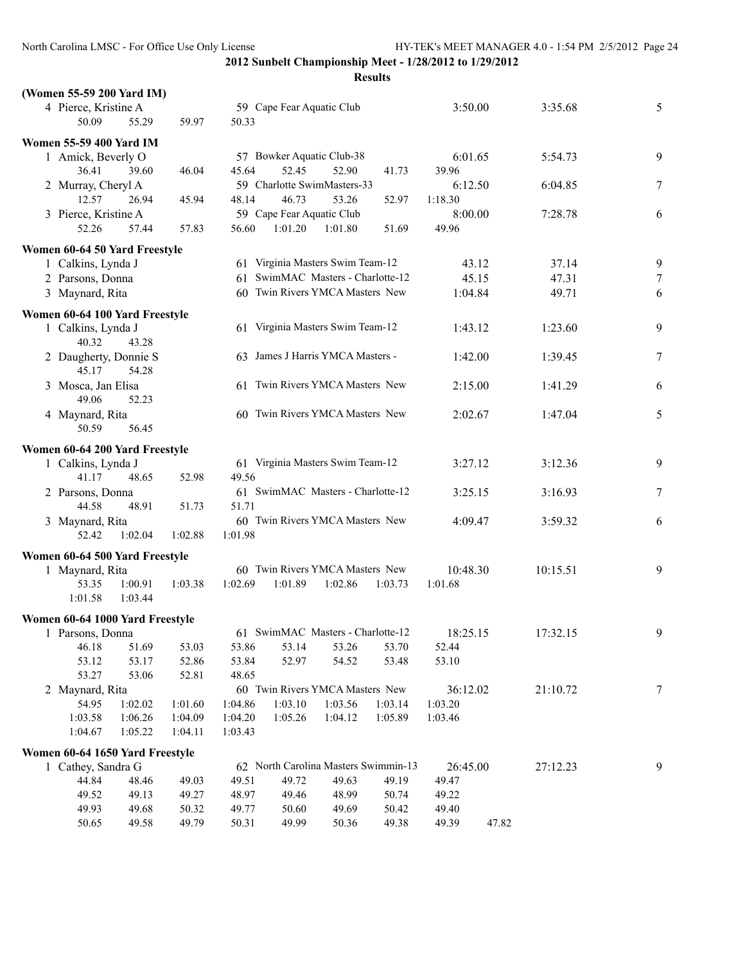| (Women 55-59 200 Yard IM)       |         |         |         |                                 |                                      |         |          |       |          |        |
|---------------------------------|---------|---------|---------|---------------------------------|--------------------------------------|---------|----------|-------|----------|--------|
| 4 Pierce, Kristine A<br>50.09   | 55.29   | 59.97   | 50.33   | 59 Cape Fear Aquatic Club       |                                      |         | 3:50.00  |       | 3:35.68  | 5      |
| <b>Women 55-59 400 Yard IM</b>  |         |         |         |                                 |                                      |         |          |       |          |        |
| 1 Amick, Beverly O              |         |         |         |                                 | 57 Bowker Aquatic Club-38            |         | 6:01.65  |       | 5:54.73  | 9      |
| 36.41                           | 39.60   | 46.04   | 45.64   | 52.45                           | 52.90                                | 41.73   | 39.96    |       |          |        |
| 2 Murray, Cheryl A              |         |         |         |                                 | 59 Charlotte SwimMasters-33          |         | 6:12.50  |       | 6:04.85  | 7      |
| 12.57                           | 26.94   | 45.94   | 48.14   | 46.73                           | 53.26                                | 52.97   | 1:18.30  |       |          |        |
| 3 Pierce, Kristine A            |         |         |         | 59 Cape Fear Aquatic Club       |                                      |         | 8:00.00  |       | 7:28.78  | 6      |
| 52.26                           | 57.44   | 57.83   | 56.60   | 1:01.20                         | 1:01.80                              | 51.69   | 49.96    |       |          |        |
| Women 60-64 50 Yard Freestyle   |         |         |         |                                 |                                      |         |          |       |          |        |
| 1 Calkins, Lynda J              |         |         |         |                                 | 61 Virginia Masters Swim Team-12     |         | 43.12    |       | 37.14    | 9      |
| 2 Parsons, Donna                |         |         |         |                                 | 61 SwimMAC Masters - Charlotte-12    |         | 45.15    |       | 47.31    | $\tau$ |
| 3 Maynard, Rita                 |         |         |         |                                 | 60 Twin Rivers YMCA Masters New      |         | 1:04.84  |       | 49.71    | 6      |
|                                 |         |         |         |                                 |                                      |         |          |       |          |        |
| Women 60-64 100 Yard Freestyle  |         |         |         |                                 |                                      |         |          |       |          |        |
| 1 Calkins, Lynda J              |         |         |         |                                 | 61 Virginia Masters Swim Team-12     |         | 1:43.12  |       | 1:23.60  | 9      |
| 40.32                           | 43.28   |         |         |                                 |                                      |         |          |       |          |        |
| 2 Daugherty, Donnie S           |         |         |         |                                 | 63 James J Harris YMCA Masters -     |         | 1:42.00  |       | 1:39.45  | 7      |
| 45.17                           | 54.28   |         |         |                                 |                                      |         |          |       |          |        |
| 3 Mosca, Jan Elisa              |         |         |         |                                 | 61 Twin Rivers YMCA Masters New      |         | 2:15.00  |       | 1:41.29  | 6      |
| 49.06                           | 52.23   |         |         |                                 |                                      |         |          |       |          |        |
| 4 Maynard, Rita                 |         |         |         | 60 Twin Rivers YMCA Masters New |                                      |         | 2:02.67  |       | 1:47.04  | 5      |
| 50.59                           | 56.45   |         |         |                                 |                                      |         |          |       |          |        |
| Women 60-64 200 Yard Freestyle  |         |         |         |                                 |                                      |         |          |       |          |        |
| 1 Calkins, Lynda J              |         |         |         |                                 | 61 Virginia Masters Swim Team-12     |         | 3:27.12  |       | 3:12.36  | 9      |
| 41.17                           | 48.65   | 52.98   | 49.56   |                                 |                                      |         |          |       |          |        |
| 2 Parsons, Donna                |         |         |         |                                 | 61 SwimMAC Masters - Charlotte-12    |         | 3:25.15  |       | 3:16.93  | 7      |
| 44.58                           | 48.91   | 51.73   | 51.71   |                                 |                                      |         |          |       |          |        |
| 3 Maynard, Rita                 |         |         |         |                                 | 60 Twin Rivers YMCA Masters New      |         | 4:09.47  |       | 3:59.32  | 6      |
| 52.42                           | 1:02.04 | 1:02.88 | 1:01.98 |                                 |                                      |         |          |       |          |        |
|                                 |         |         |         |                                 |                                      |         |          |       |          |        |
| Women 60-64 500 Yard Freestyle  |         |         |         |                                 | 60 Twin Rivers YMCA Masters New      |         | 10:48.30 |       | 10:15.51 | 9      |
| 1 Maynard, Rita<br>53.35        | 1:00.91 | 1:03.38 | 1:02.69 | 1:01.89                         | 1:02.86                              | 1:03.73 | 1:01.68  |       |          |        |
| 1:01.58                         | 1:03.44 |         |         |                                 |                                      |         |          |       |          |        |
|                                 |         |         |         |                                 |                                      |         |          |       |          |        |
| Women 60-64 1000 Yard Freestyle |         |         |         |                                 |                                      |         |          |       |          |        |
| 1 Parsons, Donna                |         |         |         |                                 | 61 SwimMAC Masters - Charlotte-12    |         | 18:25.15 |       | 17:32.15 | 9.     |
| 46.18                           | 51.69   | 53.03   | 53.86   | 53.14                           | 53.26                                | 53.70   | 52.44    |       |          |        |
| 53.12                           | 53.17   | 52.86   | 53.84   | 52.97                           | 54.52                                | 53.48   | 53.10    |       |          |        |
| 53.27                           | 53.06   | 52.81   | 48.65   |                                 |                                      |         |          |       |          |        |
| 2 Maynard, Rita                 |         |         |         |                                 | 60 Twin Rivers YMCA Masters New      |         | 36:12.02 |       | 21:10.72 | 7      |
| 54.95                           | 1:02.02 | 1:01.60 | 1:04.86 | 1:03.10                         | 1:03.56                              | 1:03.14 | 1:03.20  |       |          |        |
| 1:03.58                         | 1:06.26 | 1:04.09 | 1:04.20 | 1:05.26                         | 1:04.12                              | 1:05.89 | 1:03.46  |       |          |        |
| 1:04.67                         | 1:05.22 | 1:04.11 | 1:03.43 |                                 |                                      |         |          |       |          |        |
| Women 60-64 1650 Yard Freestyle |         |         |         |                                 |                                      |         |          |       |          |        |
| 1 Cathey, Sandra G              |         |         |         |                                 | 62 North Carolina Masters Swimmin-13 |         | 26:45.00 |       | 27:12.23 | 9      |
| 44.84                           | 48.46   | 49.03   | 49.51   | 49.72                           | 49.63                                | 49.19   | 49.47    |       |          |        |
| 49.52                           | 49.13   | 49.27   | 48.97   | 49.46                           | 48.99                                | 50.74   | 49.22    |       |          |        |
| 49.93                           | 49.68   | 50.32   | 49.77   | 50.60                           | 49.69                                | 50.42   | 49.40    |       |          |        |
| 50.65                           | 49.58   | 49.79   | 50.31   | 49.99                           | 50.36                                | 49.38   | 49.39    | 47.82 |          |        |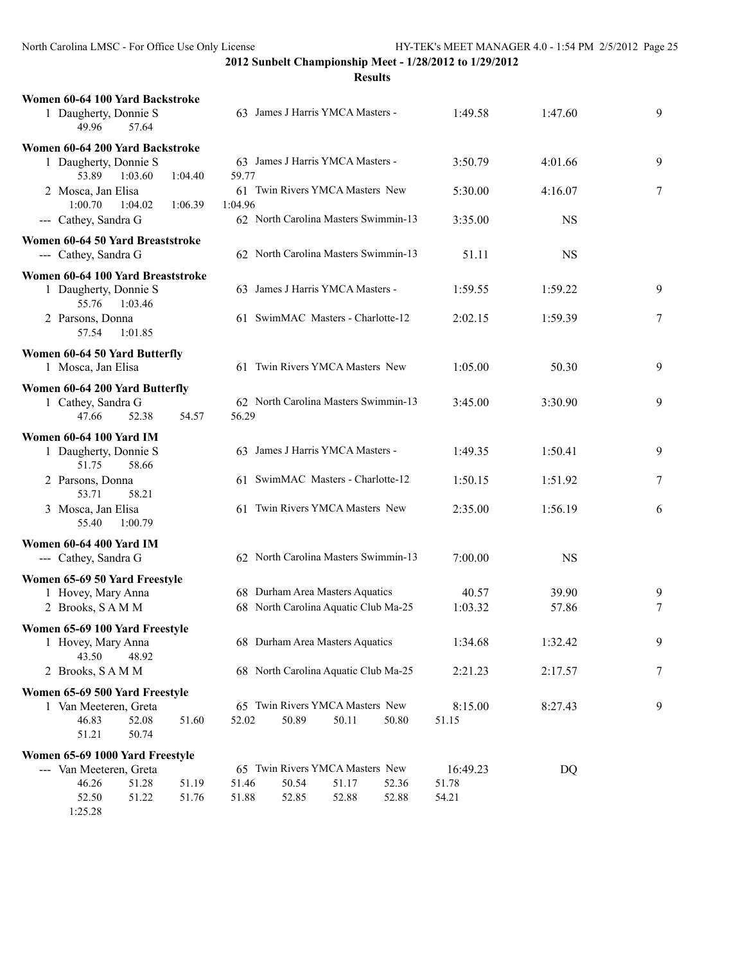**Results**

| Women 60-64 100 Yard Backstroke<br>1 Daugherty, Donnie S<br>49.96   | 57.64          |         |         | 63 James J Harris YMCA Masters -                                        |       |       | 1:49.58          | 1:47.60        | 9              |
|---------------------------------------------------------------------|----------------|---------|---------|-------------------------------------------------------------------------|-------|-------|------------------|----------------|----------------|
| Women 60-64 200 Yard Backstroke<br>1 Daugherty, Donnie S            |                |         |         | 63 James J Harris YMCA Masters -                                        |       |       | 3:50.79          | 4:01.66        | 9              |
| 53.89<br>2 Mosca, Jan Elisa                                         | 1:03.60        | 1:04.40 | 59.77   | 61 Twin Rivers YMCA Masters New                                         |       |       | 5:30.00          | 4:16.07        | $\overline{7}$ |
| 1:00.70<br>--- Cathey, Sandra G                                     | 1:04.02        | 1:06.39 | 1:04.96 | 62 North Carolina Masters Swimmin-13                                    |       |       | 3:35.00          | <b>NS</b>      |                |
| Women 60-64 50 Yard Breaststroke<br>--- Cathey, Sandra G            |                |         |         | 62 North Carolina Masters Swimmin-13                                    |       |       | 51.11            | <b>NS</b>      |                |
| Women 60-64 100 Yard Breaststroke<br>1 Daugherty, Donnie S<br>55.76 | 1:03.46        |         |         | 63 James J Harris YMCA Masters -                                        |       |       | 1:59.55          | 1:59.22        | 9              |
| 2 Parsons, Donna<br>57.54                                           | 1:01.85        |         |         | 61 SwimMAC Masters - Charlotte-12                                       |       |       | 2:02.15          | 1:59.39        | 7              |
| Women 60-64 50 Yard Butterfly                                       |                |         |         |                                                                         |       |       |                  |                |                |
| 1 Mosca, Jan Elisa                                                  |                |         |         | 61 Twin Rivers YMCA Masters New                                         |       |       | 1:05.00          | 50.30          | 9              |
| Women 60-64 200 Yard Butterfly<br>1 Cathey, Sandra G<br>47.66       | 52.38          | 54.57   | 56.29   | 62 North Carolina Masters Swimmin-13                                    |       |       | 3:45.00          | 3:30.90        | 9              |
| <b>Women 60-64 100 Yard IM</b>                                      |                |         |         |                                                                         |       |       |                  |                |                |
| 1 Daugherty, Donnie S<br>51.75                                      | 58.66          |         |         | 63 James J Harris YMCA Masters -                                        |       |       | 1:49.35          | 1:50.41        | 9              |
| 2 Parsons, Donna<br>53.71                                           | 58.21          |         |         | 61 SwimMAC Masters - Charlotte-12                                       |       |       | 1:50.15          | 1:51.92        | 7              |
| 3 Mosca, Jan Elisa<br>55.40                                         | 1:00.79        |         |         | 61 Twin Rivers YMCA Masters New                                         |       |       | 2:35.00          | 1:56.19        | 6              |
| Women 60-64 400 Yard IM<br>--- Cathey, Sandra G                     |                |         |         | 62 North Carolina Masters Swimmin-13                                    |       |       | 7:00.00          | <b>NS</b>      |                |
| Women 65-69 50 Yard Freestyle                                       |                |         |         |                                                                         |       |       |                  |                |                |
| 1 Hovey, Mary Anna<br>2 Brooks, SAMM                                |                |         |         | 68 Durham Area Masters Aquatics<br>68 North Carolina Aquatic Club Ma-25 |       |       | 40.57<br>1:03.32 | 39.90<br>57.86 | 9              |
|                                                                     |                |         |         |                                                                         |       |       |                  |                | 7              |
| Women 65-69 100 Yard Freestyle<br>1 Hovey, Mary Anna<br>43.50       | 48.92          |         |         | 68 Durham Area Masters Aquatics                                         |       |       | 1:34.68          | 1:32.42        | 9              |
| 2 Brooks, SAMM                                                      |                |         |         | 68 North Carolina Aquatic Club Ma-25                                    |       |       | 2:21.23          | 2:17.57        | $\overline{7}$ |
| Women 65-69 500 Yard Freestyle                                      |                |         |         |                                                                         |       |       |                  |                |                |
| 1 Van Meeteren, Greta                                               |                |         |         | 65 Twin Rivers YMCA Masters New                                         |       |       | 8:15.00          | 8:27.43        | 9              |
| 46.83<br>51.21                                                      | 52.08<br>50.74 | 51.60   | 52.02   | 50.89                                                                   | 50.11 | 50.80 | 51.15            |                |                |
| Women 65-69 1000 Yard Freestyle                                     |                |         |         |                                                                         |       |       |                  |                |                |
| --- Van Meeteren, Greta                                             |                |         |         | 65 Twin Rivers YMCA Masters New                                         |       |       | 16:49.23         | DQ             |                |
| 46.26                                                               | 51.28          | 51.19   | 51.46   | 50.54                                                                   | 51.17 | 52.36 | 51.78            |                |                |
| 52.50                                                               | 51.22          | 51.76   | 51.88   | 52.85                                                                   | 52.88 | 52.88 | 54.21            |                |                |

1:25.28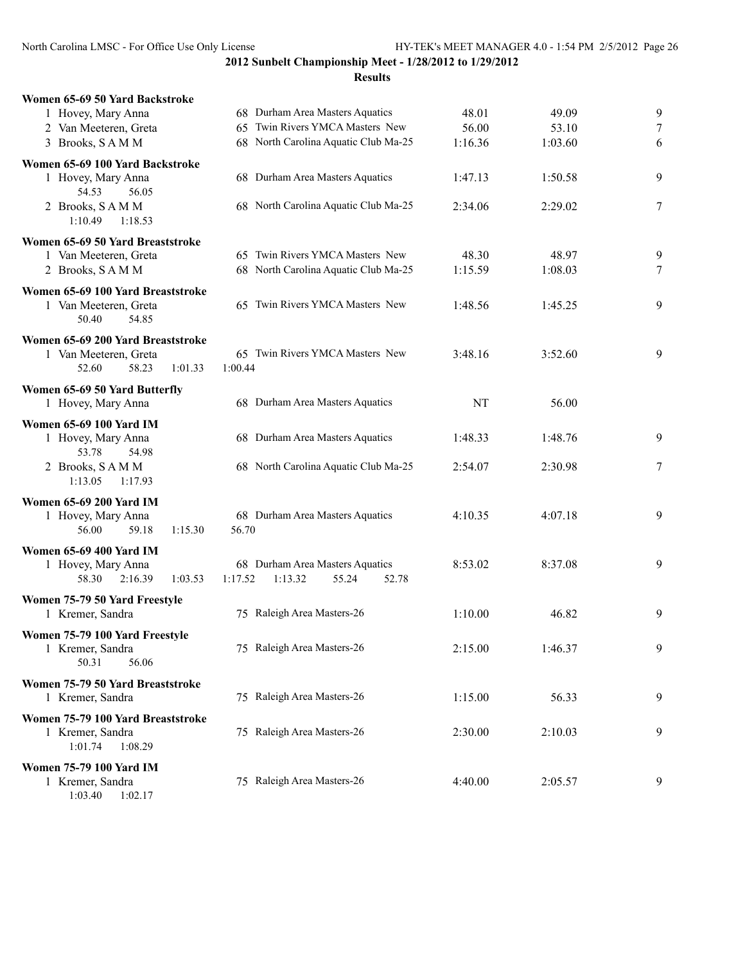**2012 Sunbelt Championship Meet - 1/28/2012 to 1/29/2012 Results**

| Women 65-69 50 Yard Backstroke                             |                                      |         |         |   |
|------------------------------------------------------------|--------------------------------------|---------|---------|---|
| 1 Hovey, Mary Anna                                         | 68 Durham Area Masters Aquatics      | 48.01   | 49.09   | 9 |
| 2 Van Meeteren, Greta                                      | 65 Twin Rivers YMCA Masters New      | 56.00   | 53.10   | 7 |
| 3 Brooks, SAMM                                             | 68 North Carolina Aquatic Club Ma-25 | 1:16.36 | 1:03.60 | 6 |
|                                                            |                                      |         |         |   |
| Women 65-69 100 Yard Backstroke                            |                                      |         |         |   |
| 1 Hovey, Mary Anna                                         | 68 Durham Area Masters Aquatics      | 1:47.13 | 1:50.58 | 9 |
| 54.53<br>56.05                                             |                                      |         |         |   |
| 2 Brooks, SAMM                                             | 68 North Carolina Aquatic Club Ma-25 | 2:34.06 | 2:29.02 | 7 |
| 1:10.49<br>1:18.53                                         |                                      |         |         |   |
| Women 65-69 50 Yard Breaststroke                           |                                      |         |         |   |
| 1 Van Meeteren, Greta                                      | 65 Twin Rivers YMCA Masters New      | 48.30   | 48.97   | 9 |
| 2 Brooks, SAMM                                             | 68 North Carolina Aquatic Club Ma-25 | 1:15.59 | 1:08.03 | 7 |
|                                                            |                                      |         |         |   |
| Women 65-69 100 Yard Breaststroke<br>1 Van Meeteren, Greta | 65 Twin Rivers YMCA Masters New      | 1:48.56 | 1:45.25 | 9 |
| 50.40<br>54.85                                             |                                      |         |         |   |
|                                                            |                                      |         |         |   |
| Women 65-69 200 Yard Breaststroke                          |                                      |         |         |   |
| 1 Van Meeteren, Greta                                      | 65 Twin Rivers YMCA Masters New      | 3:48.16 | 3:52.60 | 9 |
| 58.23<br>52.60<br>1:01.33                                  | 1:00.44                              |         |         |   |
| Women 65-69 50 Yard Butterfly                              |                                      |         |         |   |
| 1 Hovey, Mary Anna                                         | 68 Durham Area Masters Aquatics      | NT      | 56.00   |   |
|                                                            |                                      |         |         |   |
| Women 65-69 100 Yard IM                                    |                                      |         |         |   |
| 1 Hovey, Mary Anna                                         | 68 Durham Area Masters Aquatics      | 1:48.33 | 1:48.76 | 9 |
| 53.78<br>54.98                                             |                                      |         |         |   |
| 2 Brooks, SAMM                                             | 68 North Carolina Aquatic Club Ma-25 | 2:54.07 | 2:30.98 | 7 |
| 1:13.05<br>1:17.93                                         |                                      |         |         |   |
| <b>Women 65-69 200 Yard IM</b>                             |                                      |         |         |   |
| 1 Hovey, Mary Anna                                         | 68 Durham Area Masters Aquatics      | 4:10.35 | 4:07.18 | 9 |
| 56.00<br>59.18<br>1:15.30                                  | 56.70                                |         |         |   |
|                                                            |                                      |         |         |   |
| Women 65-69 400 Yard IM                                    |                                      |         |         |   |
| 1 Hovey, Mary Anna                                         | 68 Durham Area Masters Aquatics      | 8:53.02 | 8:37.08 | 9 |
| 58.30<br>2:16.39<br>1:03.53                                | 1:17.52<br>1:13.32<br>55.24<br>52.78 |         |         |   |
| Women 75-79 50 Yard Freestyle                              |                                      |         |         |   |
| 1 Kremer, Sandra                                           | 75 Raleigh Area Masters-26           | 1:10.00 | 46.82   | 9 |
| Women 75-79 100 Yard Freestyle                             |                                      |         |         |   |
| 1 Kremer, Sandra                                           | 75 Raleigh Area Masters-26           | 2:15.00 | 1:46.37 | 9 |
| 50.31<br>56.06                                             |                                      |         |         |   |
|                                                            |                                      |         |         |   |
| Women 75-79 50 Yard Breaststroke                           |                                      |         |         |   |
| 1 Kremer, Sandra                                           | 75 Raleigh Area Masters-26           | 1:15.00 | 56.33   | 9 |
| Women 75-79 100 Yard Breaststroke                          |                                      |         |         |   |
| 1 Kremer, Sandra                                           | 75 Raleigh Area Masters-26           | 2:30.00 | 2:10.03 | 9 |
| 1:01.74<br>1:08.29                                         |                                      |         |         |   |
|                                                            |                                      |         |         |   |
| <b>Women 75-79 100 Yard IM</b>                             | 75 Raleigh Area Masters-26           |         |         |   |
| 1 Kremer, Sandra                                           |                                      | 4:40.00 | 2:05.57 | 9 |

1:03.40 1:02.17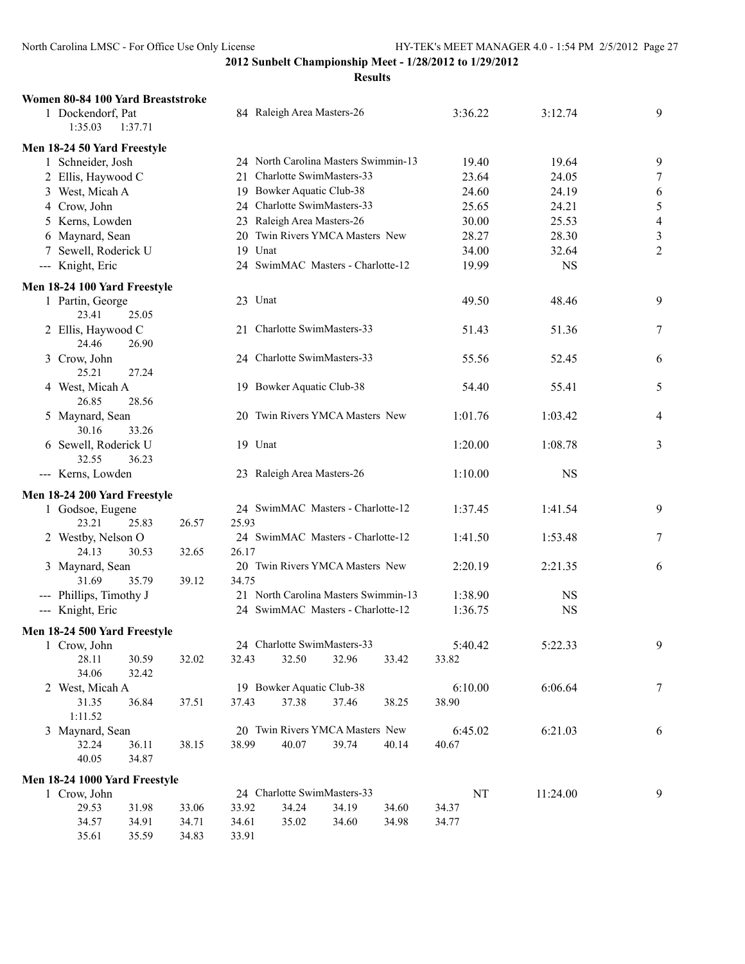| Women 80-84 100 Yard Breaststroke       |                |                |                                      |       |       |         |           |                |
|-----------------------------------------|----------------|----------------|--------------------------------------|-------|-------|---------|-----------|----------------|
| 1 Dockendorf, Pat<br>1:35.03<br>1:37.71 |                |                | 84 Raleigh Area Masters-26           |       |       | 3:36.22 | 3:12.74   | 9              |
| Men 18-24 50 Yard Freestyle             |                |                |                                      |       |       |         |           |                |
| 1 Schneider, Josh                       |                |                | 24 North Carolina Masters Swimmin-13 |       |       | 19.40   | 19.64     | 9              |
| 2 Ellis, Haywood C                      |                | 21             | Charlotte SwimMasters-33             |       |       | 23.64   | 24.05     | $\tau$         |
| 3 West, Micah A                         |                |                | 19 Bowker Aquatic Club-38            |       |       | 24.60   | 24.19     | 6              |
| 4 Crow, John                            |                |                | 24 Charlotte SwimMasters-33          |       |       | 25.65   | 24.21     | 5              |
| 5 Kerns, Lowden                         |                |                | 23 Raleigh Area Masters-26           |       |       | 30.00   | 25.53     | $\overline{4}$ |
|                                         |                |                | 20 Twin Rivers YMCA Masters New      |       |       | 28.27   | 28.30     | $\mathfrak{Z}$ |
| 6 Maynard, Sean                         |                | 19 Unat        |                                      |       |       |         |           |                |
| 7 Sewell, Roderick U                    |                |                |                                      |       |       | 34.00   | 32.64     | $\overline{2}$ |
| --- Knight, Eric                        |                |                | 24 SwimMAC Masters - Charlotte-12    |       |       | 19.99   | <b>NS</b> |                |
| Men 18-24 100 Yard Freestyle            |                |                |                                      |       |       |         |           |                |
| 1 Partin, George<br>23.41<br>25.05      |                | 23 Unat        |                                      |       |       | 49.50   | 48.46     | 9              |
| 2 Ellis, Haywood C                      |                |                | 21 Charlotte SwimMasters-33          |       |       | 51.43   | 51.36     | 7              |
| 24.46<br>26.90<br>3 Crow, John          |                |                | 24 Charlotte SwimMasters-33          |       |       | 55.56   | 52.45     | 6              |
| 25.21<br>27.24<br>4 West, Micah A       |                |                | 19 Bowker Aquatic Club-38            |       |       | 54.40   | 55.41     | 5              |
| 26.85<br>28.56                          |                |                |                                      |       |       |         |           |                |
| 5 Maynard, Sean<br>30.16<br>33.26       |                |                | 20 Twin Rivers YMCA Masters New      |       |       | 1:01.76 | 1:03.42   | 4              |
| 6 Sewell, Roderick U<br>32.55<br>36.23  |                |                | 19 Unat                              |       |       | 1:20.00 | 1:08.78   | 3              |
| --- Kerns, Lowden                       |                |                | 23 Raleigh Area Masters-26           |       |       | 1:10.00 | <b>NS</b> |                |
| Men 18-24 200 Yard Freestyle            |                |                |                                      |       |       |         |           |                |
| 1 Godsoe, Eugene                        |                |                | 24 SwimMAC Masters - Charlotte-12    |       |       | 1:37.45 | 1:41.54   | 9              |
| 23.21<br>25.83                          | 26.57          | 25.93          |                                      |       |       |         |           |                |
| 2 Westby, Nelson O                      |                |                | 24 SwimMAC Masters - Charlotte-12    |       |       | 1:41.50 | 1:53.48   | 7              |
| 24.13<br>30.53                          | 32.65          | 26.17          |                                      |       |       |         |           |                |
| 3 Maynard, Sean                         |                |                | 20 Twin Rivers YMCA Masters New      |       |       | 2:20.19 | 2:21.35   | 6              |
| 31.69<br>35.79                          | 39.12          | 34.75          |                                      |       |       |         |           |                |
| --- Phillips, Timothy J                 |                |                | 21 North Carolina Masters Swimmin-13 |       |       | 1:38.90 | <b>NS</b> |                |
| --- Knight, Eric                        |                |                | 24 SwimMAC Masters - Charlotte-12    |       |       | 1:36.75 | <b>NS</b> |                |
|                                         |                |                |                                      |       |       |         |           |                |
| Men 18-24 500 Yard Freestyle            |                |                | 24 Charlotte SwimMasters-33          |       |       |         |           | 9              |
| 1 Crow, John                            |                |                |                                      |       |       | 5:40.42 | 5:22.33   |                |
| 28.11<br>30.59<br>34.06                 | 32.02          | 32.43          | 32.50                                | 32.96 | 33.42 | 33.82   |           |                |
| 32.42                                   |                |                | 19 Bowker Aquatic Club-38            |       |       | 6:10.00 | 6:06.64   | 7              |
| 2 West, Micah A<br>31.35<br>36.84       | 37.51          | 37.43          | 37.38                                | 37.46 | 38.25 | 38.90   |           |                |
| 1:11.52                                 |                |                |                                      |       |       |         |           |                |
| 3 Maynard, Sean                         |                |                | 20 Twin Rivers YMCA Masters New      |       |       | 6:45.02 | 6:21.03   | 6              |
| 32.24<br>36.11                          | 38.15          | 38.99          | 40.07                                | 39.74 | 40.14 | 40.67   |           |                |
| 40.05<br>34.87                          |                |                |                                      |       |       |         |           |                |
|                                         |                |                |                                      |       |       |         |           |                |
| Men 18-24 1000 Yard Freestyle           |                |                |                                      |       |       |         |           |                |
| 1 Crow, John                            |                |                | 24 Charlotte SwimMasters-33          |       |       | NT      | 11:24.00  | 9              |
| 29.53<br>31.98                          | 33.06          | 33.92          | 34.24                                | 34.19 | 34.60 | 34.37   |           |                |
| 34.57<br>34.91<br>35.61<br>35.59        | 34.71<br>34.83 | 34.61<br>33.91 | 35.02                                | 34.60 | 34.98 | 34.77   |           |                |
|                                         |                |                |                                      |       |       |         |           |                |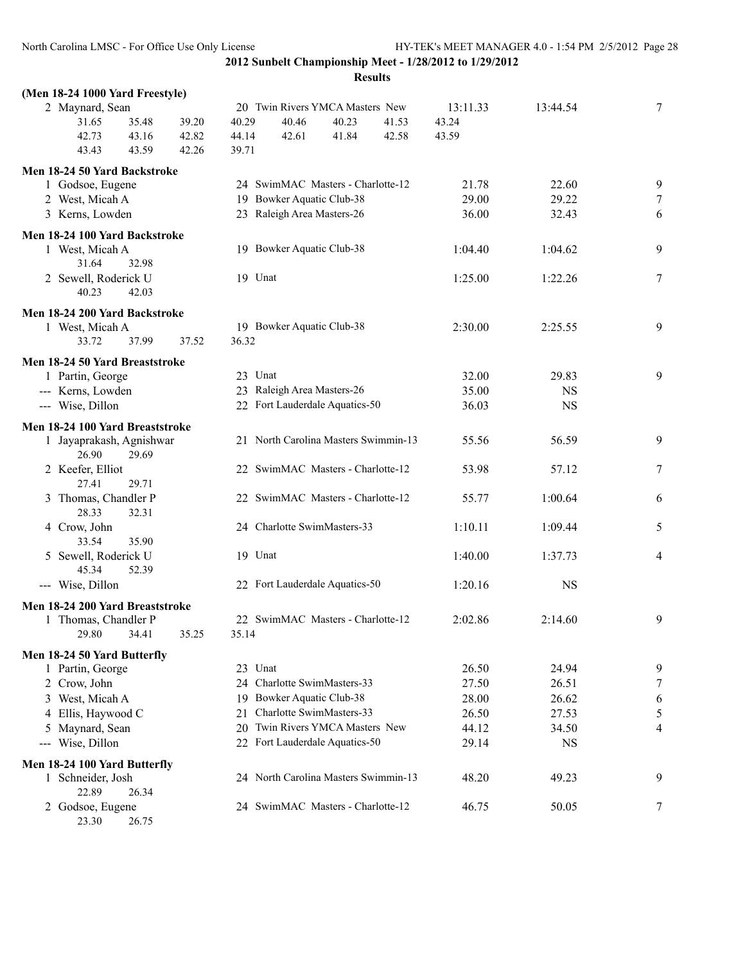| (Men 18-24 1000 Yard Freestyle)                  |       |       |       |                                      |       |       |          |             |   |
|--------------------------------------------------|-------|-------|-------|--------------------------------------|-------|-------|----------|-------------|---|
| 2 Maynard, Sean                                  |       |       |       | 20 Twin Rivers YMCA Masters New      |       |       | 13:11.33 | 13:44.54    | 7 |
| 31.65                                            | 35.48 | 39.20 | 40.29 | 40.46                                | 40.23 | 41.53 | 43.24    |             |   |
| 42.73                                            | 43.16 | 42.82 | 44.14 | 42.61                                | 41.84 | 42.58 | 43.59    |             |   |
| 43.43                                            | 43.59 | 42.26 | 39.71 |                                      |       |       |          |             |   |
| Men 18-24 50 Yard Backstroke                     |       |       |       |                                      |       |       |          |             |   |
| 1 Godsoe, Eugene                                 |       |       |       | 24 SwimMAC Masters - Charlotte-12    |       |       | 21.78    | 22.60       | 9 |
| 2 West, Micah A                                  |       |       |       | 19 Bowker Aquatic Club-38            |       |       | 29.00    | 29.22       | 7 |
| 3 Kerns, Lowden                                  |       |       |       | 23 Raleigh Area Masters-26           |       |       | 36.00    | 32.43       | 6 |
| Men 18-24 100 Yard Backstroke                    |       |       |       |                                      |       |       |          |             |   |
| 1 West, Micah A                                  |       |       |       | 19 Bowker Aquatic Club-38            |       |       | 1:04.40  | 1:04.62     | 9 |
| 31.64                                            | 32.98 |       |       |                                      |       |       |          |             |   |
| 2 Sewell, Roderick U                             |       |       |       | 19 Unat                              |       |       | 1:25.00  | 1:22.26     | 7 |
| 40.23                                            | 42.03 |       |       |                                      |       |       |          |             |   |
|                                                  |       |       |       |                                      |       |       |          |             |   |
| Men 18-24 200 Yard Backstroke<br>1 West, Micah A |       |       |       | 19 Bowker Aquatic Club-38            |       |       | 2:30.00  | 2:25.55     | 9 |
| 33.72                                            | 37.99 | 37.52 | 36.32 |                                      |       |       |          |             |   |
|                                                  |       |       |       |                                      |       |       |          |             |   |
| Men 18-24 50 Yard Breaststroke                   |       |       |       |                                      |       |       |          |             |   |
| 1 Partin, George                                 |       |       |       | 23 Unat                              |       |       | 32.00    | 29.83       | 9 |
| --- Kerns, Lowden                                |       |       |       | 23 Raleigh Area Masters-26           |       |       | 35.00    | <b>NS</b>   |   |
| --- Wise, Dillon                                 |       |       |       | 22 Fort Lauderdale Aquatics-50       |       |       | 36.03    | $_{\rm NS}$ |   |
| Men 18-24 100 Yard Breaststroke                  |       |       |       |                                      |       |       |          |             |   |
| 1 Jayaprakash, Agnishwar                         |       |       |       | 21 North Carolina Masters Swimmin-13 |       |       | 55.56    | 56.59       | 9 |
| 26.90                                            | 29.69 |       |       |                                      |       |       |          |             |   |
| 2 Keefer, Elliot                                 |       |       |       | 22 SwimMAC Masters - Charlotte-12    |       |       | 53.98    | 57.12       | 7 |
| 27.41                                            | 29.71 |       |       |                                      |       |       |          |             |   |
| 3 Thomas, Chandler P                             |       |       |       | 22 SwimMAC Masters - Charlotte-12    |       |       | 55.77    | 1:00.64     | 6 |
| 28.33                                            | 32.31 |       |       |                                      |       |       |          |             |   |
| 4 Crow, John                                     |       |       |       | 24 Charlotte SwimMasters-33          |       |       | 1:10.11  | 1:09.44     | 5 |
| 33.54                                            | 35.90 |       |       |                                      |       |       |          |             |   |
| 5 Sewell, Roderick U<br>45.34                    | 52.39 |       |       | 19 Unat                              |       |       | 1:40.00  | 1:37.73     | 4 |
| --- Wise, Dillon                                 |       |       |       | 22 Fort Lauderdale Aquatics-50       |       |       | 1:20.16  | <b>NS</b>   |   |
|                                                  |       |       |       |                                      |       |       |          |             |   |
| Men 18-24 200 Yard Breaststroke                  |       |       |       |                                      |       |       |          |             |   |
| 1 Thomas, Chandler P                             |       |       |       | 22 SwimMAC Masters - Charlotte-12    |       |       | 2:02.86  | 2:14.60     | 9 |
| 29.80 34.41                                      |       | 35.25 | 35.14 |                                      |       |       |          |             |   |
| Men 18-24 50 Yard Butterfly                      |       |       |       |                                      |       |       |          |             |   |
| 1 Partin, George                                 |       |       |       | 23 Unat                              |       |       | 26.50    | 24.94       | 9 |
| 2 Crow, John                                     |       |       |       | 24 Charlotte SwimMasters-33          |       |       | 27.50    | 26.51       | 7 |
| 3 West, Micah A                                  |       |       |       | 19 Bowker Aquatic Club-38            |       |       | 28.00    | 26.62       | 6 |
| 4 Ellis, Haywood C                               |       |       | 21    | Charlotte SwimMasters-33             |       |       | 26.50    | 27.53       | 5 |
| 5 Maynard, Sean                                  |       |       |       | 20 Twin Rivers YMCA Masters New      |       |       | 44.12    | 34.50       | 4 |
| --- Wise, Dillon                                 |       |       |       | 22 Fort Lauderdale Aquatics-50       |       |       | 29.14    | <b>NS</b>   |   |
| Men 18-24 100 Yard Butterfly                     |       |       |       |                                      |       |       |          |             |   |
| 1 Schneider, Josh                                |       |       |       | 24 North Carolina Masters Swimmin-13 |       |       | 48.20    | 49.23       | 9 |
| 22.89                                            | 26.34 |       |       |                                      |       |       |          |             |   |
| 2 Godsoe, Eugene                                 |       |       |       | 24 SwimMAC Masters - Charlotte-12    |       |       | 46.75    | 50.05       | 7 |
| 23.30                                            | 26.75 |       |       |                                      |       |       |          |             |   |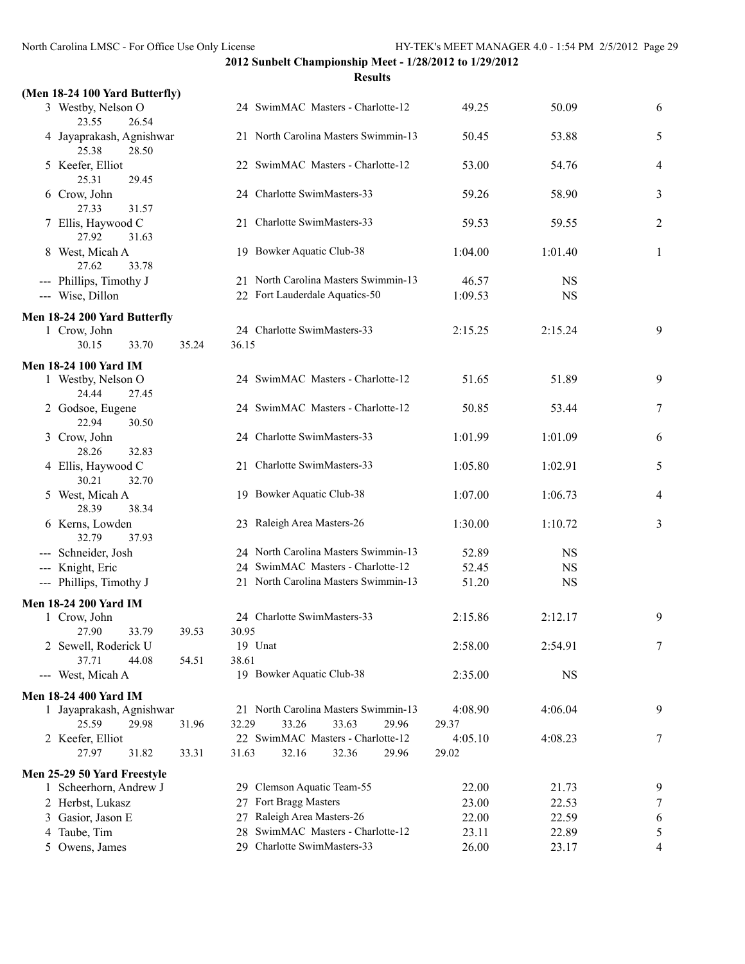| (Men 18-24 100 Yard Butterfly)             |       |                                      |         |           |                |
|--------------------------------------------|-------|--------------------------------------|---------|-----------|----------------|
| 3 Westby, Nelson O<br>23.55<br>26.54       |       | 24 SwimMAC Masters - Charlotte-12    | 49.25   | 50.09     | 6              |
| 4 Jayaprakash, Agnishwar<br>25.38<br>28.50 |       | 21 North Carolina Masters Swimmin-13 | 50.45   | 53.88     | 5              |
| 5 Keefer, Elliot<br>25.31<br>29.45         |       | 22 SwimMAC Masters - Charlotte-12    | 53.00   | 54.76     | 4              |
| 6 Crow, John<br>27.33<br>31.57             |       | 24 Charlotte SwimMasters-33          | 59.26   | 58.90     | 3              |
| 7 Ellis, Haywood C<br>27.92<br>31.63       |       | 21 Charlotte SwimMasters-33          | 59.53   | 59.55     | $\overline{2}$ |
| 8 West, Micah A<br>27.62<br>33.78          |       | 19 Bowker Aquatic Club-38            | 1:04.00 | 1:01.40   | 1              |
| --- Phillips, Timothy J                    |       | 21 North Carolina Masters Swimmin-13 | 46.57   | <b>NS</b> |                |
| --- Wise, Dillon                           |       | 22 Fort Lauderdale Aquatics-50       | 1:09.53 | <b>NS</b> |                |
| Men 18-24 200 Yard Butterfly               |       |                                      |         |           |                |
| 1 Crow, John<br>30.15<br>33.70             | 35.24 | 24 Charlotte SwimMasters-33<br>36.15 | 2:15.25 | 2:15.24   | 9              |
| <b>Men 18-24 100 Yard IM</b>               |       |                                      |         |           |                |
| 1 Westby, Nelson O<br>24.44<br>27.45       |       | 24 SwimMAC Masters - Charlotte-12    | 51.65   | 51.89     | 9              |
| 2 Godsoe, Eugene<br>22.94<br>30.50         |       | 24 SwimMAC Masters - Charlotte-12    | 50.85   | 53.44     | 7              |
| 3 Crow, John<br>28.26<br>32.83             |       | 24 Charlotte SwimMasters-33          | 1:01.99 | 1:01.09   | 6              |
| 4 Ellis, Haywood C<br>30.21<br>32.70       |       | 21 Charlotte SwimMasters-33          | 1:05.80 | 1:02.91   | 5              |
| 5 West, Micah A<br>28.39<br>38.34          |       | 19 Bowker Aquatic Club-38            | 1:07.00 | 1:06.73   | 4              |
| 6 Kerns, Lowden<br>32.79<br>37.93          |       | 23 Raleigh Area Masters-26           | 1:30.00 | 1:10.72   | 3              |
| --- Schneider, Josh                        |       | 24 North Carolina Masters Swimmin-13 | 52.89   | <b>NS</b> |                |
| --- Knight, Eric                           |       | 24 SwimMAC Masters - Charlotte-12    | 52.45   | <b>NS</b> |                |
| --- Phillips, Timothy J                    |       | 21 North Carolina Masters Swimmin-13 | 51.20   | <b>NS</b> |                |
| <b>Men 18-24 200 Yard IM</b>               |       |                                      |         |           |                |
| 1 Crow, John<br>33.79<br>27.90             | 39.53 | 24 Charlotte SwimMasters-33<br>30.95 | 2:15.86 | 2:12.17   | 9              |
| 2 Sewell, Roderick U                       |       | 19 Unat                              | 2:58.00 | 2:54.91   | 7              |
| 37.71<br>44.08                             | 54.51 | 38.61                                |         |           |                |
| --- West, Micah A                          |       | 19 Bowker Aquatic Club-38            | 2:35.00 | <b>NS</b> |                |
| <b>Men 18-24 400 Yard IM</b>               |       |                                      |         |           |                |
| 1 Jayaprakash, Agnishwar                   |       | 21 North Carolina Masters Swimmin-13 | 4:08.90 | 4:06.04   | 9              |
| 25.59<br>29.98                             | 31.96 | 32.29<br>33.26<br>33.63<br>29.96     | 29.37   |           |                |
| 2 Keefer, Elliot                           |       | 22 SwimMAC Masters - Charlotte-12    | 4:05.10 | 4:08.23   | 7              |
| 27.97<br>31.82                             | 33.31 | 31.63<br>32.16<br>32.36<br>29.96     | 29.02   |           |                |
| Men 25-29 50 Yard Freestyle                |       |                                      |         |           |                |
| 1 Scheerhorn, Andrew J                     |       | 29 Clemson Aquatic Team-55           | 22.00   | 21.73     | 9              |
| 2 Herbst, Lukasz                           |       | 27 Fort Bragg Masters                | 23.00   | 22.53     | 7              |
| 3 Gasior, Jason E                          |       | 27 Raleigh Area Masters-26           | 22.00   | 22.59     | 6              |
| 4 Taube, Tim                               |       | 28 SwimMAC Masters - Charlotte-12    | 23.11   | 22.89     | 5              |
| 5 Owens, James                             |       | 29 Charlotte SwimMasters-33          | 26.00   | 23.17     | 4              |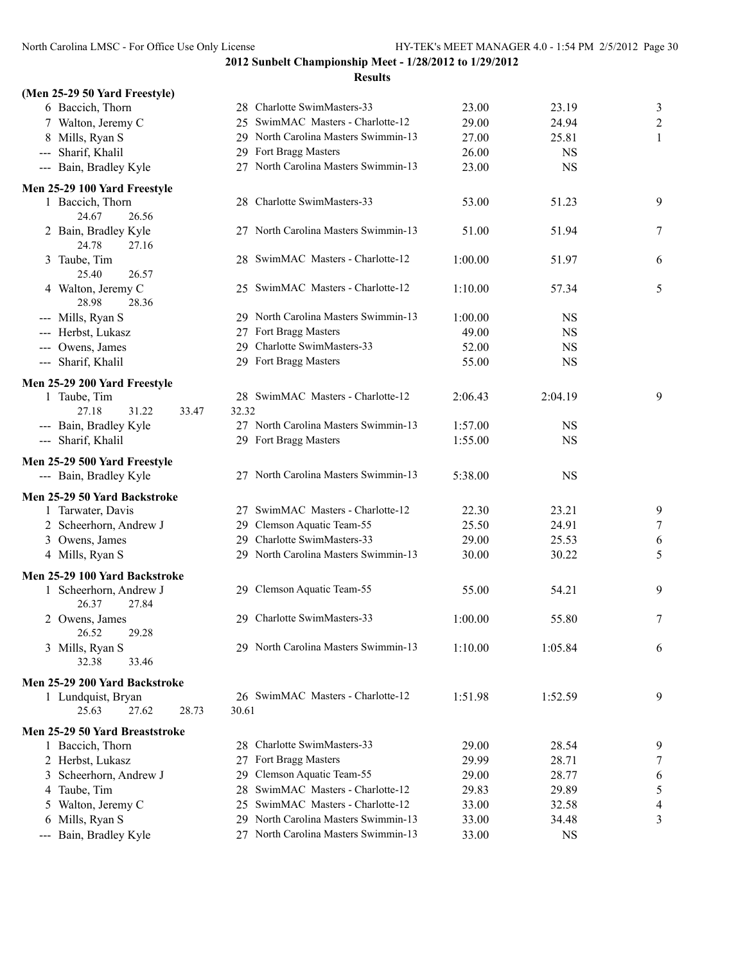**2012 Sunbelt Championship Meet - 1/28/2012 to 1/29/2012 Results**

# **(Men 25-29 50 Yard Freestyle)** --- Sharif, Khalil --- Bain, Bradley K **Men 25-29 100 Yard F** 24.67 24.78 25.40 2 28.98 --- Mills, Ryan S --- Herbst, Lukasz --- Owens, James --- Sharif, Khalil **Men 25-29 200 Yard F** 27.18 --- Bain, Bradley K --- Sharif, Khalil **Men 25-29 500 Yard F** --- Bain, Bradley K **Men 25-29 50 Yard Ba Men 25-29 100 Yard E** 26.37 26.52 32.38 **Men 25-29 200 Yard B** 25.63 27.62 28.73 30.61 **Men 25-29 50 Yard Br** --- Bain, Bradley Ky

| 6 Baccich, Thorn                         | 28 Charlotte SwimMasters-33             | 23.00   | 23.19     | $\overline{\mathbf{3}}$ |
|------------------------------------------|-----------------------------------------|---------|-----------|-------------------------|
| 7 Walton, Jeremy C                       | 25 SwimMAC Masters - Charlotte-12       | 29.00   | 24.94     | $\overline{c}$          |
| 8 Mills, Ryan S                          | 29 North Carolina Masters Swimmin-13    | 27.00   | 25.81     | 1                       |
| -- Sharif, Khalil                        | 29 Fort Bragg Masters                   | 26.00   | <b>NS</b> |                         |
| -- Bain, Bradley Kyle                    | 27 North Carolina Masters Swimmin-13    | 23.00   | <b>NS</b> |                         |
| 25-29 100 Yard Freestyle                 |                                         |         |           |                         |
| 1 Baccich, Thorn<br>24.67<br>26.56       | 28 Charlotte SwimMasters-33             | 53.00   | 51.23     | 9                       |
| 2 Bain, Bradley Kyle<br>24.78<br>27.16   | 27 North Carolina Masters Swimmin-13    | 51.00   | 51.94     | 7                       |
| 3 Taube, Tim<br>25.40<br>26.57           | 28 SwimMAC Masters - Charlotte-12       | 1:00.00 | 51.97     | 6                       |
| 4 Walton, Jeremy C<br>28.98<br>28.36     | 25 SwimMAC Masters - Charlotte-12       | 1:10.00 | 57.34     | 5                       |
| -- Mills, Ryan S                         | 29 North Carolina Masters Swimmin-13    | 1:00.00 | <b>NS</b> |                         |
| -- Herbst, Lukasz                        | 27 Fort Bragg Masters                   | 49.00   | <b>NS</b> |                         |
| -- Owens, James                          | 29 Charlotte SwimMasters-33             | 52.00   | <b>NS</b> |                         |
| -- Sharif, Khalil                        | 29 Fort Bragg Masters                   | 55.00   | <b>NS</b> |                         |
| 25-29 200 Yard Freestyle                 |                                         |         |           |                         |
| 1 Taube, Tim                             | 28 SwimMAC Masters - Charlotte-12       | 2:06.43 | 2:04.19   | 9                       |
| 27.18<br>31.22<br>33.47                  | 32.32                                   |         |           |                         |
| -- Bain, Bradley Kyle                    | 27 North Carolina Masters Swimmin-13    | 1:57.00 | <b>NS</b> |                         |
| -- Sharif, Khalil                        | 29 Fort Bragg Masters                   | 1:55.00 | <b>NS</b> |                         |
| 25-29 500 Yard Freestyle                 |                                         |         |           |                         |
| -- Bain, Bradley Kyle                    | 27 North Carolina Masters Swimmin-13    | 5:38.00 | <b>NS</b> |                         |
| 25-29 50 Yard Backstroke                 |                                         |         |           |                         |
| 1 Tarwater, Davis                        | 27 SwimMAC Masters - Charlotte-12       | 22.30   | 23.21     | 9                       |
| 2 Scheerhorn, Andrew J                   | 29 Clemson Aquatic Team-55              | 25.50   | 24.91     | $\overline{7}$          |
| 3 Owens, James                           | 29 Charlotte SwimMasters-33             | 29.00   | 25.53     | 6                       |
| 4 Mills, Ryan S                          | 29 North Carolina Masters Swimmin-13    | 30.00   | 30.22     | 5                       |
| 25-29 100 Yard Backstroke                |                                         |         |           |                         |
| 1 Scheerhorn, Andrew J<br>26.37<br>27.84 | 29 Clemson Aquatic Team-55              | 55.00   | 54.21     | 9                       |
| 2 Owens, James<br>26.52<br>29.28         | 29 Charlotte SwimMasters-33             | 1:00.00 | 55.80     | 7                       |
| 3 Mills, Ryan S<br>32.38<br>33.46        | 29 North Carolina Masters Swimmin-13    | 1:10.00 | 1:05.84   | 6                       |
| 25-29 200 Yard Backstroke                |                                         |         |           |                         |
| 1 Lundquist, Bryan                       | 26 SwimMAC Masters - Charlotte-12       | 1:51.98 | 1:52.59   | 9                       |
| 28.73<br>25.63<br>27.62                  | 30.61                                   |         |           |                         |
| 25-29 50 Yard Breaststroke               |                                         |         |           |                         |
| 1 Baccich, Thorn                         | 28 Charlotte SwimMasters-33             | 29.00   | 28.54     | 9                       |
| 2 Herbst, Lukasz                         | Fort Bragg Masters<br>27                | 29.99   | 28.71     | 7                       |
| 3 Scheerhorn, Andrew J                   | Clemson Aquatic Team-55<br>29.          | 29.00   | 28.77     | 6                       |
| 4 Taube, Tim                             | SwimMAC Masters - Charlotte-12<br>28    | 29.83   | 29.89     | 5                       |
| 5 Walton, Jeremy C                       | 25 SwimMAC Masters - Charlotte-12       | 33.00   | 32.58     | 4                       |
| 6 Mills, Ryan S                          | 29 North Carolina Masters Swimmin-13    | 33.00   | 34.48     | 3                       |
| -- Bain, Bradley Kyle                    | North Carolina Masters Swimmin-13<br>27 | 33.00   | <b>NS</b> |                         |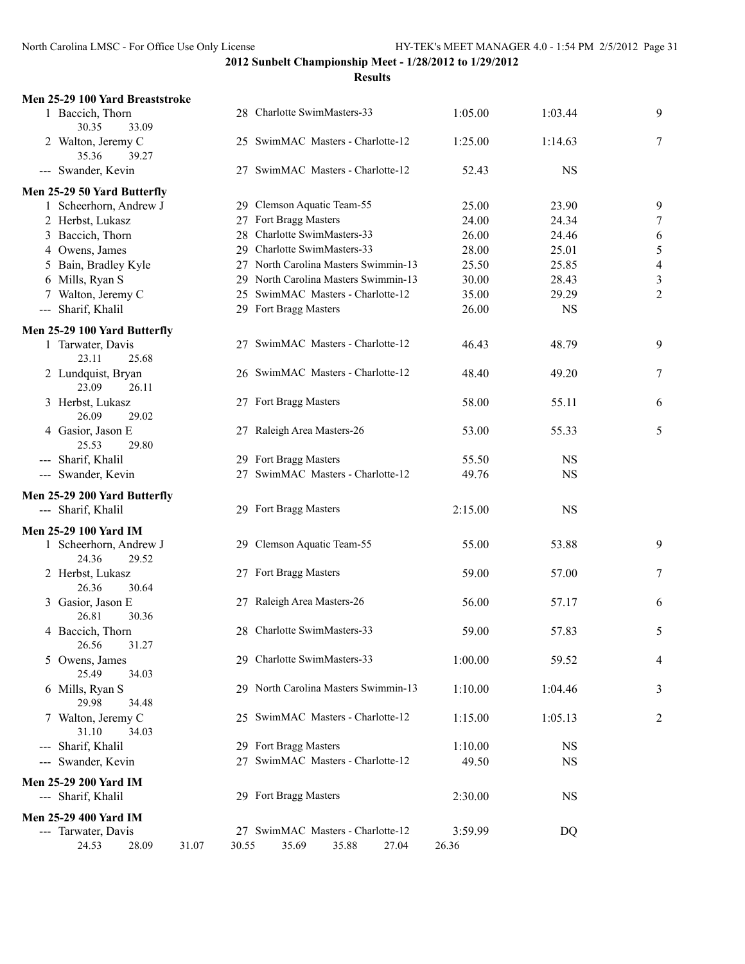## **2012 Sunbelt Championship Meet - 1/28/2012 to 1/29/2012 Results**

| Men 25-29 100 Yard Breaststroke          |                                      |                |           |                          |
|------------------------------------------|--------------------------------------|----------------|-----------|--------------------------|
| 1 Baccich, Thorn<br>30.35<br>33.09       | 28 Charlotte SwimMasters-33          | 1:05.00        | 1:03.44   | 9                        |
| 2 Walton, Jeremy C<br>35.36<br>39.27     | 25 SwimMAC Masters - Charlotte-12    | 1:25.00        | 1:14.63   | $\overline{7}$           |
| --- Swander, Kevin                       | 27 SwimMAC Masters - Charlotte-12    | 52.43          | <b>NS</b> |                          |
| Men 25-29 50 Yard Butterfly              |                                      |                |           |                          |
| 1 Scheerhorn, Andrew J                   | 29 Clemson Aquatic Team-55           | 25.00          | 23.90     | 9                        |
| 2 Herbst, Lukasz                         | 27 Fort Bragg Masters                | 24.00          | 24.34     | 7                        |
| 3 Baccich, Thorn                         | 28 Charlotte SwimMasters-33          | 26.00          | 24.46     | 6                        |
| 4 Owens, James                           | 29 Charlotte SwimMasters-33          | 28.00          | 25.01     | 5                        |
| 5 Bain, Bradley Kyle                     | 27 North Carolina Masters Swimmin-13 | 25.50          | 25.85     | $\overline{\mathcal{A}}$ |
| 6 Mills, Ryan S                          | 29 North Carolina Masters Swimmin-13 | 30.00          | 28.43     | 3                        |
| 7 Walton, Jeremy C                       | 25 SwimMAC Masters - Charlotte-12    | 35.00          | 29.29     | $\overline{c}$           |
| --- Sharif, Khalil                       | 29 Fort Bragg Masters                | 26.00          | <b>NS</b> |                          |
| Men 25-29 100 Yard Butterfly             |                                      |                |           |                          |
| 1 Tarwater, Davis<br>23.11<br>25.68      | 27 SwimMAC Masters - Charlotte-12    | 46.43          | 48.79     | 9                        |
| 2 Lundquist, Bryan<br>23.09<br>26.11     | 26 SwimMAC Masters - Charlotte-12    | 48.40          | 49.20     | 7                        |
| 3 Herbst, Lukasz<br>26.09<br>29.02       | 27 Fort Bragg Masters                | 58.00          | 55.11     | 6                        |
| 4 Gasior, Jason E<br>25.53<br>29.80      | 27 Raleigh Area Masters-26           | 53.00          | 55.33     | 5                        |
| --- Sharif, Khalil                       | 29 Fort Bragg Masters                | 55.50          | <b>NS</b> |                          |
| --- Swander, Kevin                       | 27 SwimMAC Masters - Charlotte-12    | 49.76          | <b>NS</b> |                          |
| Men 25-29 200 Yard Butterfly             |                                      |                |           |                          |
| --- Sharif, Khalil                       | 29 Fort Bragg Masters                | 2:15.00        | <b>NS</b> |                          |
| <b>Men 25-29 100 Yard IM</b>             |                                      |                |           |                          |
| 1 Scheerhorn, Andrew J<br>24.36<br>29.52 | 29 Clemson Aquatic Team-55           | 55.00          | 53.88     | 9                        |
| 2 Herbst, Lukasz<br>30.64<br>26.36       | 27 Fort Bragg Masters                | 59.00          | 57.00     | 7                        |
| 3 Gasior, Jason E<br>26.81<br>30.36      | 27 Raleigh Area Masters-26           | 56.00          | 57.17     | 6                        |
| 4 Baccich, Thorn<br>26.56<br>31.27       | 28 Charlotte SwimMasters-33          | 59.00          | 57.83     | 5                        |
| 5 Owens, James<br>25.49<br>34.03         | 29 Charlotte SwimMasters-33          | 1:00.00        | 59.52     | 4                        |
| 6 Mills, Ryan S<br>29.98<br>34.48        | 29 North Carolina Masters Swimmin-13 | 1:10.00        | 1:04.46   | 3                        |
| 7 Walton, Jeremy C<br>31.10<br>34.03     | 25 SwimMAC Masters - Charlotte-12    | 1:15.00        | 1:05.13   | $\overline{c}$           |
| --- Sharif, Khalil                       | 29 Fort Bragg Masters                | 1:10.00        | <b>NS</b> |                          |
| --- Swander, Kevin                       | 27 SwimMAC Masters - Charlotte-12    | 49.50          | <b>NS</b> |                          |
| <b>Men 25-29 200 Yard IM</b>             |                                      |                |           |                          |
| --- Sharif, Khalil                       | 29 Fort Bragg Masters                | 2:30.00        | <b>NS</b> |                          |
| <b>Men 25-29 400 Yard IM</b>             |                                      |                |           |                          |
| --- Tarwater, Davis                      | 27 SwimMAC Masters - Charlotte-12    | 3:59.99        | DQ        |                          |
| 24.53<br>28.09<br>31.07                  | 30.55<br>35.69<br>35.88              | 27.04<br>26.36 |           |                          |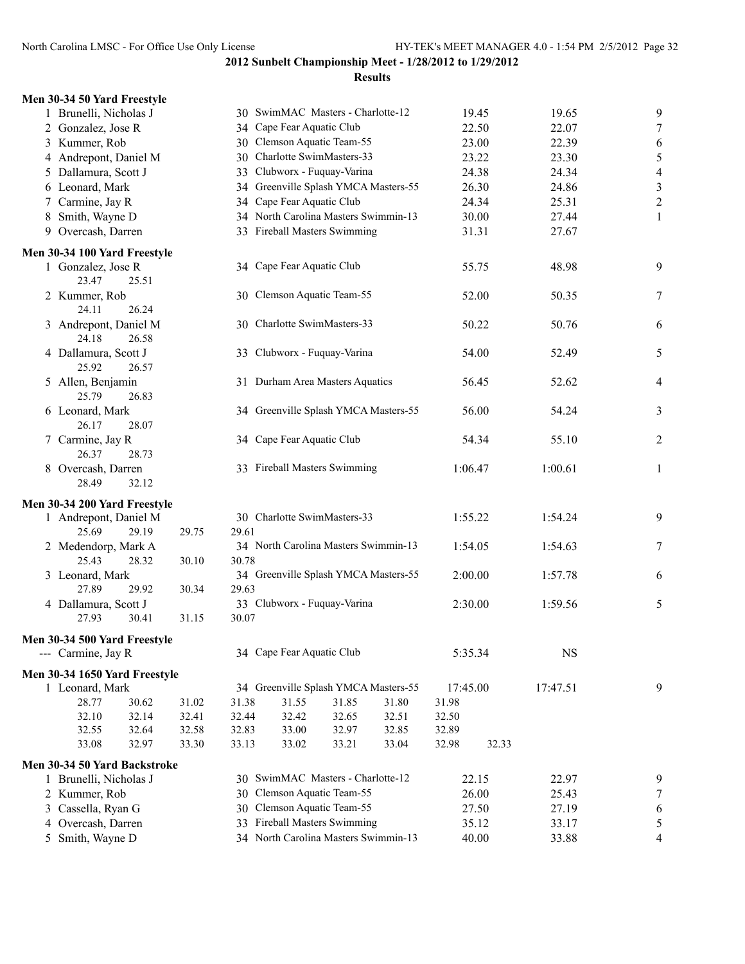| Men 30-34 50 Yard Freestyle             |       |       |                                      |       |       |          |       |           |                          |
|-----------------------------------------|-------|-------|--------------------------------------|-------|-------|----------|-------|-----------|--------------------------|
| 1 Brunelli, Nicholas J                  |       |       | 30 SwimMAC Masters - Charlotte-12    |       |       |          | 19.45 | 19.65     | 9                        |
| 2 Gonzalez, Jose R                      |       |       | 34 Cape Fear Aquatic Club            |       |       |          | 22.50 | 22.07     | $\overline{7}$           |
| 3 Kummer, Rob                           |       |       | 30 Clemson Aquatic Team-55           |       |       |          | 23.00 | 22.39     | 6                        |
| 4 Andrepont, Daniel M                   |       |       | 30 Charlotte SwimMasters-33          |       |       |          | 23.22 | 23.30     | 5                        |
| 5 Dallamura, Scott J                    |       | 33    | Clubworx - Fuquay-Varina             |       |       |          | 24.38 | 24.34     | $\overline{\mathcal{A}}$ |
| 6 Leonard, Mark                         |       |       | 34 Greenville Splash YMCA Masters-55 |       |       |          | 26.30 | 24.86     | 3                        |
| 7 Carmine, Jay R                        |       |       | 34 Cape Fear Aquatic Club            |       |       |          | 24.34 | 25.31     | $\overline{\mathbf{c}}$  |
| 8 Smith, Wayne D                        |       |       | 34 North Carolina Masters Swimmin-13 |       |       |          | 30.00 | 27.44     | 1                        |
| 9 Overcash, Darren                      |       |       | 33 Fireball Masters Swimming         |       |       |          | 31.31 | 27.67     |                          |
| Men 30-34 100 Yard Freestyle            |       |       |                                      |       |       |          |       |           |                          |
| 1 Gonzalez, Jose R<br>23.47<br>25.51    |       |       | 34 Cape Fear Aquatic Club            |       |       |          | 55.75 | 48.98     | 9                        |
| 2 Kummer, Rob<br>24.11<br>26.24         |       |       | 30 Clemson Aquatic Team-55           |       |       |          | 52.00 | 50.35     | $\overline{7}$           |
| 3 Andrepont, Daniel M<br>24.18<br>26.58 |       |       | 30 Charlotte SwimMasters-33          |       |       |          | 50.22 | 50.76     | 6                        |
| 4 Dallamura, Scott J<br>25.92<br>26.57  |       |       | 33 Clubworx - Fuquay-Varina          |       |       |          | 54.00 | 52.49     | 5                        |
| 5 Allen, Benjamin<br>25.79<br>26.83     |       |       | 31 Durham Area Masters Aquatics      |       |       |          | 56.45 | 52.62     | $\overline{4}$           |
| 6 Leonard, Mark<br>26.17<br>28.07       |       |       | 34 Greenville Splash YMCA Masters-55 |       |       |          | 56.00 | 54.24     | 3                        |
| 7 Carmine, Jay R<br>26.37<br>28.73      |       |       | 34 Cape Fear Aquatic Club            |       |       |          | 54.34 | 55.10     | $\overline{c}$           |
| 8 Overcash, Darren<br>28.49<br>32.12    |       |       | 33 Fireball Masters Swimming         |       |       | 1:06.47  |       | 1:00.61   | $\mathbf{1}$             |
| Men 30-34 200 Yard Freestyle            |       |       |                                      |       |       |          |       |           |                          |
| 1 Andrepont, Daniel M<br>29.19<br>25.69 | 29.75 | 29.61 | 30 Charlotte SwimMasters-33          |       |       | 1:55.22  |       | 1:54.24   | 9                        |
| 2 Medendorp, Mark A<br>25.43<br>28.32   | 30.10 | 30.78 | 34 North Carolina Masters Swimmin-13 |       |       | 1:54.05  |       | 1:54.63   | 7                        |
| 3 Leonard, Mark<br>27.89<br>29.92       | 30.34 | 29.63 | 34 Greenville Splash YMCA Masters-55 |       |       | 2:00.00  |       | 1:57.78   | 6                        |
| 4 Dallamura, Scott J                    |       |       | 33 Clubworx - Fuquay-Varina          |       |       | 2:30.00  |       | 1:59.56   | 5                        |
| 27.93<br>30.41                          | 31.15 | 30.07 |                                      |       |       |          |       |           |                          |
| Men 30-34 500 Yard Freestyle            |       |       |                                      |       |       |          |       |           |                          |
| --- Carmine, Jay R                      |       |       | 34 Cape Fear Aquatic Club            |       |       | 5:35.34  |       | <b>NS</b> |                          |
| Men 30-34 1650 Yard Freestyle           |       |       |                                      |       |       |          |       |           |                          |
| 1 Leonard, Mark                         |       |       | 34 Greenville Splash YMCA Masters-55 |       |       | 17:45.00 |       | 17:47.51  | 9                        |
| 28.77<br>30.62                          | 31.02 | 31.38 | 31.55                                | 31.85 | 31.80 | 31.98    |       |           |                          |
| 32.10<br>32.14                          | 32.41 | 32.44 | 32.42                                | 32.65 | 32.51 | 32.50    |       |           |                          |
| 32.55<br>32.64                          | 32.58 | 32.83 | 33.00                                | 32.97 | 32.85 | 32.89    |       |           |                          |
| 32.97<br>33.08                          | 33.30 | 33.13 | 33.02                                | 33.21 | 33.04 | 32.98    | 32.33 |           |                          |
| Men 30-34 50 Yard Backstroke            |       |       |                                      |       |       |          |       |           |                          |
| 1 Brunelli, Nicholas J                  |       |       | 30 SwimMAC Masters - Charlotte-12    |       |       |          | 22.15 | 22.97     | 9                        |
| 2 Kummer, Rob                           |       |       | 30 Clemson Aquatic Team-55           |       |       |          | 26.00 | 25.43     | 7                        |
| 3 Cassella, Ryan G                      |       |       | 30 Clemson Aquatic Team-55           |       |       |          | 27.50 | 27.19     | 6                        |
| 4 Overcash, Darren                      |       |       | 33 Fireball Masters Swimming         |       |       |          | 35.12 | 33.17     | 5                        |
| 5 Smith, Wayne D                        |       |       | 34 North Carolina Masters Swimmin-13 |       |       |          | 40.00 | 33.88     | 4                        |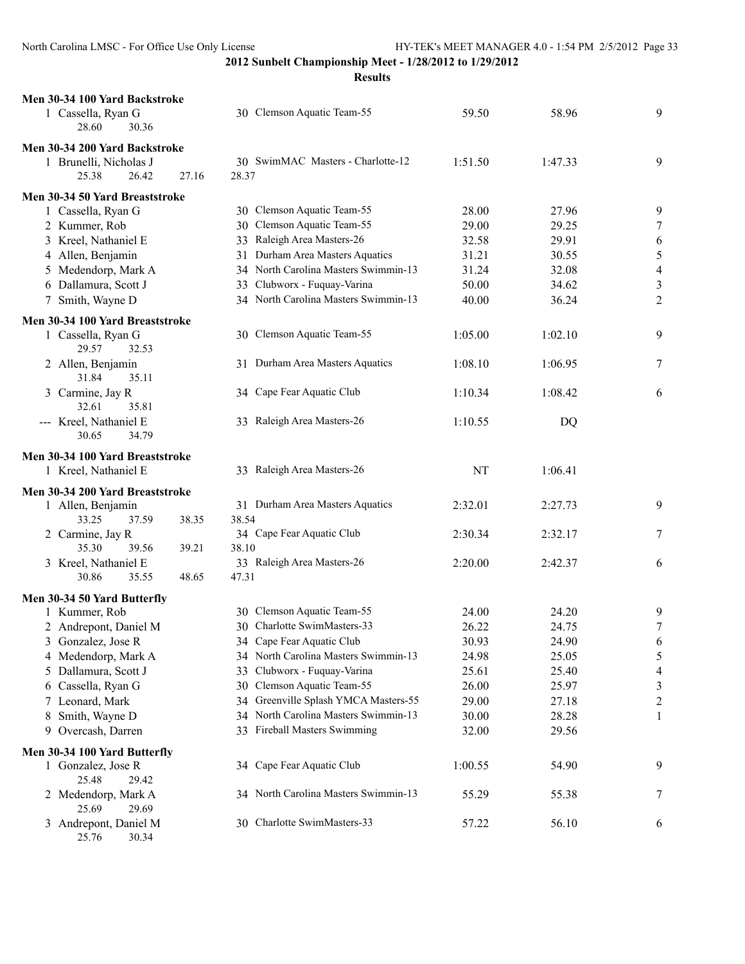| Men 30-34 100 Yard Backstroke                |                                                                   |         |         |                          |
|----------------------------------------------|-------------------------------------------------------------------|---------|---------|--------------------------|
| 1 Cassella, Ryan G                           | 30 Clemson Aquatic Team-55                                        | 59.50   | 58.96   | 9                        |
| 28.60<br>30.36                               |                                                                   |         |         |                          |
| Men 30-34 200 Yard Backstroke                |                                                                   |         |         |                          |
| 1 Brunelli, Nicholas J                       | 30 SwimMAC Masters - Charlotte-12                                 | 1:51.50 | 1:47.33 | 9                        |
| 25.38<br>27.16<br>26.42                      | 28.37                                                             |         |         |                          |
|                                              |                                                                   |         |         |                          |
| Men 30-34 50 Yard Breaststroke               |                                                                   |         |         |                          |
| 1 Cassella, Ryan G                           | 30 Clemson Aquatic Team-55                                        | 28.00   | 27.96   | 9                        |
| 2 Kummer, Rob                                | 30 Clemson Aquatic Team-55                                        | 29.00   | 29.25   | 7                        |
| 3 Kreel, Nathaniel E                         | 33 Raleigh Area Masters-26                                        | 32.58   | 29.91   | 6                        |
| 4 Allen, Benjamin                            | 31 Durham Area Masters Aquatics                                   | 31.21   | 30.55   | $\sqrt{5}$               |
| 5 Medendorp, Mark A                          | 34 North Carolina Masters Swimmin-13                              | 31.24   | 32.08   | $\overline{4}$           |
| 6 Dallamura, Scott J                         | 33 Clubworx - Fuquay-Varina                                       | 50.00   | 34.62   | $\mathfrak{Z}$           |
| 7 Smith, Wayne D                             | 34 North Carolina Masters Swimmin-13                              | 40.00   | 36.24   | $\overline{2}$           |
| Men 30-34 100 Yard Breaststroke              |                                                                   |         |         |                          |
| 1 Cassella, Ryan G                           | 30 Clemson Aquatic Team-55                                        | 1:05.00 | 1:02.10 | 9                        |
| 29.57<br>32.53                               |                                                                   |         |         |                          |
| 2 Allen, Benjamin                            | 31 Durham Area Masters Aquatics                                   | 1:08.10 | 1:06.95 | 7                        |
| 31.84<br>35.11                               |                                                                   |         |         |                          |
| 3 Carmine, Jay R                             | 34 Cape Fear Aquatic Club                                         | 1:10.34 | 1:08.42 | 6                        |
| 32.61<br>35.81                               |                                                                   |         |         |                          |
| --- Kreel, Nathaniel E                       | 33 Raleigh Area Masters-26                                        | 1:10.55 | DQ      |                          |
| 30.65<br>34.79                               |                                                                   |         |         |                          |
|                                              |                                                                   |         |         |                          |
| Men 30-34 100 Yard Breaststroke              |                                                                   |         |         |                          |
| 1 Kreel, Nathaniel E                         | 33 Raleigh Area Masters-26                                        | NT      | 1:06.41 |                          |
| Men 30-34 200 Yard Breaststroke              |                                                                   |         |         |                          |
| 1 Allen, Benjamin                            | 31 Durham Area Masters Aquatics                                   | 2:32.01 | 2:27.73 | 9                        |
| 33.25<br>37.59<br>38.35                      | 38.54                                                             |         |         |                          |
| 2 Carmine, Jay R                             | 34 Cape Fear Aquatic Club                                         | 2:30.34 | 2:32.17 | 7                        |
| 35.30<br>39.56<br>39.21                      | 38.10                                                             |         |         |                          |
| 3 Kreel, Nathaniel E                         | 33 Raleigh Area Masters-26                                        | 2:20.00 | 2:42.37 | 6                        |
| 30.86<br>35.55<br>48.65                      | 47.31                                                             |         |         |                          |
|                                              |                                                                   |         |         |                          |
| Men 30-34 50 Yard Butterfly<br>1 Kummer, Rob | 30 Clemson Aquatic Team-55                                        | 24.00   | 24.20   | 9                        |
|                                              | 30 Charlotte SwimMasters-33                                       | 26.22   | 24.75   | 7                        |
| 2 Andrepont, Daniel M                        |                                                                   |         |         |                          |
| 3<br>Gonzalez, Jose R                        | 34 Cape Fear Aquatic Club<br>34 North Carolina Masters Swimmin-13 | 30.93   | 24.90   | 6                        |
| 4 Medendorp, Mark A                          |                                                                   | 24.98   | 25.05   | 5                        |
| Dallamura, Scott J<br>5                      | 33 Clubworx - Fuquay-Varina                                       | 25.61   | 25.40   | $\overline{\mathcal{A}}$ |
| Cassella, Ryan G<br>6                        | 30 Clemson Aquatic Team-55                                        | 26.00   | 25.97   | $\mathfrak{Z}$           |
| 7 Leonard, Mark                              | 34 Greenville Splash YMCA Masters-55                              | 29.00   | 27.18   | $\overline{2}$           |
| Smith, Wayne D<br>8                          | 34 North Carolina Masters Swimmin-13                              | 30.00   | 28.28   | 1                        |
| Overcash, Darren<br>9                        | 33 Fireball Masters Swimming                                      | 32.00   | 29.56   |                          |
| Men 30-34 100 Yard Butterfly                 |                                                                   |         |         |                          |
| 1 Gonzalez, Jose R                           | 34 Cape Fear Aquatic Club                                         | 1:00.55 | 54.90   | 9                        |
| 25.48<br>29.42                               |                                                                   |         |         |                          |
| 2 Medendorp, Mark A                          | 34 North Carolina Masters Swimmin-13                              | 55.29   | 55.38   | 7                        |
| 25.69<br>29.69                               |                                                                   |         |         |                          |
| 3 Andrepont, Daniel M                        | 30 Charlotte SwimMasters-33                                       | 57.22   | 56.10   | 6                        |
| 25.76<br>30.34                               |                                                                   |         |         |                          |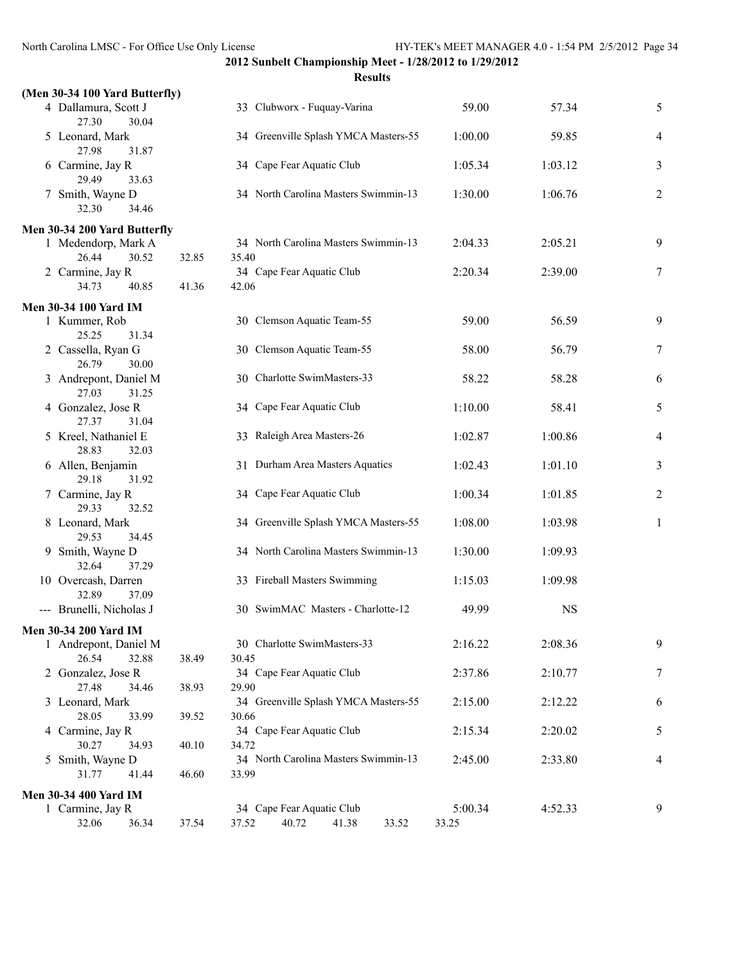**Results**

| (Men 30-34 100 Yard Butterfly)         |       |                                      |         |           |                |
|----------------------------------------|-------|--------------------------------------|---------|-----------|----------------|
| 4 Dallamura, Scott J<br>27.30<br>30.04 |       | 33 Clubworx - Fuquay-Varina          | 59.00   | 57.34     | 5              |
| 5 Leonard, Mark<br>27.98<br>31.87      |       | 34 Greenville Splash YMCA Masters-55 | 1:00.00 | 59.85     | 4              |
| 6 Carmine, Jay R<br>29.49<br>33.63     |       | 34 Cape Fear Aquatic Club            | 1:05.34 | 1:03.12   | 3              |
| 7 Smith, Wayne D<br>34.46<br>32.30     |       | 34 North Carolina Masters Swimmin-13 | 1:30.00 | 1:06.76   | $\overline{c}$ |
| Men 30-34 200 Yard Butterfly           |       |                                      |         |           |                |
| 1 Medendorp, Mark A                    |       | 34 North Carolina Masters Swimmin-13 | 2:04.33 | 2:05.21   | 9              |
| 26.44<br>30.52                         | 32.85 | 35.40                                |         |           |                |
| 2 Carmine, Jay R                       |       | 34 Cape Fear Aquatic Club            | 2:20.34 | 2:39.00   | 7              |
| 34.73<br>40.85                         | 41.36 | 42.06                                |         |           |                |
|                                        |       |                                      |         |           |                |
| <b>Men 30-34 100 Yard IM</b>           |       |                                      |         |           |                |
| 1 Kummer, Rob                          |       | 30 Clemson Aquatic Team-55           | 59.00   | 56.59     | 9              |
| 25.25<br>31.34                         |       |                                      |         |           |                |
| 2 Cassella, Ryan G                     |       | 30 Clemson Aquatic Team-55           | 58.00   | 56.79     | 7              |
| 26.79<br>30.00                         |       | 30 Charlotte SwimMasters-33          |         |           |                |
| 3 Andrepont, Daniel M                  |       |                                      | 58.22   | 58.28     | 6              |
| 27.03<br>31.25                         |       | 34 Cape Fear Aquatic Club            |         |           |                |
| 4 Gonzalez, Jose R<br>27.37<br>31.04   |       |                                      | 1:10.00 | 58.41     | 5              |
|                                        |       | 33 Raleigh Area Masters-26           |         |           |                |
| 5 Kreel, Nathaniel E<br>28.83<br>32.03 |       |                                      | 1:02.87 | 1:00.86   | 4              |
|                                        |       |                                      |         |           |                |
| 6 Allen, Benjamin                      |       | 31 Durham Area Masters Aquatics      | 1:02.43 | 1:01.10   | 3              |
| 29.18<br>31.92                         |       |                                      |         |           |                |
| 7 Carmine, Jay R                       |       | 34 Cape Fear Aquatic Club            | 1:00.34 | 1:01.85   | 2              |
| 29.33<br>32.52                         |       |                                      |         |           |                |
| 8 Leonard, Mark                        |       | 34 Greenville Splash YMCA Masters-55 | 1:08.00 | 1:03.98   | $\mathbf{1}$   |
| 29.53<br>34.45                         |       | 34 North Carolina Masters Swimmin-13 |         |           |                |
| 9 Smith, Wayne D                       |       |                                      | 1:30.00 | 1:09.93   |                |
| 32.64<br>37.29                         |       |                                      | 1:15.03 |           |                |
| 10 Overcash, Darren                    |       | 33 Fireball Masters Swimming         |         | 1:09.98   |                |
| 32.89<br>37.09                         |       |                                      |         |           |                |
| --- Brunelli, Nicholas J               |       | 30 SwimMAC Masters - Charlotte-12    | 49.99   | <b>NS</b> |                |
| Men 30-34 200 Yard IM                  |       |                                      |         |           |                |
| 1 Andrepont, Daniel M                  |       | 30 Charlotte SwimMasters-33          | 2:16.22 | 2:08.36   | 9              |
| 26.54<br>32.88                         | 38.49 | 30.45                                |         |           |                |
| 2 Gonzalez, Jose R                     |       | 34 Cape Fear Aquatic Club            | 2:37.86 | 2:10.77   | 7              |
| 27.48<br>34.46                         | 38.93 | 29.90                                |         |           |                |
| 3 Leonard, Mark                        |       | 34 Greenville Splash YMCA Masters-55 | 2:15.00 | 2:12.22   | 6              |
| 28.05<br>33.99                         | 39.52 | 30.66                                |         |           |                |
| 4 Carmine, Jay R                       |       | 34 Cape Fear Aquatic Club            | 2:15.34 | 2:20.02   | 5              |
| 30.27<br>34.93                         | 40.10 | 34.72                                |         |           |                |
| 5 Smith, Wayne D                       |       | 34 North Carolina Masters Swimmin-13 | 2:45.00 | 2:33.80   | 4              |
| 31.77<br>41.44                         | 46.60 | 33.99                                |         |           |                |
|                                        |       |                                      |         |           |                |
| <b>Men 30-34 400 Yard IM</b>           |       |                                      |         |           |                |
| 1 Carmine, Jay R                       |       | 34 Cape Fear Aquatic Club            | 5:00.34 | 4:52.33   | 9              |
| 32.06<br>36.34                         | 37.54 | 40.72<br>37.52<br>41.38<br>33.52     | 33.25   |           |                |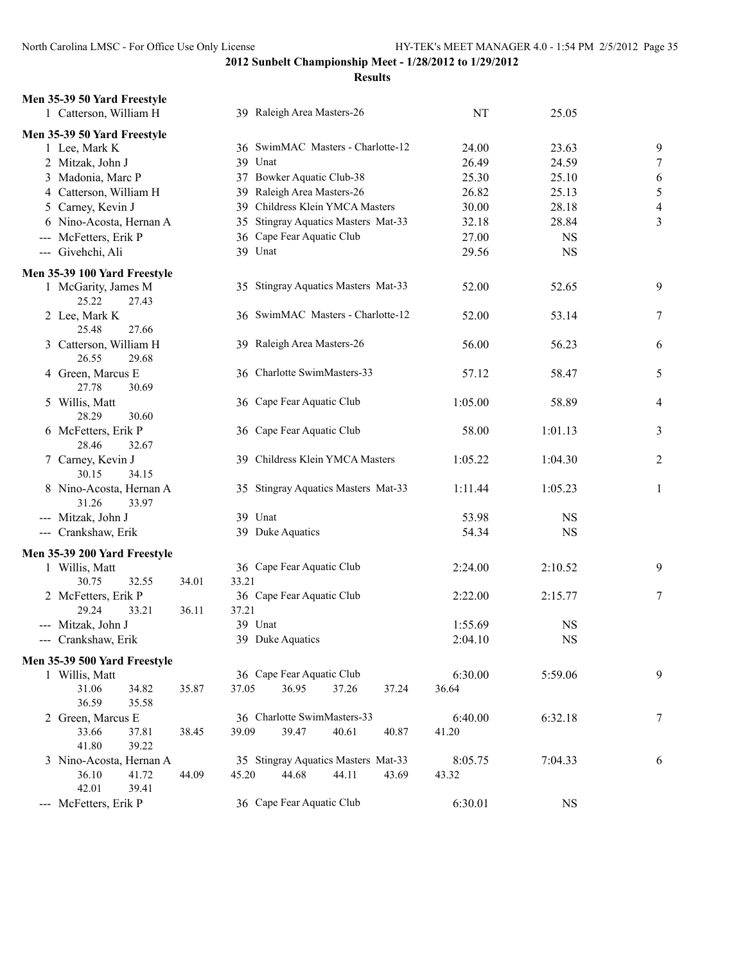| Men 35-39 50 Yard Freestyle                 |                |                                     |         |               |                         |
|---------------------------------------------|----------------|-------------------------------------|---------|---------------|-------------------------|
| 1 Catterson, William H                      |                | 39 Raleigh Area Masters-26          | NT      | 25.05         |                         |
| Men 35-39 50 Yard Freestyle                 |                |                                     |         |               |                         |
| 1 Lee, Mark K                               |                | 36 SwimMAC Masters - Charlotte-12   | 24.00   | 23.63         | 9                       |
| 2 Mitzak, John J                            |                | 39 Unat                             | 26.49   | 24.59         | 7                       |
| 3 Madonia, Marc P                           |                | 37 Bowker Aquatic Club-38           | 25.30   | 25.10         | 6                       |
| 4 Catterson, William H                      |                | 39 Raleigh Area Masters-26          | 26.82   | 25.13         | 5                       |
| 5 Carney, Kevin J                           |                | 39 Childress Klein YMCA Masters     | 30.00   | 28.18         | $\overline{\mathbf{4}}$ |
| 6 Nino-Acosta, Hernan A                     |                | 35 Stingray Aquatics Masters Mat-33 | 32.18   | 28.84         | 3                       |
| --- McFetters, Erik P                       |                | 36 Cape Fear Aquatic Club           | 27.00   | <b>NS</b>     |                         |
| --- Givehchi, Ali                           |                | 39 Unat                             | 29.56   | <b>NS</b>     |                         |
| Men 35-39 100 Yard Freestyle                |                |                                     |         |               |                         |
| 1 McGarity, James M<br>25.22<br>27.43       |                | 35 Stingray Aquatics Masters Mat-33 | 52.00   | 52.65         | 9                       |
| 2 Lee, Mark K<br>25.48<br>27.66             |                | 36 SwimMAC Masters - Charlotte-12   | 52.00   | 53.14         | 7                       |
| Catterson, William H<br>3<br>26.55<br>29.68 |                | 39 Raleigh Area Masters-26          | 56.00   | 56.23         | 6                       |
| 4 Green, Marcus E<br>27.78<br>30.69         |                | 36 Charlotte SwimMasters-33         | 57.12   | 58.47         | 5                       |
| 5 Willis, Matt<br>28.29<br>30.60            |                | 36 Cape Fear Aquatic Club           | 1:05.00 | 58.89         | 4                       |
| 6 McFetters, Erik P<br>28.46<br>32.67       |                | 36 Cape Fear Aquatic Club           | 58.00   | 1:01.13       | 3                       |
| 7 Carney, Kevin J<br>30.15<br>34.15         |                | 39 Childress Klein YMCA Masters     | 1:05.22 | 1:04.30       | 2                       |
| 8 Nino-Acosta, Hernan A<br>31.26<br>33.97   |                | 35 Stingray Aquatics Masters Mat-33 | 1:11.44 | 1:05.23       | 1                       |
| --- Mitzak, John J                          |                | 39 Unat                             | 53.98   | NS            |                         |
| --- Crankshaw, Erik                         |                | 39 Duke Aquatics                    | 54.34   | <b>NS</b>     |                         |
| Men 35-39 200 Yard Freestyle                |                |                                     |         |               |                         |
| 1 Willis, Matt                              |                | 36 Cape Fear Aquatic Club           | 2:24.00 | 2:10.52       | 9                       |
| 30.75<br>32.55                              | 33.21<br>34.01 |                                     |         |               |                         |
| 2 McFetters, Erik P                         |                | 36 Cape Fear Aquatic Club           | 2:22.00 | 2:15.77       | 7                       |
| 29.24<br>33.21                              | 36.11<br>37.21 |                                     |         |               |                         |
| --- Mitzak, John J                          |                | 39 Unat                             | 1:55.69 | <b>NS</b>     |                         |
| --- Crankshaw, Erik                         |                | 39 Duke Aquatics                    | 2:04.10 | <sub>NS</sub> |                         |
| Men 35-39 500 Yard Freestyle                |                |                                     |         |               |                         |
| 1 Willis, Matt                              |                | 36 Cape Fear Aquatic Club           | 6:30.00 | 5:59.06       | 9                       |
| 31.06<br>34.82                              | 37.05<br>35.87 | 36.95<br>37.26<br>37.24             | 36.64   |               |                         |
| 36.59<br>35.58                              |                |                                     |         |               |                         |
| 2 Green, Marcus E                           |                | 36 Charlotte SwimMasters-33         | 6:40.00 | 6:32.18       | 7                       |
| 33.66<br>37.81                              | 39.09<br>38.45 | 39.47<br>40.61<br>40.87             | 41.20   |               |                         |
| 41.80<br>39.22                              |                |                                     |         |               |                         |
| 3 Nino-Acosta, Hernan A                     |                | 35 Stingray Aquatics Masters Mat-33 | 8:05.75 | 7:04.33       | 6                       |
| 36.10<br>41.72<br>42.01<br>39.41            | 45.20<br>44.09 | 44.11<br>43.69<br>44.68             | 43.32   |               |                         |
| McFetters, Erik P                           |                | 36 Cape Fear Aquatic Club           | 6:30.01 | $_{\rm NS}$   |                         |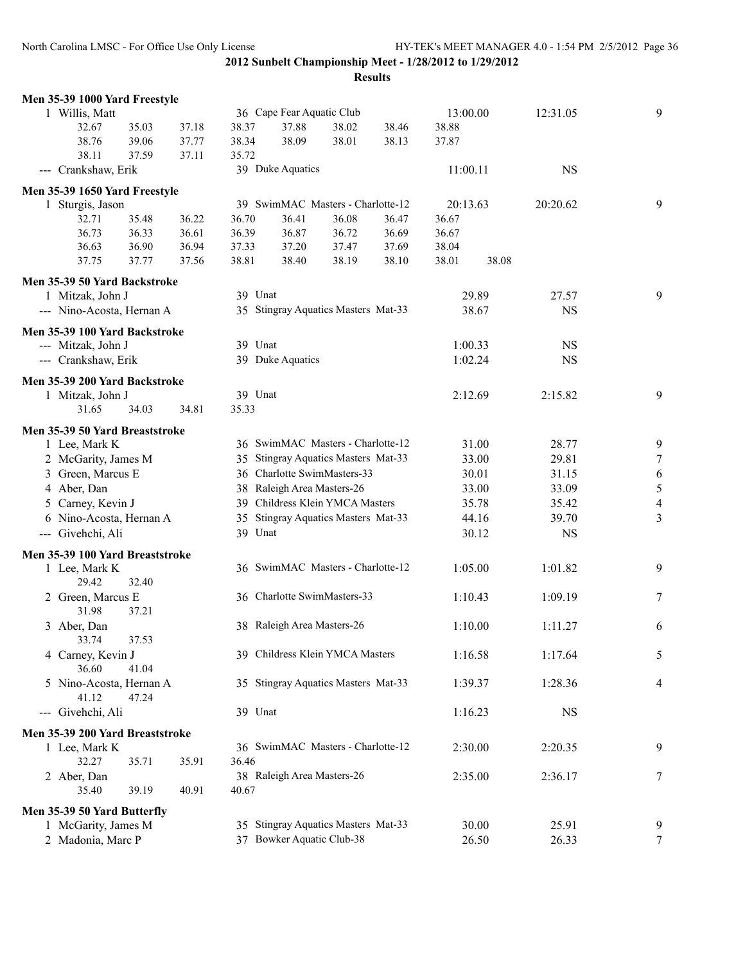| Men 35-39 1000 Yard Freestyle   |       |       |         |                            |                                     |       |          |       |           |                  |
|---------------------------------|-------|-------|---------|----------------------------|-------------------------------------|-------|----------|-------|-----------|------------------|
| 1 Willis, Matt                  |       |       |         | 36 Cape Fear Aquatic Club  |                                     |       | 13:00.00 |       | 12:31.05  | 9                |
| 32.67                           | 35.03 | 37.18 | 38.37   | 37.88                      | 38.02                               | 38.46 | 38.88    |       |           |                  |
| 38.76                           | 39.06 | 37.77 | 38.34   | 38.09                      | 38.01                               | 38.13 | 37.87    |       |           |                  |
| 38.11                           | 37.59 | 37.11 | 35.72   |                            |                                     |       |          |       |           |                  |
| --- Crankshaw, Erik             |       |       |         | 39 Duke Aquatics           |                                     |       | 11:00.11 |       | <b>NS</b> |                  |
| Men 35-39 1650 Yard Freestyle   |       |       |         |                            |                                     |       |          |       |           |                  |
| 1 Sturgis, Jason                |       |       |         |                            | 39 SwimMAC Masters - Charlotte-12   |       | 20:13.63 |       | 20:20.62  | 9                |
| 32.71                           | 35.48 | 36.22 | 36.70   | 36.41                      | 36.08                               | 36.47 | 36.67    |       |           |                  |
| 36.73                           | 36.33 | 36.61 | 36.39   | 36.87                      | 36.72                               | 36.69 | 36.67    |       |           |                  |
| 36.63                           | 36.90 | 36.94 | 37.33   | 37.20                      | 37.47                               | 37.69 | 38.04    |       |           |                  |
| 37.75                           | 37.77 | 37.56 | 38.81   | 38.40                      | 38.19                               | 38.10 | 38.01    | 38.08 |           |                  |
| Men 35-39 50 Yard Backstroke    |       |       |         |                            |                                     |       |          |       |           |                  |
| 1 Mitzak, John J                |       |       | 39 Unat |                            |                                     |       |          | 29.89 | 27.57     | 9                |
| --- Nino-Acosta, Hernan A       |       |       |         |                            | 35 Stingray Aquatics Masters Mat-33 |       |          | 38.67 | <b>NS</b> |                  |
|                                 |       |       |         |                            |                                     |       |          |       |           |                  |
| Men 35-39 100 Yard Backstroke   |       |       |         |                            |                                     |       |          |       |           |                  |
| --- Mitzak, John J              |       |       | 39 Unat |                            |                                     |       | 1:00.33  |       | <b>NS</b> |                  |
| --- Crankshaw, Erik             |       |       |         | 39 Duke Aquatics           |                                     |       | 1:02.24  |       | <b>NS</b> |                  |
| Men 35-39 200 Yard Backstroke   |       |       |         |                            |                                     |       |          |       |           |                  |
| 1 Mitzak, John J                |       |       | 39 Unat |                            |                                     |       | 2:12.69  |       | 2:15.82   | 9                |
| 31.65                           | 34.03 | 34.81 | 35.33   |                            |                                     |       |          |       |           |                  |
|                                 |       |       |         |                            |                                     |       |          |       |           |                  |
| Men 35-39 50 Yard Breaststroke  |       |       |         |                            |                                     |       |          |       |           |                  |
| 1 Lee, Mark K                   |       |       |         |                            | 36 SwimMAC Masters - Charlotte-12   |       |          | 31.00 | 28.77     | 9                |
| 2 McGarity, James M             |       |       |         |                            | 35 Stingray Aquatics Masters Mat-33 |       |          | 33.00 | 29.81     | $\boldsymbol{7}$ |
| 3 Green, Marcus E               |       |       |         |                            | 36 Charlotte SwimMasters-33         |       |          | 30.01 | 31.15     | 6                |
| 4 Aber, Dan                     |       |       |         | 38 Raleigh Area Masters-26 |                                     |       |          | 33.00 | 33.09     | $\sqrt{5}$       |
| 5 Carney, Kevin J               |       |       |         |                            | 39 Childress Klein YMCA Masters     |       |          | 35.78 | 35.42     | $\overline{4}$   |
| 6 Nino-Acosta, Hernan A         |       |       |         |                            | 35 Stingray Aquatics Masters Mat-33 |       |          | 44.16 | 39.70     | $\overline{3}$   |
| --- Givehchi, Ali               |       |       | 39 Unat |                            |                                     |       |          | 30.12 | <b>NS</b> |                  |
| Men 35-39 100 Yard Breaststroke |       |       |         |                            |                                     |       |          |       |           |                  |
| 1 Lee, Mark K                   |       |       |         |                            | 36 SwimMAC Masters - Charlotte-12   |       | 1:05.00  |       | 1:01.82   | 9                |
| 29.42                           | 32.40 |       |         |                            |                                     |       |          |       |           |                  |
| 2 Green, Marcus E               |       |       |         |                            | 36 Charlotte SwimMasters-33         |       | 1:10.43  |       | 1:09.19   | 7                |
| 31.98                           | 37.21 |       |         |                            |                                     |       |          |       |           |                  |
| 3 Aber, Dan                     |       |       |         | 38 Raleigh Area Masters-26 |                                     |       | 1:10.00  |       | 1:11.27   | 6                |
| 33.74                           | 37.53 |       |         |                            |                                     |       |          |       |           |                  |
| 4 Carney, Kevin J               |       |       |         |                            | 39 Childress Klein YMCA Masters     |       | 1:16.58  |       | 1:17.64   | 5                |
| 36.60                           | 41.04 |       |         |                            |                                     |       |          |       |           |                  |
| 5 Nino-Acosta, Hernan A         |       |       |         |                            | 35 Stingray Aquatics Masters Mat-33 |       | 1:39.37  |       | 1:28.36   | 4                |
| 41.12                           | 47.24 |       |         |                            |                                     |       |          |       |           |                  |
| --- Givehchi, Ali               |       |       | 39 Unat |                            |                                     |       | 1:16.23  |       | <b>NS</b> |                  |
| Men 35-39 200 Yard Breaststroke |       |       |         |                            |                                     |       |          |       |           |                  |
| 1 Lee, Mark K                   |       |       |         |                            | 36 SwimMAC Masters - Charlotte-12   |       | 2:30.00  |       | 2:20.35   | 9                |
| 32.27                           | 35.71 | 35.91 | 36.46   |                            |                                     |       |          |       |           |                  |
| 2 Aber, Dan                     |       |       |         | 38 Raleigh Area Masters-26 |                                     |       | 2:35.00  |       | 2:36.17   | 7                |
| 35.40                           | 39.19 | 40.91 | 40.67   |                            |                                     |       |          |       |           |                  |
|                                 |       |       |         |                            |                                     |       |          |       |           |                  |
| Men 35-39 50 Yard Butterfly     |       |       |         |                            |                                     |       |          |       |           |                  |
| 1 McGarity, James M             |       |       |         |                            | 35 Stingray Aquatics Masters Mat-33 |       |          | 30.00 | 25.91     | 9                |
| 2 Madonia, Marc P               |       |       |         | 37 Bowker Aquatic Club-38  |                                     |       |          | 26.50 | 26.33     | $\tau$           |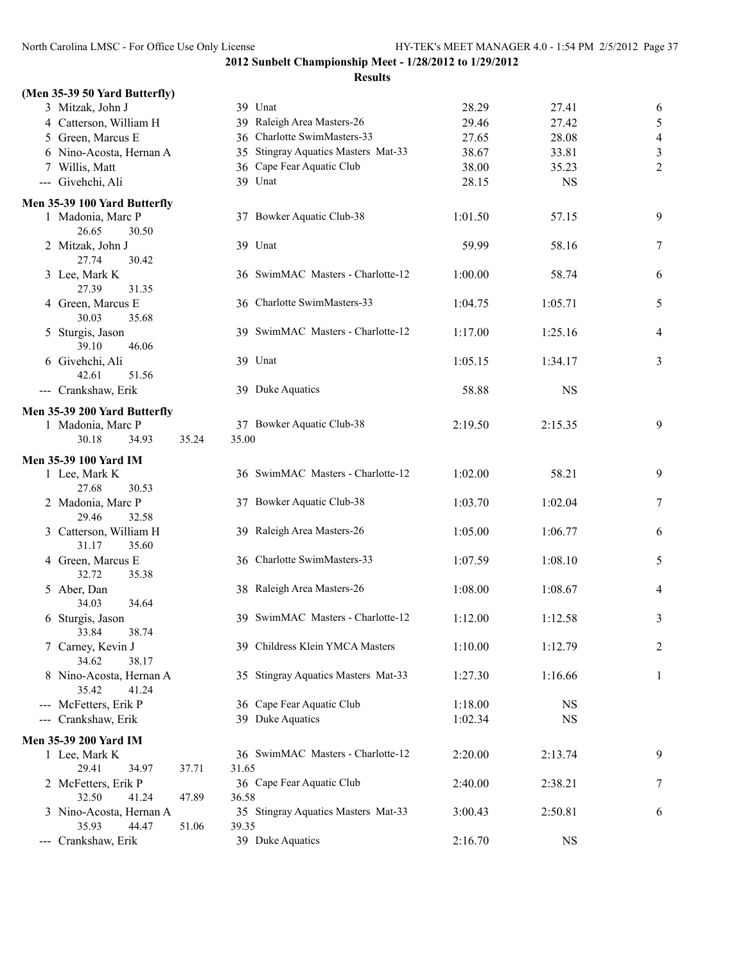#### **Results**

|                              | (Men 35-39 50 Yard Butterfly) |                  |  |  |  |  |  |  |  |
|------------------------------|-------------------------------|------------------|--|--|--|--|--|--|--|
|                              |                               | 3 Mitzak, John J |  |  |  |  |  |  |  |
|                              | 4 Catterson, William H        |                  |  |  |  |  |  |  |  |
|                              | 5 Green, Marcus E             |                  |  |  |  |  |  |  |  |
|                              | 6 Nino-Acosta, Hernan A       |                  |  |  |  |  |  |  |  |
|                              | 7 Willis, Matt                |                  |  |  |  |  |  |  |  |
|                              | --- Givehchi, Ali             |                  |  |  |  |  |  |  |  |
| Men 35-39 100 Yard Butterfly |                               |                  |  |  |  |  |  |  |  |
|                              | 1 Madonia, Marc P             |                  |  |  |  |  |  |  |  |
|                              | 26.65 30.50                   |                  |  |  |  |  |  |  |  |
|                              | 2 Mitzak, John J              |                  |  |  |  |  |  |  |  |
|                              | 27.74 30.42                   |                  |  |  |  |  |  |  |  |
|                              | 3 Lee, Mark K                 |                  |  |  |  |  |  |  |  |
|                              | 27.39 31.35                   |                  |  |  |  |  |  |  |  |
|                              | 4 Green, Marcus E             |                  |  |  |  |  |  |  |  |
|                              | 30.03 35.68                   |                  |  |  |  |  |  |  |  |
|                              | 5 Sturgis, Jason              |                  |  |  |  |  |  |  |  |

# 39.10 42.61 --- Crankshaw,

#### **Men 35-39 200 Yard**

|                                                                                                | 1 Madonia, Marc P            |                   |       | 37 F               |  |  |  |  |
|------------------------------------------------------------------------------------------------|------------------------------|-------------------|-------|--------------------|--|--|--|--|
|                                                                                                | 30.18                        | 34.93             | 35.24 | 35.00              |  |  |  |  |
|                                                                                                | Men 35-39 100 Yard IM        |                   |       |                    |  |  |  |  |
|                                                                                                | 1 Lee, Mark K                |                   |       | 36S                |  |  |  |  |
|                                                                                                | 27.68                        | 30.53             |       |                    |  |  |  |  |
|                                                                                                | 2 Madonia, Marc P            |                   |       | 37 E               |  |  |  |  |
|                                                                                                | 29.46                        | 32.58             |       |                    |  |  |  |  |
|                                                                                                | 3 Catterson, William H       |                   |       | 39 F               |  |  |  |  |
|                                                                                                | 31.17                        | 35.60             |       |                    |  |  |  |  |
|                                                                                                | 4 Green, Marcus E            |                   |       | 36 <sup>°</sup>    |  |  |  |  |
|                                                                                                | 32.72                        | 35.38             |       |                    |  |  |  |  |
|                                                                                                | 5 Aber, Dan                  |                   |       | $\mathbf{F}$<br>38 |  |  |  |  |
|                                                                                                | 34.03                        | 34.64             |       |                    |  |  |  |  |
|                                                                                                | 6 Sturgis, Jason             |                   |       | 39 S               |  |  |  |  |
|                                                                                                | 33.84                        | 38.74             |       |                    |  |  |  |  |
|                                                                                                | 7 Carney, Kevin J            |                   |       | 39 <sup>°</sup>    |  |  |  |  |
|                                                                                                | 34.62                        | 38.17             |       |                    |  |  |  |  |
|                                                                                                | 8 Nino-Acosta, Hernan A      |                   |       | 35S                |  |  |  |  |
|                                                                                                | 35.42                        | 41.24             |       |                    |  |  |  |  |
| $\frac{1}{2} \left( \frac{1}{2} \right) \left( \frac{1}{2} \right) \left( \frac{1}{2} \right)$ |                              | McFetters, Erik P |       |                    |  |  |  |  |
|                                                                                                | --- Crankshaw, Erik          |                   |       | 39 I               |  |  |  |  |
|                                                                                                | <b>Men 35-39 200 Yard IM</b> |                   |       |                    |  |  |  |  |
|                                                                                                | 1 Lee, Mark K                |                   |       | 36S                |  |  |  |  |
|                                                                                                | 29.41                        | 34.97             | 37.71 | 31.65              |  |  |  |  |
|                                                                                                | 2 McFetters, Erik P          |                   |       | 36 0               |  |  |  |  |
|                                                                                                | 32.50                        | 41.24             | 47.89 | 36.58              |  |  |  |  |
|                                                                                                | 3 Nino-Acosta, Hernan A      |                   |       | 35 S               |  |  |  |  |
|                                                                                                | 35.93                        | 44.47             | 51.06 | 39.35              |  |  |  |  |
|                                                                                                | Crankshaw Frik               |                   |       | 30 T               |  |  |  |  |

| 3 Mitzak, John J                          |       |       | 39 Unat                             | 28.29   | 27.41     | 6                |
|-------------------------------------------|-------|-------|-------------------------------------|---------|-----------|------------------|
| 4 Catterson, William H                    |       |       | 39 Raleigh Area Masters-26          | 29.46   | 27.42     | 5                |
| 5 Green, Marcus E                         |       |       | 36 Charlotte SwimMasters-33         | 27.65   | 28.08     | $\overline{4}$   |
| 6 Nino-Acosta, Hernan A                   |       |       | 35 Stingray Aquatics Masters Mat-33 | 38.67   | 33.81     | $\mathfrak{Z}$   |
| 7 Willis, Matt                            |       |       | 36 Cape Fear Aquatic Club           | 38.00   | 35.23     | $\boldsymbol{2}$ |
| --- Givehchi, Ali                         |       |       | 39 Unat                             | 28.15   | <b>NS</b> |                  |
| n 35-39 100 Yard Butterfly                |       |       |                                     |         |           |                  |
| 1 Madonia, Marc P<br>26.65<br>30.50       |       |       | 37 Bowker Aquatic Club-38           | 1:01.50 | 57.15     | 9                |
| 2 Mitzak, John J<br>27.74<br>30.42        |       |       | 39 Unat                             | 59.99   | 58.16     | $\tau$           |
| 3 Lee, Mark K<br>27.39<br>31.35           |       |       | 36 SwimMAC Masters - Charlotte-12   | 1:00.00 | 58.74     | 6                |
| 4 Green, Marcus E<br>30.03<br>35.68       |       |       | 36 Charlotte SwimMasters-33         | 1:04.75 | 1:05.71   | 5                |
| 5 Sturgis, Jason<br>39.10<br>46.06        |       |       | 39 SwimMAC Masters - Charlotte-12   | 1:17.00 | 1:25.16   | 4                |
| 6 Givehchi, Ali<br>42.61<br>51.56         |       |       | 39 Unat                             | 1:05.15 | 1:34.17   | 3                |
| --- Crankshaw, Erik                       |       |       | 39 Duke Aquatics                    | 58.88   | <b>NS</b> |                  |
| n 35-39 200 Yard Butterfly                |       |       |                                     |         |           |                  |
| 1 Madonia, Marc P<br>30.18<br>34.93       | 35.24 | 35.00 | 37 Bowker Aquatic Club-38           | 2:19.50 | 2:15.35   | 9                |
| en 35-39 100 Yard IM                      |       |       |                                     |         |           |                  |
| 1 Lee, Mark K<br>27.68<br>30.53           |       |       | 36 SwimMAC Masters - Charlotte-12   | 1:02.00 | 58.21     | 9                |
| 2 Madonia, Marc P<br>29.46<br>32.58       |       |       | 37 Bowker Aquatic Club-38           | 1:03.70 | 1:02.04   | $\tau$           |
| 3 Catterson, William H<br>31.17<br>35.60  |       |       | 39 Raleigh Area Masters-26          | 1:05.00 | 1:06.77   | 6                |
| 4 Green, Marcus E<br>32.72<br>35.38       |       |       | 36 Charlotte SwimMasters-33         | 1:07.59 | 1:08.10   | 5                |
| 5 Aber, Dan<br>34.03<br>34.64             |       |       | 38 Raleigh Area Masters-26          | 1:08.00 | 1:08.67   | 4                |
| 6 Sturgis, Jason<br>33.84<br>38.74        |       |       | 39 SwimMAC Masters - Charlotte-12   | 1:12.00 | 1:12.58   | 3                |
| 7 Carney, Kevin J<br>34.62<br>38.17       |       |       | 39 Childress Klein YMCA Masters     | 1:10.00 | 1:12.79   | $\overline{c}$   |
| 8 Nino-Acosta, Hernan A<br>35.42<br>41.24 |       |       | 35 Stingray Aquatics Masters Mat-33 | 1:27.30 | 1:16.66   | $\mathbf{1}$     |
| --- McFetters, Erik P                     |       |       | 36 Cape Fear Aquatic Club           | 1:18.00 | <b>NS</b> |                  |
| --- Crankshaw, Erik                       |       |       | 39 Duke Aquatics                    | 1:02.34 | <b>NS</b> |                  |
| en 35-39 200 Yard IM                      |       |       |                                     |         |           |                  |
| 1 Lee, Mark K                             |       |       | 36 SwimMAC Masters - Charlotte-12   | 2:20.00 | 2:13.74   | 9                |
| 29.41<br>34.97                            | 37.71 | 31.65 |                                     |         |           |                  |
| 2 McFetters, Erik P                       |       |       | 36 Cape Fear Aquatic Club           | 2:40.00 | 2:38.21   | 7                |
| 32.50<br>41.24                            | 47.89 | 36.58 |                                     |         |           |                  |
| 3 Nino-Acosta, Hernan A<br>35.93<br>44.47 | 51.06 | 39.35 | 35 Stingray Aquatics Masters Mat-33 | 3:00.43 | 2:50.81   | 6                |
| --- Crankshaw, Erik                       |       |       | 39 Duke Aquatics                    | 2:16.70 | <b>NS</b> |                  |
|                                           |       |       |                                     |         |           |                  |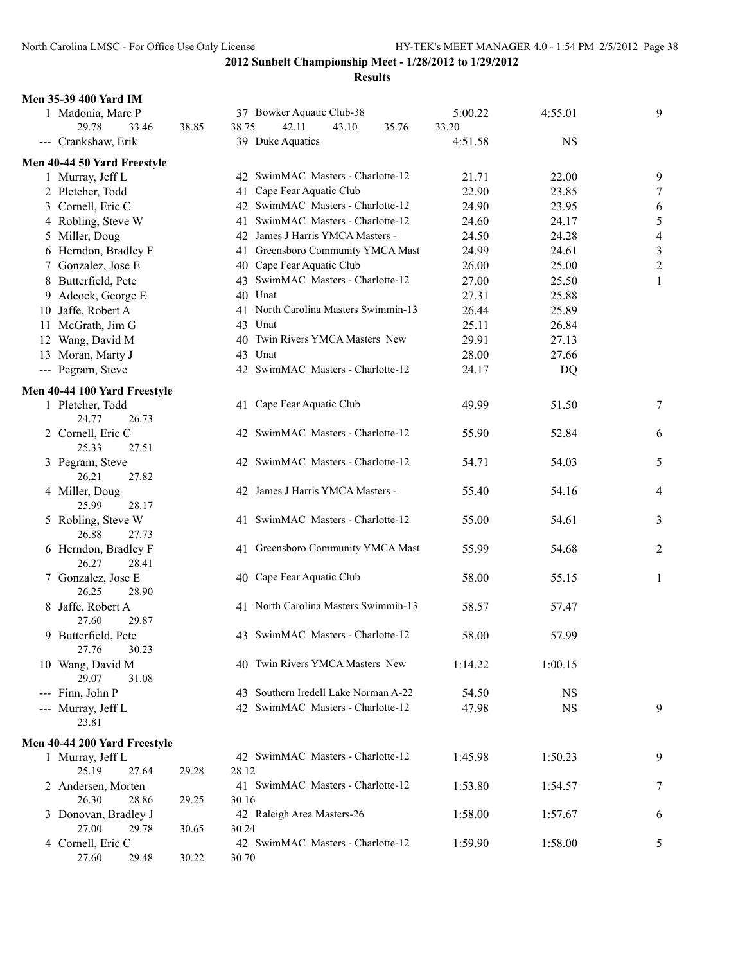| <b>Men 35-39 400 Yard IM</b>      |       |                                      |         |           |                |
|-----------------------------------|-------|--------------------------------------|---------|-----------|----------------|
| 1 Madonia, Marc P                 |       | 37 Bowker Aquatic Club-38            | 5:00.22 | 4:55.01   | 9              |
| 29.78<br>33.46                    | 38.85 | 42.11<br>38.75<br>43.10<br>35.76     | 33.20   |           |                |
| --- Crankshaw, Erik               |       | 39 Duke Aquatics                     | 4:51.58 | <b>NS</b> |                |
| Men 40-44 50 Yard Freestyle       |       |                                      |         |           |                |
| 1 Murray, Jeff L                  |       | 42 SwimMAC Masters - Charlotte-12    | 21.71   | 22.00     | 9              |
| 2 Pletcher, Todd                  |       | 41 Cape Fear Aquatic Club            | 22.90   | 23.85     | $\tau$         |
| 3 Cornell, Eric C                 |       | 42 SwimMAC Masters - Charlotte-12    | 24.90   | 23.95     | 6              |
| 4 Robling, Steve W                |       | 41 SwimMAC Masters - Charlotte-12    | 24.60   | 24.17     | 5              |
| 5 Miller, Doug                    |       | 42 James J Harris YMCA Masters -     | 24.50   | 24.28     | $\overline{4}$ |
| 6 Herndon, Bradley F              |       | 41 Greensboro Community YMCA Mast    | 24.99   | 24.61     | $\mathfrak{Z}$ |
| 7 Gonzalez, Jose E                |       | 40 Cape Fear Aquatic Club            | 26.00   | 25.00     | $\sqrt{2}$     |
| 8 Butterfield, Pete               |       | 43 SwimMAC Masters - Charlotte-12    | 27.00   | 25.50     | $\mathbf{1}$   |
| 9 Adcock, George E                |       | 40 Unat                              | 27.31   | 25.88     |                |
| 10 Jaffe, Robert A                |       | 41 North Carolina Masters Swimmin-13 | 26.44   | 25.89     |                |
| 11 McGrath, Jim G                 |       | 43 Unat                              | 25.11   | 26.84     |                |
| 12 Wang, David M                  |       | 40 Twin Rivers YMCA Masters New      | 29.91   | 27.13     |                |
| 13 Moran, Marty J                 |       | 43 Unat                              | 28.00   | 27.66     |                |
| --- Pegram, Steve                 |       | 42 SwimMAC Masters - Charlotte-12    | 24.17   | DQ        |                |
|                                   |       |                                      |         |           |                |
| Men 40-44 100 Yard Freestyle      |       |                                      |         |           |                |
| 1 Pletcher, Todd                  |       | 41 Cape Fear Aquatic Club            | 49.99   | 51.50     | 7              |
| 24.77<br>26.73                    |       |                                      |         |           |                |
| 2 Cornell, Eric C                 |       | 42 SwimMAC Masters - Charlotte-12    | 55.90   | 52.84     | 6              |
| 25.33<br>27.51                    |       |                                      |         |           |                |
| 3 Pegram, Steve<br>26.21<br>27.82 |       | 42 SwimMAC Masters - Charlotte-12    | 54.71   | 54.03     | 5              |
| 4 Miller, Doug                    |       | 42 James J Harris YMCA Masters -     | 55.40   | 54.16     | $\overline{4}$ |
| 25.99<br>28.17                    |       |                                      |         |           |                |
| 5 Robling, Steve W                |       | 41 SwimMAC Masters - Charlotte-12    | 55.00   | 54.61     | 3              |
| 26.88<br>27.73                    |       |                                      |         |           |                |
| 6 Herndon, Bradley F              |       | 41 Greensboro Community YMCA Mast    | 55.99   | 54.68     | $\overline{2}$ |
| 26.27<br>28.41                    |       |                                      |         |           |                |
| 7 Gonzalez, Jose E                |       | 40 Cape Fear Aquatic Club            | 58.00   | 55.15     | 1              |
| 26.25<br>28.90                    |       |                                      |         |           |                |
| 8 Jaffe, Robert A                 |       | 41 North Carolina Masters Swimmin-13 | 58.57   | 57.47     |                |
| 27.60<br>29.87                    |       |                                      |         |           |                |
| 9 Butterfield, Pete               |       | 43 SwimMAC Masters - Charlotte-12    | 58.00   | 57.99     |                |
| 27.76<br>30.23                    |       |                                      |         |           |                |
| 10 Wang, David M                  |       | 40 Twin Rivers YMCA Masters New      | 1:14.22 | 1:00.15   |                |
| 29.07<br>31.08                    |       |                                      |         |           |                |
| --- Finn, John P                  |       | 43 Southern Iredell Lake Norman A-22 | 54.50   | NS        |                |
| --- Murray, Jeff L                |       | 42 SwimMAC Masters - Charlotte-12    | 47.98   | <b>NS</b> | 9              |
| 23.81                             |       |                                      |         |           |                |
| Men 40-44 200 Yard Freestyle      |       |                                      |         |           |                |
| 1 Murray, Jeff L                  |       | 42 SwimMAC Masters - Charlotte-12    | 1:45.98 | 1:50.23   | 9              |
| 25.19<br>27.64                    | 29.28 | 28.12                                |         |           |                |
| 2 Andersen, Morten                |       | 41 SwimMAC Masters - Charlotte-12    | 1:53.80 | 1:54.57   | 7              |
| 26.30<br>28.86                    | 29.25 | 30.16                                |         |           |                |
| 3 Donovan, Bradley J              |       | 42 Raleigh Area Masters-26           | 1:58.00 | 1:57.67   | 6              |
| 27.00<br>29.78                    | 30.65 | 30.24                                |         |           |                |
| 4 Cornell, Eric C                 |       | 42 SwimMAC Masters - Charlotte-12    | 1:59.90 | 1:58.00   | 5              |
| 27.60<br>29.48                    | 30.22 | 30.70                                |         |           |                |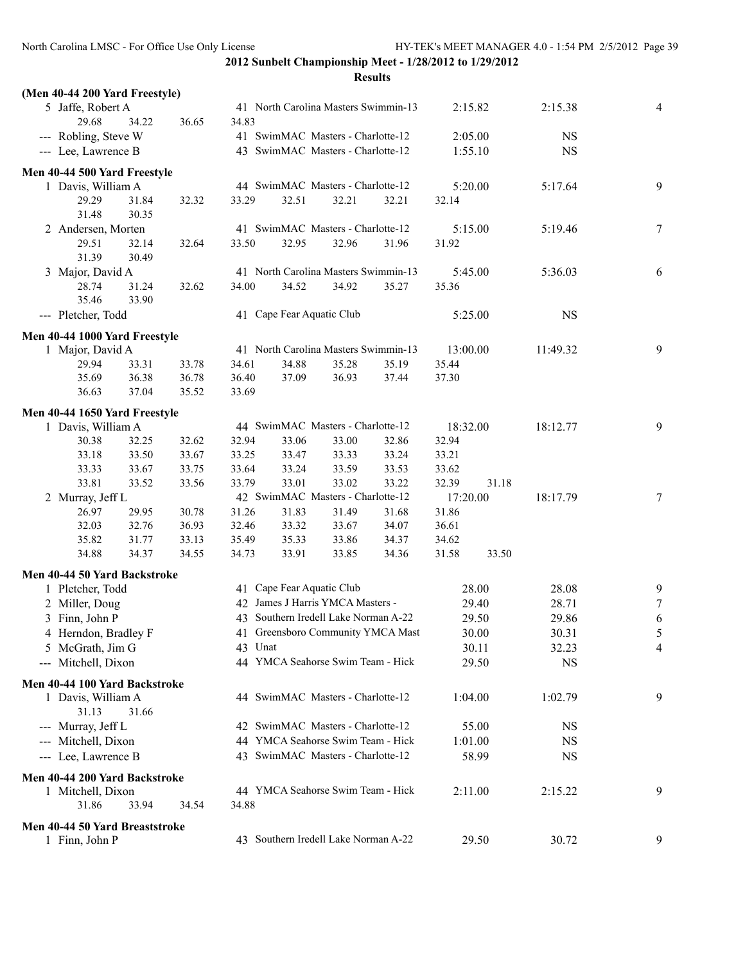| (Men 40-44 200 Yard Freestyle) |       |       |         |                           |                                      |       |          |       |           |                |
|--------------------------------|-------|-------|---------|---------------------------|--------------------------------------|-------|----------|-------|-----------|----------------|
| 5 Jaffe, Robert A              |       |       |         |                           | 41 North Carolina Masters Swimmin-13 |       | 2:15.82  |       | 2:15.38   | 4              |
| 29.68                          | 34.22 | 36.65 | 34.83   |                           |                                      |       |          |       |           |                |
| --- Robling, Steve W           |       |       |         |                           | 41 SwimMAC Masters - Charlotte-12    |       | 2:05.00  |       | <b>NS</b> |                |
| --- Lee, Lawrence B            |       |       |         |                           | 43 SwimMAC Masters - Charlotte-12    |       | 1:55.10  |       | <b>NS</b> |                |
| Men 40-44 500 Yard Freestyle   |       |       |         |                           |                                      |       |          |       |           |                |
| 1 Davis, William A             |       |       |         |                           | 44 SwimMAC Masters - Charlotte-12    |       | 5:20.00  |       | 5:17.64   | 9              |
| 29.29                          | 31.84 | 32.32 | 33.29   | 32.51                     | 32.21                                | 32.21 | 32.14    |       |           |                |
| 31.48                          | 30.35 |       |         |                           |                                      |       |          |       |           |                |
| 2 Andersen, Morten             |       |       |         |                           | 41 SwimMAC Masters - Charlotte-12    |       | 5:15.00  |       | 5:19.46   | 7              |
| 29.51                          | 32.14 | 32.64 | 33.50   | 32.95                     | 32.96                                | 31.96 | 31.92    |       |           |                |
| 31.39                          | 30.49 |       |         |                           |                                      |       |          |       |           |                |
| 3 Major, David A               |       |       |         |                           | 41 North Carolina Masters Swimmin-13 |       | 5:45.00  |       | 5:36.03   | 6              |
| 28.74                          | 31.24 | 32.62 | 34.00   | 34.52                     | 34.92                                | 35.27 | 35.36    |       |           |                |
| 35.46                          | 33.90 |       |         |                           |                                      |       |          |       |           |                |
| --- Pletcher, Todd             |       |       |         | 41 Cape Fear Aquatic Club |                                      |       | 5:25.00  |       | <b>NS</b> |                |
| Men 40-44 1000 Yard Freestyle  |       |       |         |                           |                                      |       |          |       |           |                |
| 1 Major, David A               |       |       |         |                           | 41 North Carolina Masters Swimmin-13 |       | 13:00.00 |       | 11:49.32  | 9              |
| 29.94                          | 33.31 | 33.78 | 34.61   | 34.88                     | 35.28                                | 35.19 | 35.44    |       |           |                |
| 35.69                          | 36.38 | 36.78 | 36.40   | 37.09                     | 36.93                                | 37.44 | 37.30    |       |           |                |
| 36.63                          | 37.04 | 35.52 | 33.69   |                           |                                      |       |          |       |           |                |
| Men 40-44 1650 Yard Freestyle  |       |       |         |                           |                                      |       |          |       |           |                |
| 1 Davis, William A             |       |       |         |                           | 44 SwimMAC Masters - Charlotte-12    |       | 18:32.00 |       | 18:12.77  | 9              |
| 30.38                          | 32.25 | 32.62 | 32.94   | 33.06                     | 33.00                                | 32.86 | 32.94    |       |           |                |
| 33.18                          | 33.50 | 33.67 | 33.25   | 33.47                     | 33.33                                | 33.24 | 33.21    |       |           |                |
| 33.33                          | 33.67 | 33.75 | 33.64   | 33.24                     | 33.59                                | 33.53 | 33.62    |       |           |                |
| 33.81                          | 33.52 | 33.56 | 33.79   | 33.01                     | 33.02                                | 33.22 | 32.39    | 31.18 |           |                |
| 2 Murray, Jeff L               |       |       |         |                           | 42 SwimMAC Masters - Charlotte-12    |       | 17:20.00 |       | 18:17.79  | 7              |
| 26.97                          | 29.95 | 30.78 | 31.26   | 31.83                     | 31.49                                | 31.68 | 31.86    |       |           |                |
| 32.03                          | 32.76 | 36.93 | 32.46   | 33.32                     | 33.67                                | 34.07 | 36.61    |       |           |                |
| 35.82                          | 31.77 | 33.13 | 35.49   | 35.33                     | 33.86                                | 34.37 | 34.62    |       |           |                |
| 34.88                          | 34.37 | 34.55 | 34.73   | 33.91                     | 33.85                                | 34.36 | 31.58    | 33.50 |           |                |
| Men 40-44 50 Yard Backstroke   |       |       |         |                           |                                      |       |          |       |           |                |
| 1 Pletcher, Todd               |       |       |         | 41 Cape Fear Aquatic Club |                                      |       |          | 28.00 | 28.08     | 9              |
| 2 Miller, Doug                 |       |       |         |                           | 42 James J Harris YMCA Masters -     |       |          | 29.40 | 28.71     | 7              |
| 3 Finn, John P                 |       |       |         |                           | 43 Southern Iredell Lake Norman A-22 |       |          | 29.50 | 29.86     | 6              |
| 4 Herndon, Bradley F           |       |       |         |                           | 41 Greensboro Community YMCA Mast    |       |          | 30.00 | 30.31     | $\mathfrak{S}$ |
| 5 McGrath, Jim G               |       |       | 43 Unat |                           |                                      |       |          | 30.11 | 32.23     | 4              |
| --- Mitchell, Dixon            |       |       |         |                           | 44 YMCA Seahorse Swim Team - Hick    |       |          | 29.50 | <b>NS</b> |                |
|                                |       |       |         |                           |                                      |       |          |       |           |                |
| Men 40-44 100 Yard Backstroke  |       |       |         |                           |                                      |       |          |       |           |                |
| 1 Davis, William A             |       |       |         |                           | 44 SwimMAC Masters - Charlotte-12    |       | 1:04.00  |       | 1:02.79   | 9              |
| 31.13                          | 31.66 |       |         |                           |                                      |       |          |       |           |                |
| --- Murray, Jeff L             |       |       |         |                           | 42 SwimMAC Masters - Charlotte-12    |       |          | 55.00 | <b>NS</b> |                |
| --- Mitchell, Dixon            |       |       |         |                           | 44 YMCA Seahorse Swim Team - Hick    |       | 1:01.00  |       | <b>NS</b> |                |
| --- Lee, Lawrence B            |       |       |         |                           | 43 SwimMAC Masters - Charlotte-12    |       |          | 58.99 | <b>NS</b> |                |
| Men 40-44 200 Yard Backstroke  |       |       |         |                           |                                      |       |          |       |           |                |
| 1 Mitchell, Dixon              |       |       |         |                           | 44 YMCA Seahorse Swim Team - Hick    |       | 2:11.00  |       | 2:15.22   | 9              |
| 31.86                          | 33.94 | 34.54 | 34.88   |                           |                                      |       |          |       |           |                |
| Men 40-44 50 Yard Breaststroke |       |       |         |                           |                                      |       |          |       |           |                |
| 1 Finn, John P                 |       |       |         |                           | 43 Southern Iredell Lake Norman A-22 |       |          | 29.50 | 30.72     | 9              |
|                                |       |       |         |                           |                                      |       |          |       |           |                |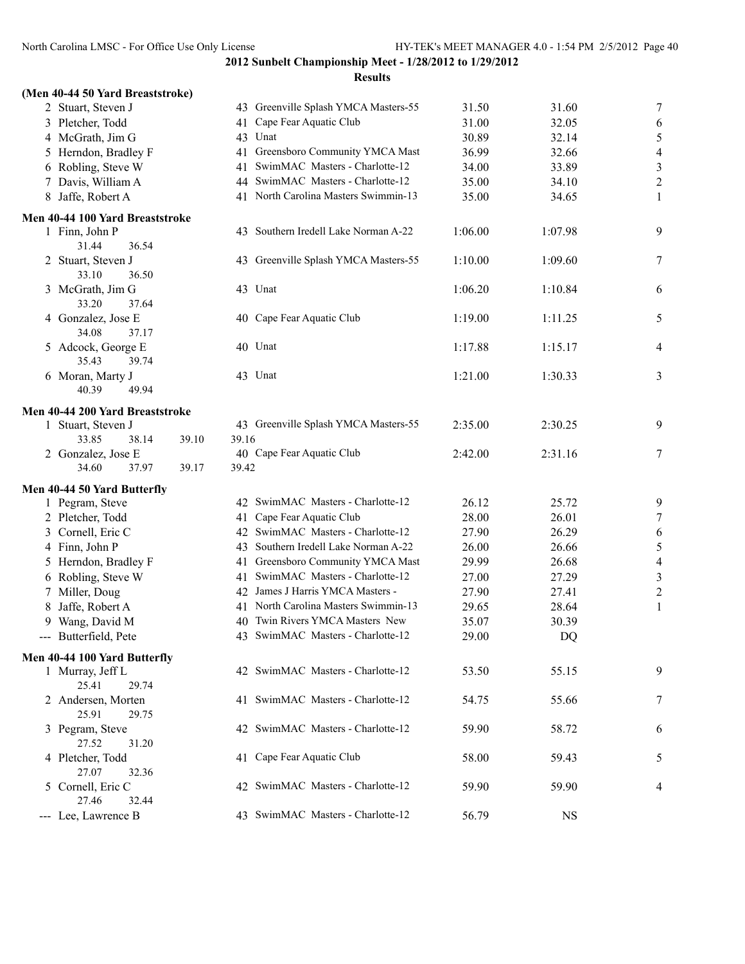| (Men 40-44 50 Yard Breaststroke) |  |  |  |  |  |  |  |
|----------------------------------|--|--|--|--|--|--|--|
|----------------------------------|--|--|--|--|--|--|--|

|               | 2 Stuart, Steven J                   |       |       | 43 Greenville Splash YMCA Masters-55 | 31.50   | 31.60     | $\boldsymbol{7}$        |
|---------------|--------------------------------------|-------|-------|--------------------------------------|---------|-----------|-------------------------|
|               | 3 Pletcher, Todd                     |       | 41    | Cape Fear Aquatic Club               | 31.00   | 32.05     | $\sqrt{6}$              |
|               | 4 McGrath, Jim G                     |       | 43    | Unat                                 | 30.89   | 32.14     | $\sqrt{5}$              |
| $\mathcal{L}$ | Herndon, Bradley F                   |       | 41    | Greensboro Community YMCA Mast       | 36.99   | 32.66     | $\overline{4}$          |
|               | 6 Robling, Steve W                   |       | 41    | SwimMAC Masters - Charlotte-12       | 34.00   | 33.89     | $\mathfrak{Z}$          |
|               | 7 Davis, William A                   |       | 44    | SwimMAC Masters - Charlotte-12       | 35.00   | 34.10     | $\overline{c}$          |
|               | 8 Jaffe, Robert A                    |       |       | 41 North Carolina Masters Swimmin-13 | 35.00   | 34.65     | $\mathbf{1}$            |
|               |                                      |       |       |                                      |         |           |                         |
|               | Men 40-44 100 Yard Breaststroke      |       |       | 43 Southern Iredell Lake Norman A-22 |         |           |                         |
|               | 1 Finn, John P                       |       |       |                                      | 1:06.00 | 1:07.98   | 9                       |
|               | 31.44<br>36.54                       |       |       |                                      |         |           |                         |
|               | 2 Stuart, Steven J<br>33.10<br>36.50 |       |       | 43 Greenville Splash YMCA Masters-55 | 1:10.00 | 1:09.60   | 7                       |
|               | 3 McGrath, Jim G                     |       |       | 43 Unat                              | 1:06.20 | 1:10.84   |                         |
|               | 33.20<br>37.64                       |       |       |                                      |         |           | 6                       |
|               | 4 Gonzalez, Jose E                   |       |       | 40 Cape Fear Aquatic Club            | 1:19.00 | 1:11.25   | 5                       |
|               | 34.08<br>37.17                       |       |       |                                      |         |           |                         |
|               | 5 Adcock, George E                   |       |       | 40 Unat                              | 1:17.88 | 1:15.17   | $\overline{4}$          |
|               | 35.43<br>39.74                       |       |       |                                      |         |           |                         |
|               | 6 Moran, Marty J                     |       |       | 43 Unat                              | 1:21.00 | 1:30.33   | 3                       |
|               | 40.39<br>49.94                       |       |       |                                      |         |           |                         |
|               |                                      |       |       |                                      |         |           |                         |
|               | Men 40-44 200 Yard Breaststroke      |       |       |                                      |         |           |                         |
|               | 1 Stuart, Steven J                   |       |       | 43 Greenville Splash YMCA Masters-55 | 2:35.00 | 2:30.25   | 9                       |
|               | 33.85<br>38.14                       | 39.10 | 39.16 |                                      |         |           |                         |
|               | 2 Gonzalez, Jose E                   |       |       | 40 Cape Fear Aquatic Club            | 2:42.00 | 2:31.16   | 7                       |
|               | 34.60<br>37.97                       | 39.17 | 39.42 |                                      |         |           |                         |
|               | Men 40-44 50 Yard Butterfly          |       |       |                                      |         |           |                         |
|               | 1 Pegram, Steve                      |       |       | 42 SwimMAC Masters - Charlotte-12    | 26.12   | 25.72     | 9                       |
|               | 2 Pletcher, Todd                     |       | 41    | Cape Fear Aquatic Club               | 28.00   | 26.01     | 7                       |
|               | 3 Cornell, Eric C                    |       |       | 42 SwimMAC Masters - Charlotte-12    | 27.90   | 26.29     | $\sqrt{6}$              |
|               | 4 Finn, John P                       |       | 43    | Southern Iredell Lake Norman A-22    | 26.00   | 26.66     | 5                       |
|               | 5 Herndon, Bradley F                 |       | 41    | Greensboro Community YMCA Mast       | 29.99   | 26.68     | $\overline{a}$          |
|               | 6 Robling, Steve W                   |       | 41    | SwimMAC Masters - Charlotte-12       | 27.00   | 27.29     | $\overline{\mathbf{3}}$ |
|               | 7 Miller, Doug                       |       |       | 42 James J Harris YMCA Masters -     | 27.90   | 27.41     | $\sqrt{2}$              |
| 8             | Jaffe, Robert A                      |       |       | 41 North Carolina Masters Swimmin-13 | 29.65   | 28.64     | $\mathbf{1}$            |
| 9.            | Wang, David M                        |       |       | 40 Twin Rivers YMCA Masters New      | 35.07   | 30.39     |                         |
|               | --- Butterfield, Pete                |       |       | 43 SwimMAC Masters - Charlotte-12    | 29.00   | DQ        |                         |
|               |                                      |       |       |                                      |         |           |                         |
|               | Men 40-44 100 Yard Butterfly         |       |       |                                      |         |           |                         |
|               | 1 Murray, Jeff L                     |       |       | 42 SwimMAC Masters - Charlotte-12    | 53.50   | 55.15     | 9                       |
|               | 25.41<br>29.74                       |       |       |                                      |         |           |                         |
|               | 2 Andersen, Morten                   |       |       | 41 SwimMAC Masters - Charlotte-12    | 54.75   | 55.66     | 7                       |
|               | 25.91<br>29.75                       |       |       |                                      |         |           |                         |
|               | 3 Pegram, Steve                      |       |       | 42 SwimMAC Masters - Charlotte-12    | 59.90   | 58.72     | 6                       |
|               | 27.52<br>31.20                       |       |       |                                      |         |           |                         |
|               | 4 Pletcher, Todd                     |       |       | 41 Cape Fear Aquatic Club            | 58.00   | 59.43     | 5                       |
|               | 27.07<br>32.36                       |       |       |                                      |         |           |                         |
|               | 5 Cornell, Eric C                    |       |       | 42 SwimMAC Masters - Charlotte-12    | 59.90   | 59.90     | 4                       |
|               | 27.46<br>32.44                       |       |       |                                      |         |           |                         |
|               | --- Lee, Lawrence B                  |       |       | 43 SwimMAC Masters - Charlotte-12    | 56.79   | <b>NS</b> |                         |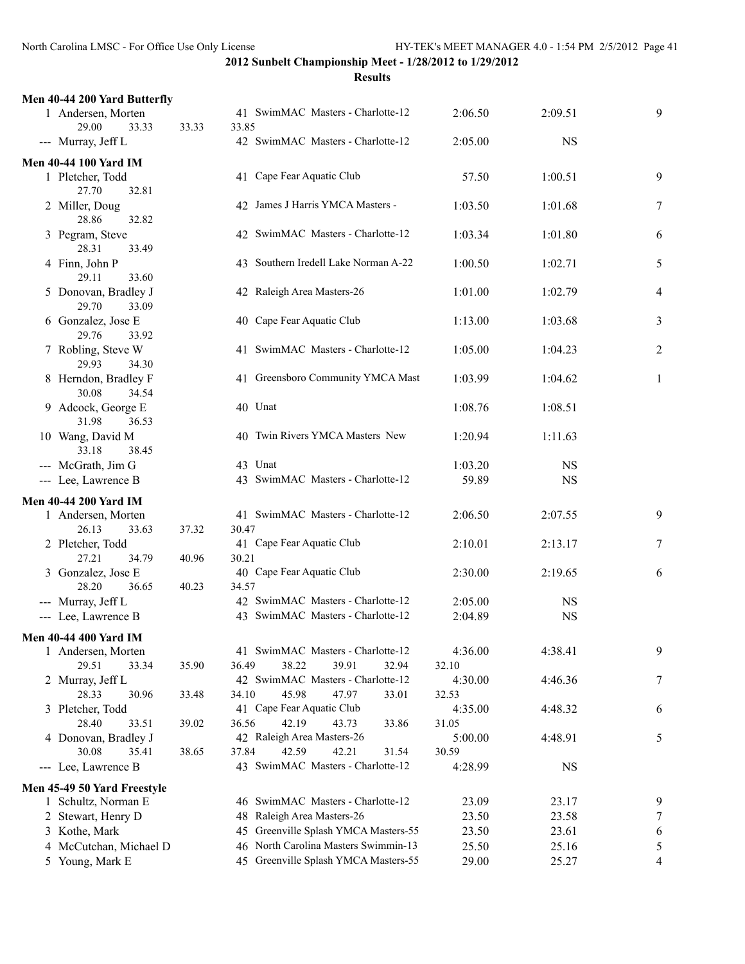| Men 40-44 200 Yard Butterfly              |       |                                                                              |                  |                |        |
|-------------------------------------------|-------|------------------------------------------------------------------------------|------------------|----------------|--------|
| 1 Andersen, Morten<br>29.00<br>33.33      | 33.33 | 41 SwimMAC Masters - Charlotte-12<br>33.85                                   | 2:06.50          | 2:09.51        | 9      |
| --- Murray, Jeff L                        |       | 42 SwimMAC Masters - Charlotte-12                                            | 2:05.00          | <b>NS</b>      |        |
| <b>Men 40-44 100 Yard IM</b>              |       |                                                                              |                  |                |        |
| 1 Pletcher, Todd<br>27.70<br>32.81        |       | 41 Cape Fear Aquatic Club                                                    | 57.50            | 1:00.51        | 9      |
| 2 Miller, Doug<br>28.86<br>32.82          |       | 42 James J Harris YMCA Masters -                                             | 1:03.50          | 1:01.68        | 7      |
| 3 Pegram, Steve<br>28.31<br>33.49         |       | 42 SwimMAC Masters - Charlotte-12                                            | 1:03.34          | 1:01.80        | 6      |
| 4 Finn, John P<br>29.11<br>33.60          |       | 43 Southern Iredell Lake Norman A-22                                         | 1:00.50          | 1:02.71        | 5      |
| 5 Donovan, Bradley J<br>29.70<br>33.09    |       | 42 Raleigh Area Masters-26                                                   | 1:01.00          | 1:02.79        | 4      |
| 6 Gonzalez, Jose E<br>29.76<br>33.92      |       | 40 Cape Fear Aquatic Club                                                    | 1:13.00          | 1:03.68        | 3      |
| 7 Robling, Steve W<br>29.93<br>34.30      |       | 41 SwimMAC Masters - Charlotte-12                                            | 1:05.00          | 1:04.23        | 2      |
| 8 Herndon, Bradley F<br>30.08<br>34.54    |       | 41 Greensboro Community YMCA Mast                                            | 1:03.99          | 1:04.62        | 1      |
| 9 Adcock, George E<br>31.98<br>36.53      |       | 40 Unat                                                                      | 1:08.76          | 1:08.51        |        |
| 10 Wang, David M                          |       | 40 Twin Rivers YMCA Masters New                                              | 1:20.94          | 1:11.63        |        |
| 33.18<br>38.45                            |       |                                                                              |                  |                |        |
| --- McGrath, Jim G                        |       | 43 Unat<br>43 SwimMAC Masters - Charlotte-12                                 | 1:03.20<br>59.89 | <b>NS</b>      |        |
| --- Lee, Lawrence B                       |       |                                                                              |                  | <b>NS</b>      |        |
| <b>Men 40-44 200 Yard IM</b>              |       |                                                                              |                  |                |        |
| 1 Andersen, Morten                        |       | 41 SwimMAC Masters - Charlotte-12                                            | 2:06.50          | 2:07.55        | 9      |
| 26.13<br>33.63                            | 37.32 | 30.47                                                                        |                  |                |        |
| 2 Pletcher, Todd                          |       | 41 Cape Fear Aquatic Club                                                    | 2:10.01          | 2:13.17        | 7      |
| 27.21<br>34.79                            | 40.96 | 30.21                                                                        |                  |                |        |
| 3 Gonzalez, Jose E<br>28.20<br>36.65      | 40.23 | 40 Cape Fear Aquatic Club                                                    | 2:30.00          | 2:19.65        | 6      |
|                                           |       | 34.57                                                                        |                  |                |        |
| --- Murray, Jeff L                        |       | 42 SwimMAC Masters - Charlotte-12                                            | 2:05.00          | <b>NS</b>      |        |
| --- Lee, Lawrence B                       |       | 43 SwimMAC Masters - Charlotte-12                                            | 2:04.89          | <b>NS</b>      |        |
|                                           |       |                                                                              |                  |                |        |
| Men 40-44 400 Yard IM                     |       |                                                                              |                  |                |        |
| 1 Andersen, Morten                        |       | 41 SwimMAC Masters - Charlotte-12                                            | 4:36.00          | 4:38.41        | 9      |
| 29.51<br>33.34                            | 35.90 | 38.22<br>39.91<br>36.49<br>32.94                                             | 32.10            |                |        |
| 2 Murray, Jeff L<br>28.33                 |       | 42 SwimMAC Masters - Charlotte-12<br>45.98<br>47.97<br>33.01<br>34.10        | 4:30.00<br>32.53 | 4:46.36        | 7      |
| 30.96                                     | 33.48 | 41 Cape Fear Aquatic Club                                                    |                  |                |        |
| 3 Pletcher, Todd<br>28.40<br>33.51        | 39.02 | 42.19<br>36.56<br>43.73<br>33.86                                             | 4:35.00<br>31.05 | 4:48.32        | 6      |
| 4 Donovan, Bradley J                      |       | 42 Raleigh Area Masters-26                                                   | 5:00.00          | 4:48.91        | 5      |
| 30.08<br>35.41                            | 38.65 | 37.84<br>42.59<br>42.21<br>31.54                                             | 30.59            |                |        |
| --- Lee, Lawrence B                       |       | 43 SwimMAC Masters - Charlotte-12                                            | 4:28.99          | <b>NS</b>      |        |
|                                           |       |                                                                              |                  |                |        |
| Men 45-49 50 Yard Freestyle               |       |                                                                              |                  |                |        |
| 1 Schultz, Norman E                       |       | 46 SwimMAC Masters - Charlotte-12                                            | 23.09            | 23.17          | 9      |
| 2 Stewart, Henry D                        |       | 48 Raleigh Area Masters-26                                                   | 23.50            | 23.58          | 7      |
| 3 Kothe, Mark                             |       | 45 Greenville Splash YMCA Masters-55<br>46 North Carolina Masters Swimmin-13 | 23.50<br>25.50   | 23.61          | 6      |
| 4 McCutchan, Michael D<br>5 Young, Mark E |       | 45 Greenville Splash YMCA Masters-55                                         | 29.00            | 25.16<br>25.27 | 5<br>4 |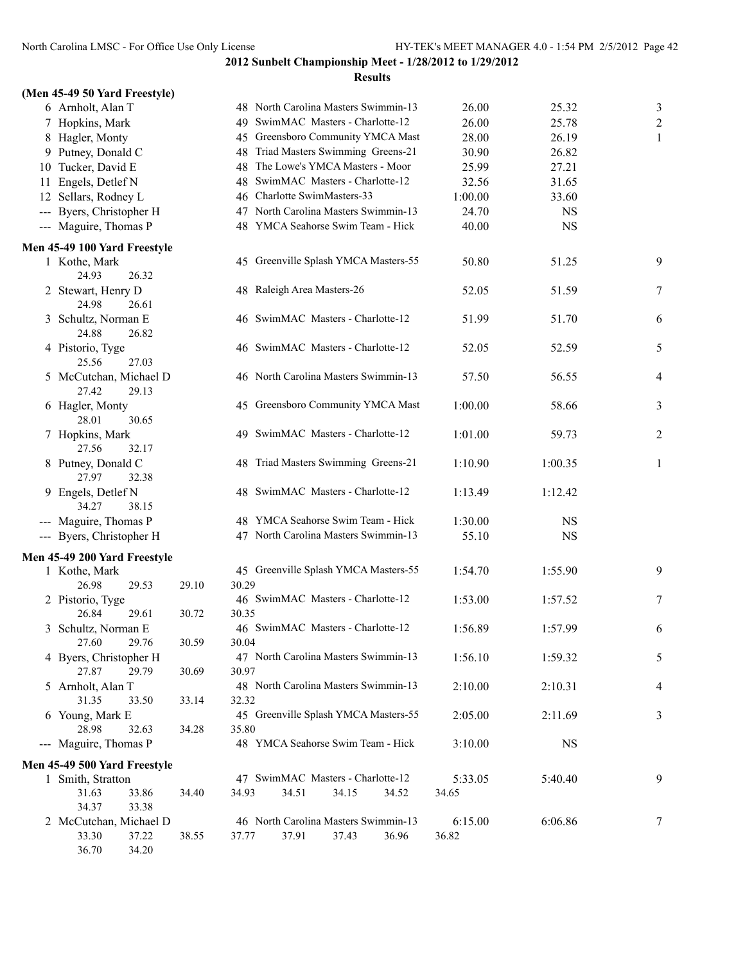|    | (Men 45-49 50 Yard Freestyle) |       |       |                            |       |                                   |                                      |         |           |                |
|----|-------------------------------|-------|-------|----------------------------|-------|-----------------------------------|--------------------------------------|---------|-----------|----------------|
|    | 6 Arnholt, Alan T             |       |       |                            |       |                                   | 48 North Carolina Masters Swimmin-13 | 26.00   | 25.32     | $\mathfrak{Z}$ |
|    | 7 Hopkins, Mark               |       |       |                            |       | 49 SwimMAC Masters - Charlotte-12 |                                      | 26.00   | 25.78     | $\sqrt{2}$     |
|    | 8 Hagler, Monty               |       |       |                            |       |                                   | 45 Greensboro Community YMCA Mast    | 28.00   | 26.19     | 1              |
|    | 9 Putney, Donald C            |       |       |                            |       |                                   | 48 Triad Masters Swimming Greens-21  | 30.90   | 26.82     |                |
|    | 10 Tucker, David E            |       |       |                            |       | 48 The Lowe's YMCA Masters - Moor |                                      | 25.99   | 27.21     |                |
| 11 | Engels, Detlef N              |       |       |                            |       | 48 SwimMAC Masters - Charlotte-12 |                                      | 32.56   | 31.65     |                |
|    | 12 Sellars, Rodney L          |       |       |                            |       | 46 Charlotte SwimMasters-33       |                                      | 1:00.00 | 33.60     |                |
|    | --- Byers, Christopher H      |       |       |                            |       |                                   | 47 North Carolina Masters Swimmin-13 | 24.70   | <b>NS</b> |                |
|    | --- Maguire, Thomas P         |       |       |                            |       |                                   | 48 YMCA Seahorse Swim Team - Hick    | 40.00   | NS        |                |
|    | Men 45-49 100 Yard Freestyle  |       |       |                            |       |                                   |                                      |         |           |                |
|    | 1 Kothe, Mark                 |       |       |                            |       |                                   | 45 Greenville Splash YMCA Masters-55 | 50.80   | 51.25     | 9              |
|    | 24.93<br>26.32                |       |       |                            |       |                                   |                                      |         |           |                |
|    | 2 Stewart, Henry D            |       |       | 48 Raleigh Area Masters-26 |       |                                   |                                      | 52.05   | 51.59     | 7              |
|    | 24.98<br>26.61                |       |       |                            |       |                                   |                                      |         |           |                |
|    | 3 Schultz, Norman E           |       |       |                            |       | 46 SwimMAC Masters - Charlotte-12 |                                      | 51.99   | 51.70     | 6              |
|    | 24.88<br>26.82                |       |       |                            |       |                                   |                                      |         |           |                |
|    | 4 Pistorio, Tyge              |       |       |                            |       | 46 SwimMAC Masters - Charlotte-12 |                                      | 52.05   | 52.59     | 5              |
|    | 25.56<br>27.03                |       |       |                            |       |                                   |                                      |         |           |                |
|    | 5 McCutchan, Michael D        |       |       |                            |       |                                   | 46 North Carolina Masters Swimmin-13 | 57.50   | 56.55     | 4              |
|    | 27.42<br>29.13                |       |       |                            |       |                                   |                                      |         |           |                |
|    | 6 Hagler, Monty               |       |       |                            |       |                                   | 45 Greensboro Community YMCA Mast    | 1:00.00 | 58.66     | 3              |
|    | 28.01<br>30.65                |       |       |                            |       |                                   |                                      |         |           |                |
|    | 7 Hopkins, Mark               |       |       |                            |       | 49 SwimMAC Masters - Charlotte-12 |                                      | 1:01.00 | 59.73     | $\overline{2}$ |
|    | 27.56<br>32.17                |       |       |                            |       |                                   |                                      |         |           |                |
|    | 8 Putney, Donald C            |       |       |                            |       |                                   | 48 Triad Masters Swimming Greens-21  | 1:10.90 | 1:00.35   | 1              |
|    | 27.97<br>32.38                |       |       |                            |       |                                   |                                      |         |           |                |
|    | 9 Engels, Detlef N            |       |       |                            |       | 48 SwimMAC Masters - Charlotte-12 |                                      | 1:13.49 | 1:12.42   |                |
|    | 34.27<br>38.15                |       |       |                            |       |                                   |                                      |         |           |                |
|    | --- Maguire, Thomas P         |       |       |                            |       |                                   | 48 YMCA Seahorse Swim Team - Hick    | 1:30.00 | <b>NS</b> |                |
|    | --- Byers, Christopher H      |       |       |                            |       |                                   | 47 North Carolina Masters Swimmin-13 | 55.10   | <b>NS</b> |                |
|    | Men 45-49 200 Yard Freestyle  |       |       |                            |       |                                   |                                      |         |           |                |
|    | 1 Kothe, Mark                 |       |       |                            |       |                                   | 45 Greenville Splash YMCA Masters-55 | 1:54.70 | 1:55.90   | 9              |
|    | 26.98<br>29.53                | 29.10 | 30.29 |                            |       |                                   |                                      |         |           |                |
|    | 2 Pistorio, Tyge              |       |       |                            |       | 46 SwimMAC Masters - Charlotte-12 |                                      | 1:53.00 | 1:57.52   | 7              |
|    | 26.84<br>29.61                | 30.72 | 30.35 |                            |       |                                   |                                      |         |           |                |
|    | 3 Schultz, Norman E           |       |       |                            |       | 46 SwimMAC Masters - Charlotte-12 |                                      | 1:56.89 | 1:57.99   | 6              |
|    | 27.60<br>29.76                | 30.59 | 30.04 |                            |       |                                   |                                      |         |           |                |
|    | 4 Byers, Christopher H        |       |       |                            |       |                                   | 47 North Carolina Masters Swimmin-13 | 1:56.10 | 1:59.32   | 5              |
|    | 27.87<br>29.79                | 30.69 | 30.97 |                            |       |                                   |                                      |         |           |                |
|    | 5 Arnholt, Alan T             |       |       |                            |       |                                   | 48 North Carolina Masters Swimmin-13 | 2:10.00 | 2:10.31   | 4              |
|    | 31.35<br>33.50                | 33.14 | 32.32 |                            |       |                                   |                                      |         |           |                |
|    | 6 Young, Mark E               |       |       |                            |       |                                   | 45 Greenville Splash YMCA Masters-55 | 2:05.00 | 2:11.69   | 3              |
|    | 28.98<br>32.63                | 34.28 | 35.80 |                            |       |                                   |                                      |         |           |                |
|    | --- Maguire, Thomas P         |       |       |                            |       |                                   | 48 YMCA Seahorse Swim Team - Hick    | 3:10.00 | <b>NS</b> |                |
|    | Men 45-49 500 Yard Freestyle  |       |       |                            |       |                                   |                                      |         |           |                |
|    | 1 Smith, Stratton             |       |       |                            |       | 47 SwimMAC Masters - Charlotte-12 |                                      | 5:33.05 | 5:40.40   | 9              |
|    | 31.63<br>33.86                | 34.40 | 34.93 |                            | 34.51 | 34.15                             | 34.52                                | 34.65   |           |                |
|    | 34.37<br>33.38                |       |       |                            |       |                                   |                                      |         |           |                |
|    | 2 McCutchan, Michael D        |       |       |                            |       |                                   | 46 North Carolina Masters Swimmin-13 | 6:15.00 | 6:06.86   | 7              |
|    | 33.30<br>37.22                | 38.55 | 37.77 |                            | 37.91 | 37.43                             | 36.96                                | 36.82   |           |                |
|    | 36.70<br>34.20                |       |       |                            |       |                                   |                                      |         |           |                |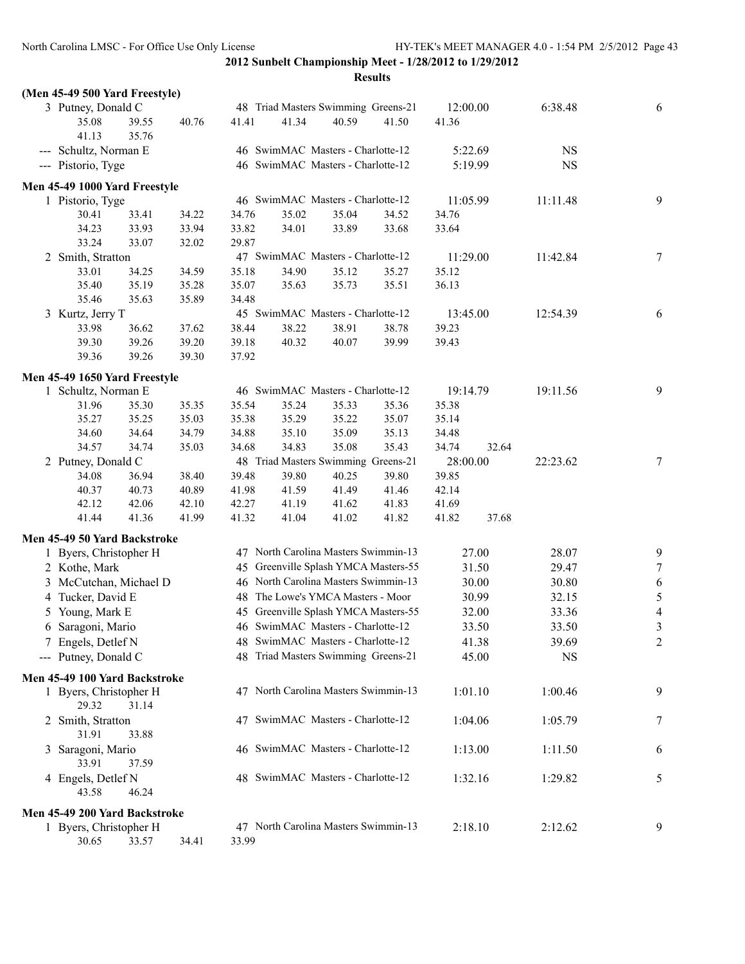| (Men 45-49 500 Yard Freestyle) |       |       |       |       |                                      |       |          |       |           |                  |
|--------------------------------|-------|-------|-------|-------|--------------------------------------|-------|----------|-------|-----------|------------------|
| 3 Putney, Donald C             |       |       |       |       | 48 Triad Masters Swimming Greens-21  |       | 12:00.00 |       | 6:38.48   | 6                |
| 35.08                          | 39.55 | 40.76 | 41.41 | 41.34 | 40.59                                | 41.50 | 41.36    |       |           |                  |
| 41.13                          | 35.76 |       |       |       |                                      |       |          |       |           |                  |
| --- Schultz, Norman E          |       |       |       |       | 46 SwimMAC Masters - Charlotte-12    |       | 5:22.69  |       | <b>NS</b> |                  |
| --- Pistorio, Tyge             |       |       |       |       | 46 SwimMAC Masters - Charlotte-12    |       | 5:19.99  |       | NS        |                  |
| Men 45-49 1000 Yard Freestyle  |       |       |       |       |                                      |       |          |       |           |                  |
| 1 Pistorio, Tyge               |       |       |       |       | 46 SwimMAC Masters - Charlotte-12    |       | 11:05.99 |       | 11:11.48  | 9                |
| 30.41                          | 33.41 | 34.22 | 34.76 | 35.02 | 35.04                                | 34.52 | 34.76    |       |           |                  |
| 34.23                          | 33.93 | 33.94 | 33.82 | 34.01 | 33.89                                | 33.68 | 33.64    |       |           |                  |
| 33.24                          | 33.07 | 32.02 | 29.87 |       |                                      |       |          |       |           |                  |
| 2 Smith, Stratton              |       |       |       |       | 47 SwimMAC Masters - Charlotte-12    |       | 11:29.00 |       | 11:42.84  | $\tau$           |
| 33.01                          | 34.25 | 34.59 | 35.18 | 34.90 | 35.12                                | 35.27 | 35.12    |       |           |                  |
| 35.40                          | 35.19 | 35.28 | 35.07 | 35.63 | 35.73                                | 35.51 | 36.13    |       |           |                  |
| 35.46                          | 35.63 | 35.89 | 34.48 |       |                                      |       |          |       |           |                  |
| 3 Kurtz, Jerry T               |       |       |       |       | 45 SwimMAC Masters - Charlotte-12    |       | 13:45.00 |       | 12:54.39  | 6                |
| 33.98                          | 36.62 | 37.62 | 38.44 | 38.22 | 38.91                                | 38.78 | 39.23    |       |           |                  |
| 39.30                          | 39.26 | 39.20 | 39.18 | 40.32 | 40.07                                | 39.99 | 39.43    |       |           |                  |
| 39.36                          | 39.26 | 39.30 | 37.92 |       |                                      |       |          |       |           |                  |
| Men 45-49 1650 Yard Freestyle  |       |       |       |       |                                      |       |          |       |           |                  |
| 1 Schultz, Norman E            |       |       |       |       | 46 SwimMAC Masters - Charlotte-12    |       | 19:14.79 |       | 19:11.56  | 9                |
| 31.96                          | 35.30 | 35.35 | 35.54 | 35.24 | 35.33                                | 35.36 | 35.38    |       |           |                  |
| 35.27                          | 35.25 | 35.03 | 35.38 | 35.29 | 35.22                                | 35.07 | 35.14    |       |           |                  |
| 34.60                          | 34.64 | 34.79 | 34.88 | 35.10 | 35.09                                | 35.13 | 34.48    |       |           |                  |
| 34.57                          | 34.74 | 35.03 | 34.68 | 34.83 | 35.08                                | 35.43 | 34.74    | 32.64 |           |                  |
| 2 Putney, Donald C             |       |       |       |       | 48 Triad Masters Swimming Greens-21  |       | 28:00.00 |       | 22:23.62  | 7                |
| 34.08                          | 36.94 | 38.40 | 39.48 | 39.80 | 40.25                                | 39.80 | 39.85    |       |           |                  |
| 40.37                          | 40.73 | 40.89 | 41.98 | 41.59 | 41.49                                | 41.46 | 42.14    |       |           |                  |
| 42.12                          | 42.06 | 42.10 | 42.27 | 41.19 | 41.62                                | 41.83 | 41.69    |       |           |                  |
| 41.44                          | 41.36 | 41.99 | 41.32 | 41.04 | 41.02                                | 41.82 | 41.82    | 37.68 |           |                  |
| Men 45-49 50 Yard Backstroke   |       |       |       |       |                                      |       |          |       |           |                  |
| 1 Byers, Christopher H         |       |       |       |       | 47 North Carolina Masters Swimmin-13 |       |          | 27.00 | 28.07     | 9                |
| 2 Kothe, Mark                  |       |       |       |       | 45 Greenville Splash YMCA Masters-55 |       |          | 31.50 | 29.47     | $\boldsymbol{7}$ |
| 3 McCutchan, Michael D         |       |       |       |       | 46 North Carolina Masters Swimmin-13 |       |          | 30.00 | 30.80     | 6                |
| 4 Tucker, David E              |       |       |       |       | 48 The Lowe's YMCA Masters - Moor    |       |          | 30.99 | 32.15     | $\sqrt{5}$       |
|                                |       |       |       |       | 45 Greenville Splash YMCA Masters-55 |       |          |       |           | $\overline{4}$   |
| 5 Young, Mark E                |       |       |       |       |                                      |       |          | 32.00 | 33.36     |                  |
| 6 Saragoni, Mario              |       |       |       |       | 46 SwimMAC Masters - Charlotte-12    |       |          | 33.50 | 33.50     | $\mathfrak{Z}$   |
| 7 Engels, Detlef N             |       |       |       |       | 48 SwimMAC Masters - Charlotte-12    |       |          | 41.38 | 39.69     | $\overline{2}$   |
| --- Putney, Donald C           |       |       |       |       | 48 Triad Masters Swimming Greens-21  |       |          | 45.00 | NS        |                  |
| Men 45-49 100 Yard Backstroke  |       |       |       |       |                                      |       |          |       |           |                  |
| 1 Byers, Christopher H         |       |       |       |       | 47 North Carolina Masters Swimmin-13 |       | 1:01.10  |       | 1:00.46   | 9                |
| 29.32                          | 31.14 |       |       |       |                                      |       |          |       |           |                  |
| 2 Smith, Stratton              |       |       |       |       | 47 SwimMAC Masters - Charlotte-12    |       | 1:04.06  |       | 1:05.79   | 7                |
| 31.91                          | 33.88 |       |       |       |                                      |       |          |       |           |                  |
| 3 Saragoni, Mario              |       |       |       |       | 46 SwimMAC Masters - Charlotte-12    |       | 1:13.00  |       | 1:11.50   | 6                |
| 33.91                          | 37.59 |       |       |       |                                      |       |          |       |           |                  |
| 4 Engels, Detlef N             |       |       |       |       | 48 SwimMAC Masters - Charlotte-12    |       | 1:32.16  |       | 1:29.82   | 5                |
| 43.58                          | 46.24 |       |       |       |                                      |       |          |       |           |                  |
| Men 45-49 200 Yard Backstroke  |       |       |       |       |                                      |       |          |       |           |                  |
| 1 Byers, Christopher H         |       |       |       |       | 47 North Carolina Masters Swimmin-13 |       | 2:18.10  |       | 2:12.62   | 9                |
| 30.65                          | 33.57 | 34.41 | 33.99 |       |                                      |       |          |       |           |                  |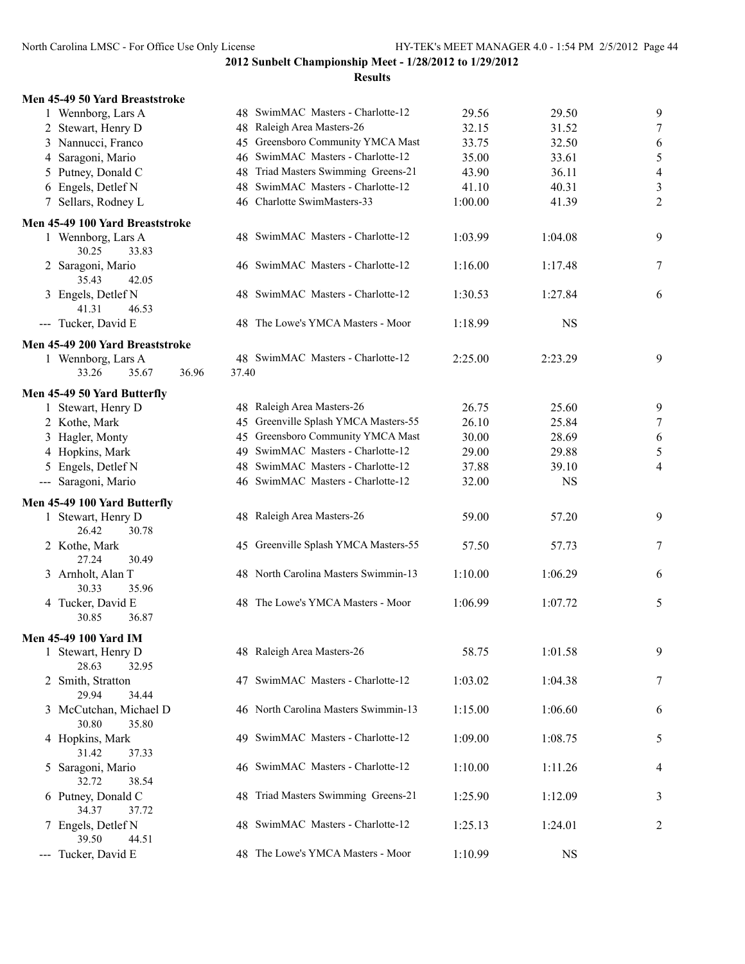| Men 45-49 50 Yard Breaststroke                    |                             |                                      |         |           |                          |
|---------------------------------------------------|-----------------------------|--------------------------------------|---------|-----------|--------------------------|
| 1 Wennborg, Lars A                                |                             | 48 SwimMAC Masters - Charlotte-12    | 29.56   | 29.50     | 9                        |
| 2 Stewart, Henry D                                | 48 Raleigh Area Masters-26  |                                      | 32.15   | 31.52     | $\tau$                   |
| 3 Nannucci, Franco                                |                             | 45 Greensboro Community YMCA Mast    | 33.75   | 32.50     | 6                        |
| 4 Saragoni, Mario                                 |                             | 46 SwimMAC Masters - Charlotte-12    | 35.00   | 33.61     | 5                        |
| 5 Putney, Donald C                                |                             | 48 Triad Masters Swimming Greens-21  | 43.90   | 36.11     | $\overline{\mathcal{A}}$ |
| 6 Engels, Detlef N                                |                             | 48 SwimMAC Masters - Charlotte-12    | 41.10   | 40.31     | $\mathfrak{Z}$           |
| 7 Sellars, Rodney L                               | 46 Charlotte SwimMasters-33 |                                      | 1:00.00 | 41.39     | $\overline{2}$           |
|                                                   |                             |                                      |         |           |                          |
| Men 45-49 100 Yard Breaststroke                   |                             |                                      |         |           |                          |
| 1 Wennborg, Lars A                                |                             | 48 SwimMAC Masters - Charlotte-12    | 1:03.99 | 1:04.08   | 9                        |
| 30.25<br>33.83                                    |                             |                                      |         |           |                          |
| 2 Saragoni, Mario                                 |                             | 46 SwimMAC Masters - Charlotte-12    | 1:16.00 | 1:17.48   | 7                        |
| 35.43<br>42.05                                    |                             |                                      |         |           |                          |
| 3 Engels, Detlef N                                |                             | 48 SwimMAC Masters - Charlotte-12    | 1:30.53 | 1:27.84   | 6                        |
| 41.31<br>46.53                                    |                             |                                      |         |           |                          |
| --- Tucker, David E                               |                             | 48 The Lowe's YMCA Masters - Moor    | 1:18.99 | <b>NS</b> |                          |
| Men 45-49 200 Yard Breaststroke                   |                             |                                      |         |           |                          |
| 1 Wennborg, Lars A                                |                             | 48 SwimMAC Masters - Charlotte-12    | 2:25.00 | 2:23.29   | 9                        |
| 36.96<br>33.26<br>35.67                           | 37.40                       |                                      |         |           |                          |
|                                                   |                             |                                      |         |           |                          |
| Men 45-49 50 Yard Butterfly<br>1 Stewart, Henry D | 48 Raleigh Area Masters-26  |                                      | 26.75   | 25.60     | 9                        |
| 2 Kothe, Mark                                     |                             | 45 Greenville Splash YMCA Masters-55 | 26.10   | 25.84     | $\tau$                   |
|                                                   |                             |                                      |         |           |                          |
| 3 Hagler, Monty                                   |                             | 45 Greensboro Community YMCA Mast    | 30.00   | 28.69     | 6                        |
| 4 Hopkins, Mark                                   |                             | 49 SwimMAC Masters - Charlotte-12    | 29.00   | 29.88     | 5                        |
| 5 Engels, Detlef N                                |                             | 48 SwimMAC Masters - Charlotte-12    | 37.88   | 39.10     | 4                        |
| --- Saragoni, Mario                               |                             | 46 SwimMAC Masters - Charlotte-12    | 32.00   | <b>NS</b> |                          |
| Men 45-49 100 Yard Butterfly                      |                             |                                      |         |           |                          |
| 1 Stewart, Henry D                                | 48 Raleigh Area Masters-26  |                                      | 59.00   | 57.20     | 9                        |
| 26.42<br>30.78                                    |                             |                                      |         |           |                          |
| 2 Kothe, Mark                                     |                             | 45 Greenville Splash YMCA Masters-55 | 57.50   | 57.73     | 7                        |
| 27.24<br>30.49                                    |                             |                                      |         |           |                          |
| 3 Arnholt, Alan T                                 |                             | 48 North Carolina Masters Swimmin-13 | 1:10.00 | 1:06.29   | 6                        |
| 30.33<br>35.96                                    |                             |                                      |         |           |                          |
| 4 Tucker, David E                                 |                             | 48 The Lowe's YMCA Masters - Moor    | 1:06.99 | 1:07.72   | 5                        |
| 30.85<br>36.87                                    |                             |                                      |         |           |                          |
| Men 45-49 100 Yard IM                             |                             |                                      |         |           |                          |
| 1 Stewart, Henry D                                | 48 Raleigh Area Masters-26  |                                      | 58.75   | 1:01.58   | 9                        |
| 28.63<br>32.95                                    |                             |                                      |         |           |                          |
| 2 Smith, Stratton                                 |                             | 47 SwimMAC Masters - Charlotte-12    | 1:03.02 | 1:04.38   | 7                        |
| 29.94<br>34.44                                    |                             |                                      |         |           |                          |
| 3 McCutchan, Michael D                            |                             | 46 North Carolina Masters Swimmin-13 | 1:15.00 | 1:06.60   | 6                        |
| 30.80<br>35.80                                    |                             |                                      |         |           |                          |
| 4 Hopkins, Mark                                   |                             | 49 SwimMAC Masters - Charlotte-12    | 1:09.00 | 1:08.75   | 5                        |
| 31.42<br>37.33                                    |                             |                                      |         |           |                          |
| 5 Saragoni, Mario                                 |                             | 46 SwimMAC Masters - Charlotte-12    | 1:10.00 | 1:11.26   | 4                        |
| 32.72<br>38.54                                    |                             |                                      |         |           |                          |
| 6 Putney, Donald C                                |                             | 48 Triad Masters Swimming Greens-21  | 1:25.90 | 1:12.09   |                          |
| 34.37<br>37.72                                    |                             |                                      |         |           | 3                        |
| 7 Engels, Detlef N                                |                             | 48 SwimMAC Masters - Charlotte-12    | 1:25.13 | 1:24.01   | 2                        |
| 39.50<br>44.51                                    |                             |                                      |         |           |                          |
| --- Tucker, David E                               |                             | 48 The Lowe's YMCA Masters - Moor    | 1:10.99 | <b>NS</b> |                          |
|                                                   |                             |                                      |         |           |                          |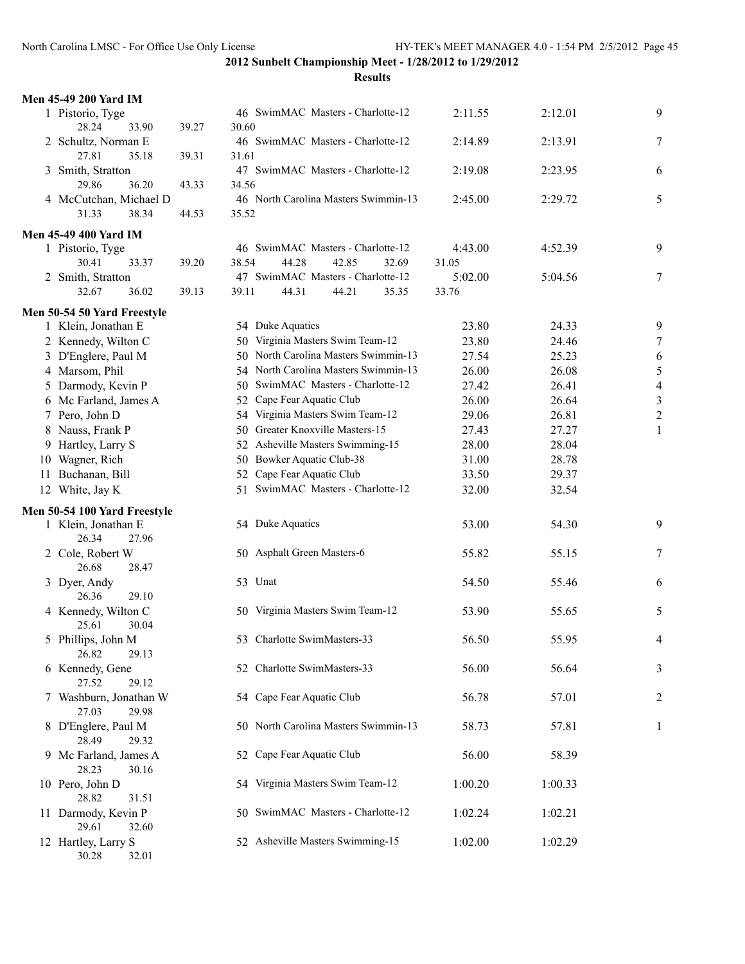| <b>Men 45-49 200 Yard IM</b>             |       |       |                                      |       |                                   |         |         |                          |
|------------------------------------------|-------|-------|--------------------------------------|-------|-----------------------------------|---------|---------|--------------------------|
| 1 Pistorio, Tyge<br>28.24<br>33.90       | 39.27 | 30.60 | 46 SwimMAC Masters - Charlotte-12    |       |                                   | 2:11.55 | 2:12.01 | 9                        |
| 2 Schultz, Norman E<br>27.81<br>35.18    | 39.31 | 31.61 | 46 SwimMAC Masters - Charlotte-12    |       |                                   | 2:14.89 | 2:13.91 | 7                        |
| 3 Smith, Stratton<br>29.86<br>36.20      | 43.33 | 34.56 | 47 SwimMAC Masters - Charlotte-12    |       |                                   | 2:19.08 | 2:23.95 | 6                        |
| 4 McCutchan, Michael D<br>31.33<br>38.34 | 44.53 | 35.52 | 46 North Carolina Masters Swimmin-13 |       |                                   | 2:45.00 | 2:29.72 | 5                        |
| <b>Men 45-49 400 Yard IM</b>             |       |       |                                      |       |                                   |         |         |                          |
| 1 Pistorio, Tyge                         |       |       | 46 SwimMAC Masters - Charlotte-12    |       |                                   | 4:43.00 | 4:52.39 | 9                        |
| 30.41<br>33.37                           | 39.20 | 38.54 | 44.28                                | 42.85 | 32.69                             | 31.05   |         |                          |
| 2 Smith, Stratton                        |       |       | 47 SwimMAC Masters - Charlotte-12    |       |                                   | 5:02.00 | 5:04.56 | 7                        |
| 32.67<br>36.02                           | 39.13 | 39.11 | 44.31                                | 44.21 | 35.35                             | 33.76   |         |                          |
| Men 50-54 50 Yard Freestyle              |       |       |                                      |       |                                   |         |         |                          |
| 1 Klein, Jonathan E                      |       |       | 54 Duke Aquatics                     |       |                                   | 23.80   | 24.33   | 9                        |
| 2 Kennedy, Wilton C                      |       |       | 50 Virginia Masters Swim Team-12     |       |                                   | 23.80   | 24.46   | 7                        |
| 3 D'Englere, Paul M                      |       | 50    |                                      |       | North Carolina Masters Swimmin-13 | 27.54   | 25.23   | 6                        |
| 4 Marsom, Phil                           |       |       | 54 North Carolina Masters Swimmin-13 |       |                                   | 26.00   | 26.08   | 5                        |
| 5 Darmody, Kevin P                       |       | 50    | SwimMAC Masters - Charlotte-12       |       |                                   | 27.42   | 26.41   | $\overline{\mathcal{A}}$ |
| 6 Mc Farland, James A                    |       | 52    | Cape Fear Aquatic Club               |       |                                   | 26.00   | 26.64   | $\mathfrak{Z}$           |
| 7 Pero, John D                           |       |       | 54 Virginia Masters Swim Team-12     |       |                                   | 29.06   | 26.81   | $\overline{c}$           |
| 8 Nauss, Frank P                         |       |       | 50 Greater Knoxville Masters-15      |       |                                   | 27.43   | 27.27   | 1                        |
| 9 Hartley, Larry S                       |       |       | 52 Asheville Masters Swimming-15     |       |                                   | 28.00   | 28.04   |                          |
| 10 Wagner, Rich                          |       |       | 50 Bowker Aquatic Club-38            |       |                                   | 31.00   | 28.78   |                          |
| 11 Buchanan, Bill                        |       |       | 52 Cape Fear Aquatic Club            |       |                                   | 33.50   | 29.37   |                          |
| 12 White, Jay K                          |       |       | 51 SwimMAC Masters - Charlotte-12    |       |                                   | 32.00   | 32.54   |                          |
| Men 50-54 100 Yard Freestyle             |       |       |                                      |       |                                   |         |         |                          |
| 1 Klein, Jonathan E<br>26.34<br>27.96    |       |       | 54 Duke Aquatics                     |       |                                   | 53.00   | 54.30   | 9                        |
| 2 Cole, Robert W<br>26.68<br>28.47       |       |       | 50 Asphalt Green Masters-6           |       |                                   | 55.82   | 55.15   | 7                        |
| 3 Dyer, Andy<br>29.10<br>26.36           |       |       | 53 Unat                              |       |                                   | 54.50   | 55.46   | 6                        |
| 4 Kennedy, Wilton C<br>25.61<br>30.04    |       | 50    | Virginia Masters Swim Team-12        |       |                                   | 53.90   | 55.65   | 5                        |
| 5 Phillips, John M<br>26.82<br>29.13     |       |       | 53 Charlotte SwimMasters-33          |       |                                   | 56.50   | 55.95   | 4                        |
| 6 Kennedy, Gene<br>27.52<br>29.12        |       |       | 52 Charlotte SwimMasters-33          |       |                                   | 56.00   | 56.64   | 3                        |
| 7 Washburn, Jonathan W<br>27.03<br>29.98 |       |       | 54 Cape Fear Aquatic Club            |       |                                   | 56.78   | 57.01   | 2                        |
| 8 D'Englere, Paul M<br>28.49<br>29.32    |       |       | 50 North Carolina Masters Swimmin-13 |       |                                   | 58.73   | 57.81   | $\mathbf{1}$             |
| 9 Mc Farland, James A<br>28.23<br>30.16  |       |       | 52 Cape Fear Aquatic Club            |       |                                   | 56.00   | 58.39   |                          |
| 10 Pero, John D<br>28.82<br>31.51        |       |       | 54 Virginia Masters Swim Team-12     |       |                                   | 1:00.20 | 1:00.33 |                          |
| 11 Darmody, Kevin P<br>29.61<br>32.60    |       |       | 50 SwimMAC Masters - Charlotte-12    |       |                                   | 1:02.24 | 1:02.21 |                          |
| 12 Hartley, Larry S<br>30.28<br>32.01    |       |       | 52 Asheville Masters Swimming-15     |       |                                   | 1:02.00 | 1:02.29 |                          |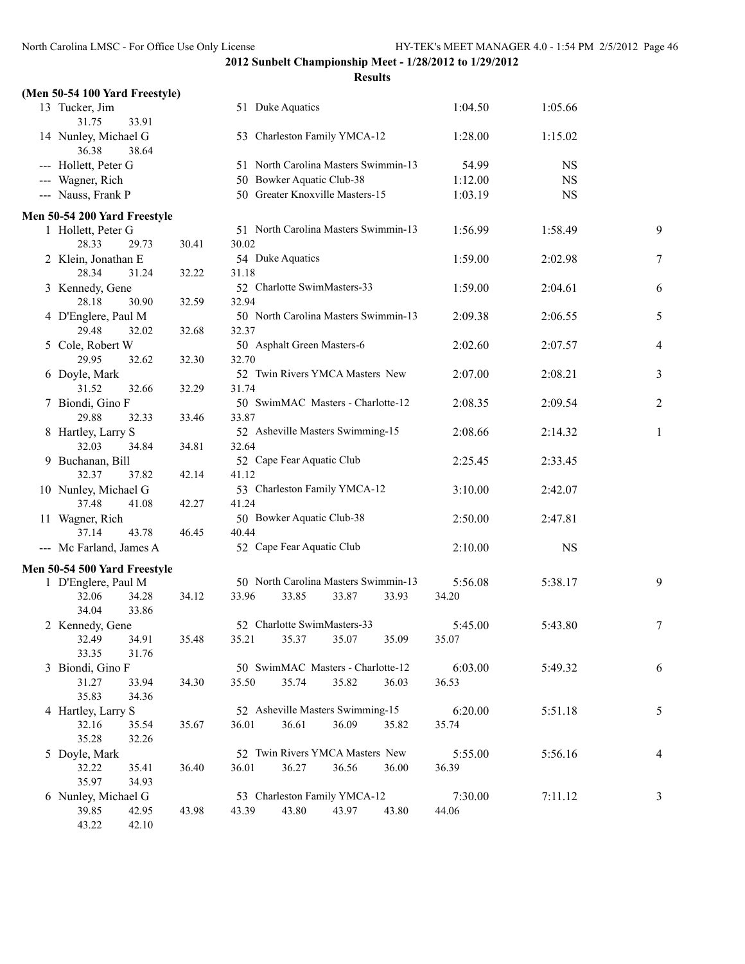| (Men 50-54 100 Yard Freestyle)         |       |                                   |       |       |                                      |         |           |                |
|----------------------------------------|-------|-----------------------------------|-------|-------|--------------------------------------|---------|-----------|----------------|
| 13 Tucker, Jim<br>31.75<br>33.91       |       | 51 Duke Aquatics                  |       |       |                                      | 1:04.50 | 1:05.66   |                |
| 14 Nunley, Michael G<br>36.38<br>38.64 |       | 53 Charleston Family YMCA-12      |       |       |                                      | 1:28.00 | 1:15.02   |                |
| --- Hollett, Peter G                   |       |                                   |       |       | 51 North Carolina Masters Swimmin-13 | 54.99   | <b>NS</b> |                |
| --- Wagner, Rich                       |       | 50 Bowker Aquatic Club-38         |       |       |                                      | 1:12.00 | <b>NS</b> |                |
| --- Nauss, Frank P                     |       | 50 Greater Knoxville Masters-15   |       |       |                                      | 1:03.19 | <b>NS</b> |                |
| Men 50-54 200 Yard Freestyle           |       |                                   |       |       |                                      |         |           |                |
| 1 Hollett, Peter G                     |       |                                   |       |       | 51 North Carolina Masters Swimmin-13 | 1:56.99 | 1:58.49   | 9              |
| 28.33<br>29.73                         | 30.41 | 30.02                             |       |       |                                      |         |           |                |
| 2 Klein, Jonathan E                    |       | 54 Duke Aquatics                  |       |       |                                      | 1:59.00 | 2:02.98   | $\overline{7}$ |
| 28.34<br>31.24                         | 32.22 | 31.18                             |       |       |                                      |         |           |                |
| 3 Kennedy, Gene                        |       | 52 Charlotte SwimMasters-33       |       |       |                                      | 1:59.00 | 2:04.61   | 6              |
| 28.18<br>30.90                         | 32.59 | 32.94                             |       |       |                                      |         |           |                |
| 4 D'Englere, Paul M                    |       |                                   |       |       | 50 North Carolina Masters Swimmin-13 | 2:09.38 | 2:06.55   | 5              |
| 29.48<br>32.02                         | 32.68 | 32.37                             |       |       |                                      |         |           |                |
| 5 Cole, Robert W                       |       | 50 Asphalt Green Masters-6        |       |       |                                      | 2:02.60 | 2:07.57   | 4              |
| 29.95<br>32.62                         | 32.30 | 32.70                             |       |       |                                      |         |           |                |
| 6 Doyle, Mark                          |       | 52 Twin Rivers YMCA Masters New   |       |       |                                      | 2:07.00 | 2:08.21   | 3              |
| 31.52<br>32.66                         | 32.29 | 31.74                             |       |       |                                      |         |           |                |
| 7 Biondi, Gino F                       |       | 50 SwimMAC Masters - Charlotte-12 |       |       |                                      | 2:08.35 | 2:09.54   | $\overline{2}$ |
| 29.88<br>32.33                         | 33.46 | 33.87                             |       |       |                                      |         |           |                |
| 8 Hartley, Larry S                     |       | 52 Asheville Masters Swimming-15  |       |       |                                      | 2:08.66 | 2:14.32   | 1              |
| 32.03<br>34.84                         | 34.81 | 32.64                             |       |       |                                      |         |           |                |
| 9 Buchanan, Bill                       |       | 52 Cape Fear Aquatic Club         |       |       |                                      | 2:25.45 | 2:33.45   |                |
| 32.37<br>37.82                         | 42.14 | 41.12                             |       |       |                                      |         |           |                |
| 10 Nunley, Michael G                   |       | 53 Charleston Family YMCA-12      |       |       |                                      | 3:10.00 | 2:42.07   |                |
| 37.48<br>41.08                         | 42.27 | 41.24                             |       |       |                                      |         |           |                |
| 11 Wagner, Rich                        |       | 50 Bowker Aquatic Club-38         |       |       |                                      | 2:50.00 | 2:47.81   |                |
| 37.14<br>43.78                         | 46.45 | 40.44                             |       |       |                                      |         |           |                |
| --- Mc Farland, James A                |       | 52 Cape Fear Aquatic Club         |       |       |                                      | 2:10.00 | <b>NS</b> |                |
| Men 50-54 500 Yard Freestyle           |       |                                   |       |       |                                      |         |           |                |
| 1 D'Englere, Paul M                    |       |                                   |       |       | 50 North Carolina Masters Swimmin-13 | 5:56.08 | 5:38.17   | 9              |
| 32.06<br>34.28                         | 34.12 | 33.96                             | 33.85 | 33.87 | 33.93                                | 34.20   |           |                |
| 34.04<br>33.86                         |       |                                   |       |       |                                      |         |           |                |
| 2 Kennedy, Gene                        |       | 52 Charlotte SwimMasters-33       |       |       |                                      | 5:45.00 | 5:43.80   | 7              |
| 32.49<br>34.91                         | 35.48 | 35.21                             | 35.37 | 35.07 | 35.09                                | 35.07   |           |                |
| 33.35<br>31.76                         |       |                                   |       |       |                                      |         |           |                |
| 3 Biondi, Gino F                       |       | 50 SwimMAC Masters - Charlotte-12 |       |       |                                      | 6:03.00 | 5:49.32   | 6              |
| 31.27<br>33.94                         | 34.30 | 35.50                             | 35.74 | 35.82 | 36.03                                | 36.53   |           |                |
| 35.83<br>34.36                         |       |                                   |       |       |                                      |         |           |                |
| 4 Hartley, Larry S                     |       | 52 Asheville Masters Swimming-15  |       |       |                                      | 6:20.00 | 5:51.18   | 5              |
| 32.16<br>35.54                         | 35.67 | 36.01                             | 36.61 | 36.09 | 35.82                                | 35.74   |           |                |
| 35.28<br>32.26                         |       |                                   |       |       |                                      |         |           |                |
| 5 Doyle, Mark                          |       | 52 Twin Rivers YMCA Masters New   |       |       |                                      | 5:55.00 | 5:56.16   | 4              |
| 32.22<br>35.41                         | 36.40 | 36.01                             | 36.27 | 36.56 | 36.00                                | 36.39   |           |                |
| 35.97<br>34.93                         |       |                                   |       |       |                                      |         |           |                |
| 6 Nunley, Michael G                    |       | 53 Charleston Family YMCA-12      |       |       |                                      | 7:30.00 | 7:11.12   | 3              |
| 39.85<br>42.95                         | 43.98 | 43.39                             | 43.80 | 43.97 | 43.80                                | 44.06   |           |                |
| 43.22<br>42.10                         |       |                                   |       |       |                                      |         |           |                |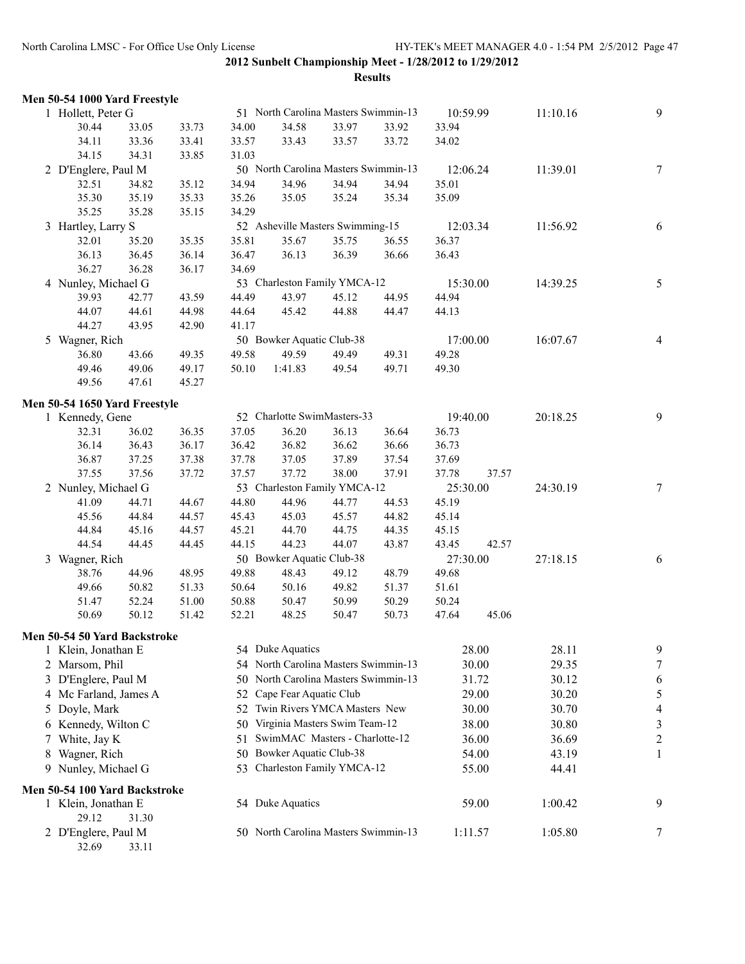|               | Men 50-54 1000 Yard Freestyle |       |       |       |                                      |       |       |          |       |          |                         |
|---------------|-------------------------------|-------|-------|-------|--------------------------------------|-------|-------|----------|-------|----------|-------------------------|
|               | 1 Hollett, Peter G            |       |       |       | 51 North Carolina Masters Swimmin-13 |       |       | 10:59.99 |       | 11:10.16 | 9                       |
|               | 30.44                         | 33.05 | 33.73 | 34.00 | 34.58                                | 33.97 | 33.92 | 33.94    |       |          |                         |
|               | 34.11                         | 33.36 | 33.41 | 33.57 | 33.43                                | 33.57 | 33.72 | 34.02    |       |          |                         |
|               | 34.15                         | 34.31 | 33.85 | 31.03 |                                      |       |       |          |       |          |                         |
|               | 2 D'Englere, Paul M           |       |       |       | 50 North Carolina Masters Swimmin-13 |       |       | 12:06.24 |       | 11:39.01 | $\tau$                  |
|               | 32.51                         | 34.82 | 35.12 | 34.94 | 34.96                                | 34.94 | 34.94 | 35.01    |       |          |                         |
|               | 35.30                         | 35.19 | 35.33 | 35.26 | 35.05                                | 35.24 | 35.34 | 35.09    |       |          |                         |
|               | 35.25                         | 35.28 | 35.15 | 34.29 |                                      |       |       |          |       |          |                         |
|               | 3 Hartley, Larry S            |       |       |       | 52 Asheville Masters Swimming-15     |       |       | 12:03.34 |       | 11:56.92 | 6                       |
|               | 32.01                         | 35.20 | 35.35 | 35.81 | 35.67                                | 35.75 | 36.55 | 36.37    |       |          |                         |
|               | 36.13                         | 36.45 | 36.14 | 36.47 | 36.13                                | 36.39 | 36.66 | 36.43    |       |          |                         |
|               | 36.27                         | 36.28 | 36.17 | 34.69 |                                      |       |       |          |       |          |                         |
|               | 4 Nunley, Michael G           |       |       |       | 53 Charleston Family YMCA-12         |       |       | 15:30.00 |       | 14:39.25 | 5                       |
|               | 39.93                         | 42.77 | 43.59 | 44.49 | 43.97                                | 45.12 | 44.95 | 44.94    |       |          |                         |
|               | 44.07                         | 44.61 | 44.98 | 44.64 | 45.42                                | 44.88 | 44.47 | 44.13    |       |          |                         |
|               | 44.27                         | 43.95 | 42.90 | 41.17 |                                      |       |       |          |       |          |                         |
|               | 5 Wagner, Rich                |       |       |       | 50 Bowker Aquatic Club-38            |       |       | 17:00.00 |       | 16:07.67 | $\overline{4}$          |
|               | 36.80                         | 43.66 | 49.35 | 49.58 | 49.59                                | 49.49 | 49.31 | 49.28    |       |          |                         |
|               | 49.46                         | 49.06 | 49.17 | 50.10 | 1:41.83                              | 49.54 | 49.71 | 49.30    |       |          |                         |
|               | 49.56                         | 47.61 | 45.27 |       |                                      |       |       |          |       |          |                         |
|               | Men 50-54 1650 Yard Freestyle |       |       |       |                                      |       |       |          |       |          |                         |
|               | 1 Kennedy, Gene               |       |       |       | 52 Charlotte SwimMasters-33          |       |       | 19:40.00 |       | 20:18.25 | 9                       |
|               | 32.31                         | 36.02 | 36.35 | 37.05 | 36.20                                | 36.13 | 36.64 | 36.73    |       |          |                         |
|               | 36.14                         | 36.43 | 36.17 | 36.42 | 36.82                                | 36.62 | 36.66 | 36.73    |       |          |                         |
|               | 36.87                         | 37.25 | 37.38 | 37.78 | 37.05                                | 37.89 | 37.54 | 37.69    |       |          |                         |
|               | 37.55                         | 37.56 | 37.72 | 37.57 | 37.72                                | 38.00 | 37.91 | 37.78    | 37.57 |          |                         |
|               | 2 Nunley, Michael G           |       |       |       | 53 Charleston Family YMCA-12         |       |       | 25:30.00 |       | 24:30.19 | $\tau$                  |
|               | 41.09                         | 44.71 | 44.67 | 44.80 | 44.96                                | 44.77 | 44.53 | 45.19    |       |          |                         |
|               | 45.56                         | 44.84 | 44.57 | 45.43 | 45.03                                | 45.57 | 44.82 | 45.14    |       |          |                         |
|               | 44.84                         | 45.16 | 44.57 | 45.21 | 44.70                                | 44.75 | 44.35 | 45.15    |       |          |                         |
|               | 44.54                         | 44.45 | 44.45 | 44.15 | 44.23                                | 44.07 | 43.87 | 43.45    | 42.57 |          |                         |
|               | 3 Wagner, Rich                |       |       |       | 50 Bowker Aquatic Club-38            |       |       | 27:30.00 |       | 27:18.15 | 6                       |
|               | 38.76                         | 44.96 | 48.95 | 49.88 | 48.43                                | 49.12 | 48.79 | 49.68    |       |          |                         |
|               | 49.66                         | 50.82 | 51.33 | 50.64 | 50.16                                | 49.82 | 51.37 | 51.61    |       |          |                         |
|               | 51.47                         | 52.24 | 51.00 | 50.88 | 50.47                                | 50.99 | 50.29 | 50.24    |       |          |                         |
|               | 50.69                         | 50.12 | 51.42 | 52.21 | 48.25                                | 50.47 | 50.73 | 47.64    | 45.06 |          |                         |
|               |                               |       |       |       |                                      |       |       |          |       |          |                         |
|               | Men 50-54 50 Yard Backstroke  |       |       |       |                                      |       |       |          |       |          |                         |
|               | 1 Klein, Jonathan E           |       |       |       | 54 Duke Aquatics                     |       |       |          | 28.00 | 28.11    | 9                       |
| 2             | Marsom, Phil                  |       |       |       | 54 North Carolina Masters Swimmin-13 |       |       |          | 30.00 | 29.35    | 7                       |
| 3             | D'Englere, Paul M             |       |       | 50    | North Carolina Masters Swimmin-13    |       |       |          | 31.72 | 30.12    | 6                       |
| 4             | Mc Farland, James A           |       |       | 52    | Cape Fear Aquatic Club               |       |       |          | 29.00 | 30.20    | 5                       |
| $\mathcal{L}$ | Doyle, Mark                   |       |       | 52    | Twin Rivers YMCA Masters New         |       |       |          | 30.00 | 30.70    | 4                       |
|               | 6 Kennedy, Wilton C           |       |       | 50    | Virginia Masters Swim Team-12        |       |       |          | 38.00 | 30.80    | 3                       |
| 7.            | White, Jay K                  |       |       | 51    | SwimMAC Masters - Charlotte-12       |       |       |          | 36.00 | 36.69    | $\overline{\mathbf{c}}$ |
| 8             | Wagner, Rich                  |       |       | 50    | Bowker Aquatic Club-38               |       |       |          | 54.00 | 43.19    | 1                       |
|               | 9 Nunley, Michael G           |       |       |       | 53 Charleston Family YMCA-12         |       |       |          | 55.00 | 44.41    |                         |
|               | Men 50-54 100 Yard Backstroke |       |       |       |                                      |       |       |          |       |          |                         |
|               | 1 Klein, Jonathan E           |       |       |       | 54 Duke Aquatics                     |       |       |          | 59.00 | 1:00.42  | 9                       |
|               | 29.12                         | 31.30 |       |       |                                      |       |       |          |       |          |                         |
|               | 2 D'Englere, Paul M           |       |       |       | 50 North Carolina Masters Swimmin-13 |       |       | 1:11.57  |       | 1:05.80  | 7                       |
|               | 32.69                         | 33.11 |       |       |                                      |       |       |          |       |          |                         |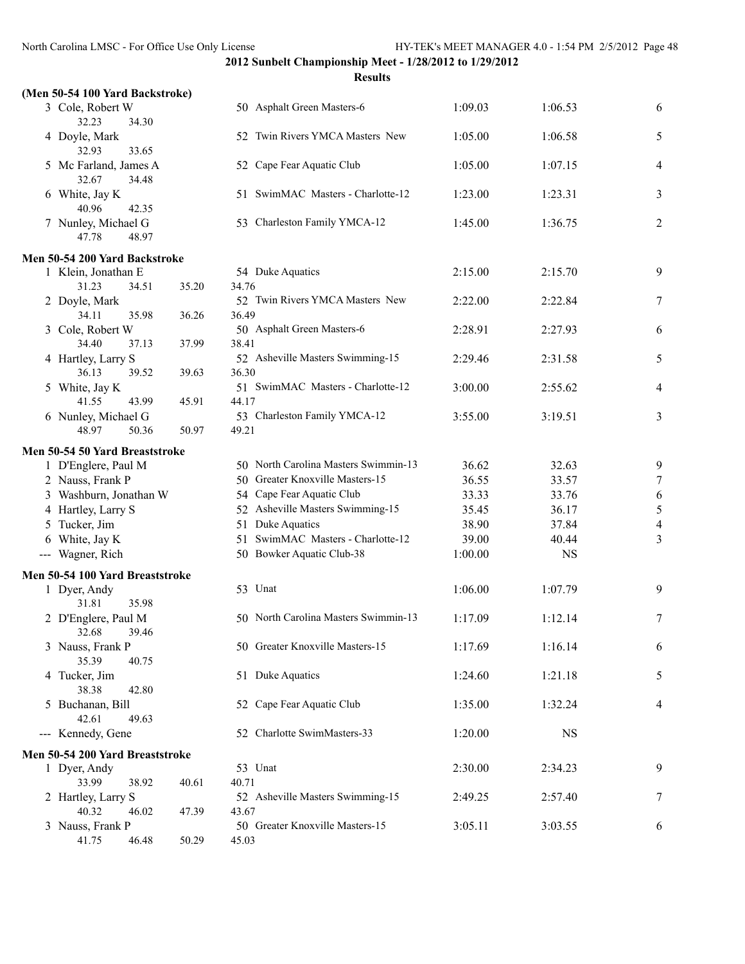**Results**

| 3 Cole, Robert W                        | 50 Asphalt Green Masters-6        | 1:09.03 | 1:06.53 | 6  |
|-----------------------------------------|-----------------------------------|---------|---------|----|
| 32.23<br>34.30<br>4 Doyle, Mark         | 52 Twin Rivers YMCA Masters New   | 1:05.00 | 1:06.58 | 5. |
| 32.93<br>33.65                          |                                   |         |         |    |
| 5 Mc Farland, James A<br>34.48<br>32.67 | 52 Cape Fear Aquatic Club         | 1:05.00 | 1:07.15 | 4  |
| White, Jay K<br>6<br>40.96<br>42.35     | 51 SwimMAC Masters - Charlotte-12 | 1.2300  | 1:23.31 | 3  |
| Nunley, Michael G<br>48.97<br>47.78     | 53 Charleston Family YMCA-12      | 1:45.00 | 1:36.75 | 2  |

#### **Men 50-54 200 Yard Backstroke**

| 1 Klein, Jonathan E           |       |       | 54 Duke Aquatics                     | 2:15.00 | 2:15.70 | 9              |
|-------------------------------|-------|-------|--------------------------------------|---------|---------|----------------|
| 31.23                         | 34.51 | 35.20 | 34.76                                |         |         |                |
| 2 Doyle, Mark                 |       |       | 52 Twin Rivers YMCA Masters New      | 2:22.00 | 2:22.84 | 7              |
| 34.11                         | 35.98 | 36.26 | 36.49                                |         |         |                |
| 3 Cole, Robert W              |       |       | 50 Asphalt Green Masters-6           | 2:28.91 | 2:27.93 | 6              |
| 34.40                         | 37.13 | 37.99 | 38.41                                |         |         |                |
| 4 Hartley, Larry S            |       |       | 52 Asheville Masters Swimming-15     | 2:29.46 | 2:31.58 | 5              |
| 36.13                         | 39.52 | 39.63 | 36.30                                |         |         |                |
| 5 White, Jay K                |       |       | 51 SwimMAC Masters - Charlotte-12    | 3:00.00 | 2:55.62 | $\overline{4}$ |
| 41.55                         | 43.99 | 45.91 | 44.17                                |         |         |                |
| 6 Nunley, Michael G           |       |       | 53 Charleston Family YMCA-12         | 3:55.00 | 3:19.51 | 3              |
| 48.97                         | 50.36 | 50.97 | 49.21                                |         |         |                |
| en 50-54 50 Yard Breaststroke |       |       |                                      |         |         |                |
| 1 D'Englere, Paul M           |       |       | 50 North Carolina Masters Swimmin-13 | 36.62   | 32.63   | 9              |
| 2 Nauge Frank P               |       |       | 50 Greater Knoxville Masters-15      | 36.55   | 33.57   | 7              |

#### **Men 50-54 50 Yard Breaststroke**

| $1$ D Engreit, r aul M          |       |       | $\mathcal{Y}0$ -inditing calculum interactions by infiniting the | JU.UZ   | <i><b>JZ.UJ</b></i> | $\mathcal{L}_{\mathcal{L}}$ |
|---------------------------------|-------|-------|------------------------------------------------------------------|---------|---------------------|-----------------------------|
| 2 Nauss, Frank P                |       | 50    | Greater Knoxville Masters-15                                     | 36.55   | 33.57               | 7                           |
| 3 Washburn, Jonathan W          |       |       | 54 Cape Fear Aquatic Club                                        | 33.33   | 33.76               | 6                           |
| 4 Hartley, Larry S              |       | 52    | Asheville Masters Swimming-15                                    | 35.45   | 36.17               | 5                           |
| 5 Tucker, Jim                   |       | 51    | Duke Aquatics                                                    | 38.90   | 37.84               | 4                           |
| 6 White, Jay K                  |       | 51    | SwimMAC Masters - Charlotte-12                                   | 39.00   | 40.44               | 3                           |
| --- Wagner, Rich                |       |       | 50 Bowker Aquatic Club-38                                        | 1:00.00 | <b>NS</b>           |                             |
| Men 50-54 100 Yard Breaststroke |       |       |                                                                  |         |                     |                             |
| 1 Dyer, Andy                    |       |       | 53 Unat                                                          | 1:06.00 | 1:07.79             | 9                           |
| 31.81<br>35.98                  |       |       |                                                                  |         |                     |                             |
| 2 D'Englere, Paul M             |       |       | 50 North Carolina Masters Swimmin-13                             | 1:17.09 | 1:12.14             | 7                           |
| 32.68<br>39.46                  |       |       |                                                                  |         |                     |                             |
| 3 Nauss, Frank P                |       |       | 50 Greater Knoxville Masters-15                                  | 1:17.69 | 1:16.14             | 6                           |
| 35.39<br>40.75                  |       |       |                                                                  |         |                     |                             |
| 4 Tucker, Jim                   |       |       | 51 Duke Aquatics                                                 | 1:24.60 | 1:21.18             | 5                           |
| 38.38<br>42.80                  |       |       |                                                                  |         |                     |                             |
| 5 Buchanan, Bill                |       |       | 52 Cape Fear Aquatic Club                                        | 1:35.00 | 1:32.24             | $\overline{4}$              |
| 42.61<br>49.63                  |       |       |                                                                  |         |                     |                             |
| --- Kennedy, Gene               |       | 52    | Charlotte SwimMasters-33                                         | 1:20.00 | <b>NS</b>           |                             |
| Men 50-54 200 Yard Breaststroke |       |       |                                                                  |         |                     |                             |
| 1 Dyer, Andy                    |       |       | 53 Unat                                                          | 2:30.00 | 2:34.23             | 9                           |
| 33.99<br>38.92                  | 40.61 | 40.71 |                                                                  |         |                     |                             |
| 2 Hartley, Larry S              |       |       | 52 Asheville Masters Swimming-15                                 | 2:49.25 | 2:57.40             | 7                           |
| 40.32<br>46.02                  | 47.39 | 43.67 |                                                                  |         |                     |                             |
| 3 Nauss, Frank P                |       |       | 50 Greater Knoxville Masters-15                                  | 3:05.11 | 3:03.55             | 6                           |
| 41.75<br>46.48                  | 50.29 | 45.03 |                                                                  |         |                     |                             |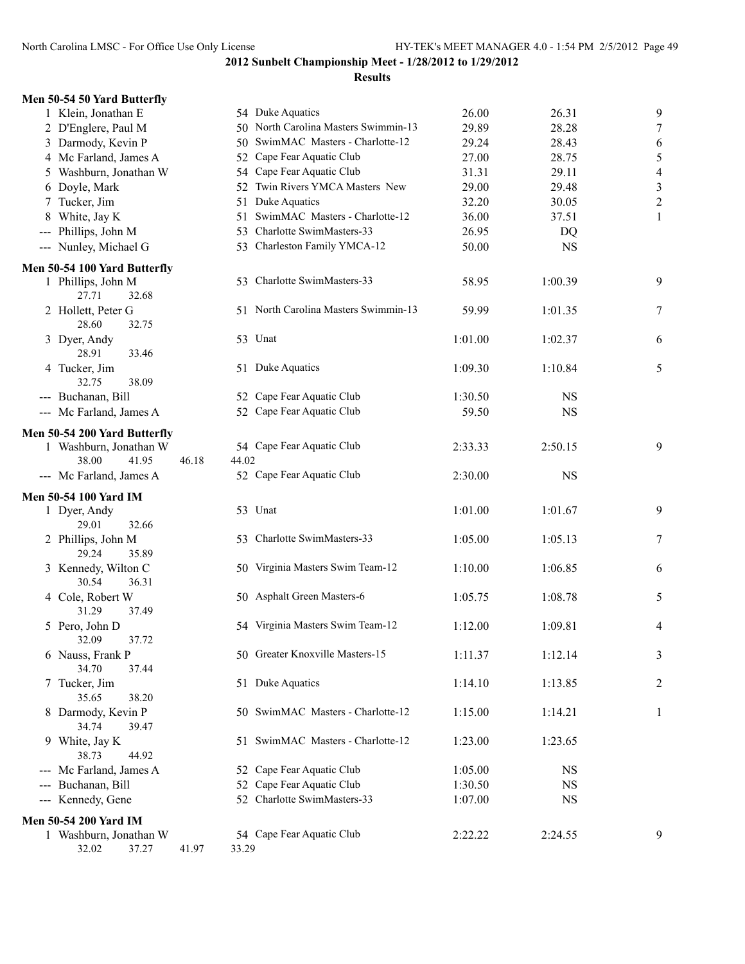| 54 Duke Aquatics<br>26.00<br>50 North Carolina Masters Swimmin-13<br>29.89<br>50 SwimMAC Masters - Charlotte-12<br>29.24<br>52 Cape Fear Aquatic Club<br>27.00<br>54 Cape Fear Aquatic Club<br>31.31<br>52 Twin Rivers YMCA Masters New<br>29.00<br>Duke Aquatics<br>32.20<br>51 SwimMAC Masters - Charlotte-12<br>36.00 | 9<br>26.31<br>$\boldsymbol{7}$<br>28.28<br>28.43<br>6<br>5<br>28.75<br>29.11<br>$\overline{4}$                                                                                                                                                                                                                                                                                                                                                                                                                                                                                                                                                          |
|--------------------------------------------------------------------------------------------------------------------------------------------------------------------------------------------------------------------------------------------------------------------------------------------------------------------------|---------------------------------------------------------------------------------------------------------------------------------------------------------------------------------------------------------------------------------------------------------------------------------------------------------------------------------------------------------------------------------------------------------------------------------------------------------------------------------------------------------------------------------------------------------------------------------------------------------------------------------------------------------|
|                                                                                                                                                                                                                                                                                                                          |                                                                                                                                                                                                                                                                                                                                                                                                                                                                                                                                                                                                                                                         |
|                                                                                                                                                                                                                                                                                                                          |                                                                                                                                                                                                                                                                                                                                                                                                                                                                                                                                                                                                                                                         |
|                                                                                                                                                                                                                                                                                                                          |                                                                                                                                                                                                                                                                                                                                                                                                                                                                                                                                                                                                                                                         |
|                                                                                                                                                                                                                                                                                                                          |                                                                                                                                                                                                                                                                                                                                                                                                                                                                                                                                                                                                                                                         |
|                                                                                                                                                                                                                                                                                                                          |                                                                                                                                                                                                                                                                                                                                                                                                                                                                                                                                                                                                                                                         |
|                                                                                                                                                                                                                                                                                                                          | $\mathfrak{Z}$<br>29.48                                                                                                                                                                                                                                                                                                                                                                                                                                                                                                                                                                                                                                 |
|                                                                                                                                                                                                                                                                                                                          | $\overline{c}$<br>30.05                                                                                                                                                                                                                                                                                                                                                                                                                                                                                                                                                                                                                                 |
|                                                                                                                                                                                                                                                                                                                          | 37.51<br>1                                                                                                                                                                                                                                                                                                                                                                                                                                                                                                                                                                                                                                              |
| 53 Charlotte SwimMasters-33<br>26.95                                                                                                                                                                                                                                                                                     | <b>DQ</b>                                                                                                                                                                                                                                                                                                                                                                                                                                                                                                                                                                                                                                               |
| 53 Charleston Family YMCA-12<br>50.00                                                                                                                                                                                                                                                                                    | <b>NS</b>                                                                                                                                                                                                                                                                                                                                                                                                                                                                                                                                                                                                                                               |
|                                                                                                                                                                                                                                                                                                                          |                                                                                                                                                                                                                                                                                                                                                                                                                                                                                                                                                                                                                                                         |
| 58.95                                                                                                                                                                                                                                                                                                                    | 1:00.39<br>9                                                                                                                                                                                                                                                                                                                                                                                                                                                                                                                                                                                                                                            |
| 59.99                                                                                                                                                                                                                                                                                                                    | 7<br>1:01.35                                                                                                                                                                                                                                                                                                                                                                                                                                                                                                                                                                                                                                            |
| 1:01.00                                                                                                                                                                                                                                                                                                                  | 1:02.37<br>6                                                                                                                                                                                                                                                                                                                                                                                                                                                                                                                                                                                                                                            |
| 1:09.30                                                                                                                                                                                                                                                                                                                  | 1:10.84<br>5                                                                                                                                                                                                                                                                                                                                                                                                                                                                                                                                                                                                                                            |
| 1:30.50                                                                                                                                                                                                                                                                                                                  | <b>NS</b>                                                                                                                                                                                                                                                                                                                                                                                                                                                                                                                                                                                                                                               |
| 59.50                                                                                                                                                                                                                                                                                                                    | <b>NS</b>                                                                                                                                                                                                                                                                                                                                                                                                                                                                                                                                                                                                                                               |
|                                                                                                                                                                                                                                                                                                                          |                                                                                                                                                                                                                                                                                                                                                                                                                                                                                                                                                                                                                                                         |
|                                                                                                                                                                                                                                                                                                                          | 2:50.15<br>9                                                                                                                                                                                                                                                                                                                                                                                                                                                                                                                                                                                                                                            |
|                                                                                                                                                                                                                                                                                                                          |                                                                                                                                                                                                                                                                                                                                                                                                                                                                                                                                                                                                                                                         |
| 2:30.00                                                                                                                                                                                                                                                                                                                  | <b>NS</b>                                                                                                                                                                                                                                                                                                                                                                                                                                                                                                                                                                                                                                               |
|                                                                                                                                                                                                                                                                                                                          |                                                                                                                                                                                                                                                                                                                                                                                                                                                                                                                                                                                                                                                         |
|                                                                                                                                                                                                                                                                                                                          | 9<br>1:01.67                                                                                                                                                                                                                                                                                                                                                                                                                                                                                                                                                                                                                                            |
|                                                                                                                                                                                                                                                                                                                          |                                                                                                                                                                                                                                                                                                                                                                                                                                                                                                                                                                                                                                                         |
| 1:05.00                                                                                                                                                                                                                                                                                                                  | 7<br>1:05.13                                                                                                                                                                                                                                                                                                                                                                                                                                                                                                                                                                                                                                            |
|                                                                                                                                                                                                                                                                                                                          |                                                                                                                                                                                                                                                                                                                                                                                                                                                                                                                                                                                                                                                         |
| 1:10.00                                                                                                                                                                                                                                                                                                                  | 1:06.85<br>6                                                                                                                                                                                                                                                                                                                                                                                                                                                                                                                                                                                                                                            |
|                                                                                                                                                                                                                                                                                                                          |                                                                                                                                                                                                                                                                                                                                                                                                                                                                                                                                                                                                                                                         |
| 1:05.75                                                                                                                                                                                                                                                                                                                  | 5<br>1:08.78                                                                                                                                                                                                                                                                                                                                                                                                                                                                                                                                                                                                                                            |
|                                                                                                                                                                                                                                                                                                                          |                                                                                                                                                                                                                                                                                                                                                                                                                                                                                                                                                                                                                                                         |
|                                                                                                                                                                                                                                                                                                                          | 1:09.81<br>4                                                                                                                                                                                                                                                                                                                                                                                                                                                                                                                                                                                                                                            |
|                                                                                                                                                                                                                                                                                                                          |                                                                                                                                                                                                                                                                                                                                                                                                                                                                                                                                                                                                                                                         |
|                                                                                                                                                                                                                                                                                                                          | 1:12.14<br>3                                                                                                                                                                                                                                                                                                                                                                                                                                                                                                                                                                                                                                            |
|                                                                                                                                                                                                                                                                                                                          | 1:13.85                                                                                                                                                                                                                                                                                                                                                                                                                                                                                                                                                                                                                                                 |
|                                                                                                                                                                                                                                                                                                                          | 2                                                                                                                                                                                                                                                                                                                                                                                                                                                                                                                                                                                                                                                       |
|                                                                                                                                                                                                                                                                                                                          | 1:14.21<br>1                                                                                                                                                                                                                                                                                                                                                                                                                                                                                                                                                                                                                                            |
|                                                                                                                                                                                                                                                                                                                          |                                                                                                                                                                                                                                                                                                                                                                                                                                                                                                                                                                                                                                                         |
|                                                                                                                                                                                                                                                                                                                          | 1:23.65                                                                                                                                                                                                                                                                                                                                                                                                                                                                                                                                                                                                                                                 |
|                                                                                                                                                                                                                                                                                                                          |                                                                                                                                                                                                                                                                                                                                                                                                                                                                                                                                                                                                                                                         |
| 1:05.00                                                                                                                                                                                                                                                                                                                  | <b>NS</b>                                                                                                                                                                                                                                                                                                                                                                                                                                                                                                                                                                                                                                               |
| 1:30.50                                                                                                                                                                                                                                                                                                                  | NS                                                                                                                                                                                                                                                                                                                                                                                                                                                                                                                                                                                                                                                      |
| 1:07.00                                                                                                                                                                                                                                                                                                                  | <b>NS</b>                                                                                                                                                                                                                                                                                                                                                                                                                                                                                                                                                                                                                                               |
|                                                                                                                                                                                                                                                                                                                          |                                                                                                                                                                                                                                                                                                                                                                                                                                                                                                                                                                                                                                                         |
|                                                                                                                                                                                                                                                                                                                          |                                                                                                                                                                                                                                                                                                                                                                                                                                                                                                                                                                                                                                                         |
| 54 Cape Fear Aquatic Club<br>2:22.22                                                                                                                                                                                                                                                                                     | 2:24.55<br>9                                                                                                                                                                                                                                                                                                                                                                                                                                                                                                                                                                                                                                            |
|                                                                                                                                                                                                                                                                                                                          | 53 Charlotte SwimMasters-33<br>51 North Carolina Masters Swimmin-13<br>51 Duke Aquatics<br>52 Cape Fear Aquatic Club<br>52 Cape Fear Aquatic Club<br>54 Cape Fear Aquatic Club<br>2:33.33<br>52 Cape Fear Aquatic Club<br>1:01.00<br>53 Charlotte SwimMasters-33<br>50 Virginia Masters Swim Team-12<br>50 Asphalt Green Masters-6<br>54 Virginia Masters Swim Team-12<br>1:12.00<br>50 Greater Knoxville Masters-15<br>1:11.37<br>51 Duke Aquatics<br>1:14.10<br>50 SwimMAC Masters - Charlotte-12<br>1:15.00<br>51 SwimMAC Masters - Charlotte-12<br>1:23.00<br>52 Cape Fear Aquatic Club<br>52 Cape Fear Aquatic Club<br>52 Charlotte SwimMasters-33 |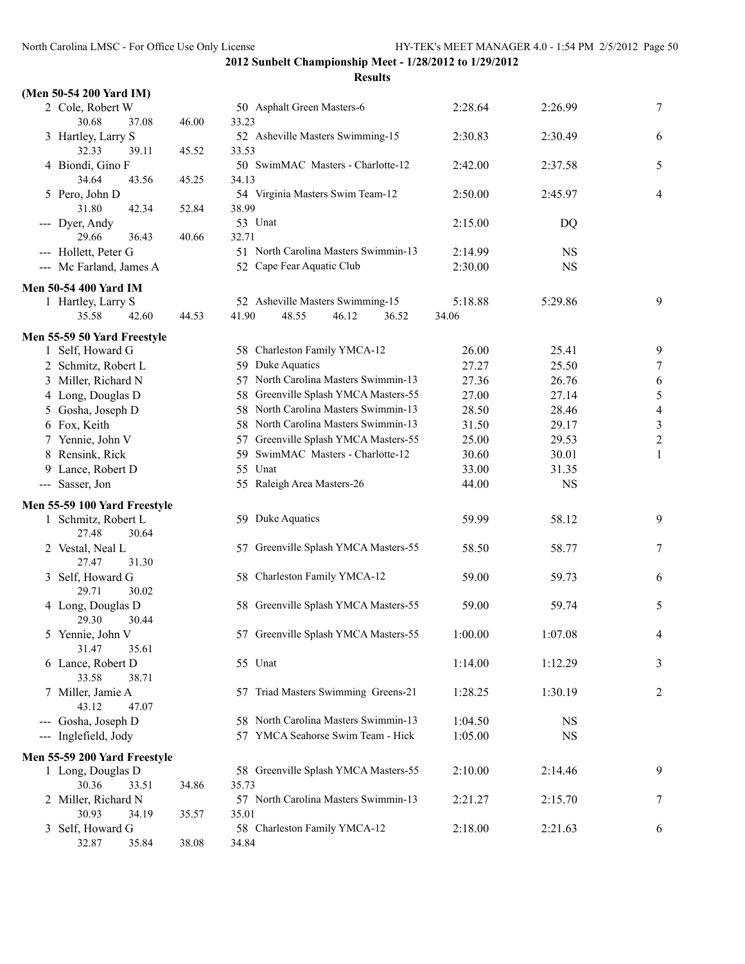| (Men 50-54 200 Yard IM)              |       |                                           |                  |           |                |
|--------------------------------------|-------|-------------------------------------------|------------------|-----------|----------------|
| 2 Cole, Robert W                     |       | 50 Asphalt Green Masters-6                | 2:28.64          | 2:26.99   | 7              |
| 30.68<br>37.08                       | 46.00 | 33.23                                     |                  |           |                |
| 3 Hartley, Larry S                   |       | 52 Asheville Masters Swimming-15          | 2:30.83          | 2:30.49   | 6              |
| 32.33<br>39.11                       | 45.52 | 33.53                                     |                  |           |                |
| 4 Biondi, Gino F                     |       | 50 SwimMAC Masters - Charlotte-12         | 2:42.00          | 2:37.58   | 5              |
| 34.64<br>43.56                       | 45.25 | 34.13<br>54 Virginia Masters Swim Team-12 |                  |           |                |
| 5 Pero, John D<br>31.80<br>42.34     | 52.84 | 38.99                                     | 2:50.00          | 2:45.97   | 4              |
| --- Dyer, Andy                       |       | 53 Unat                                   | 2:15.00          | DQ        |                |
| 29.66<br>36.43                       | 40.66 | 32.71                                     |                  |           |                |
| --- Hollett, Peter G                 |       | 51 North Carolina Masters Swimmin-13      | 2:14.99          | <b>NS</b> |                |
| --- Mc Farland, James A              |       | 52 Cape Fear Aquatic Club                 | 2:30.00          | <b>NS</b> |                |
|                                      |       |                                           |                  |           |                |
| <b>Men 50-54 400 Yard IM</b>         |       | 52 Asheville Masters Swimming-15          |                  |           | 9              |
| 1 Hartley, Larry S<br>35.58<br>42.60 | 44.53 | 41.90<br>48.55<br>46.12<br>36.52          | 5:18.88<br>34.06 | 5:29.86   |                |
|                                      |       |                                           |                  |           |                |
| Men 55-59 50 Yard Freestyle          |       |                                           |                  |           |                |
| 1 Self, Howard G                     |       | 58 Charleston Family YMCA-12              | 26.00            | 25.41     | 9              |
| 2 Schmitz, Robert L                  |       | 59 Duke Aquatics                          | 27.27            | 25.50     | 7              |
| 3 Miller, Richard N                  |       | 57 North Carolina Masters Swimmin-13      | 27.36            | 26.76     | 6              |
| 4 Long, Douglas D                    |       | 58 Greenville Splash YMCA Masters-55      | 27.00            | 27.14     | 5              |
| 5 Gosha, Joseph D                    |       | 58 North Carolina Masters Swimmin-13      | 28.50            | 28.46     | $\overline{4}$ |
| 6 Fox, Keith                         |       | 58 North Carolina Masters Swimmin-13      | 31.50            | 29.17     | $\mathfrak{Z}$ |
| 7 Yennie, John V                     |       | 57 Greenville Splash YMCA Masters-55      | 25.00            | 29.53     | $\overline{c}$ |
| 8 Rensink, Rick                      |       | 59 SwimMAC Masters - Charlotte-12         | 30.60            | 30.01     | 1              |
| 9 Lance, Robert D                    |       | 55 Unat                                   | 33.00            | 31.35     |                |
| --- Sasser, Jon                      |       | 55 Raleigh Area Masters-26                | 44.00            | <b>NS</b> |                |
| Men 55-59 100 Yard Freestyle         |       |                                           |                  |           |                |
| 1 Schmitz, Robert L                  |       | 59 Duke Aquatics                          | 59.99            | 58.12     | 9              |
| 27.48<br>30.64                       |       |                                           |                  |           |                |
| 2 Vestal, Neal L                     |       | 57 Greenville Splash YMCA Masters-55      | 58.50            | 58.77     | 7              |
| 27.47<br>31.30                       |       |                                           |                  |           |                |
| 3 Self, Howard G                     |       | 58 Charleston Family YMCA-12              | 59.00            | 59.73     | 6              |
| 29.71<br>30.02                       |       |                                           |                  |           |                |
| 4 Long, Douglas D<br>29.30<br>30.44  |       | 58 Greenville Splash YMCA Masters-55      | 59.00            | 59.74     | 5              |
| 5 Yennie, John V                     |       | 57 Greenville Splash YMCA Masters-55      | 1:00.00          | 1:07.08   | 4              |
| 31.47<br>35.61                       |       |                                           |                  |           |                |
| 6 Lance, Robert D                    |       | 55 Unat                                   | 1:14.00          | 1:12.29   | 3              |
| 33.58<br>38.71                       |       |                                           |                  |           |                |
| 7 Miller, Jamie A                    |       | 57 Triad Masters Swimming Greens-21       | 1:28.25          | 1:30.19   | 2              |
| 43.12<br>47.07                       |       |                                           |                  |           |                |
| --- Gosha, Joseph D                  |       | 58 North Carolina Masters Swimmin-13      | 1:04.50          | <b>NS</b> |                |
| --- Inglefield, Jody                 |       | 57 YMCA Seahorse Swim Team - Hick         | 1:05.00          | <b>NS</b> |                |
| Men 55-59 200 Yard Freestyle         |       |                                           |                  |           |                |
| 1 Long, Douglas D                    |       | 58 Greenville Splash YMCA Masters-55      | 2:10.00          | 2:14.46   | 9              |
| 30.36<br>33.51                       | 34.86 | 35.73                                     |                  |           |                |
| 2 Miller, Richard N                  |       | 57 North Carolina Masters Swimmin-13      | 2:21.27          | 2:15.70   | 7              |
| 30.93<br>34.19                       | 35.57 | 35.01                                     |                  |           |                |
| 3 Self, Howard G                     |       | 58 Charleston Family YMCA-12              | 2:18.00          | 2:21.63   | 6              |
| 32.87<br>35.84                       | 38.08 | 34.84                                     |                  |           |                |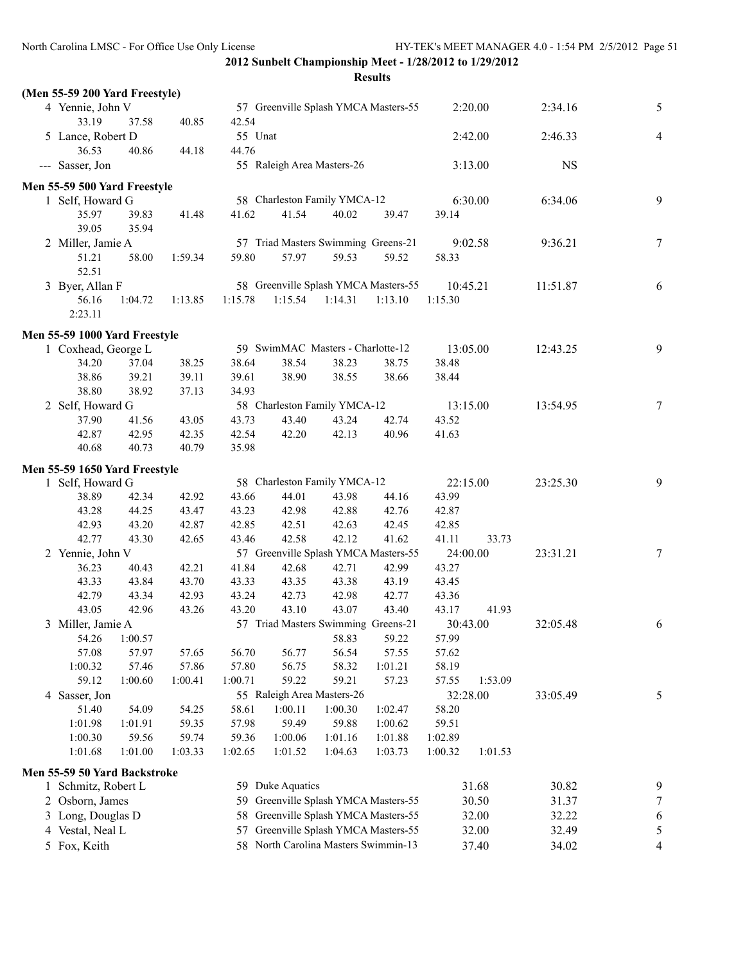| II<br>ľ<br>ı<br>۰,<br>۰.<br>× |
|-------------------------------|
|-------------------------------|

|  | (Men 55-59 200 Yard Freestyle) |                  |                  |                  |                                      |                |                  |                |         |           |                          |
|--|--------------------------------|------------------|------------------|------------------|--------------------------------------|----------------|------------------|----------------|---------|-----------|--------------------------|
|  | 4 Yennie, John V<br>33.19      | 37.58            | 40.85            | 42.54            | 57 Greenville Splash YMCA Masters-55 |                |                  |                | 2:20.00 | 2:34.16   | 5                        |
|  | 5 Lance, Robert D<br>36.53     | 40.86            | 44.18            | 55 Unat<br>44.76 |                                      |                |                  |                | 2:42.00 | 2:46.33   | 4                        |
|  | --- Sasser, Jon                |                  |                  |                  | 55 Raleigh Area Masters-26           |                |                  |                | 3:13.00 | <b>NS</b> |                          |
|  | Men 55-59 500 Yard Freestyle   |                  |                  |                  |                                      |                |                  |                |         |           |                          |
|  | 1 Self, Howard G               |                  |                  |                  | 58 Charleston Family YMCA-12         |                |                  |                | 6:30.00 | 6:34.06   | 9                        |
|  | 35.97<br>39.05                 | 39.83<br>35.94   | 41.48            | 41.62            | 41.54                                | 40.02          | 39.47            | 39.14          |         |           |                          |
|  | 2 Miller, Jamie A              |                  |                  |                  | 57 Triad Masters Swimming Greens-21  |                |                  |                | 9:02.58 | 9:36.21   | $\tau$                   |
|  | 51.21<br>52.51                 | 58.00            | 1:59.34          | 59.80            | 57.97                                | 59.53          | 59.52            | 58.33          |         |           |                          |
|  | 3 Byer, Allan F                |                  |                  |                  | 58 Greenville Splash YMCA Masters-55 |                |                  | 10:45.21       |         | 11:51.87  | 6                        |
|  | 56.16<br>2:23.11               | 1:04.72          | 1:13.85          | 1:15.78          | 1:15.54                              | 1:14.31        | 1:13.10          | 1:15.30        |         |           |                          |
|  | Men 55-59 1000 Yard Freestyle  |                  |                  |                  |                                      |                |                  |                |         |           |                          |
|  | 1 Coxhead, George L            |                  |                  |                  | 59 SwimMAC Masters - Charlotte-12    |                |                  | 13:05.00       |         | 12:43.25  | 9                        |
|  | 34.20                          | 37.04            | 38.25            | 38.64            | 38.54                                | 38.23          | 38.75            | 38.48          |         |           |                          |
|  | 38.86                          | 39.21            | 39.11            | 39.61            | 38.90                                | 38.55          | 38.66            | 38.44          |         |           |                          |
|  | 38.80                          | 38.92            | 37.13            | 34.93            |                                      |                |                  |                |         |           |                          |
|  | 2 Self, Howard G               |                  |                  |                  | 58 Charleston Family YMCA-12         |                |                  | 13:15.00       |         | 13:54.95  | $\tau$                   |
|  | 37.90                          | 41.56            | 43.05            | 43.73            | 43.40                                | 43.24          | 42.74            | 43.52          |         |           |                          |
|  | 42.87                          | 42.95            | 42.35            | 42.54            | 42.20                                | 42.13          | 40.96            | 41.63          |         |           |                          |
|  | 40.68                          | 40.73            | 40.79            | 35.98            |                                      |                |                  |                |         |           |                          |
|  | Men 55-59 1650 Yard Freestyle  |                  |                  |                  |                                      |                |                  |                |         |           |                          |
|  | 1 Self, Howard G               |                  |                  |                  | 58 Charleston Family YMCA-12         |                |                  | 22:15.00       |         | 23:25.30  | 9                        |
|  | 38.89                          | 42.34            | 42.92            | 43.66            | 44.01                                | 43.98          | 44.16            | 43.99          |         |           |                          |
|  | 43.28                          | 44.25            | 43.47            | 43.23            | 42.98                                | 42.88          | 42.76            | 42.87          |         |           |                          |
|  | 42.93                          | 43.20            | 42.87            | 42.85            | 42.51                                | 42.63          | 42.45            | 42.85          |         |           |                          |
|  | 42.77                          | 43.30            | 42.65            | 43.46            | 42.58                                | 42.12          | 41.62            | 41.11          | 33.73   |           |                          |
|  | 2 Yennie, John V               |                  |                  |                  | 57 Greenville Splash YMCA Masters-55 |                |                  | 24:00.00       |         | 23:31.21  | 7                        |
|  | 36.23                          | 40.43            | 42.21            | 41.84            | 42.68                                | 42.71          | 42.99            | 43.27          |         |           |                          |
|  | 43.33                          | 43.84            | 43.70            | 43.33            | 43.35                                | 43.38          | 43.19            | 43.45          |         |           |                          |
|  | 42.79                          | 43.34            | 42.93            | 43.24            | 42.73                                | 42.98          | 42.77            | 43.36          |         |           |                          |
|  | 43.05                          | 42.96            | 43.26            | 43.20            | 43.10                                | 43.07          | 43.40            | 43.17          | 41.93   |           |                          |
|  | 3 Miller, Jamie A              |                  |                  |                  | 57 Triad Masters Swimming Greens-21  |                |                  | 30:43.00       |         | 32:05.48  | 6                        |
|  | 54.26                          | 1:00.57          |                  |                  |                                      | 58.83          | 59.22            | 57.99          |         |           |                          |
|  | 57.08                          | 57.97            | 57.65            | 56.70            | 56.77                                | 56.54          | 57.55            | 57.62          |         |           |                          |
|  | 1:00.32<br>59.12               | 57.46<br>1:00.60 | 57.86<br>1:00.41 | 57.80<br>1:00.71 | 56.75<br>59.22                       | 58.32<br>59.21 | 1:01.21<br>57.23 | 58.19<br>57.55 | 1:53.09 |           |                          |
|  | 4 Sasser, Jon                  |                  |                  |                  | 55 Raleigh Area Masters-26           |                |                  | 32:28.00       |         | 33:05.49  |                          |
|  | 51.40                          | 54.09            | 54.25            | 58.61            | 1:00.11                              | 1:00.30        | 1:02.47          | 58.20          |         |           | 5                        |
|  | 1:01.98                        | 1:01.91          | 59.35            | 57.98            | 59.49                                | 59.88          | 1:00.62          | 59.51          |         |           |                          |
|  | 1:00.30                        | 59.56            | 59.74            | 59.36            | 1:00.06                              | 1:01.16        | 1:01.88          | 1:02.89        |         |           |                          |
|  | 1:01.68                        | 1:01.00          | 1:03.33          | 1:02.65          | 1:01.52                              | 1:04.63        | 1:03.73          | 1:00.32        | 1:01.53 |           |                          |
|  | Men 55-59 50 Yard Backstroke   |                  |                  |                  |                                      |                |                  |                |         |           |                          |
|  | 1 Schmitz, Robert L            |                  |                  |                  | 59 Duke Aquatics                     |                |                  |                | 31.68   | 30.82     | 9                        |
|  | 2 Osborn, James                |                  |                  | 59               | Greenville Splash YMCA Masters-55    |                |                  |                | 30.50   | 31.37     | $\boldsymbol{7}$         |
|  | 3 Long, Douglas D              |                  |                  | 58               | Greenville Splash YMCA Masters-55    |                |                  |                | 32.00   | 32.22     | 6                        |
|  | 4 Vestal, Neal L               |                  |                  | 57               | Greenville Splash YMCA Masters-55    |                |                  |                | 32.00   | 32.49     | 5                        |
|  | 5 Fox, Keith                   |                  |                  |                  | 58 North Carolina Masters Swimmin-13 |                |                  |                | 37.40   | 34.02     | $\overline{\mathcal{A}}$ |
|  |                                |                  |                  |                  |                                      |                |                  |                |         |           |                          |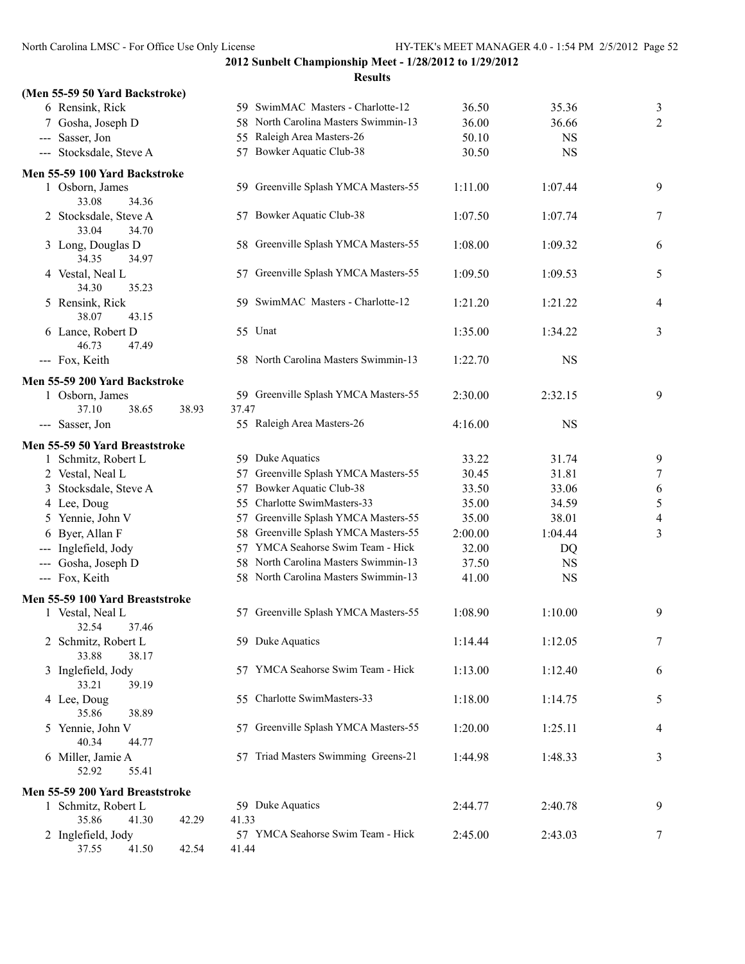**2012 Sunbelt Championship Meet - 1/28/2012 to 1/29/2012 Results**

| (Men 55-59 50 Yard Backstroke)          |       |                                            |         |           |                          |
|-----------------------------------------|-------|--------------------------------------------|---------|-----------|--------------------------|
| 6 Rensink, Rick                         |       | 59 SwimMAC Masters - Charlotte-12          | 36.50   | 35.36     | 3                        |
| 7 Gosha, Joseph D                       |       | 58 North Carolina Masters Swimmin-13       | 36.00   | 36.66     | $\sqrt{2}$               |
| --- Sasser, Jon                         |       | 55 Raleigh Area Masters-26                 | 50.10   | <b>NS</b> |                          |
| --- Stocksdale, Steve A                 |       | 57 Bowker Aquatic Club-38                  | 30.50   | <b>NS</b> |                          |
| Men 55-59 100 Yard Backstroke           |       |                                            |         |           |                          |
| 1 Osborn, James                         |       | 59 Greenville Splash YMCA Masters-55       | 1:11.00 | 1:07.44   | 9                        |
| 33.08<br>34.36                          |       |                                            |         |           |                          |
| 2 Stocksdale, Steve A<br>34.70<br>33.04 |       | 57 Bowker Aquatic Club-38                  | 1:07.50 | 1:07.74   | 7                        |
| 3 Long, Douglas D<br>34.35<br>34.97     |       | 58 Greenville Splash YMCA Masters-55       | 1:08.00 | 1:09.32   | 6                        |
| 4 Vestal, Neal L<br>34.30<br>35.23      |       | 57 Greenville Splash YMCA Masters-55       | 1:09.50 | 1:09.53   | 5                        |
| 5 Rensink, Rick<br>38.07<br>43.15       |       | 59 SwimMAC Masters - Charlotte-12          | 1:21.20 | 1:21.22   | 4                        |
| 6 Lance, Robert D                       |       | 55 Unat                                    | 1:35.00 | 1:34.22   | 3                        |
| 46.73<br>47.49<br>--- Fox, Keith        |       | 58 North Carolina Masters Swimmin-13       | 1:22.70 | <b>NS</b> |                          |
|                                         |       |                                            |         |           |                          |
| Men 55-59 200 Yard Backstroke           |       | 59 Greenville Splash YMCA Masters-55       |         |           | 9                        |
| 1 Osborn, James<br>37.10<br>38.65       | 38.93 | 37.47                                      | 2:30.00 | 2:32.15   |                          |
| --- Sasser, Jon                         |       | 55 Raleigh Area Masters-26                 | 4:16.00 | <b>NS</b> |                          |
|                                         |       |                                            |         |           |                          |
| Men 55-59 50 Yard Breaststroke          |       | 59 Duke Aquatics                           | 33.22   | 31.74     |                          |
| 1 Schmitz, Robert L                     |       | Greenville Splash YMCA Masters-55          |         |           | 9                        |
| 2 Vestal, Neal L                        |       | 57                                         | 30.45   | 31.81     | $\tau$                   |
| 3 Stocksdale, Steve A                   |       | Bowker Aquatic Club-38<br>57               | 33.50   | 33.06     | 6                        |
| 4 Lee, Doug                             |       | 55 Charlotte SwimMasters-33                | 35.00   | 34.59     | $\sqrt{5}$               |
| 5 Yennie, John V                        |       | 57 Greenville Splash YMCA Masters-55       | 35.00   | 38.01     | $\overline{\mathcal{A}}$ |
| 6 Byer, Allan F                         |       | 58 Greenville Splash YMCA Masters-55       | 2:00.00 | 1:04.44   | 3                        |
| --- Inglefield, Jody                    |       | 57 YMCA Seahorse Swim Team - Hick          | 32.00   | DQ        |                          |
| --- Gosha, Joseph D                     |       | 58 North Carolina Masters Swimmin-13       | 37.50   | <b>NS</b> |                          |
| --- Fox, Keith                          |       | 58 North Carolina Masters Swimmin-13       | 41.00   | <b>NS</b> |                          |
| Men 55-59 100 Yard Breaststroke         |       |                                            |         |           |                          |
| 1 Vestal, Neal L<br>32.54<br>37.46      |       | 57 Greenville Splash YMCA Masters-55       | 1:08.90 | 1:10.00   | 9                        |
| 2 Schmitz, Robert L<br>33.88<br>38.17   |       | 59 Duke Aquatics                           | 1:14.44 | 1:12.05   | 7                        |
| 3 Inglefield, Jody<br>33.21<br>39.19    |       | 57 YMCA Seahorse Swim Team - Hick          | 1:13.00 | 1:12.40   | 6                        |
| 4 Lee, Doug<br>35.86<br>38.89           |       | 55 Charlotte SwimMasters-33                | 1:18.00 | 1:14.75   | 5                        |
| 5 Yennie, John V<br>40.34<br>44.77      |       | 57 Greenville Splash YMCA Masters-55       | 1:20.00 | 1:25.11   | 4                        |
| 6 Miller, Jamie A<br>52.92<br>55.41     |       | 57 Triad Masters Swimming Greens-21        | 1:44.98 | 1:48.33   | 3                        |
|                                         |       |                                            |         |           |                          |
| Men 55-59 200 Yard Breaststroke         |       |                                            |         |           |                          |
| 1 Schmitz, Robert L                     |       | 59 Duke Aquatics                           | 2:44.77 | 2:40.78   | 9                        |
| 35.86<br>41.30                          | 42.29 | 41.33                                      |         |           |                          |
| 2 Inglefield, Jody<br>37.55<br>41.50    | 42.54 | 57 YMCA Seahorse Swim Team - Hick<br>41.44 | 2:45.00 | 2:43.03   | 7                        |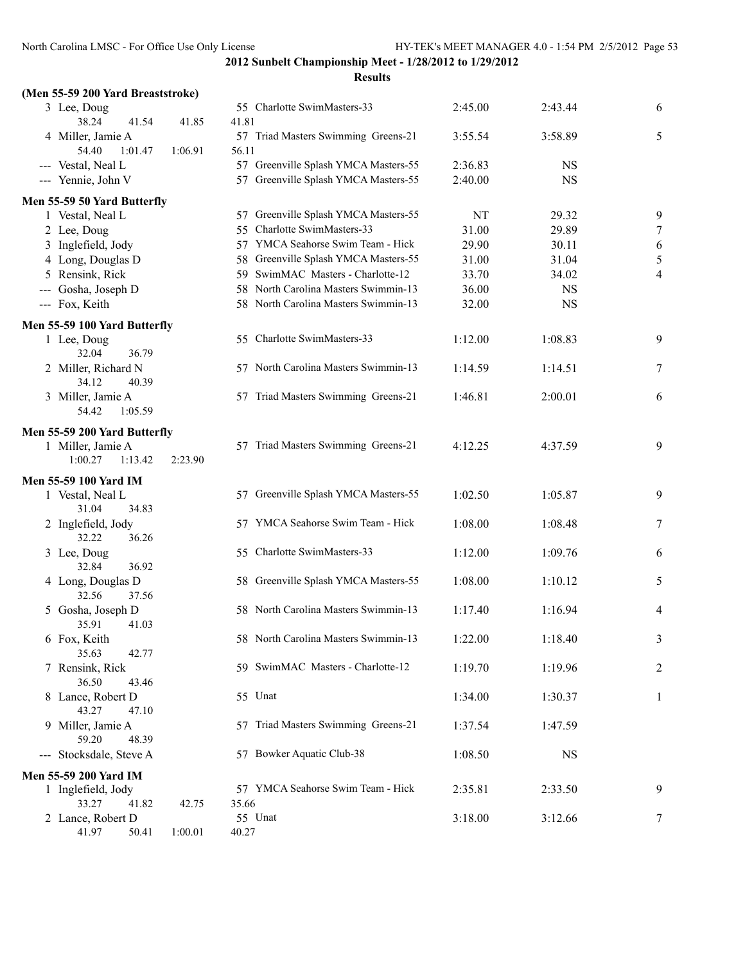| (Men 55-59 200 Yard Breaststroke)                                                  |                                              |         |           |                |
|------------------------------------------------------------------------------------|----------------------------------------------|---------|-----------|----------------|
| 3 Lee, Doug<br>38.24<br>41.54<br>41.85                                             | 55 Charlotte SwimMasters-33<br>41.81         | 2:45.00 | 2:43.44   | 6              |
| 4 Miller, Jamie A<br>54.40<br>1:01.47<br>1:06.91                                   | 57 Triad Masters Swimming Greens-21<br>56.11 | 3:55.54 | 3:58.89   | 5              |
| --- Vestal, Neal L                                                                 | 57 Greenville Splash YMCA Masters-55         | 2:36.83 | <b>NS</b> |                |
| --- Yennie, John V                                                                 | 57 Greenville Splash YMCA Masters-55         | 2:40.00 | <b>NS</b> |                |
| Men 55-59 50 Yard Butterfly                                                        |                                              |         |           |                |
| 1 Vestal, Neal L                                                                   | 57 Greenville Splash YMCA Masters-55         | NT      | 29.32     | 9              |
| 2 Lee, Doug                                                                        | 55 Charlotte SwimMasters-33                  | 31.00   | 29.89     | $\overline{7}$ |
| 3 Inglefield, Jody                                                                 | 57 YMCA Seahorse Swim Team - Hick            | 29.90   | 30.11     | 6              |
| 4 Long, Douglas D                                                                  | 58 Greenville Splash YMCA Masters-55         | 31.00   | 31.04     | 5              |
| 5 Rensink, Rick                                                                    | 59 SwimMAC Masters - Charlotte-12            | 33.70   | 34.02     | 4              |
| --- Gosha, Joseph D                                                                | 58 North Carolina Masters Swimmin-13         | 36.00   | <b>NS</b> |                |
| --- Fox, Keith                                                                     | 58 North Carolina Masters Swimmin-13         | 32.00   | <b>NS</b> |                |
| Men 55-59 100 Yard Butterfly                                                       |                                              |         |           |                |
| 1 Lee, Doug<br>32.04<br>36.79                                                      | 55 Charlotte SwimMasters-33                  | 1:12.00 | 1:08.83   | 9              |
| 2 Miller, Richard N<br>34.12<br>40.39                                              | 57 North Carolina Masters Swimmin-13         | 1:14.59 | 1:14.51   | 7              |
| 3 Miller, Jamie A<br>54.42<br>1:05.59                                              | 57 Triad Masters Swimming Greens-21          | 1:46.81 | 2:00.01   | 6              |
| Men 55-59 200 Yard Butterfly<br>1 Miller, Jamie A<br>1:00.27<br>1:13.42<br>2:23.90 | 57 Triad Masters Swimming Greens-21          | 4:12.25 | 4:37.59   | 9              |
| Men 55-59 100 Yard IM<br>1 Vestal, Neal L<br>31.04<br>34.83                        | 57 Greenville Splash YMCA Masters-55         | 1:02.50 | 1:05.87   | 9              |
| 2 Inglefield, Jody<br>32.22<br>36.26                                               | 57 YMCA Seahorse Swim Team - Hick            | 1:08.00 | 1:08.48   | 7              |
| 3 Lee, Doug<br>32.84<br>36.92                                                      | 55 Charlotte SwimMasters-33                  | 1:12.00 | 1:09.76   | 6              |
| 4 Long, Douglas D<br>32.56<br>37.56                                                | 58 Greenville Splash YMCA Masters-55         | 1:08.00 | 1:10.12   | 5              |
| 5 Gosha, Joseph D<br>41.03<br>35.91                                                | 58 North Carolina Masters Swimmin-13         | 1:17.40 | 1:16.94   | 4              |
| 6 Fox, Keith<br>35.63<br>42.77                                                     | 58 North Carolina Masters Swimmin-13         | 1:22.00 | 1:18.40   | 3              |
| 7 Rensink, Rick<br>36.50<br>43.46                                                  | 59 SwimMAC Masters - Charlotte-12            | 1:19.70 | 1:19.96   | $\overline{c}$ |
| 8 Lance, Robert D<br>43.27<br>47.10                                                | 55 Unat                                      | 1:34.00 | 1:30.37   | 1              |
| 9 Miller, Jamie A<br>59.20<br>48.39                                                | Triad Masters Swimming Greens-21<br>57       | 1:37.54 | 1:47.59   |                |
| --- Stocksdale, Steve A                                                            | 57 Bowker Aquatic Club-38                    | 1:08.50 | <b>NS</b> |                |
| Men 55-59 200 Yard IM                                                              |                                              |         |           |                |
| 1 Inglefield, Jody                                                                 | 57 YMCA Seahorse Swim Team - Hick            | 2:35.81 | 2:33.50   | 9              |
| 33.27<br>41.82<br>42.75                                                            | 35.66                                        |         |           |                |
| 2 Lance, Robert D                                                                  | 55 Unat                                      | 3:18.00 | 3:12.66   | 7              |
| 41.97<br>50.41<br>1:00.01                                                          | 40.27                                        |         |           |                |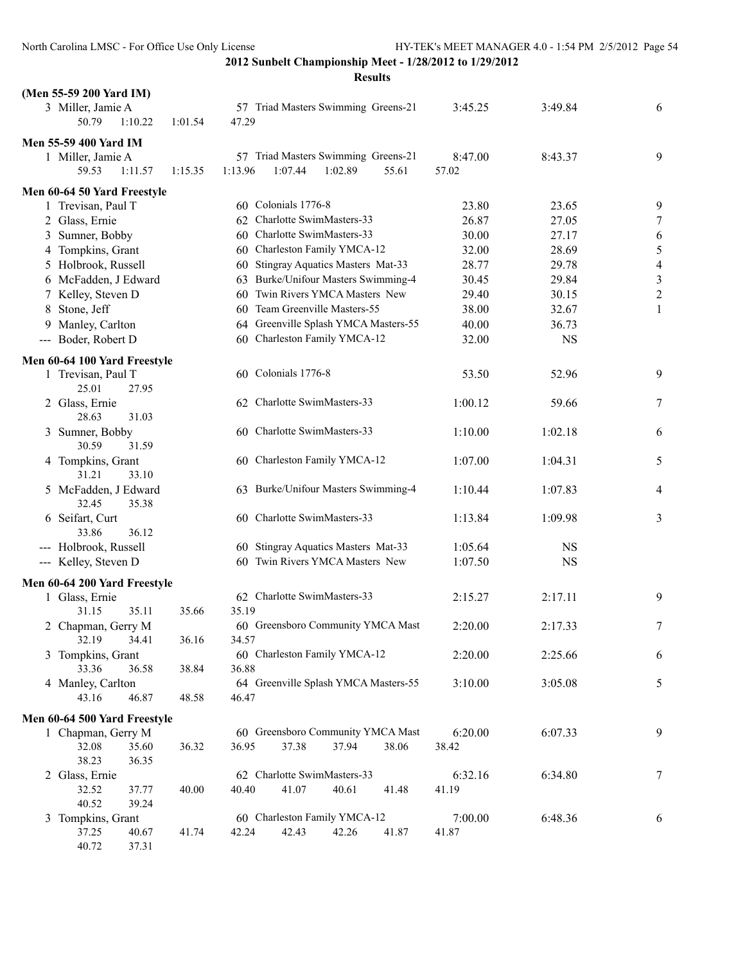| (Men 55-59 200 Yard IM)                            |         |                                              |                |                |                         |
|----------------------------------------------------|---------|----------------------------------------------|----------------|----------------|-------------------------|
| 3 Miller, Jamie A<br>50.79<br>1:10.22              | 1:01.54 | 57 Triad Masters Swimming Greens-21<br>47.29 | 3:45.25        | 3:49.84        | 6                       |
|                                                    |         |                                              |                |                |                         |
| Men 55-59 400 Yard IM                              |         | 57 Triad Masters Swimming Greens-21          | 8:47.00        | 8:43.37        | 9                       |
| 1 Miller, Jamie A<br>59.53<br>1:11.57              | 1:15.35 | 1:13.96<br>1:07.44<br>1:02.89<br>55.61       | 57.02          |                |                         |
|                                                    |         |                                              |                |                |                         |
| Men 60-64 50 Yard Freestyle                        |         | 60 Colonials 1776-8                          |                |                |                         |
| 1 Trevisan, Paul T                                 |         | Charlotte SwimMasters-33                     | 23.80          | 23.65          | 9                       |
| 2 Glass, Ernie<br>3 Sumner, Bobby                  |         | 62<br>60 Charlotte SwimMasters-33            | 26.87<br>30.00 | 27.05<br>27.17 | $\tau$                  |
| 4 Tompkins, Grant                                  |         | 60 Charleston Family YMCA-12                 | 32.00          | 28.69          | 6<br>5                  |
| 5 Holbrook, Russell                                |         | 60 Stingray Aquatics Masters Mat-33          | 28.77          | 29.78          | $\overline{4}$          |
| 6 McFadden, J Edward                               |         | 63 Burke/Unifour Masters Swimming-4          | 30.45          | 29.84          | $\mathfrak{Z}$          |
| 7 Kelley, Steven D                                 |         | Twin Rivers YMCA Masters New<br>60           | 29.40          | 30.15          | $\overline{\mathbf{c}}$ |
| 8 Stone, Jeff                                      |         | Team Greenville Masters-55<br>60             | 38.00          | 32.67          | $\mathbf{1}$            |
| 9 Manley, Carlton                                  |         | 64 Greenville Splash YMCA Masters-55         | 40.00          | 36.73          |                         |
| --- Boder, Robert D                                |         | 60 Charleston Family YMCA-12                 | 32.00          | <b>NS</b>      |                         |
|                                                    |         |                                              |                |                |                         |
| Men 60-64 100 Yard Freestyle<br>1 Trevisan, Paul T |         | Colonials 1776-8<br>60                       | 53.50          | 52.96          | 9                       |
| 25.01<br>27.95<br>2 Glass, Ernie                   |         | 62 Charlotte SwimMasters-33                  | 1:00.12        | 59.66          | 7                       |
| 28.63<br>31.03<br>3 Sumner, Bobby                  |         | 60 Charlotte SwimMasters-33                  | 1:10.00        | 1:02.18        | 6                       |
| 30.59<br>31.59                                     |         |                                              |                |                |                         |
| 4 Tompkins, Grant<br>31.21<br>33.10                |         | 60 Charleston Family YMCA-12                 | 1:07.00        | 1:04.31        | 5                       |
| 5 McFadden, J Edward<br>32.45<br>35.38             |         | 63 Burke/Unifour Masters Swimming-4          | 1:10.44        | 1:07.83        | $\overline{4}$          |
| 6 Seifart, Curt<br>33.86<br>36.12                  |         | 60 Charlotte SwimMasters-33                  | 1:13.84        | 1:09.98        | 3                       |
| --- Holbrook, Russell                              |         | 60 Stingray Aquatics Masters Mat-33          | 1:05.64        | <b>NS</b>      |                         |
| --- Kelley, Steven D                               |         | 60 Twin Rivers YMCA Masters New              | 1:07.50        | <b>NS</b>      |                         |
|                                                    |         |                                              |                |                |                         |
| Men 60-64 200 Yard Freestyle                       |         |                                              |                |                |                         |
| 1 Glass, Ernie<br>31.15<br>35.11                   | 35.66   | 62 Charlotte SwimMasters-33<br>35.19         | 2:15.27        | 2:17.11        | 9                       |
| 2 Chapman, Gerry M                                 |         | 60 Greensboro Community YMCA Mast            | 2:20.00        | 2:17.33        | 7                       |
| 32.19<br>34.41                                     | 36.16   | 34.57                                        |                |                |                         |
| 3 Tompkins, Grant                                  |         | 60 Charleston Family YMCA-12                 | 2:20.00        | 2:25.66        | 6                       |
| 33.36<br>36.58                                     | 38.84   | 36.88                                        |                |                |                         |
| 4 Manley, Carlton                                  |         | 64 Greenville Splash YMCA Masters-55         | 3:10.00        | 3:05.08        | 5                       |
| 43.16<br>46.87                                     | 48.58   | 46.47                                        |                |                |                         |
| Men 60-64 500 Yard Freestyle                       |         |                                              |                |                |                         |
| 1 Chapman, Gerry M                                 |         | 60 Greensboro Community YMCA Mast            | 6:20.00        | 6:07.33        | 9                       |
| 32.08<br>35.60                                     | 36.32   | 36.95<br>37.38<br>38.06<br>37.94             | 38.42          |                |                         |
| 38.23<br>36.35                                     |         |                                              |                |                |                         |
| 2 Glass, Ernie                                     |         | 62 Charlotte SwimMasters-33                  | 6:32.16        | 6:34.80        | 7                       |
| 32.52<br>37.77                                     | 40.00   | 40.40<br>41.07<br>40.61<br>41.48             | 41.19          |                |                         |
| 40.52<br>39.24                                     |         |                                              |                |                |                         |
| 3 Tompkins, Grant                                  |         | 60 Charleston Family YMCA-12                 | 7:00.00        | 6:48.36        | 6                       |
| 37.25<br>40.67                                     | 41.74   | 42.24<br>42.43<br>42.26<br>41.87             | 41.87          |                |                         |
| 40.72<br>37.31                                     |         |                                              |                |                |                         |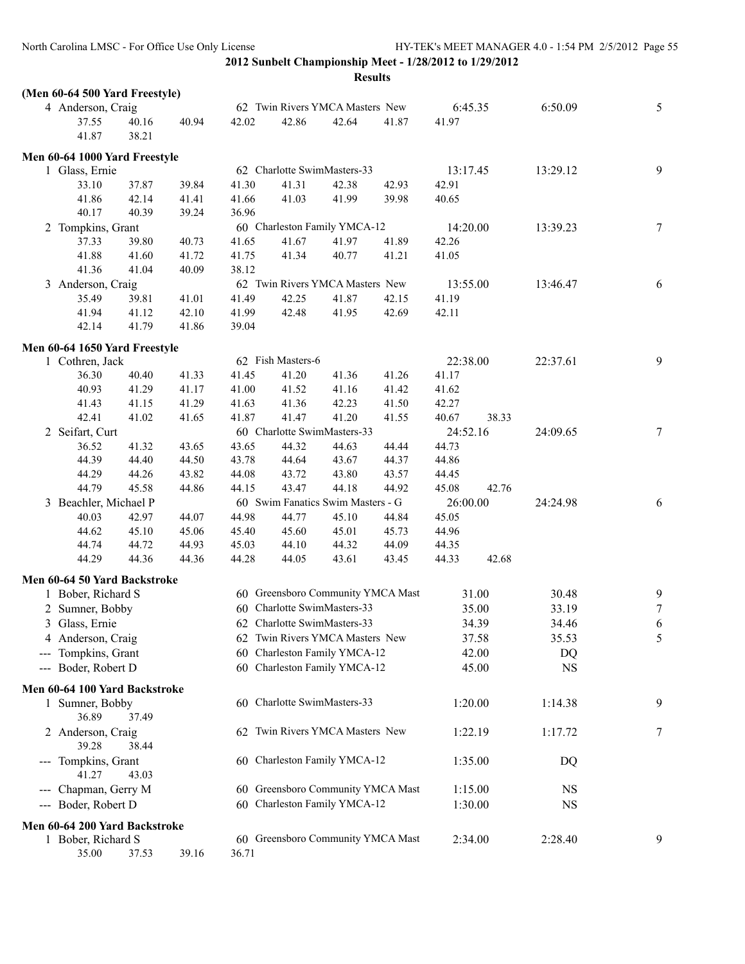| (Men 60-64 500 Yard Freestyle) |       |       |       |                   |                                   |       |          |       |           |        |
|--------------------------------|-------|-------|-------|-------------------|-----------------------------------|-------|----------|-------|-----------|--------|
| 4 Anderson, Craig              |       |       |       |                   | 62 Twin Rivers YMCA Masters New   |       | 6:45.35  |       | 6:50.09   | 5      |
| 37.55                          | 40.16 | 40.94 | 42.02 | 42.86             | 42.64                             | 41.87 | 41.97    |       |           |        |
| 41.87                          | 38.21 |       |       |                   |                                   |       |          |       |           |        |
| Men 60-64 1000 Yard Freestyle  |       |       |       |                   |                                   |       |          |       |           |        |
| 1 Glass, Ernie                 |       |       |       |                   | 62 Charlotte SwimMasters-33       |       | 13:17.45 |       | 13:29.12  | 9      |
| 33.10                          | 37.87 | 39.84 | 41.30 | 41.31             | 42.38                             | 42.93 | 42.91    |       |           |        |
| 41.86                          | 42.14 | 41.41 | 41.66 | 41.03             | 41.99                             | 39.98 | 40.65    |       |           |        |
| 40.17                          | 40.39 | 39.24 | 36.96 |                   |                                   |       |          |       |           |        |
| 2 Tompkins, Grant              |       |       |       |                   | 60 Charleston Family YMCA-12      |       | 14:20.00 |       | 13:39.23  | $\tau$ |
| 37.33                          | 39.80 | 40.73 | 41.65 | 41.67             | 41.97                             | 41.89 | 42.26    |       |           |        |
| 41.88                          | 41.60 | 41.72 | 41.75 | 41.34             | 40.77                             | 41.21 | 41.05    |       |           |        |
| 41.36                          | 41.04 | 40.09 | 38.12 |                   |                                   |       |          |       |           |        |
| 3 Anderson, Craig              |       |       |       |                   | 62 Twin Rivers YMCA Masters New   |       | 13:55.00 |       | 13:46.47  | 6      |
| 35.49                          | 39.81 | 41.01 | 41.49 | 42.25             | 41.87                             | 42.15 | 41.19    |       |           |        |
| 41.94                          | 41.12 | 42.10 | 41.99 | 42.48             | 41.95                             | 42.69 | 42.11    |       |           |        |
| 42.14                          | 41.79 | 41.86 | 39.04 |                   |                                   |       |          |       |           |        |
| Men 60-64 1650 Yard Freestyle  |       |       |       |                   |                                   |       |          |       |           |        |
| 1 Cothren, Jack                |       |       |       | 62 Fish Masters-6 |                                   |       | 22:38.00 |       | 22:37.61  | 9      |
| 36.30                          | 40.40 | 41.33 | 41.45 | 41.20             | 41.36                             | 41.26 | 41.17    |       |           |        |
| 40.93                          | 41.29 | 41.17 | 41.00 | 41.52             | 41.16                             | 41.42 | 41.62    |       |           |        |
| 41.43                          | 41.15 | 41.29 | 41.63 | 41.36             | 42.23                             | 41.50 | 42.27    |       |           |        |
| 42.41                          | 41.02 | 41.65 | 41.87 | 41.47             | 41.20                             | 41.55 | 40.67    | 38.33 |           |        |
| 2 Seifart, Curt                |       |       |       |                   | 60 Charlotte SwimMasters-33       |       | 24:52.16 |       | 24:09.65  | $\tau$ |
| 36.52                          | 41.32 | 43.65 | 43.65 | 44.32             | 44.63                             | 44.44 | 44.73    |       |           |        |
| 44.39                          | 44.40 | 44.50 | 43.78 | 44.64             | 43.67                             | 44.37 | 44.86    |       |           |        |
| 44.29                          | 44.26 | 43.82 | 44.08 | 43.72             | 43.80                             | 43.57 | 44.45    |       |           |        |
| 44.79                          | 45.58 | 44.86 | 44.15 | 43.47             | 44.18                             | 44.92 | 45.08    | 42.76 |           |        |
| 3 Beachler, Michael P          |       |       |       |                   | 60 Swim Fanatics Swim Masters - G |       | 26:00.00 |       | 24:24.98  | 6      |
| 40.03                          | 42.97 | 44.07 | 44.98 | 44.77             | 45.10                             | 44.84 | 45.05    |       |           |        |
| 44.62                          | 45.10 | 45.06 | 45.40 | 45.60             | 45.01                             | 45.73 | 44.96    |       |           |        |
| 44.74                          | 44.72 | 44.93 | 45.03 | 44.10             | 44.32                             | 44.09 | 44.35    |       |           |        |
| 44.29                          | 44.36 | 44.36 | 44.28 | 44.05             | 43.61                             | 43.45 | 44.33    | 42.68 |           |        |
| Men 60-64 50 Yard Backstroke   |       |       |       |                   |                                   |       |          |       |           |        |
| 1 Bober, Richard S             |       |       |       |                   | 60 Greensboro Community YMCA Mast |       |          | 31.00 | 30.48     | 9      |
| 2 Sumner, Bobby                |       |       |       |                   | 60 Charlotte SwimMasters-33       |       |          | 35.00 | 33.19     | $\tau$ |
| 3 Glass, Ernie                 |       |       |       |                   | 62 Charlotte SwimMasters-33       |       |          | 34.39 | 34.46     | 6      |
| Anderson, Craig<br>4           |       |       |       |                   | 62 Twin Rivers YMCA Masters New   |       |          | 37.58 | 35.53     | 5      |
| Tompkins, Grant                |       |       |       |                   | 60 Charleston Family YMCA-12      |       |          | 42.00 | DQ        |        |
| --- Boder, Robert D            |       |       |       |                   | 60 Charleston Family YMCA-12      |       |          | 45.00 | <b>NS</b> |        |
|                                |       |       |       |                   |                                   |       |          |       |           |        |
| Men 60-64 100 Yard Backstroke  |       |       |       |                   | 60 Charlotte SwimMasters-33       |       |          |       |           | 9      |
| 1 Sumner, Bobby<br>36.89       | 37.49 |       |       |                   |                                   |       | 1:20.00  |       | 1:14.38   |        |
| 2 Anderson, Craig              |       |       |       |                   | 62 Twin Rivers YMCA Masters New   |       | 1:22.19  |       | 1:17.72   | 7      |
| 39.28                          | 38.44 |       |       |                   |                                   |       |          |       |           |        |
| --- Tompkins, Grant            |       |       |       |                   | 60 Charleston Family YMCA-12      |       | 1:35.00  |       | DQ        |        |
| 41.27                          | 43.03 |       |       |                   |                                   |       |          |       |           |        |
| --- Chapman, Gerry M           |       |       |       |                   | 60 Greensboro Community YMCA Mast |       | 1:15.00  |       | NS        |        |
| --- Boder, Robert D            |       |       |       |                   | 60 Charleston Family YMCA-12      |       | 1:30.00  |       | <b>NS</b> |        |
|                                |       |       |       |                   |                                   |       |          |       |           |        |
| Men 60-64 200 Yard Backstroke  |       |       |       |                   | 60 Greensboro Community YMCA Mast |       |          |       |           |        |
| 1 Bober, Richard S             |       |       | 36.71 |                   |                                   |       | 2:34.00  |       | 2:28.40   | 9      |
| 35.00                          | 37.53 | 39.16 |       |                   |                                   |       |          |       |           |        |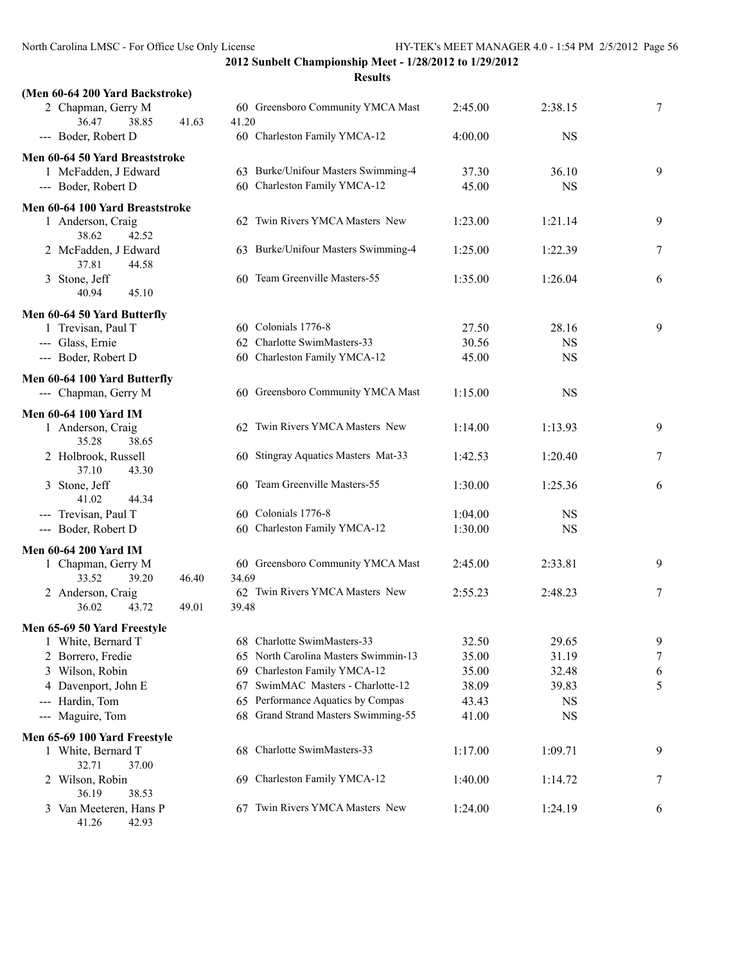| (Men 60-64 200 Yard Backstroke)          |       |                                            |         |           |   |
|------------------------------------------|-------|--------------------------------------------|---------|-----------|---|
| 2 Chapman, Gerry M<br>36.47<br>38.85     | 41.63 | 60 Greensboro Community YMCA Mast<br>41.20 | 2:45.00 | 2:38.15   | 7 |
| --- Boder, Robert D                      |       | 60 Charleston Family YMCA-12               | 4:00.00 | <b>NS</b> |   |
| Men 60-64 50 Yard Breaststroke           |       |                                            |         |           |   |
| 1 McFadden, J Edward                     |       | 63 Burke/Unifour Masters Swimming-4        | 37.30   | 36.10     | 9 |
| --- Boder, Robert D                      |       | 60 Charleston Family YMCA-12               | 45.00   | <b>NS</b> |   |
| Men 60-64 100 Yard Breaststroke          |       |                                            |         |           |   |
| 1 Anderson, Craig<br>38.62<br>42.52      |       | 62 Twin Rivers YMCA Masters New            | 1:23.00 | 1:21.14   | 9 |
| 2 McFadden, J Edward<br>37.81<br>44.58   |       | 63 Burke/Unifour Masters Swimming-4        | 1:25.00 | 1:22.39   | 7 |
| 3 Stone, Jeff<br>45.10<br>40.94          |       | 60 Team Greenville Masters-55              | 1:35.00 | 1:26.04   | 6 |
| Men 60-64 50 Yard Butterfly              |       |                                            |         |           |   |
| 1 Trevisan, Paul T                       |       | 60 Colonials 1776-8                        | 27.50   | 28.16     | 9 |
| --- Glass, Ernie                         |       | 62 Charlotte SwimMasters-33                | 30.56   | <b>NS</b> |   |
| --- Boder, Robert D                      |       | 60 Charleston Family YMCA-12               | 45.00   | <b>NS</b> |   |
| Men 60-64 100 Yard Butterfly             |       |                                            |         |           |   |
| --- Chapman, Gerry M                     |       | 60 Greensboro Community YMCA Mast          | 1:15.00 | <b>NS</b> |   |
| <b>Men 60-64 100 Yard IM</b>             |       |                                            |         |           |   |
| 1 Anderson, Craig<br>35.28<br>38.65      |       | 62 Twin Rivers YMCA Masters New            | 1:14.00 | 1:13.93   | 9 |
| 2 Holbrook, Russell<br>37.10<br>43.30    |       | 60 Stingray Aquatics Masters Mat-33        | 1:42.53 | 1:20.40   | 7 |
| 3 Stone, Jeff<br>41.02<br>44.34          |       | 60 Team Greenville Masters-55              | 1:30.00 | 1:25.36   | 6 |
| --- Trevisan, Paul T                     |       | 60 Colonials 1776-8                        | 1:04.00 | <b>NS</b> |   |
| --- Boder, Robert D                      |       | 60 Charleston Family YMCA-12               | 1:30.00 | <b>NS</b> |   |
| <b>Men 60-64 200 Yard IM</b>             |       |                                            |         |           |   |
| 1 Chapman, Gerry M<br>33.52<br>39.20     | 46.40 | 60 Greensboro Community YMCA Mast<br>34.69 | 2:45.00 | 2:33.81   | 9 |
| 2 Anderson, Craig                        |       | 62 Twin Rivers YMCA Masters New            | 2:55.23 | 2:48.23   | 7 |
| 36.02<br>43.72                           | 49.01 | 39.48                                      |         |           |   |
| Men 65-69 50 Yard Freestyle              |       |                                            |         |           |   |
| 1 White, Bernard T                       |       | 68 Charlotte SwimMasters-33                | 32.50   | 29.65     | 9 |
| 2 Borrero, Fredie                        |       | North Carolina Masters Swimmin-13<br>65    | 35.00   | 31.19     | 7 |
| 3 Wilson, Robin                          |       | 69 Charleston Family YMCA-12               | 35.00   | 32.48     | 6 |
| 4 Davenport, John E                      |       | 67 SwimMAC Masters - Charlotte-12          | 38.09   | 39.83     | 5 |
| Hardin, Tom<br>$\qquad \qquad - -$       |       | 65 Performance Aquatics by Compas          | 43.43   | <b>NS</b> |   |
| --- Maguire, Tom                         |       | 68 Grand Strand Masters Swimming-55        | 41.00   | <b>NS</b> |   |
| Men 65-69 100 Yard Freestyle             |       |                                            |         |           |   |
| 1 White, Bernard T<br>32.71<br>37.00     |       | Charlotte SwimMasters-33<br>68             | 1:17.00 | 1:09.71   | 9 |
| 2 Wilson, Robin<br>36.19<br>38.53        |       | 69 Charleston Family YMCA-12               | 1:40.00 | 1:14.72   | 7 |
| 3 Van Meeteren, Hans P<br>41.26<br>42.93 |       | Twin Rivers YMCA Masters New<br>67         | 1:24.00 | 1:24.19   | 6 |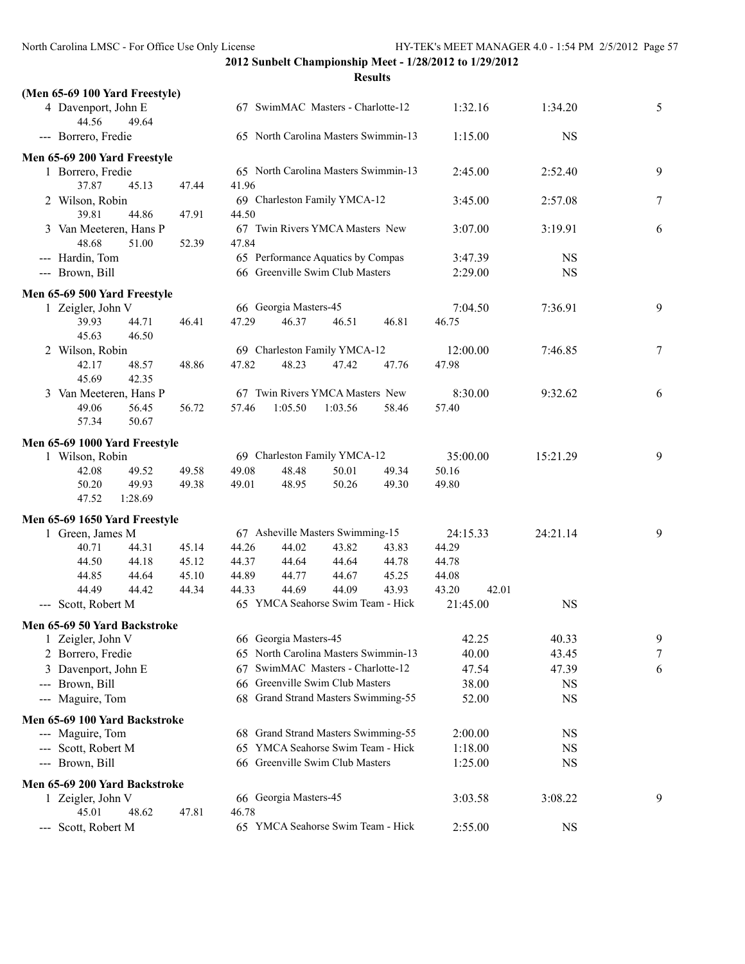| (Men 65-69 100 Yard Freestyle)           |       |       |                                      |                                      |         |                |           |   |
|------------------------------------------|-------|-------|--------------------------------------|--------------------------------------|---------|----------------|-----------|---|
| 4 Davenport, John E<br>44.56<br>49.64    |       |       | 67 SwimMAC Masters - Charlotte-12    |                                      |         |                | 1:34.20   | 5 |
| --- Borrero, Fredie                      |       |       |                                      | 65 North Carolina Masters Swimmin-13 |         | 1:15.00        | <b>NS</b> |   |
| Men 65-69 200 Yard Freestyle             |       |       |                                      |                                      |         |                |           |   |
| 1 Borrero, Fredie<br>37.87<br>45.13      | 41.96 |       | 65 North Carolina Masters Swimmin-13 |                                      | 2:45.00 | 2:52.40        | 9         |   |
| 2 Wilson, Robin                          | 47.44 |       |                                      | 69 Charleston Family YMCA-12         |         | 3:45.00        | 2:57.08   | 7 |
| 39.81<br>44.86                           | 47.91 | 44.50 |                                      |                                      |         |                |           |   |
| 3 Van Meeteren, Hans P<br>48.68<br>51.00 | 52.39 | 47.84 |                                      | 67 Twin Rivers YMCA Masters New      |         | 3:07.00        | 3:19.91   | 6 |
| --- Hardin, Tom                          |       |       |                                      | 65 Performance Aquatics by Compas    |         | 3:47.39        | <b>NS</b> |   |
| --- Brown, Bill                          |       |       |                                      | 66 Greenville Swim Club Masters      |         | 2:29.00        | <b>NS</b> |   |
| Men 65-69 500 Yard Freestyle             |       |       |                                      |                                      |         |                |           |   |
| 1 Zeigler, John V                        |       |       | 66 Georgia Masters-45                |                                      |         | 7:04.50        | 7:36.91   | 9 |
| 39.93<br>44.71<br>45.63<br>46.50         | 46.41 | 47.29 | 46.37                                | 46.51                                | 46.81   | 46.75          |           |   |
| 2 Wilson, Robin                          |       |       |                                      | 69 Charleston Family YMCA-12         |         | 12:00.00       | 7:46.85   | 7 |
| 42.17<br>48.57                           | 48.86 | 47.82 | 48.23                                | 47.42                                | 47.76   | 47.98          |           |   |
| 45.69<br>42.35                           |       |       |                                      |                                      |         |                |           |   |
| 3 Van Meeteren, Hans P                   |       |       |                                      | 67 Twin Rivers YMCA Masters New      |         | 8:30.00        | 9:32.62   | 6 |
| 49.06<br>56.45                           | 56.72 | 57.46 | 1:05.50                              | 1:03.56                              | 58.46   | 57.40          |           |   |
| 57.34<br>50.67                           |       |       |                                      |                                      |         |                |           |   |
|                                          |       |       |                                      |                                      |         |                |           |   |
| Men 65-69 1000 Yard Freestyle            |       |       |                                      | 69 Charleston Family YMCA-12         |         | 35:00.00       | 15:21.29  | 9 |
| 1 Wilson, Robin<br>42.08<br>49.52        | 49.58 | 49.08 | 48.48                                | 50.01                                | 49.34   | 50.16          |           |   |
| 50.20<br>49.93                           | 49.38 | 49.01 | 48.95                                | 50.26                                | 49.30   | 49.80          |           |   |
| 47.52<br>1:28.69                         |       |       |                                      |                                      |         |                |           |   |
|                                          |       |       |                                      |                                      |         |                |           |   |
| Men 65-69 1650 Yard Freestyle            |       |       |                                      |                                      |         |                |           |   |
| 1 Green, James M                         |       |       |                                      | 67 Asheville Masters Swimming-15     |         | 24:15.33       | 24:21.14  | 9 |
| 40.71<br>44.31                           | 45.14 | 44.26 | 44.02                                | 43.82                                | 43.83   | 44.29          |           |   |
| 44.50<br>44.18                           | 45.12 | 44.37 | 44.64                                | 44.64                                | 44.78   | 44.78          |           |   |
| 44.85<br>44.64                           | 45.10 | 44.89 | 44.77                                | 44.67                                | 45.25   | 44.08          |           |   |
| 44.49<br>44.42                           | 44.34 | 44.33 | 44.69                                | 44.09                                | 43.93   | 43.20<br>42.01 |           |   |
| --- Scott, Robert M                      |       |       |                                      | 65 YMCA Seahorse Swim Team - Hick    |         | 21:45.00       | <b>NS</b> |   |
| Men 65-69 50 Yard Backstroke             |       |       |                                      |                                      |         |                |           |   |
| 1 Zeigler, John V                        |       |       | 66 Georgia Masters-45                |                                      |         | 42.25          | 40.33     | 9 |
| 2 Borrero, Fredie                        |       |       |                                      | 65 North Carolina Masters Swimmin-13 |         | 40.00          | 43.45     | 7 |
| Davenport, John E<br>3                   |       | 67    |                                      | SwimMAC Masters - Charlotte-12       |         | 47.54          | 47.39     | 6 |
| Brown, Bill<br>---                       |       |       |                                      | 66 Greenville Swim Club Masters      |         | 38.00          | NS        |   |
| --- Maguire, Tom                         |       |       |                                      | 68 Grand Strand Masters Swimming-55  |         | 52.00          | <b>NS</b> |   |
| Men 65-69 100 Yard Backstroke            |       |       |                                      |                                      |         |                |           |   |
| --- Maguire, Tom                         |       |       |                                      | 68 Grand Strand Masters Swimming-55  |         | 2:00.00        | <b>NS</b> |   |
| --- Scott, Robert M                      |       |       |                                      | 65 YMCA Seahorse Swim Team - Hick    |         | 1:18.00        | <b>NS</b> |   |
| --- Brown, Bill                          |       | 66.   |                                      | Greenville Swim Club Masters         |         | 1:25.00        | <b>NS</b> |   |
|                                          |       |       |                                      |                                      |         |                |           |   |
| Men 65-69 200 Yard Backstroke            |       |       |                                      |                                      |         |                |           |   |
| 1 Zeigler, John V                        |       |       | 66 Georgia Masters-45                |                                      |         | 3:03.58        | 3:08.22   | 9 |
| 45.01<br>48.62                           | 47.81 | 46.78 |                                      |                                      |         |                |           |   |
| --- Scott, Robert M                      |       |       |                                      | 65 YMCA Seahorse Swim Team - Hick    |         | 2:55.00        | <b>NS</b> |   |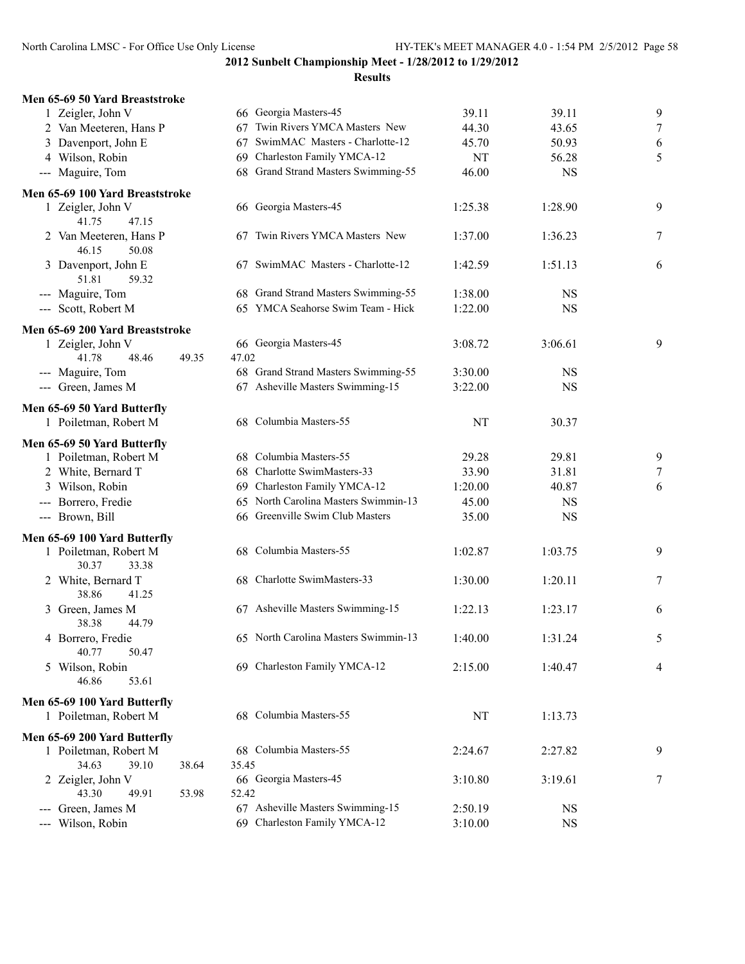**2012 Sunbelt Championship Meet - 1/28/2012 to 1/29/2012 Results**

| Men 65-69 50 Yard Breaststroke                        |                |                                      |         |           |                |
|-------------------------------------------------------|----------------|--------------------------------------|---------|-----------|----------------|
| 1 Zeigler, John V                                     |                | 66 Georgia Masters-45                | 39.11   | 39.11     | 9              |
| 2 Van Meeteren, Hans P                                |                | 67 Twin Rivers YMCA Masters New      | 44.30   | 43.65     | $\overline{7}$ |
| 3 Davenport, John E                                   |                | 67 SwimMAC Masters - Charlotte-12    | 45.70   | 50.93     | 6              |
| 4 Wilson, Robin                                       |                | 69 Charleston Family YMCA-12         | NT      | 56.28     | 5              |
| --- Maguire, Tom                                      |                | 68 Grand Strand Masters Swimming-55  | 46.00   | <b>NS</b> |                |
| Men 65-69 100 Yard Breaststroke                       |                |                                      |         |           |                |
| 1 Zeigler, John V<br>41.75<br>47.15                   |                | 66 Georgia Masters-45                | 1:25.38 | 1:28.90   | 9              |
| 2 Van Meeteren, Hans P<br>46.15<br>50.08              |                | 67 Twin Rivers YMCA Masters New      | 1:37.00 | 1:36.23   | $\overline{7}$ |
| 3 Davenport, John E<br>51.81<br>59.32                 |                | 67 SwimMAC Masters - Charlotte-12    | 1:42.59 | 1:51.13   | 6              |
| --- Maguire, Tom                                      |                | 68 Grand Strand Masters Swimming-55  | 1:38.00 | <b>NS</b> |                |
| --- Scott, Robert M                                   |                | 65 YMCA Seahorse Swim Team - Hick    | 1:22.00 | <b>NS</b> |                |
| Men 65-69 200 Yard Breaststroke                       |                |                                      |         |           |                |
| 1 Zeigler, John V                                     |                | 66 Georgia Masters-45                | 3:08.72 | 3:06.61   | 9              |
| 41.78<br>48.46                                        | 49.35<br>47.02 |                                      |         |           |                |
| --- Maguire, Tom                                      |                | 68 Grand Strand Masters Swimming-55  | 3:30.00 | <b>NS</b> |                |
| --- Green, James M                                    |                | 67 Asheville Masters Swimming-15     | 3:22.00 | <b>NS</b> |                |
| Men 65-69 50 Yard Butterfly                           |                |                                      |         |           |                |
| 1 Poiletman, Robert M                                 |                | 68 Columbia Masters-55               | NT      | 30.37     |                |
| Men 65-69 50 Yard Butterfly                           |                |                                      |         |           |                |
| 1 Poiletman, Robert M                                 |                | 68 Columbia Masters-55               | 29.28   | 29.81     | 9              |
| 2 White, Bernard T                                    |                | 68 Charlotte SwimMasters-33          | 33.90   | 31.81     | $\overline{7}$ |
| 3 Wilson, Robin                                       |                | 69 Charleston Family YMCA-12         | 1:20.00 | 40.87     | 6              |
| --- Borrero, Fredie                                   |                | 65 North Carolina Masters Swimmin-13 | 45.00   | <b>NS</b> |                |
| --- Brown, Bill                                       |                | 66 Greenville Swim Club Masters      | 35.00   | <b>NS</b> |                |
| Men 65-69 100 Yard Butterfly                          |                |                                      |         |           |                |
| 1 Poiletman, Robert M<br>30.37<br>33.38               |                | 68 Columbia Masters-55               | 1:02.87 | 1:03.75   | 9              |
| 2 White, Bernard T<br>38.86<br>41.25                  |                | 68 Charlotte SwimMasters-33          | 1:30.00 | 1:20.11   | $\overline{7}$ |
| 3 Green, James M<br>38.38<br>44.79                    |                | 67 Asheville Masters Swimming-15     | 1:22.13 | 1:23.17   | 6              |
| 4 Borrero, Fredie<br>40.77<br>50.47                   |                | 65 North Carolina Masters Swimmin-13 | 1:40.00 | 1:31.24   | 5              |
| 5 Wilson, Robin<br>46.86<br>53.61                     |                | 69 Charleston Family YMCA-12         | 2:15.00 | 1:40.47   | 4              |
| Men 65-69 100 Yard Butterfly                          |                |                                      |         |           |                |
| 1 Poiletman, Robert M                                 |                | 68 Columbia Masters-55               | NT      | 1:13.73   |                |
| Men 65-69 200 Yard Butterfly<br>1 Poiletman, Robert M |                | 68 Columbia Masters-55               | 2:24.67 | 2:27.82   | 9              |
| 34.63<br>39.10                                        | 35.45<br>38.64 |                                      |         |           |                |
| 2 Zeigler, John V<br>43.30<br>49.91                   | 52.42<br>53.98 | 66 Georgia Masters-45                | 3:10.80 | 3:19.61   | 7              |
| Green, James M                                        |                | 67 Asheville Masters Swimming-15     | 2:50.19 | <b>NS</b> |                |
| Wilson, Robin                                         |                | 69 Charleston Family YMCA-12         | 3:10.00 | <b>NS</b> |                |
|                                                       |                |                                      |         |           |                |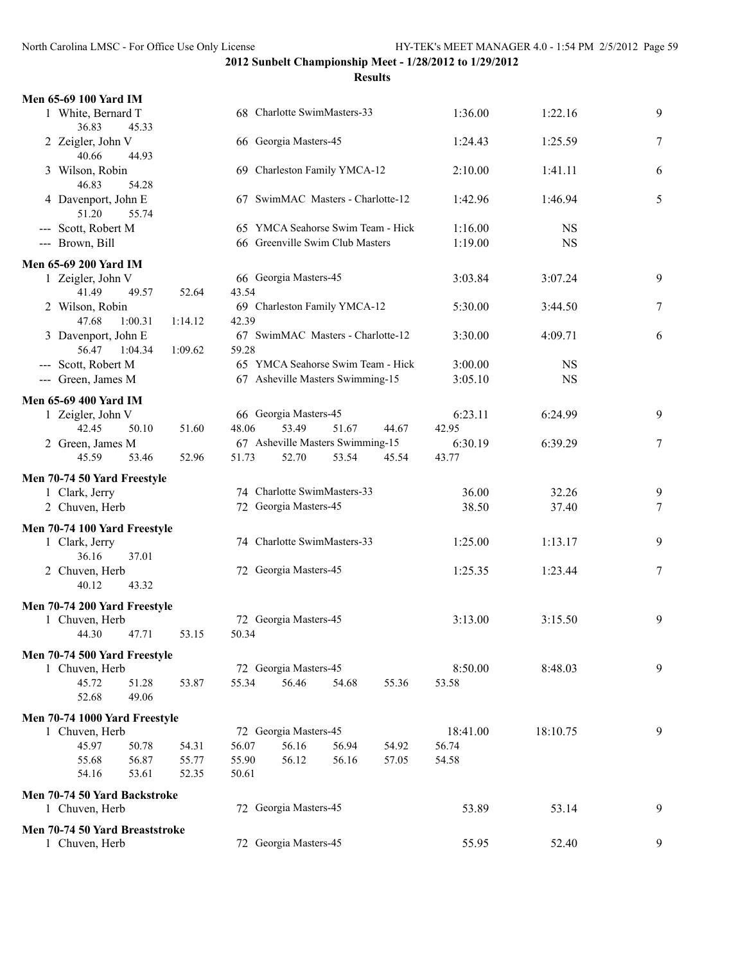| Men 65-69 100 Yard IM                 |         |       |                       |                                   |       |          |           |        |
|---------------------------------------|---------|-------|-----------------------|-----------------------------------|-------|----------|-----------|--------|
| 1 White, Bernard T<br>36.83<br>45.33  |         |       |                       | 68 Charlotte SwimMasters-33       |       | 1:36.00  | 1:22.16   | 9      |
| 2 Zeigler, John V<br>40.66<br>44.93   |         |       | 66 Georgia Masters-45 |                                   |       | 1:24.43  | 1:25.59   | 7      |
| 3 Wilson, Robin<br>46.83<br>54.28     |         |       |                       | 69 Charleston Family YMCA-12      |       | 2:10.00  | 1:41.11   | 6      |
| 4 Davenport, John E<br>51.20<br>55.74 |         |       |                       | 67 SwimMAC Masters - Charlotte-12 |       | 1:42.96  | 1:46.94   | 5      |
| --- Scott, Robert M                   |         |       |                       | 65 YMCA Seahorse Swim Team - Hick |       | 1:16.00  | <b>NS</b> |        |
| --- Brown, Bill                       |         |       |                       | 66 Greenville Swim Club Masters   |       | 1:19.00  | <b>NS</b> |        |
| <b>Men 65-69 200 Yard IM</b>          |         |       |                       |                                   |       |          |           |        |
| 1 Zeigler, John V                     |         |       | 66 Georgia Masters-45 |                                   |       | 3:03.84  | 3:07.24   | 9      |
| 41.49<br>49.57                        | 52.64   | 43.54 |                       |                                   |       |          |           |        |
| 2 Wilson, Robin                       |         |       |                       | 69 Charleston Family YMCA-12      |       | 5:30.00  | 3:44.50   | 7      |
| 47.68<br>1:00.31                      | 1:14.12 | 42.39 |                       |                                   |       |          |           |        |
| 3 Davenport, John E                   |         |       |                       | 67 SwimMAC Masters - Charlotte-12 |       | 3:30.00  | 4:09.71   | 6      |
| 56.47<br>1:04.34                      | 1:09.62 | 59.28 |                       |                                   |       |          |           |        |
| --- Scott, Robert M                   |         |       |                       | 65 YMCA Seahorse Swim Team - Hick |       | 3:00.00  | <b>NS</b> |        |
| --- Green, James M                    |         |       |                       | 67 Asheville Masters Swimming-15  |       | 3:05.10  | <b>NS</b> |        |
|                                       |         |       |                       |                                   |       |          |           |        |
| <b>Men 65-69 400 Yard IM</b>          |         |       |                       |                                   |       |          |           |        |
| 1 Zeigler, John V                     |         |       | 66 Georgia Masters-45 |                                   |       | 6:23.11  | 6:24.99   | 9      |
| 42.45<br>50.10                        | 51.60   | 48.06 | 53.49                 | 51.67                             | 44.67 | 42.95    |           |        |
| 2 Green, James M                      |         |       |                       | 67 Asheville Masters Swimming-15  |       | 6:30.19  | 6:39.29   | 7      |
| 45.59<br>53.46                        | 52.96   | 51.73 | 52.70                 | 53.54                             | 45.54 | 43.77    |           |        |
| Men 70-74 50 Yard Freestyle           |         |       |                       |                                   |       |          |           |        |
| 1 Clark, Jerry                        |         |       |                       | 74 Charlotte SwimMasters-33       |       | 36.00    | 32.26     | 9      |
| 2 Chuven, Herb                        |         |       | 72 Georgia Masters-45 |                                   |       | 38.50    | 37.40     | 7      |
|                                       |         |       |                       |                                   |       |          |           |        |
| Men 70-74 100 Yard Freestyle          |         |       |                       |                                   |       |          |           |        |
| 1 Clark, Jerry                        |         |       |                       | 74 Charlotte SwimMasters-33       |       | 1:25.00  | 1:13.17   | 9      |
| 36.16<br>37.01                        |         |       |                       |                                   |       |          |           |        |
| 2 Chuven, Herb                        |         |       | 72 Georgia Masters-45 |                                   |       | 1:25.35  | 1:23.44   | $\tau$ |
| 40.12<br>43.32                        |         |       |                       |                                   |       |          |           |        |
| Men 70-74 200 Yard Freestyle          |         |       |                       |                                   |       |          |           |        |
| 1 Chuven, Herb                        |         |       | 72 Georgia Masters-45 |                                   |       | 3:13.00  | 3:15.50   | 9      |
| 44.30<br>47.71                        | 53.15   | 50.34 |                       |                                   |       |          |           |        |
|                                       |         |       |                       |                                   |       |          |           |        |
| Men 70-74 500 Yard Freestyle          |         |       |                       |                                   |       |          |           |        |
| 1 Chuven, Herb                        |         |       | 72 Georgia Masters-45 |                                   |       | 8:50.00  | 8:48.03   | 9      |
| 45.72<br>51.28                        | 53.87   | 55.34 | 56.46                 | 54.68                             | 55.36 | 53.58    |           |        |
| 49.06<br>52.68                        |         |       |                       |                                   |       |          |           |        |
| Men 70-74 1000 Yard Freestyle         |         |       |                       |                                   |       |          |           |        |
| 1 Chuven, Herb                        |         |       | 72 Georgia Masters-45 |                                   |       | 18:41.00 | 18:10.75  | 9      |
| 45.97<br>50.78                        | 54.31   | 56.07 | 56.16                 | 56.94                             | 54.92 | 56.74    |           |        |
| 55.68<br>56.87                        | 55.77   | 55.90 | 56.12                 | 56.16                             | 57.05 | 54.58    |           |        |
| 54.16<br>53.61                        | 52.35   | 50.61 |                       |                                   |       |          |           |        |
|                                       |         |       |                       |                                   |       |          |           |        |
| Men 70-74 50 Yard Backstroke          |         |       |                       |                                   |       |          |           |        |
| 1 Chuven, Herb                        |         |       | 72 Georgia Masters-45 |                                   |       | 53.89    | 53.14     | 9      |
| Men 70-74 50 Yard Breaststroke        |         |       |                       |                                   |       |          |           |        |
| 1 Chuven, Herb                        |         |       | 72 Georgia Masters-45 |                                   |       | 55.95    | 52.40     | 9      |
|                                       |         |       |                       |                                   |       |          |           |        |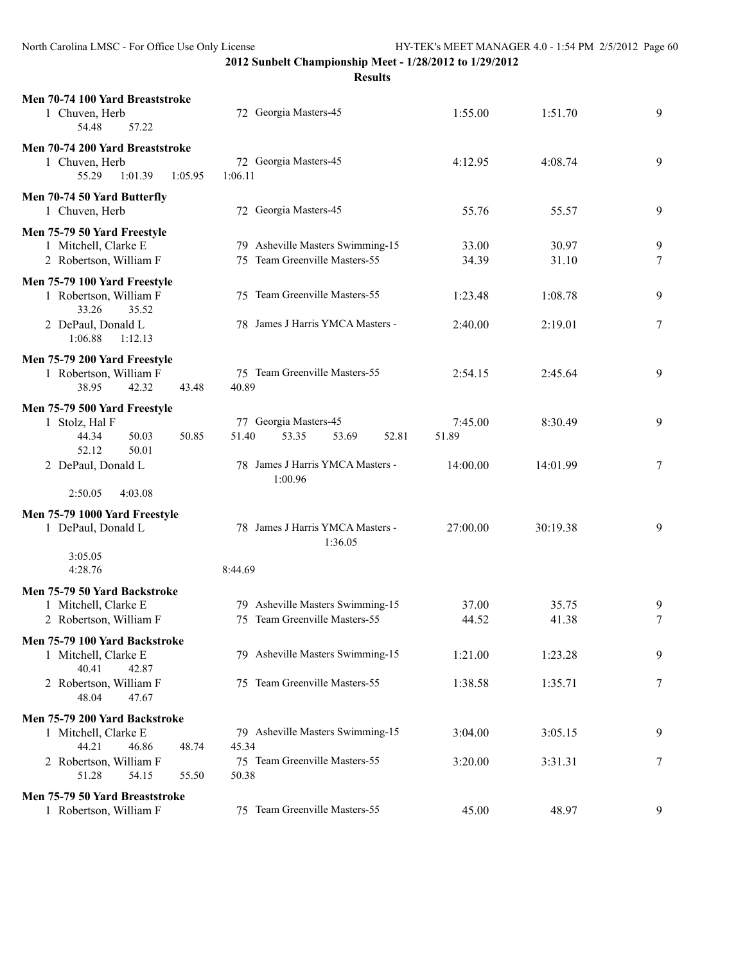**Results**

| Men 70-74 100 Yard Breaststroke<br>1 Chuven, Herb<br>54.48<br>57.22                         | 72 Georgia Masters-45                                             | 1:55.00          | 1:51.70        | 9      |
|---------------------------------------------------------------------------------------------|-------------------------------------------------------------------|------------------|----------------|--------|
| Men 70-74 200 Yard Breaststroke<br>1 Chuven, Herb<br>55.29<br>1:01.39<br>1:05.95            | 72 Georgia Masters-45<br>1:06.11                                  | 4:12.95          | 4:08.74        | 9      |
| Men 70-74 50 Yard Butterfly<br>1 Chuven, Herb                                               | 72 Georgia Masters-45                                             | 55.76            | 55.57          | 9      |
| Men 75-79 50 Yard Freestyle<br>1 Mitchell, Clarke E<br>2 Robertson, William F               | 79 Asheville Masters Swimming-15<br>75 Team Greenville Masters-55 | 33.00<br>34.39   | 30.97<br>31.10 | 9<br>7 |
| Men 75-79 100 Yard Freestyle<br>1 Robertson, William F<br>33.26<br>35.52                    | 75 Team Greenville Masters-55                                     | 1:23.48          | 1:08.78        | 9      |
| 2 DePaul, Donald L<br>1:06.88<br>1:12.13                                                    | 78 James J Harris YMCA Masters -                                  | 2:40.00          | 2:19.01        | 7      |
| Men 75-79 200 Yard Freestyle<br>1 Robertson, William F<br>38.95<br>42.32<br>43.48           | 75 Team Greenville Masters-55<br>40.89                            | 2:54.15          | 2:45.64        | 9      |
| Men 75-79 500 Yard Freestyle<br>1 Stolz, Hal F<br>44.34<br>50.03<br>50.85<br>52.12<br>50.01 | 77 Georgia Masters-45<br>51.40<br>53.35<br>52.81<br>53.69         | 7:45.00<br>51.89 | 8:30.49        | 9      |
| 2 DePaul, Donald L                                                                          | 78 James J Harris YMCA Masters -<br>1:00.96                       | 14:00.00         | 14:01.99       | 7      |
| 2:50.05<br>4:03.08                                                                          |                                                                   |                  |                |        |
| Men 75-79 1000 Yard Freestyle<br>1 DePaul, Donald L                                         | 78 James J Harris YMCA Masters -<br>1:36.05                       | 27:00.00         | 30:19.38       | 9      |
| 3:05.05<br>4:28.76                                                                          | 8:44.69                                                           |                  |                |        |
| Men 75-79 50 Yard Backstroke<br>1 Mitchell, Clarke E<br>2 Robertson, William F              | 79 Asheville Masters Swimming-15<br>75 Team Greenville Masters-55 | 37.00<br>44.52   | 35.75<br>41.38 | 9<br>7 |
| Men 75-79 100 Yard Backstroke<br>1 Mitchell, Clarke E<br>40.41<br>42.87                     | 79 Asheville Masters Swimming-15                                  | 1:21.00          | 1:23.28        | 9      |
| 2 Robertson, William F<br>48.04<br>47.67                                                    | 75 Team Greenville Masters-55                                     | 1:38.58          | 1:35.71        | 7      |
| Men 75-79 200 Yard Backstroke                                                               |                                                                   |                  |                |        |
| 1 Mitchell, Clarke E<br>44.21<br>46.86<br>48.74                                             | 79 Asheville Masters Swimming-15<br>45.34                         | 3:04.00          | 3:05.15        | 9      |
| 2 Robertson, William F<br>51.28<br>54.15<br>55.50                                           | 75 Team Greenville Masters-55<br>50.38                            | 3:20.00          | 3:31.31        | 7      |
| Men 75-79 50 Yard Breaststroke<br>1 Robertson, William F                                    | 75 Team Greenville Masters-55                                     | 45.00            | 48.97          | 9      |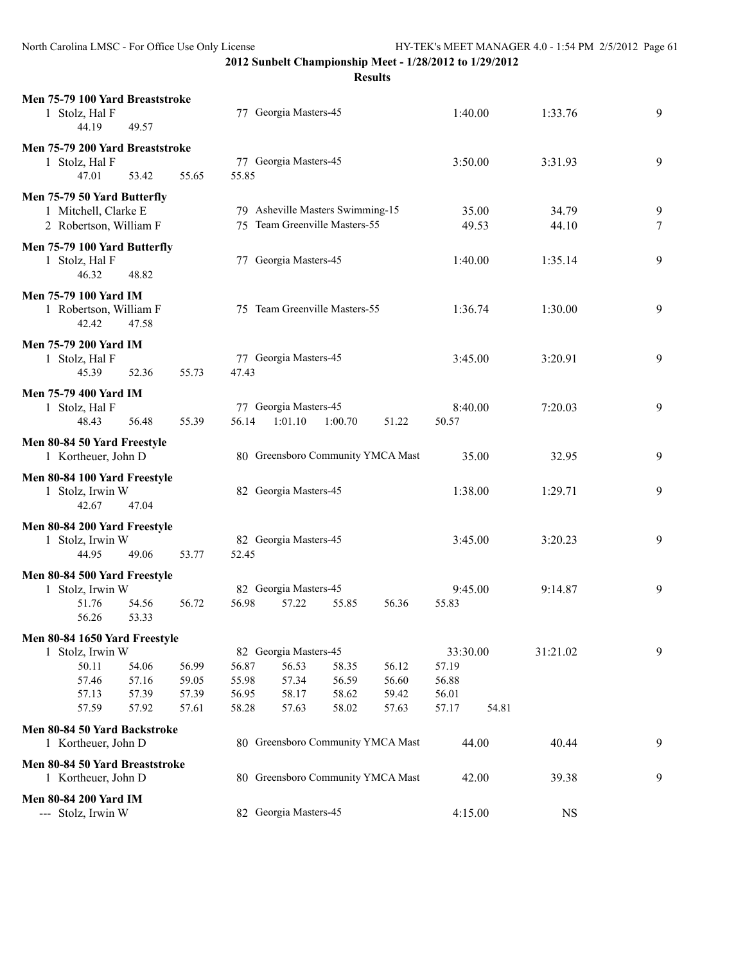| Men 75-79 100 Yard Breaststroke<br>1 Stolz, Hal F<br>44.19 | 49.57 |       |       | 77 Georgia Masters-45             |         |       | 1:40.00  |       | 1:33.76     | 9      |
|------------------------------------------------------------|-------|-------|-------|-----------------------------------|---------|-------|----------|-------|-------------|--------|
| Men 75-79 200 Yard Breaststroke                            |       |       |       |                                   |         |       |          |       |             |        |
| 1 Stolz, Hal F                                             |       |       |       | 77 Georgia Masters-45             |         |       | 3:50.00  |       | 3:31.93     | 9      |
| 47.01                                                      | 53.42 | 55.65 | 55.85 |                                   |         |       |          |       |             |        |
| Men 75-79 50 Yard Butterfly                                |       |       |       |                                   |         |       |          |       |             |        |
| 1 Mitchell, Clarke E                                       |       |       |       | 79 Asheville Masters Swimming-15  |         |       |          | 35.00 | 34.79       | 9      |
| 2 Robertson, William F                                     |       |       |       | 75 Team Greenville Masters-55     |         |       |          | 49.53 | 44.10       | $\tau$ |
|                                                            |       |       |       |                                   |         |       |          |       |             |        |
| Men 75-79 100 Yard Butterfly<br>1 Stolz, Hal F             |       |       |       | 77 Georgia Masters-45             |         |       | 1:40.00  |       | 1:35.14     | 9      |
| 46.32                                                      | 48.82 |       |       |                                   |         |       |          |       |             |        |
|                                                            |       |       |       |                                   |         |       |          |       |             |        |
| Men 75-79 100 Yard IM<br>1 Robertson, William F            |       |       |       | 75 Team Greenville Masters-55     |         |       | 1:36.74  |       | 1:30.00     | 9      |
| 42.42                                                      | 47.58 |       |       |                                   |         |       |          |       |             |        |
|                                                            |       |       |       |                                   |         |       |          |       |             |        |
| <b>Men 75-79 200 Yard IM</b>                               |       |       |       |                                   |         |       |          |       |             |        |
| 1 Stolz, Hal F<br>45.39                                    | 52.36 | 55.73 | 47.43 | 77 Georgia Masters-45             |         |       | 3:45.00  |       | 3:20.91     | 9      |
|                                                            |       |       |       |                                   |         |       |          |       |             |        |
| <b>Men 75-79 400 Yard IM</b>                               |       |       |       |                                   |         |       |          |       |             |        |
| 1 Stolz, Hal F                                             |       |       |       | 77 Georgia Masters-45             |         |       | 8:40.00  |       | 7:20.03     | 9      |
| 48.43                                                      | 56.48 | 55.39 | 56.14 | 1:01.10                           | 1:00.70 | 51.22 | 50.57    |       |             |        |
| Men 80-84 50 Yard Freestyle                                |       |       |       |                                   |         |       |          |       |             |        |
| 1 Kortheuer, John D                                        |       |       |       | 80 Greensboro Community YMCA Mast |         |       |          | 35.00 | 32.95       | 9      |
| Men 80-84 100 Yard Freestyle                               |       |       |       |                                   |         |       |          |       |             |        |
| 1 Stolz, Irwin W                                           |       |       |       | 82 Georgia Masters-45             |         |       | 1:38.00  |       | 1:29.71     | 9      |
| 42.67                                                      | 47.04 |       |       |                                   |         |       |          |       |             |        |
| Men 80-84 200 Yard Freestyle                               |       |       |       |                                   |         |       |          |       |             |        |
| 1 Stolz, Irwin W                                           |       |       |       | 82 Georgia Masters-45             |         |       | 3:45.00  |       | 3:20.23     | 9      |
| 44.95                                                      | 49.06 | 53.77 | 52.45 |                                   |         |       |          |       |             |        |
| Men 80-84 500 Yard Freestyle                               |       |       |       |                                   |         |       |          |       |             |        |
| 1 Stolz, Irwin W                                           |       |       |       | 82 Georgia Masters-45             |         |       | 9:45.00  |       | 9:14.87     | 9      |
| 51.76                                                      | 54.56 | 56.72 | 56.98 | 57.22                             | 55.85   | 56.36 | 55.83    |       |             |        |
| 56.26                                                      | 53.33 |       |       |                                   |         |       |          |       |             |        |
| Men 80-84 1650 Yard Freestyle                              |       |       |       |                                   |         |       |          |       |             |        |
| 1 Stolz, Irwin W                                           |       |       |       | 82 Georgia Masters-45             |         |       | 33:30.00 |       | 31:21.02    | 9      |
| 50.11                                                      | 54.06 | 56.99 | 56.87 | 56.53                             | 58.35   | 56.12 | 57.19    |       |             |        |
| 57.46                                                      | 57.16 | 59.05 | 55.98 | 57.34                             | 56.59   | 56.60 | 56.88    |       |             |        |
| 57.13                                                      | 57.39 | 57.39 | 56.95 | 58.17                             | 58.62   | 59.42 | 56.01    |       |             |        |
| 57.59                                                      | 57.92 | 57.61 | 58.28 | 57.63                             | 58.02   | 57.63 | 57.17    | 54.81 |             |        |
| Men 80-84 50 Yard Backstroke                               |       |       |       |                                   |         |       |          |       |             |        |
| 1 Kortheuer, John D                                        |       |       |       | 80 Greensboro Community YMCA Mast |         |       |          | 44.00 | 40.44       | 9      |
| Men 80-84 50 Yard Breaststroke                             |       |       |       |                                   |         |       |          |       |             |        |
| 1 Kortheuer, John D                                        |       |       |       | 80 Greensboro Community YMCA Mast |         |       |          | 42.00 | 39.38       | 9      |
| <b>Men 80-84 200 Yard IM</b>                               |       |       |       |                                   |         |       |          |       |             |        |
| --- Stolz, Irwin W                                         |       |       |       | 82 Georgia Masters-45             |         |       | 4:15.00  |       | $_{\rm NS}$ |        |
|                                                            |       |       |       |                                   |         |       |          |       |             |        |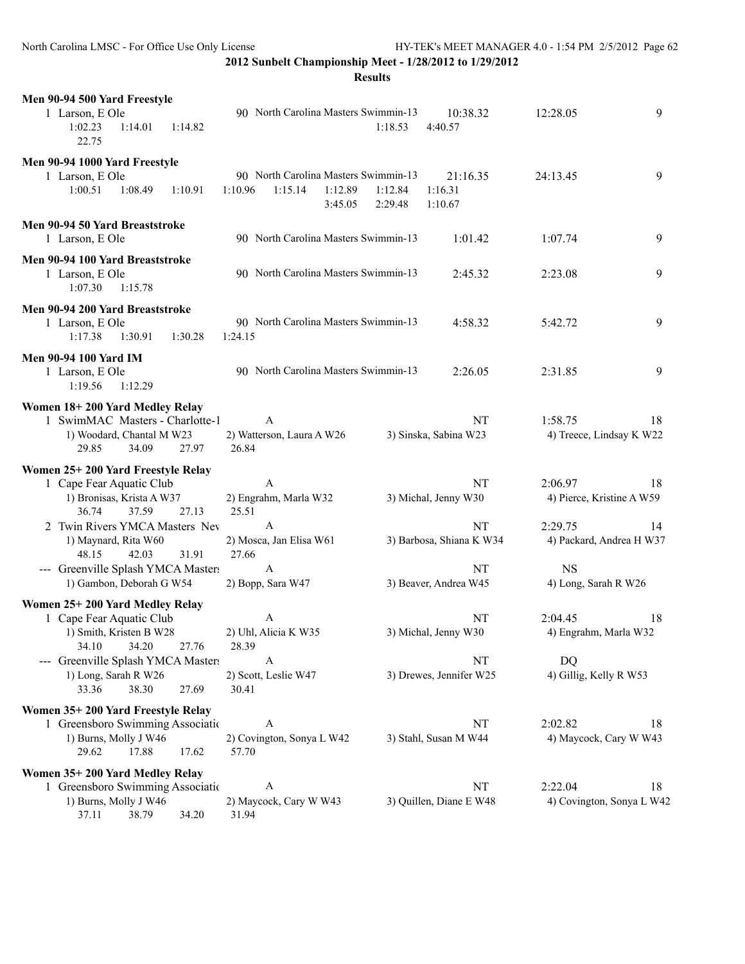| Men 90-94 500 Yard Freestyle                                  |                                    |         |         |                                      |                    |                    |                          |                           |    |
|---------------------------------------------------------------|------------------------------------|---------|---------|--------------------------------------|--------------------|--------------------|--------------------------|---------------------------|----|
| 1 Larson, E Ole<br>1:02.23<br>22.75                           | 1:14.01                            | 1:14.82 |         | 90 North Carolina Masters Swimmin-13 |                    | 1:18.53            | 10:38.32<br>4:40.57      | 12:28.05                  | 9  |
| Men 90-94 1000 Yard Freestyle                                 |                                    |         |         |                                      |                    |                    |                          |                           |    |
| 1 Larson, E Ole                                               |                                    |         |         | 90 North Carolina Masters Swimmin-13 |                    |                    | 21:16.35                 | 24:13.45                  | 9  |
| 1:00.51                                                       | 1:08.49                            | 1:10.91 | 1:10.96 | 1:15.14                              | 1:12.89<br>3:45.05 | 1:12.84<br>2:29.48 | 1:16.31<br>1:10.67       |                           |    |
| Men 90-94 50 Yard Breaststroke<br>1 Larson, E Ole             |                                    |         |         | 90 North Carolina Masters Swimmin-13 |                    |                    | 1:01.42                  | 1:07.74                   | 9  |
| Men 90-94 100 Yard Breaststroke<br>1 Larson, E Ole<br>1:07.30 | 1:15.78                            |         |         | 90 North Carolina Masters Swimmin-13 |                    |                    | 2:45.32                  | 2:23.08                   | 9  |
| Men 90-94 200 Yard Breaststroke<br>1 Larson, E Ole<br>1:17.38 | 1:30.91                            | 1:30.28 | 1:24.15 | 90 North Carolina Masters Swimmin-13 |                    |                    | 4:58.32                  | 5:42.72                   | 9  |
| <b>Men 90-94 100 Yard IM</b><br>1 Larson, E Ole<br>1:19.56    | 1:12.29                            |         |         | 90 North Carolina Masters Swimmin-13 |                    |                    | 2:26.05                  | 2:31.85                   | 9  |
| Women 18+200 Yard Medley Relay                                |                                    |         |         |                                      |                    |                    |                          |                           |    |
|                                                               | 1 SwimMAC Masters - Charlotte-1    |         |         | A                                    |                    |                    | NT                       | 1:58.75                   | 18 |
| 29.85                                                         | 1) Woodard, Chantal M W23<br>34.09 | 27.97   | 26.84   | 2) Watterson, Laura A W26            |                    |                    | 3) Sinska, Sabina W23    | 4) Treece, Lindsay K W22  |    |
| Women 25+200 Yard Freestyle Relay                             |                                    |         |         |                                      |                    |                    |                          |                           |    |
|                                                               | 1 Cape Fear Aquatic Club           |         |         | A                                    |                    |                    | NT                       | 2:06.97                   | 18 |
| 36.74                                                         | 1) Bronisas, Krista A W37<br>37.59 | 27.13   | 25.51   | 2) Engrahm, Marla W32                |                    |                    | 3) Michal, Jenny W30     | 4) Pierce, Kristine A W59 |    |
|                                                               | 2 Twin Rivers YMCA Masters Nev     |         |         | A                                    |                    |                    | NT                       | 2:29.75                   | 14 |
| 48.15                                                         | 1) Maynard, Rita W60<br>42.03      | 31.91   | 27.66   | 2) Mosca, Jan Elisa W61              |                    |                    | 3) Barbosa, Shiana K W34 | 4) Packard, Andrea H W37  |    |
|                                                               | --- Greenville Splash YMCA Masters |         |         | A                                    |                    |                    |                          |                           |    |
|                                                               | 1) Gambon, Deborah G W54           |         |         |                                      |                    |                    |                          |                           |    |
|                                                               |                                    |         |         |                                      |                    |                    | NT                       | <b>NS</b>                 |    |
|                                                               |                                    |         |         | 2) Bopp, Sara W47                    |                    |                    | 3) Beaver, Andrea W45    | 4) Long, Sarah R W26      |    |
| Women 25+200 Yard Medley Relay                                |                                    |         |         |                                      |                    |                    |                          |                           |    |
|                                                               | 1 Cape Fear Aquatic Club           |         |         | A                                    |                    |                    | NT                       | 2:04.45                   | 18 |
| 34.10                                                         | 1) Smith, Kristen B W28<br>34.20   | 27.76   | 28.39   | 2) Uhl, Alicia K W35                 |                    |                    | 3) Michal, Jenny W30     | 4) Engrahm, Marla W32     |    |
|                                                               | --- Greenville Splash YMCA Masters |         |         | A                                    |                    |                    | NT                       | <b>DQ</b>                 |    |
|                                                               | 1) Long, Sarah R W26               |         |         | 2) Scott, Leslie W47                 |                    |                    | 3) Drewes, Jennifer W25  | 4) Gillig, Kelly R W53    |    |
| 33.36                                                         | 38.30                              | 27.69   | 30.41   |                                      |                    |                    |                          |                           |    |
| Women 35+200 Yard Freestyle Relay                             |                                    |         |         |                                      |                    |                    |                          |                           |    |
|                                                               | 1 Greensboro Swimming Association  |         |         | A                                    |                    |                    | NT                       | 2:02.82                   | 18 |
| 29.62                                                         | 1) Burns, Molly J W46<br>17.88     | 17.62   | 57.70   | 2) Covington, Sonya L W42            |                    |                    | 3) Stahl, Susan M W44    | 4) Maycock, Cary W W43    |    |
| Women 35+200 Yard Medley Relay                                |                                    |         |         |                                      |                    |                    |                          |                           |    |
|                                                               | 1 Greensboro Swimming Association  |         |         | A                                    |                    |                    | NT                       | 2:22.04                   | 18 |
| 37.11                                                         | 1) Burns, Molly J W46<br>38.79     | 34.20   | 31.94   | 2) Maycock, Cary W W43               |                    |                    | 3) Quillen, Diane E W48  | 4) Covington, Sonya L W42 |    |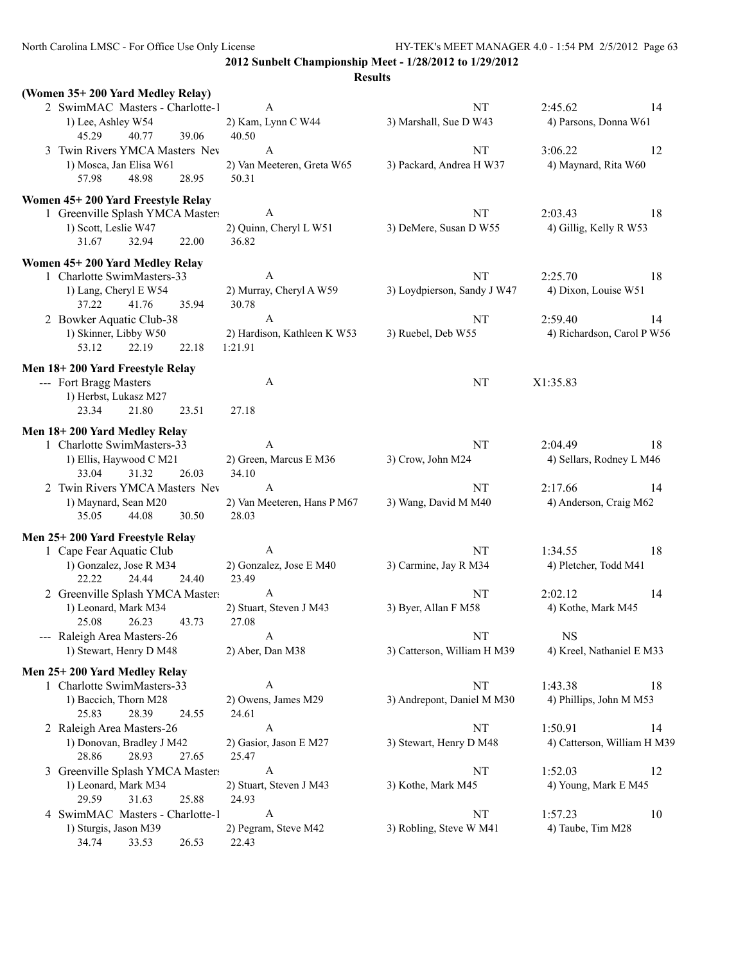North Carolina LMSC - For Office Use Only License HY-TEK's MEET MANAGER 4.0 - 1:54 PM 2/5/2012 Page 63

**2012 Sunbelt Championship Meet - 1/28/2012 to 1/29/2012**

|                                                                       |                               | <b>Results</b>              |                             |
|-----------------------------------------------------------------------|-------------------------------|-----------------------------|-----------------------------|
| (Women 35+200 Yard Medley Relay)                                      |                               |                             |                             |
| 2 SwimMAC Masters - Charlotte-1                                       | A                             | NT                          | 2:45.62<br>14               |
| 1) Lee, Ashley W54                                                    | 2) Kam, Lynn C W44            | 3) Marshall, Sue D W43      | 4) Parsons, Donna W61       |
| 45.29<br>40.77<br>39.06<br>3 Twin Rivers YMCA Masters Nev             | 40.50<br>A                    | NT                          | 3:06.22<br>12               |
| 1) Mosca, Jan Elisa W61                                               | 2) Van Meeteren, Greta W65    | 3) Packard, Andrea H W37    | 4) Maynard, Rita W60        |
| 57.98<br>48.98<br>28.95                                               | 50.31                         |                             |                             |
|                                                                       |                               |                             |                             |
| Women 45+200 Yard Freestyle Relay<br>1 Greenville Splash YMCA Masters | $\boldsymbol{A}$              | NT                          | 2:03.43<br>18               |
| 1) Scott, Leslie W47                                                  | 2) Quinn, Cheryl L W51        | 3) DeMere, Susan D W55      | 4) Gillig, Kelly R W53      |
| 31.67<br>32.94<br>22.00                                               | 36.82                         |                             |                             |
| Women 45+200 Yard Medley Relay                                        |                               |                             |                             |
| 1 Charlotte SwimMasters-33                                            | A                             | NT                          | 2:25.70<br>18               |
| 1) Lang, Cheryl E W54                                                 | 2) Murray, Cheryl A W59       | 3) Loydpierson, Sandy J W47 | 4) Dixon, Louise W51        |
| 37.22<br>41.76<br>35.94                                               | 30.78                         |                             |                             |
| 2 Bowker Aquatic Club-38                                              | A                             | NT                          | 2:59.40<br>14               |
| 1) Skinner, Libby W50                                                 | 2) Hardison, Kathleen K W53   | 3) Ruebel, Deb W55          | 4) Richardson, Carol P W56  |
| 22.19<br>22.18<br>53.12                                               | 1:21.91                       |                             |                             |
| Men 18+200 Yard Freestyle Relay                                       |                               |                             |                             |
| --- Fort Bragg Masters                                                | A                             | NT                          | X1:35.83                    |
| 1) Herbst, Lukasz M27                                                 |                               |                             |                             |
| 21.80<br>23.34<br>23.51                                               | 27.18                         |                             |                             |
| Men 18+200 Yard Medley Relay                                          |                               |                             |                             |
| 1 Charlotte SwimMasters-33                                            | A                             | NT                          | 2:04.49<br>18               |
| 1) Ellis, Haywood C M21                                               | 2) Green, Marcus E M36        | 3) Crow, John M24           | 4) Sellars, Rodney L M46    |
| 33.04<br>31.32<br>26.03<br>2 Twin Rivers YMCA Masters Nev             | 34.10<br>$\mathbf{A}$         | NT                          | 2:17.66<br>14               |
| 1) Maynard, Sean M20                                                  | 2) Van Meeteren, Hans P M67   | 3) Wang, David M M40        | 4) Anderson, Craig M62      |
| 35.05<br>44.08<br>30.50                                               | 28.03                         |                             |                             |
| Men 25+200 Yard Freestyle Relay                                       |                               |                             |                             |
| 1 Cape Fear Aquatic Club                                              | $\boldsymbol{A}$              | NT                          | 1:34.55<br>18               |
| 1) Gonzalez, Jose R M34                                               | 2) Gonzalez, Jose E M40       | 3) Carmine, Jay R M34       | 4) Pletcher, Todd M41       |
| 22.22<br>24.44<br>24.40                                               | 23.49                         |                             |                             |
| 2 Greenville Splash YMCA Masters                                      | $\mathbf{A}$                  | NT                          | 2:02.12<br>14               |
| 1) Leonard, Mark M34                                                  | 2) Stuart, Steven J M43       | 3) Byer, Allan F M58        | 4) Kothe, Mark M45          |
| 25.08<br>26.23<br>43.73                                               | 27.08                         |                             |                             |
| --- Raleigh Area Masters-26                                           | A                             | NT                          | <b>NS</b>                   |
| 1) Stewart, Henry D M48                                               | 2) Aber, Dan M38              | 3) Catterson, William H M39 | 4) Kreel, Nathaniel E M33   |
| Men 25+200 Yard Medley Relay                                          |                               |                             |                             |
| 1 Charlotte SwimMasters-33                                            | A                             | NT                          | 1:43.38<br>18               |
| 1) Baccich, Thorn M28<br>25.83<br>28.39<br>24.55                      | 2) Owens, James M29<br>24.61  | 3) Andrepont, Daniel M M30  | 4) Phillips, John M M53     |
| 2 Raleigh Area Masters-26                                             | A                             | NT                          | 1:50.91<br>14               |
| 1) Donovan, Bradley J M42                                             | 2) Gasior, Jason E M27        | 3) Stewart, Henry D M48     | 4) Catterson, William H M39 |
| 28.86<br>28.93<br>27.65                                               | 25.47                         |                             |                             |
| 3 Greenville Splash YMCA Masters                                      | $\boldsymbol{A}$              | NT                          | 1:52.03<br>12               |
| 1) Leonard, Mark M34                                                  | 2) Stuart, Steven J M43       | 3) Kothe, Mark M45          | 4) Young, Mark E M45        |
| 29.59<br>31.63<br>25.88                                               | 24.93                         |                             |                             |
| 4 SwimMAC Masters - Charlotte-1                                       | A                             | NT                          | 1:57.23<br>10               |
| 1) Sturgis, Jason M39<br>34.74<br>33.53<br>26.53                      | 2) Pegram, Steve M42<br>22.43 | 3) Robling, Steve W M41     | 4) Taube, Tim M28           |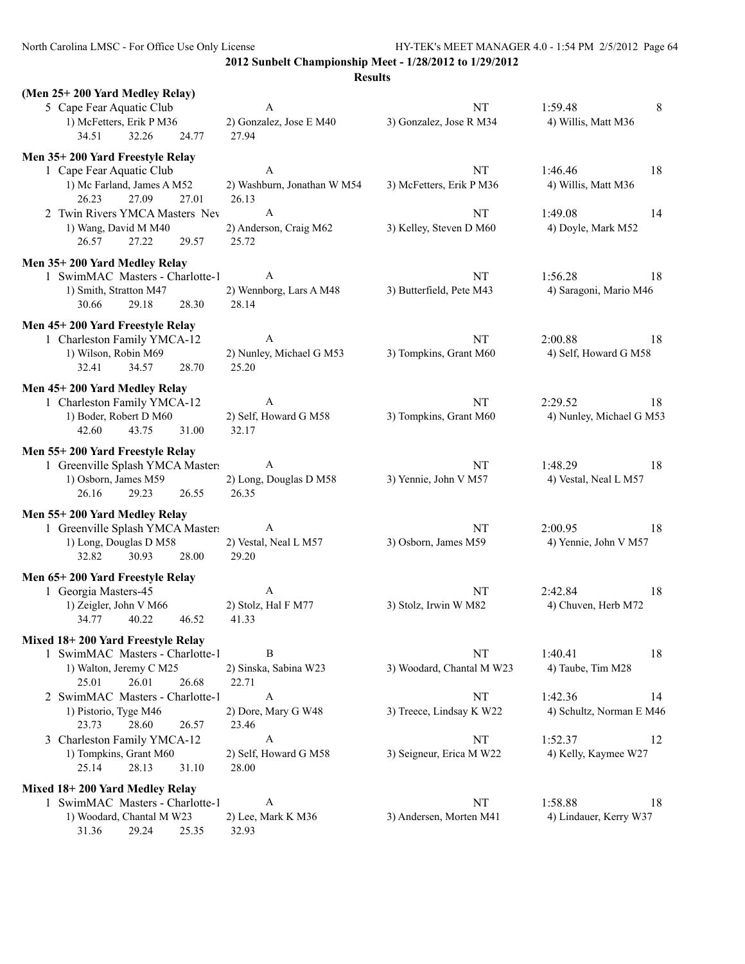North Carolina LMSC - For Office Use Only License HY-TEK's MEET MANAGER 4.0 - 1:54 PM 2/5/2012 Page 64

**2012 Sunbelt Championship Meet - 1/28/2012 to 1/29/2012**

| (Men 25+200 Yard Medley Relay)                     |                                |                                 |                          |
|----------------------------------------------------|--------------------------------|---------------------------------|--------------------------|
| 5 Cape Fear Aquatic Club                           | $\mathbf{A}$                   | NT                              | 1:59.48<br>8             |
| 1) McFetters, Erik P M36                           | 2) Gonzalez, Jose E M40        | 3) Gonzalez, Jose R M34         | 4) Willis, Matt M36      |
| 34.51<br>32.26<br>24.77                            | 27.94                          |                                 |                          |
| Men 35+200 Yard Freestyle Relay                    |                                |                                 |                          |
| 1 Cape Fear Aquatic Club                           | A                              | NT                              | 1:46.46<br>18            |
| 1) Mc Farland, James A M52                         | 2) Washburn, Jonathan W M54    | 3) McFetters, Erik P M36        | 4) Willis, Matt M36      |
| 26.23<br>27.09<br>27.01                            | 26.13                          |                                 |                          |
| 2 Twin Rivers YMCA Masters Nev                     | A                              | NT                              | 1:49.08<br>14            |
| 1) Wang, David M M40                               | 2) Anderson, Craig M62         | 3) Kelley, Steven D M60         | 4) Doyle, Mark M52       |
| 26.57<br>27.22<br>29.57                            | 25.72                          |                                 |                          |
|                                                    |                                |                                 |                          |
| Men 35+200 Yard Medley Relay                       |                                |                                 |                          |
| 1 SwimMAC Masters - Charlotte-1                    | A                              | <b>NT</b>                       | 1:56.28<br>18            |
| 1) Smith, Stratton M47                             | 2) Wennborg, Lars A M48        | 3) Butterfield, Pete M43        | 4) Saragoni, Mario M46   |
| 30.66<br>29.18<br>28.30                            | 28.14                          |                                 |                          |
| Men 45+200 Yard Freestyle Relay                    |                                |                                 |                          |
| 1 Charleston Family YMCA-12                        | A                              | NT                              | 2:00.88<br>18            |
| 1) Wilson, Robin M69                               | 2) Nunley, Michael G M53       | 3) Tompkins, Grant M60          | 4) Self, Howard G M58    |
| 34.57<br>28.70<br>32.41                            | 25.20                          |                                 |                          |
| Men 45+200 Yard Medley Relay                       |                                |                                 |                          |
| 1 Charleston Family YMCA-12                        | A                              | <b>NT</b>                       | 2:29.52<br>18            |
| 1) Boder, Robert D M60                             | 2) Self, Howard G M58          | 3) Tompkins, Grant M60          | 4) Nunley, Michael G M53 |
| 43.75<br>42.60<br>31.00                            | 32.17                          |                                 |                          |
|                                                    |                                |                                 |                          |
| Men 55+200 Yard Freestyle Relay                    |                                |                                 |                          |
| 1 Greenville Splash YMCA Masters                   | A                              | NT                              | 1:48.29<br>18            |
| 1) Osborn, James M59                               | 2) Long, Douglas D M58         | 3) Yennie, John V M57           | 4) Vestal, Neal L M57    |
| 26.16<br>29.23<br>26.55                            | 26.35                          |                                 |                          |
| Men 55+200 Yard Medley Relay                       |                                |                                 |                          |
| 1 Greenville Splash YMCA Masters                   | A                              | NT                              | 2:00.95<br>18            |
| 1) Long, Douglas D M58                             | 2) Vestal, Neal L M57          | 3) Osborn, James M59            | 4) Yennie, John V M57    |
| 32.82<br>30.93<br>28.00                            | 29.20                          |                                 |                          |
| Men 65+200 Yard Freestyle Relay                    |                                |                                 |                          |
| 1 Georgia Masters-45                               | $\mathbf{A}$                   | NT                              | 2:42.84<br>18            |
| 1) Zeigler, John V M66                             | 2) Stolz, Hal F M77            | 3) Stolz, Irwin W M82           | 4) Chuven, Herb M72      |
| 34.77<br>40.22<br>46.52                            | 41.33                          |                                 |                          |
|                                                    |                                |                                 |                          |
| Mixed 18+200 Yard Freestyle Relay                  | B                              |                                 |                          |
| 1 SwimMAC Masters - Charlotte-1                    |                                | NT<br>3) Woodard, Chantal M W23 | 1:40.41<br>18            |
| 1) Walton, Jeremy C M25<br>25.01<br>26.01<br>26.68 | 2) Sinska, Sabina W23<br>22.71 |                                 | 4) Taube, Tim M28        |
|                                                    | A                              |                                 |                          |
| 2 SwimMAC Masters - Charlotte-1                    |                                | NT                              | 1:42.36<br>14            |
| 1) Pistorio, Tyge M46<br>23.73<br>26.57            | 2) Dore, Mary G W48            | 3) Treece, Lindsay K W22        | 4) Schultz, Norman E M46 |
| 28.60<br>3 Charleston Family YMCA-12               | 23.46<br>A                     | NT                              | 1:52.37                  |
|                                                    |                                |                                 | 12                       |
| 1) Tompkins, Grant M60<br>28.13<br>31.10<br>25.14  | 2) Self, Howard G M58<br>28.00 | 3) Seigneur, Erica M W22        | 4) Kelly, Kaymee W27     |
|                                                    |                                |                                 |                          |
| Mixed 18+200 Yard Medley Relay                     |                                |                                 |                          |
| 1 SwimMAC Masters - Charlotte-1                    | A                              | NT                              | 1:58.88<br>18            |
| 1) Woodard, Chantal M W23                          | 2) Lee, Mark K M36             | 3) Andersen, Morten M41         | 4) Lindauer, Kerry W37   |
| 31.36<br>29.24<br>25.35                            | 32.93                          |                                 |                          |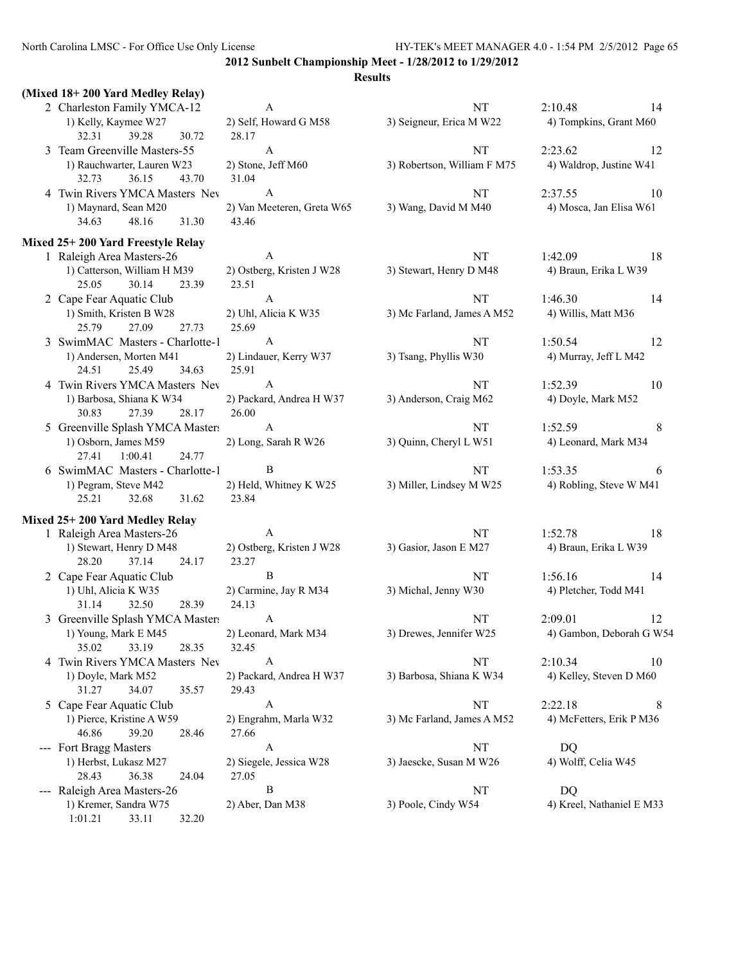| (Mixed 18+200 Yard Medley Relay)  |                            |                             |                           |
|-----------------------------------|----------------------------|-----------------------------|---------------------------|
| 2 Charleston Family YMCA-12       | A                          | NT                          | 2:10.48<br>14             |
| 1) Kelly, Kaymee W27              | 2) Self, Howard G M58      | 3) Seigneur, Erica M W22    | 4) Tompkins, Grant M60    |
| 39.28<br>32.31<br>30.72           | 28.17                      |                             |                           |
| 3 Team Greenville Masters-55      | A                          | NT                          | 2:23.62<br>12             |
| 1) Rauchwarter, Lauren W23        | 2) Stone, Jeff M60         | 3) Robertson, William F M75 | 4) Waldrop, Justine W41   |
| 32.73<br>36.15<br>43.70           | 31.04                      |                             |                           |
| 4 Twin Rivers YMCA Masters Nev    | A                          | NT                          | 2:37.55<br>10             |
| 1) Maynard, Sean M20              | 2) Van Meeteren, Greta W65 | 3) Wang, David M M40        | 4) Mosca, Jan Elisa W61   |
| 48.16<br>34.63<br>31.30           | 43.46                      |                             |                           |
| Mixed 25+200 Yard Freestyle Relay |                            |                             |                           |
| 1 Raleigh Area Masters-26         | A                          | NT                          | 1:42.09<br>18             |
| 1) Catterson, William H M39       | 2) Ostberg, Kristen J W28  | 3) Stewart, Henry D M48     | 4) Braun, Erika L W39     |
| 30.14<br>25.05<br>23.39           | 23.51                      |                             |                           |
| 2 Cape Fear Aquatic Club          | $\boldsymbol{A}$           | NT                          | 1:46.30<br>14             |
| 1) Smith, Kristen B W28           | 2) Uhl, Alicia K W35       | 3) Mc Farland, James A M52  | 4) Willis, Matt M36       |
| 27.09<br>25.79<br>27.73           | 25.69                      |                             |                           |
| 3 SwimMAC Masters - Charlotte-1   | A                          | NT                          | 1:50.54<br>12             |
| 1) Andersen, Morten M41           | 2) Lindauer, Kerry W37     | 3) Tsang, Phyllis W30       | 4) Murray, Jeff L M42     |
| 25.49<br>24.51<br>34.63           | 25.91                      |                             |                           |
| 4 Twin Rivers YMCA Masters Nev    | A                          | NT                          | 1:52.39<br>10             |
| 1) Barbosa, Shiana K W34          | 2) Packard, Andrea H W37   | 3) Anderson, Craig M62      | 4) Doyle, Mark M52        |
| 30.83<br>27.39<br>28.17           | 26.00                      |                             |                           |
| 5 Greenville Splash YMCA Masters  | A                          | NT                          | 1:52.59<br>8              |
| 1) Osborn, James M59              | 2) Long, Sarah R W26       | 3) Quinn, Cheryl L W51      | 4) Leonard, Mark M34      |
| 27.41<br>1:00.41<br>24.77         |                            |                             |                           |
| 6 SwimMAC Masters - Charlotte-1   | B                          | NT                          | 1:53.35<br>6              |
| 1) Pegram, Steve M42              | 2) Held, Whitney K W25     | 3) Miller, Lindsey M W25    | 4) Robling, Steve W M41   |
| 25.21<br>32.68<br>31.62           | 23.84                      |                             |                           |
| Mixed 25+200 Yard Medley Relay    |                            |                             |                           |
| 1 Raleigh Area Masters-26         | A                          | NT                          | 1:52.78<br>18             |
| 1) Stewart, Henry D M48           | 2) Ostberg, Kristen J W28  | 3) Gasior, Jason E M27      | 4) Braun, Erika L W39     |
| 28.20<br>37.14<br>24.17           | 23.27                      |                             |                           |
| 2 Cape Fear Aquatic Club          | $\, {\bf B}$               | NT                          | 1:56.16<br>14             |
| 1) Uhl, Alicia K W35              | 2) Carmine, Jay R M34      | 3) Michal, Jenny W30        | 4) Pletcher, Todd M41     |
| 32.50<br>31.14<br>28.39           | 24.13                      |                             |                           |
| 3 Greenville Splash YMCA Masters  | A                          | NT                          | 2:09.01<br>12             |
| 1) Young, Mark E M45              | 2) Leonard, Mark M34       | 3) Drewes, Jennifer W25     | 4) Gambon, Deborah G W54  |
| 35.02<br>33.19<br>28.35           | 32.45                      |                             |                           |
| 4 Twin Rivers YMCA Masters Nev    | A                          | NT                          | 2:10.34<br>10             |
| 1) Doyle, Mark M52                | 2) Packard, Andrea H W37   | 3) Barbosa, Shiana K W34    | 4) Kelley, Steven D M60   |
| 34.07<br>31.27<br>35.57           | 29.43                      |                             |                           |
| 5 Cape Fear Aquatic Club          | A                          | NT                          | 2:22.18<br>8              |
| 1) Pierce, Kristine A W59         | 2) Engrahm, Marla W32      | 3) Mc Farland, James A M52  | 4) McFetters, Erik P M36  |
| 46.86<br>39.20<br>28.46           | 27.66                      |                             |                           |
| --- Fort Bragg Masters            | A                          | NT                          | DQ                        |
| 1) Herbst, Lukasz M27             | 2) Siegele, Jessica W28    | 3) Jaescke, Susan M W26     | 4) Wolff, Celia W45       |
| 28.43<br>36.38<br>24.04           | 27.05                      |                             |                           |
| --- Raleigh Area Masters-26       | $\, {\bf B}$               | NT                          | DQ                        |
| 1) Kremer, Sandra W75             | 2) Aber, Dan M38           | 3) Poole, Cindy W54         | 4) Kreel, Nathaniel E M33 |
| 1:01.21<br>33.11<br>32.20         |                            |                             |                           |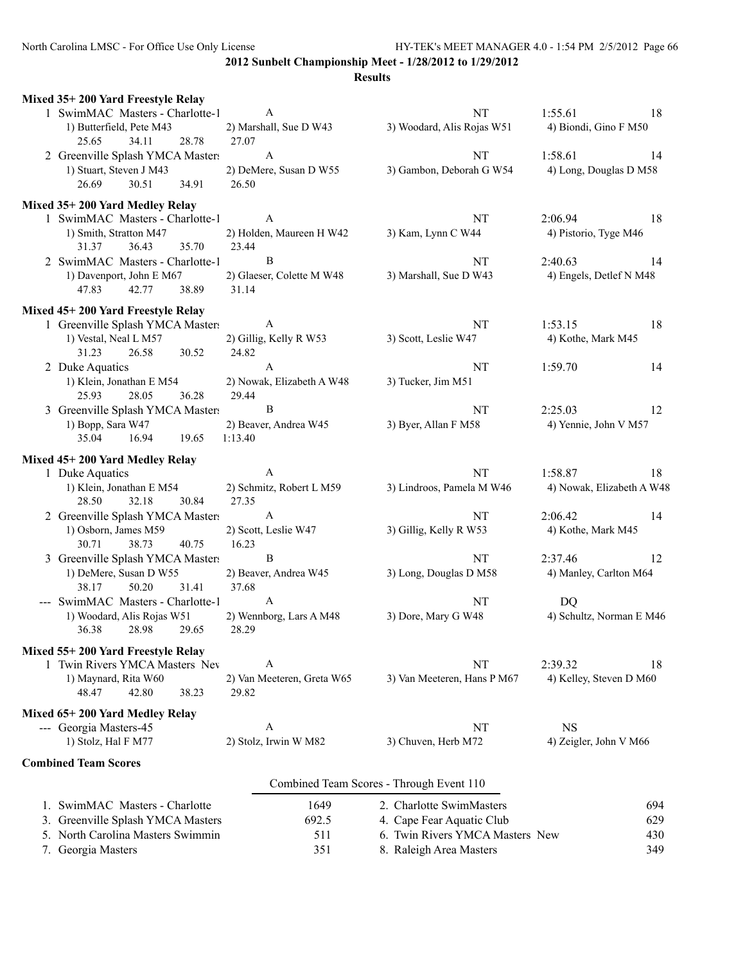| Mixed 35+200 Yard Freestyle Relay                                                      |                                                     |                                          |                                          |
|----------------------------------------------------------------------------------------|-----------------------------------------------------|------------------------------------------|------------------------------------------|
| 1 SwimMAC Masters - Charlotte-1<br>1) Butterfield, Pete M43                            | A<br>2) Marshall, Sue D W43                         | <b>NT</b><br>3) Woodard, Alis Rojas W51  | 1:55.61<br>-18<br>4) Biondi, Gino F M50  |
| 25.65<br>34.11<br>28.78                                                                | 27.07                                               |                                          |                                          |
| 2 Greenville Splash YMCA Masters<br>1) Stuart, Steven J M43<br>26.69<br>30.51<br>34.91 | $\boldsymbol{A}$<br>2) DeMere, Susan D W55<br>26.50 | NT<br>3) Gambon, Deborah G W54           | 1:58.61<br>14<br>4) Long, Douglas D M58  |
| Mixed 35+200 Yard Medley Relay                                                         |                                                     |                                          |                                          |
| 1 SwimMAC Masters - Charlotte-1<br>1) Smith, Stratton M47<br>31.37<br>36.43<br>35.70   | A<br>2) Holden, Maureen H W42<br>23.44              | NT<br>3) Kam, Lynn C W44                 | 2:06.94<br>18<br>4) Pistorio, Tyge M46   |
| 2 SwimMAC Masters - Charlotte-1<br>1) Davenport, John E M67                            | B<br>2) Glaeser, Colette M W48                      | NT<br>3) Marshall, Sue D W43             | 2:40.63<br>14<br>4) Engels, Detlef N M48 |
| 47.83<br>42.77<br>38.89                                                                | 31.14                                               |                                          |                                          |
| Mixed 45+200 Yard Freestyle Relay                                                      |                                                     |                                          |                                          |
| 1 Greenville Splash YMCA Masters                                                       | A                                                   | <b>NT</b>                                | 1:53.15<br>18                            |
| 1) Vestal, Neal L M57<br>31.23<br>26.58<br>30.52                                       | 2) Gillig, Kelly R W53<br>24.82                     | 3) Scott, Leslie W47                     | 4) Kothe, Mark M45                       |
| 2 Duke Aquatics                                                                        | $\mathbf{A}$                                        | NT                                       | 1:59.70<br>14                            |
| 1) Klein, Jonathan E M54<br>28.05<br>25.93<br>36.28                                    | 2) Nowak, Elizabeth A W48<br>29.44                  | 3) Tucker, Jim M51                       |                                          |
| 3 Greenville Splash YMCA Masters                                                       | $\mathbf B$                                         | NT                                       | 2:25.03<br>12                            |
| 1) Bopp, Sara W47<br>16.94<br>35.04<br>19.65                                           | 2) Beaver, Andrea W45<br>1:13.40                    | 3) Byer, Allan F M58                     | 4) Yennie, John V M57                    |
| Mixed 45+200 Yard Medley Relay                                                         |                                                     |                                          |                                          |
| 1 Duke Aquatics                                                                        | $\mathbf{A}$                                        | NT                                       | 1:58.87<br>18                            |
| 1) Klein, Jonathan E M54<br>28.50<br>32.18<br>30.84                                    | 2) Schmitz, Robert L M59<br>27.35                   | 3) Lindroos, Pamela M W46                | 4) Nowak, Elizabeth A W48                |
| 2 Greenville Splash YMCA Masters                                                       | $\mathbf{A}$                                        | NT                                       | 2:06.42<br>14                            |
| 1) Osborn, James M59<br>38.73<br>30.71<br>40.75                                        | 2) Scott, Leslie W47<br>16.23                       | 3) Gillig, Kelly R W53                   | 4) Kothe, Mark M45                       |
| 3 Greenville Splash YMCA Masters                                                       | $\mathbf B$                                         | <b>NT</b>                                | 2:37.46<br>12                            |
| 1) DeMere, Susan D W55<br>31.41<br>38.17<br>50.20                                      | 2) Beaver, Andrea W45<br>37.68                      | 3) Long, Douglas D M58                   | 4) Manley, Carlton M64                   |
| --- SwimMAC Masters - Charlotte-1                                                      | $\mathbf{A}$                                        | NT                                       | DQ                                       |
| 1) Woodard, Alis Rojas W51<br>36.38<br>28.98<br>29.65                                  | 2) Wennborg, Lars A M48<br>28.29                    | 3) Dore, Mary G W48                      | 4) Schultz, Norman E M46                 |
| Mixed 55+200 Yard Freestyle Relay                                                      |                                                     |                                          |                                          |
| 1 Twin Rivers YMCA Masters Nev                                                         | A                                                   | NT                                       | 2:39.32<br>18                            |
| 1) Maynard, Rita W60<br>42.80<br>38.23<br>48.47                                        | 2) Van Meeteren, Greta W65<br>29.82                 | 3) Van Meeteren, Hans P M67              | 4) Kelley, Steven D M60                  |
| Mixed 65+200 Yard Medley Relay                                                         |                                                     |                                          |                                          |
| --- Georgia Masters-45                                                                 | A                                                   | NT                                       | <b>NS</b>                                |
| 1) Stolz, Hal F M77                                                                    | 2) Stolz, Irwin W M82                               | 3) Chuven, Herb M72                      | 4) Zeigler, John V M66                   |
| <b>Combined Team Scores</b>                                                            |                                                     |                                          |                                          |
|                                                                                        |                                                     | Combined Team Scores - Through Event 110 |                                          |
| 1. SwimMAC Masters - Charlotte                                                         | 1649                                                | 2. Charlotte SwimMasters                 | 694                                      |
| 3. Greenville Splash YMCA Masters                                                      | 692.5                                               | 4. Cape Fear Aquatic Club                | 629                                      |
| 5. North Carolina Masters Swimmin                                                      | 511                                                 | 6. Twin Rivers YMCA Masters New          | 430                                      |
| 7. Georgia Masters                                                                     | 351                                                 | 8. Raleigh Area Masters                  | 349                                      |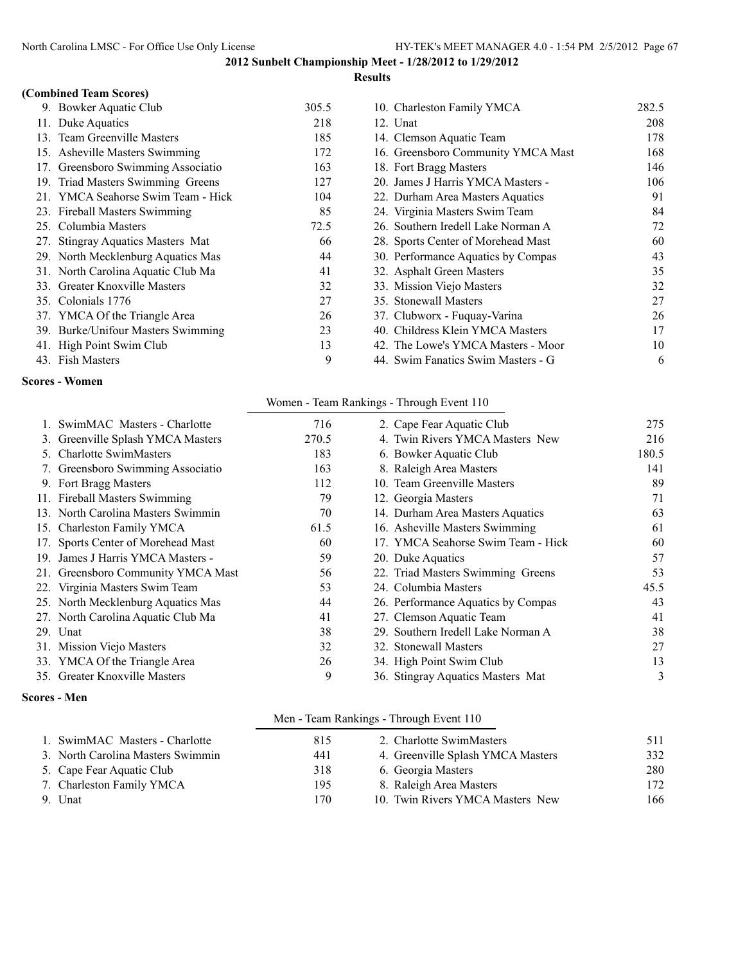#### **Results**

## **(Combined Team Scores)**

| 9. Bowker Aquatic Club             | 305.5 | 10. Charleston Family YMCA         | 282.5 |
|------------------------------------|-------|------------------------------------|-------|
| 11. Duke Aquatics                  | 218   | 12. Unat                           | 208   |
| 13. Team Greenville Masters        | 185   | 14. Clemson Aquatic Team           | 178   |
| 15. Asheville Masters Swimming     | 172   | 16. Greensboro Community YMCA Mast | 168   |
| 17. Greensboro Swimming Associatio | 163   | 18. Fort Bragg Masters             | 146   |
| 19. Triad Masters Swimming Greens  | 127   | 20. James J Harris YMCA Masters -  | 106   |
| 21. YMCA Seahorse Swim Team - Hick | 104   | 22. Durham Area Masters Aquatics   | 91    |
| 23. Fireball Masters Swimming      | 85    | 24. Virginia Masters Swim Team     | 84    |
| 25. Columbia Masters               | 72.5  | 26. Southern Iredell Lake Norman A | 72    |
| 27. Stingray Aquatics Masters Mat  | 66    | 28. Sports Center of Morehead Mast | 60    |
| 29. North Mecklenburg Aquatics Mas | 44    | 30. Performance Aquatics by Compas | 43    |
| 31. North Carolina Aquatic Club Ma | 41    | 32. Asphalt Green Masters          | 35    |
| 33. Greater Knoxville Masters      | 32    | 33. Mission Viejo Masters          | 32    |
| 35. Colonials 1776                 | 27    | 35. Stonewall Masters              | 27    |
| 37. YMCA Of the Triangle Area      | 26    | 37. Clubworx - Fuquay-Varina       | 26    |
| 39. Burke/Unifour Masters Swimming | 23    | 40. Childress Klein YMCA Masters   | 17    |
| 41. High Point Swim Club           | 13    | 42. The Lowe's YMCA Masters - Moor | 10    |
| 43. Fish Masters                   | 9     | 44. Swim Fanatics Swim Masters - G | 6     |

#### **Scores - Women**

| 10. Charleston Family YMCA         | 282.5 |
|------------------------------------|-------|
| 12. Unat                           | 208   |
| 14. Clemson Aquatic Team           | 178   |
| 16. Greensboro Community YMCA Mast | 168   |
| 18. Fort Bragg Masters             | 146   |
| 20. James J Harris YMCA Masters -  | 106   |
| 22. Durham Area Masters Aquatics   | 91    |
| 24. Virginia Masters Swim Team     | 84    |
| 26. Southern Iredell Lake Norman A | 72    |
| 28. Sports Center of Morehead Mast | 60    |
| 30. Performance Aquatics by Compas | 43    |
| 32. Asphalt Green Masters          | 35    |
| 33. Mission Viejo Masters          | 32    |
| 35. Stonewall Masters              | 27    |
| 37. Clubworx - Fuquay-Varina       | 26    |
| 40. Childress Klein YMCA Masters   | 17    |
| 42. The Lowe's YMCA Masters - Moor | 10    |
| 44 Swim Fanatics Swim Masters - G  | 6     |

## Women - Team Rankings - Through Event 110

| 1. SwimMAC Masters - Charlotte     | 716   |  | 2. Cape Fear Aquatic Club          | 275   |
|------------------------------------|-------|--|------------------------------------|-------|
| 3. Greenville Splash YMCA Masters  | 270.5 |  | 4. Twin Rivers YMCA Masters New    | 216   |
| 5. Charlotte SwimMasters           | 183   |  | 6. Bowker Aquatic Club             | 180.5 |
| 7. Greensboro Swimming Associatio  | 163   |  | 8. Raleigh Area Masters            | 141   |
| 9. Fort Bragg Masters              | 112   |  | 10. Team Greenville Masters        | 89    |
| 11. Fireball Masters Swimming      | 79    |  | 12. Georgia Masters                | 71    |
| 13. North Carolina Masters Swimmin | 70    |  | 14. Durham Area Masters Aquatics   | 63    |
| 15. Charleston Family YMCA         | 61.5  |  | 16. Asheville Masters Swimming     | 61    |
| 17. Sports Center of Morehead Mast | 60    |  | 17. YMCA Seahorse Swim Team - Hick | 60    |
| 19. James J Harris YMCA Masters -  | 59    |  | 20. Duke Aquatics                  | 57    |
| 21. Greensboro Community YMCA Mast | 56    |  | 22. Triad Masters Swimming Greens  | 53    |
| 22. Virginia Masters Swim Team     | 53    |  | 24. Columbia Masters               | 45.5  |
| 25. North Mecklenburg Aquatics Mas | 44    |  | 26. Performance Aquatics by Compas | 43    |
| 27. North Carolina Aquatic Club Ma | 41    |  | 27. Clemson Aquatic Team           | 41    |
| 29. Unat                           | 38    |  | 29. Southern Iredell Lake Norman A | 38    |
| 31. Mission Viejo Masters          | 32    |  | 32. Stonewall Masters              | 27    |
| 33. YMCA Of the Triangle Area      | 26    |  | 34. High Point Swim Club           | 13    |
| 35. Greater Knoxville Masters      | 9     |  | 36. Stingray Aquatics Masters Mat  | 3     |

#### **Scores - Men**

|  |  | Men - Team Rankings - Through Event 110 |  |  |  |
|--|--|-----------------------------------------|--|--|--|
|--|--|-----------------------------------------|--|--|--|

| 1. SwimMAC Masters - Charlotte    | 815 | 2. Charlotte SwimMasters          | 511 |
|-----------------------------------|-----|-----------------------------------|-----|
| 3. North Carolina Masters Swimmin | 441 | 4. Greenville Splash YMCA Masters | 332 |
| 5. Cape Fear Aquatic Club         | 318 | 6. Georgia Masters                | 280 |
| 7. Charleston Family YMCA         | 195 | 8. Raleigh Area Masters           | 172 |
| 9. Unat                           | 170 | 10. Twin Rivers YMCA Masters New  | 166 |